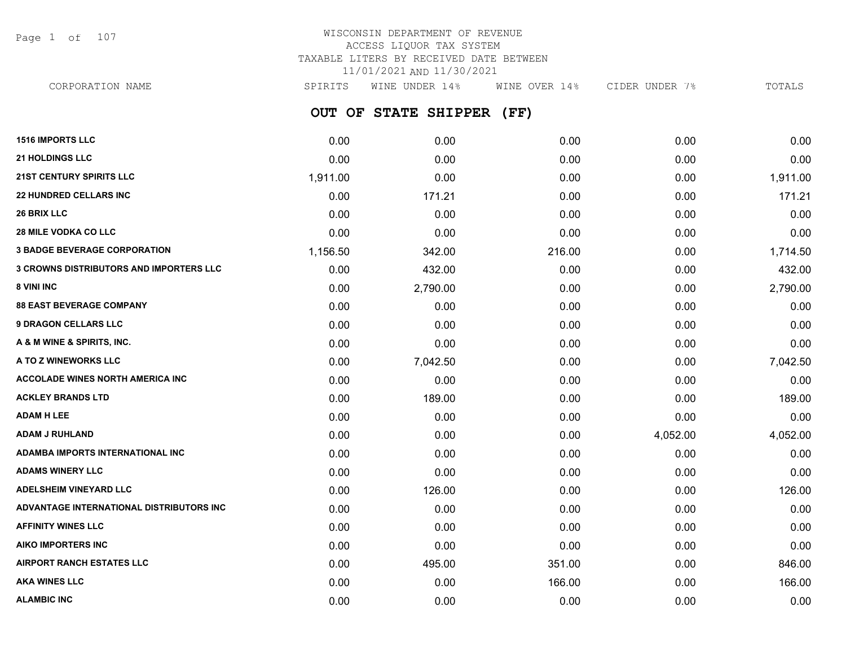Page 1 of 107

## WISCONSIN DEPARTMENT OF REVENUE ACCESS LIQUOR TAX SYSTEM TAXABLE LITERS BY RECEIVED DATE BETWEEN 11/01/2021 AND 11/30/2021

| CORPORATION NAME                               | SPIRITS  | WINE UNDER 14%       | WINE OVER 14% | CIDER UNDER 7% | TOTALS   |
|------------------------------------------------|----------|----------------------|---------------|----------------|----------|
|                                                |          | OUT OF STATE SHIPPER | (FF)          |                |          |
| <b>1516 IMPORTS LLC</b>                        | 0.00     | 0.00                 | 0.00          | 0.00           | 0.00     |
| <b>21 HOLDINGS LLC</b>                         | 0.00     | 0.00                 | 0.00          | 0.00           | 0.00     |
| <b>21ST CENTURY SPIRITS LLC</b>                | 1,911.00 | 0.00                 | 0.00          | 0.00           | 1,911.00 |
| <b>22 HUNDRED CELLARS INC</b>                  | 0.00     | 171.21               | 0.00          | 0.00           | 171.21   |
| <b>26 BRIX LLC</b>                             | 0.00     | 0.00                 | 0.00          | 0.00           | 0.00     |
| <b>28 MILE VODKA CO LLC</b>                    | 0.00     | 0.00                 | 0.00          | 0.00           | 0.00     |
| <b>3 BADGE BEVERAGE CORPORATION</b>            | 1,156.50 | 342.00               | 216.00        | 0.00           | 1,714.50 |
| <b>3 CROWNS DISTRIBUTORS AND IMPORTERS LLC</b> | 0.00     | 432.00               | 0.00          | 0.00           | 432.00   |
| <b>8 VINI INC</b>                              | 0.00     | 2,790.00             | 0.00          | 0.00           | 2,790.00 |
| <b>88 EAST BEVERAGE COMPANY</b>                | 0.00     | 0.00                 | 0.00          | 0.00           | 0.00     |
| <b>9 DRAGON CELLARS LLC</b>                    | 0.00     | 0.00                 | 0.00          | 0.00           | 0.00     |
| A & M WINE & SPIRITS, INC.                     | 0.00     | 0.00                 | 0.00          | 0.00           | 0.00     |
| A TO Z WINEWORKS LLC                           | 0.00     | 7,042.50             | 0.00          | 0.00           | 7,042.50 |
| ACCOLADE WINES NORTH AMERICA INC               | 0.00     | 0.00                 | 0.00          | 0.00           | 0.00     |
| <b>ACKLEY BRANDS LTD</b>                       | 0.00     | 189.00               | 0.00          | 0.00           | 189.00   |
| ADAM H LEE                                     | 0.00     | 0.00                 | 0.00          | 0.00           | 0.00     |
| ADAM J RUHLAND                                 | 0.00     | 0.00                 | 0.00          | 4,052.00       | 4,052.00 |
| ADAMBA IMPORTS INTERNATIONAL INC               | 0.00     | 0.00                 | 0.00          | 0.00           | 0.00     |
| ADAMS WINERY LLC                               | 0.00     | 0.00                 | 0.00          | 0.00           | 0.00     |
| <b>ADELSHEIM VINEYARD LLC</b>                  | 0.00     | 126.00               | 0.00          | 0.00           | 126.00   |
| ADVANTAGE INTERNATIONAL DISTRIBUTORS INC       | 0.00     | 0.00                 | 0.00          | 0.00           | 0.00     |
| <b>AFFINITY WINES LLC</b>                      | 0.00     | 0.00                 | 0.00          | 0.00           | 0.00     |
| AIKO IMPORTERS INC                             | 0.00     | 0.00                 | 0.00          | 0.00           | 0.00     |
| <b>AIRPORT RANCH ESTATES LLC</b>               | 0.00     | 495.00               | 351.00        | 0.00           | 846.00   |
|                                                |          |                      |               |                |          |

**AKA WINES LLC** 0.00 0.00 166.00 0.00 166.00 **ALAMBIC INC** 0.00 0.00 0.00 0.00 0.00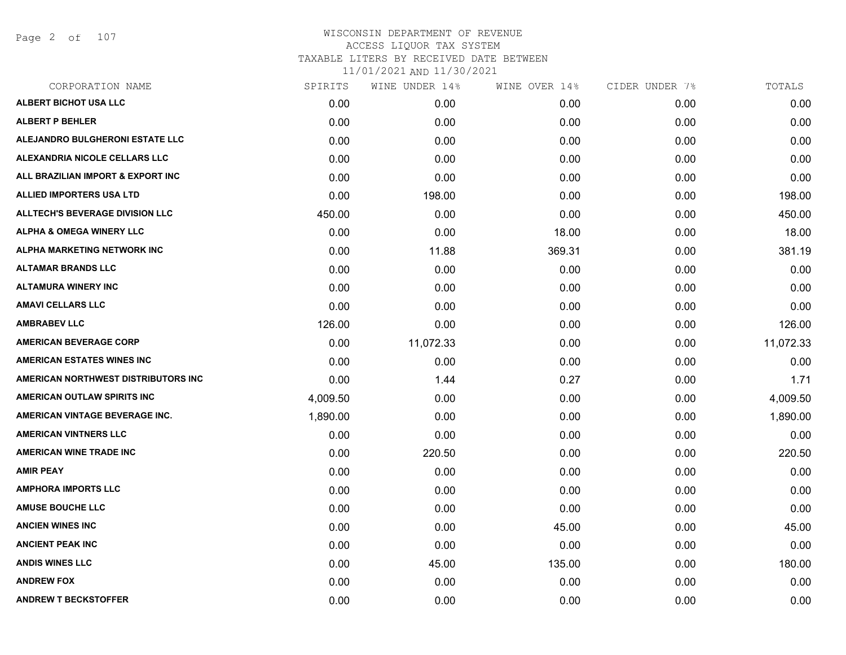Page 2 of 107

| SPIRITS  | WINE UNDER 14% | WINE OVER 14% | CIDER UNDER 7% | TOTALS    |
|----------|----------------|---------------|----------------|-----------|
| 0.00     | 0.00           | 0.00          | 0.00           | 0.00      |
| 0.00     | 0.00           | 0.00          | 0.00           | 0.00      |
| 0.00     | 0.00           | 0.00          | 0.00           | 0.00      |
| 0.00     | 0.00           | 0.00          | 0.00           | 0.00      |
| 0.00     | 0.00           | 0.00          | 0.00           | 0.00      |
| 0.00     | 198.00         | 0.00          | 0.00           | 198.00    |
| 450.00   | 0.00           | 0.00          | 0.00           | 450.00    |
| 0.00     | 0.00           | 18.00         | 0.00           | 18.00     |
| 0.00     | 11.88          | 369.31        | 0.00           | 381.19    |
| 0.00     | 0.00           | 0.00          | 0.00           | 0.00      |
| 0.00     | 0.00           | 0.00          | 0.00           | 0.00      |
| 0.00     | 0.00           | 0.00          | 0.00           | 0.00      |
| 126.00   | 0.00           | 0.00          | 0.00           | 126.00    |
| 0.00     | 11,072.33      | 0.00          | 0.00           | 11,072.33 |
| 0.00     | 0.00           | 0.00          | 0.00           | 0.00      |
| 0.00     | 1.44           | 0.27          | 0.00           | 1.71      |
| 4,009.50 | 0.00           | 0.00          | 0.00           | 4,009.50  |
| 1,890.00 | 0.00           | 0.00          | 0.00           | 1,890.00  |
| 0.00     | 0.00           | 0.00          | 0.00           | 0.00      |
| 0.00     | 220.50         | 0.00          | 0.00           | 220.50    |
| 0.00     | 0.00           | 0.00          | 0.00           | 0.00      |
| 0.00     | 0.00           | 0.00          | 0.00           | 0.00      |
| 0.00     | 0.00           | 0.00          | 0.00           | 0.00      |
| 0.00     | 0.00           | 45.00         | 0.00           | 45.00     |
| 0.00     | 0.00           | 0.00          | 0.00           | 0.00      |
| 0.00     | 45.00          | 135.00        | 0.00           | 180.00    |
| 0.00     | 0.00           | 0.00          | 0.00           | 0.00      |
| 0.00     | 0.00           | 0.00          | 0.00           | 0.00      |
|          |                |               |                |           |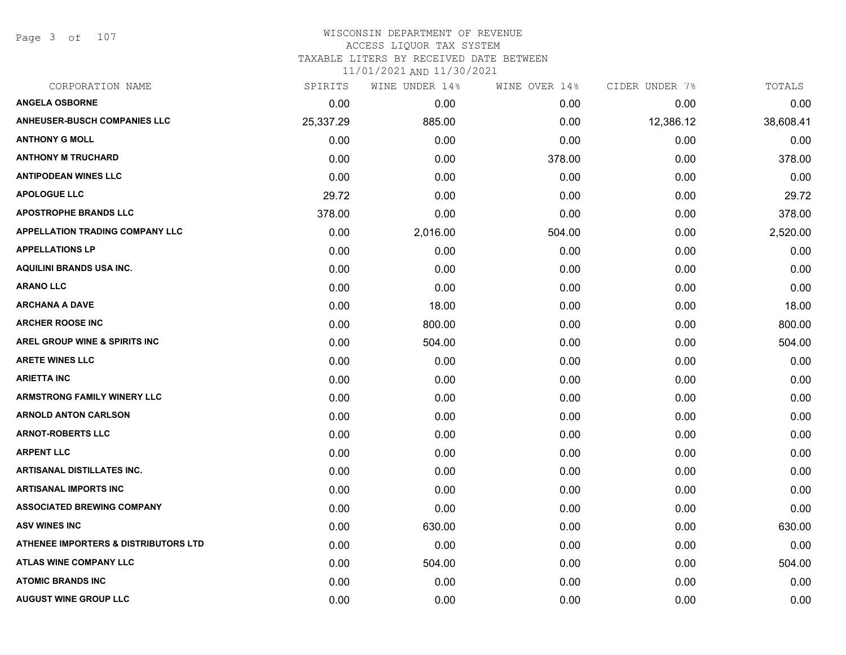Page 3 of 107

#### WISCONSIN DEPARTMENT OF REVENUE ACCESS LIQUOR TAX SYSTEM

TAXABLE LITERS BY RECEIVED DATE BETWEEN

| CORPORATION NAME                                | SPIRITS   | WINE UNDER 14% | WINE OVER 14% | CIDER UNDER 7% | TOTALS    |
|-------------------------------------------------|-----------|----------------|---------------|----------------|-----------|
| <b>ANGELA OSBORNE</b>                           | 0.00      | 0.00           | 0.00          | 0.00           | 0.00      |
| <b>ANHEUSER-BUSCH COMPANIES LLC</b>             | 25,337.29 | 885.00         | 0.00          | 12,386.12      | 38,608.41 |
| <b>ANTHONY G MOLL</b>                           | 0.00      | 0.00           | 0.00          | 0.00           | 0.00      |
| <b>ANTHONY M TRUCHARD</b>                       | 0.00      | 0.00           | 378.00        | 0.00           | 378.00    |
| <b>ANTIPODEAN WINES LLC</b>                     | 0.00      | 0.00           | 0.00          | 0.00           | 0.00      |
| <b>APOLOGUE LLC</b>                             | 29.72     | 0.00           | 0.00          | 0.00           | 29.72     |
| <b>APOSTROPHE BRANDS LLC</b>                    | 378.00    | 0.00           | 0.00          | 0.00           | 378.00    |
| <b>APPELLATION TRADING COMPANY LLC</b>          | 0.00      | 2,016.00       | 504.00        | 0.00           | 2,520.00  |
| <b>APPELLATIONS LP</b>                          | 0.00      | 0.00           | 0.00          | 0.00           | 0.00      |
| AQUILINI BRANDS USA INC.                        | 0.00      | 0.00           | 0.00          | 0.00           | 0.00      |
| <b>ARANO LLC</b>                                | 0.00      | 0.00           | 0.00          | 0.00           | 0.00      |
| <b>ARCHANA A DAVE</b>                           | 0.00      | 18.00          | 0.00          | 0.00           | 18.00     |
| <b>ARCHER ROOSE INC</b>                         | 0.00      | 800.00         | 0.00          | 0.00           | 800.00    |
| <b>AREL GROUP WINE &amp; SPIRITS INC</b>        | 0.00      | 504.00         | 0.00          | 0.00           | 504.00    |
| <b>ARETE WINES LLC</b>                          | 0.00      | 0.00           | 0.00          | 0.00           | 0.00      |
| <b>ARIETTA INC</b>                              | 0.00      | 0.00           | 0.00          | 0.00           | 0.00      |
| <b>ARMSTRONG FAMILY WINERY LLC</b>              | 0.00      | 0.00           | 0.00          | 0.00           | 0.00      |
| <b>ARNOLD ANTON CARLSON</b>                     | 0.00      | 0.00           | 0.00          | 0.00           | 0.00      |
| <b>ARNOT-ROBERTS LLC</b>                        | 0.00      | 0.00           | 0.00          | 0.00           | 0.00      |
| <b>ARPENT LLC</b>                               | 0.00      | 0.00           | 0.00          | 0.00           | 0.00      |
| <b>ARTISANAL DISTILLATES INC.</b>               | 0.00      | 0.00           | 0.00          | 0.00           | 0.00      |
| <b>ARTISANAL IMPORTS INC</b>                    | 0.00      | 0.00           | 0.00          | 0.00           | 0.00      |
| <b>ASSOCIATED BREWING COMPANY</b>               | 0.00      | 0.00           | 0.00          | 0.00           | 0.00      |
| <b>ASV WINES INC</b>                            | 0.00      | 630.00         | 0.00          | 0.00           | 630.00    |
| <b>ATHENEE IMPORTERS &amp; DISTRIBUTORS LTD</b> | 0.00      | 0.00           | 0.00          | 0.00           | 0.00      |
| ATLAS WINE COMPANY LLC                          | 0.00      | 504.00         | 0.00          | 0.00           | 504.00    |
| <b>ATOMIC BRANDS INC</b>                        | 0.00      | 0.00           | 0.00          | 0.00           | 0.00      |
| <b>AUGUST WINE GROUP LLC</b>                    | 0.00      | 0.00           | 0.00          | 0.00           | 0.00      |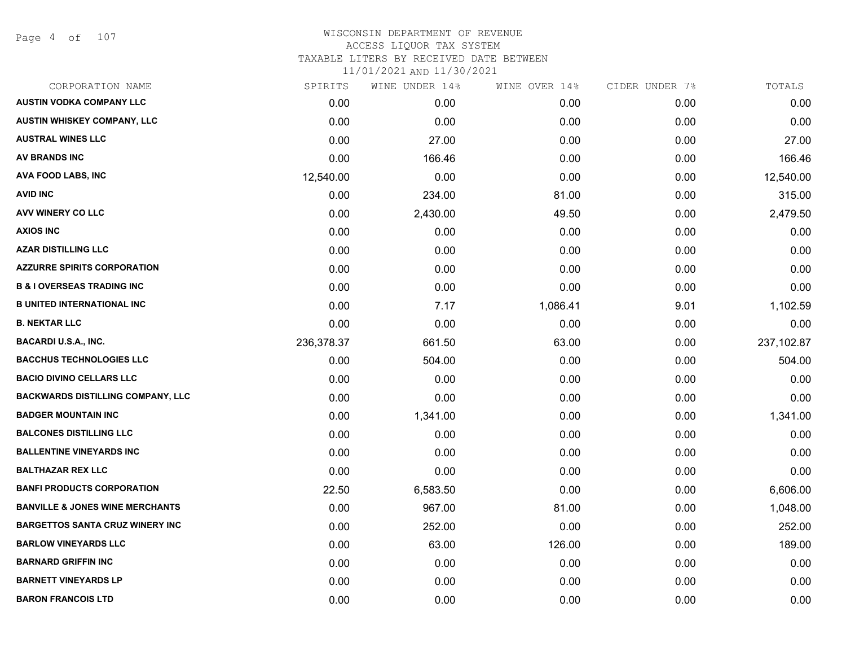#### WISCONSIN DEPARTMENT OF REVENUE ACCESS LIQUOR TAX SYSTEM

TAXABLE LITERS BY RECEIVED DATE BETWEEN

| CORPORATION NAME                           | SPIRITS    | WINE UNDER 14% | WINE OVER 14% | CIDER UNDER 7% | TOTALS     |
|--------------------------------------------|------------|----------------|---------------|----------------|------------|
| <b>AUSTIN VODKA COMPANY LLC</b>            | 0.00       | 0.00           | 0.00          | 0.00           | 0.00       |
| AUSTIN WHISKEY COMPANY, LLC                | 0.00       | 0.00           | 0.00          | 0.00           | 0.00       |
| <b>AUSTRAL WINES LLC</b>                   | 0.00       | 27.00          | 0.00          | 0.00           | 27.00      |
| <b>AV BRANDS INC</b>                       | 0.00       | 166.46         | 0.00          | 0.00           | 166.46     |
| <b>AVA FOOD LABS, INC</b>                  | 12,540.00  | 0.00           | 0.00          | 0.00           | 12,540.00  |
| <b>AVID INC</b>                            | 0.00       | 234.00         | 81.00         | 0.00           | 315.00     |
| AVV WINERY CO LLC                          | 0.00       | 2,430.00       | 49.50         | 0.00           | 2,479.50   |
| <b>AXIOS INC</b>                           | 0.00       | 0.00           | 0.00          | 0.00           | 0.00       |
| <b>AZAR DISTILLING LLC</b>                 | 0.00       | 0.00           | 0.00          | 0.00           | 0.00       |
| <b>AZZURRE SPIRITS CORPORATION</b>         | 0.00       | 0.00           | 0.00          | 0.00           | 0.00       |
| <b>B &amp; I OVERSEAS TRADING INC</b>      | 0.00       | 0.00           | 0.00          | 0.00           | 0.00       |
| <b>B UNITED INTERNATIONAL INC</b>          | 0.00       | 7.17           | 1,086.41      | 9.01           | 1,102.59   |
| <b>B. NEKTAR LLC</b>                       | 0.00       | 0.00           | 0.00          | 0.00           | 0.00       |
| <b>BACARDI U.S.A., INC.</b>                | 236,378.37 | 661.50         | 63.00         | 0.00           | 237,102.87 |
| <b>BACCHUS TECHNOLOGIES LLC</b>            | 0.00       | 504.00         | 0.00          | 0.00           | 504.00     |
| <b>BACIO DIVINO CELLARS LLC</b>            | 0.00       | 0.00           | 0.00          | 0.00           | 0.00       |
| <b>BACKWARDS DISTILLING COMPANY, LLC</b>   | 0.00       | 0.00           | 0.00          | 0.00           | 0.00       |
| <b>BADGER MOUNTAIN INC</b>                 | 0.00       | 1,341.00       | 0.00          | 0.00           | 1,341.00   |
| <b>BALCONES DISTILLING LLC</b>             | 0.00       | 0.00           | 0.00          | 0.00           | 0.00       |
| <b>BALLENTINE VINEYARDS INC</b>            | 0.00       | 0.00           | 0.00          | 0.00           | 0.00       |
| <b>BALTHAZAR REX LLC</b>                   | 0.00       | 0.00           | 0.00          | 0.00           | 0.00       |
| <b>BANFI PRODUCTS CORPORATION</b>          | 22.50      | 6,583.50       | 0.00          | 0.00           | 6,606.00   |
| <b>BANVILLE &amp; JONES WINE MERCHANTS</b> | 0.00       | 967.00         | 81.00         | 0.00           | 1,048.00   |
| <b>BARGETTOS SANTA CRUZ WINERY INC</b>     | 0.00       | 252.00         | 0.00          | 0.00           | 252.00     |
| <b>BARLOW VINEYARDS LLC</b>                | 0.00       | 63.00          | 126.00        | 0.00           | 189.00     |
| <b>BARNARD GRIFFIN INC</b>                 | 0.00       | 0.00           | 0.00          | 0.00           | 0.00       |
| <b>BARNETT VINEYARDS LP</b>                | 0.00       | 0.00           | 0.00          | 0.00           | 0.00       |
| <b>BARON FRANCOIS LTD</b>                  | 0.00       | 0.00           | 0.00          | 0.00           | 0.00       |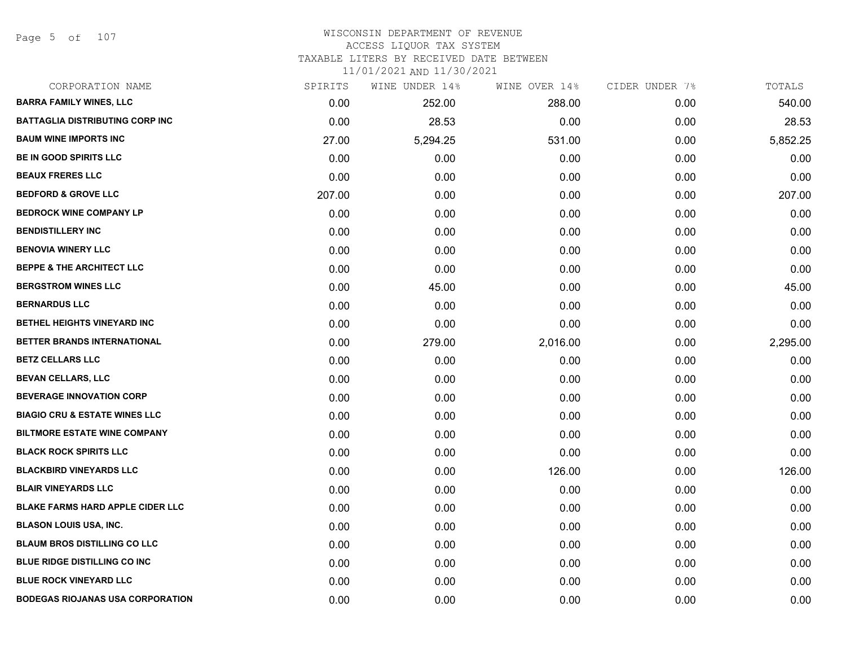Page 5 of 107

#### WISCONSIN DEPARTMENT OF REVENUE ACCESS LIQUOR TAX SYSTEM TAXABLE LITERS BY RECEIVED DATE BETWEEN

| CORPORATION NAME                         | SPIRITS | WINE UNDER 14% | WINE OVER 14% | CIDER UNDER 7% | TOTALS   |
|------------------------------------------|---------|----------------|---------------|----------------|----------|
| <b>BARRA FAMILY WINES, LLC</b>           | 0.00    | 252.00         | 288.00        | 0.00           | 540.00   |
| <b>BATTAGLIA DISTRIBUTING CORP INC</b>   | 0.00    | 28.53          | 0.00          | 0.00           | 28.53    |
| <b>BAUM WINE IMPORTS INC</b>             | 27.00   | 5,294.25       | 531.00        | 0.00           | 5,852.25 |
| <b>BE IN GOOD SPIRITS LLC</b>            | 0.00    | 0.00           | 0.00          | 0.00           | 0.00     |
| <b>BEAUX FRERES LLC</b>                  | 0.00    | 0.00           | 0.00          | 0.00           | 0.00     |
| <b>BEDFORD &amp; GROVE LLC</b>           | 207.00  | 0.00           | 0.00          | 0.00           | 207.00   |
| <b>BEDROCK WINE COMPANY LP</b>           | 0.00    | 0.00           | 0.00          | 0.00           | 0.00     |
| <b>BENDISTILLERY INC</b>                 | 0.00    | 0.00           | 0.00          | 0.00           | 0.00     |
| <b>BENOVIA WINERY LLC</b>                | 0.00    | 0.00           | 0.00          | 0.00           | 0.00     |
| <b>BEPPE &amp; THE ARCHITECT LLC</b>     | 0.00    | 0.00           | 0.00          | 0.00           | 0.00     |
| <b>BERGSTROM WINES LLC</b>               | 0.00    | 45.00          | 0.00          | 0.00           | 45.00    |
| <b>BERNARDUS LLC</b>                     | 0.00    | 0.00           | 0.00          | 0.00           | 0.00     |
| BETHEL HEIGHTS VINEYARD INC              | 0.00    | 0.00           | 0.00          | 0.00           | 0.00     |
| BETTER BRANDS INTERNATIONAL              | 0.00    | 279.00         | 2,016.00      | 0.00           | 2,295.00 |
| <b>BETZ CELLARS LLC</b>                  | 0.00    | 0.00           | 0.00          | 0.00           | 0.00     |
| <b>BEVAN CELLARS, LLC</b>                | 0.00    | 0.00           | 0.00          | 0.00           | 0.00     |
| <b>BEVERAGE INNOVATION CORP</b>          | 0.00    | 0.00           | 0.00          | 0.00           | 0.00     |
| <b>BIAGIO CRU &amp; ESTATE WINES LLC</b> | 0.00    | 0.00           | 0.00          | 0.00           | 0.00     |
| <b>BILTMORE ESTATE WINE COMPANY</b>      | 0.00    | 0.00           | 0.00          | 0.00           | 0.00     |
| <b>BLACK ROCK SPIRITS LLC</b>            | 0.00    | 0.00           | 0.00          | 0.00           | 0.00     |
| <b>BLACKBIRD VINEYARDS LLC</b>           | 0.00    | 0.00           | 126.00        | 0.00           | 126.00   |
| <b>BLAIR VINEYARDS LLC</b>               | 0.00    | 0.00           | 0.00          | 0.00           | 0.00     |
| <b>BLAKE FARMS HARD APPLE CIDER LLC</b>  | 0.00    | 0.00           | 0.00          | 0.00           | 0.00     |
| <b>BLASON LOUIS USA, INC.</b>            | 0.00    | 0.00           | 0.00          | 0.00           | 0.00     |
| <b>BLAUM BROS DISTILLING CO LLC</b>      | 0.00    | 0.00           | 0.00          | 0.00           | 0.00     |
| <b>BLUE RIDGE DISTILLING CO INC</b>      | 0.00    | 0.00           | 0.00          | 0.00           | 0.00     |
| <b>BLUE ROCK VINEYARD LLC</b>            | 0.00    | 0.00           | 0.00          | 0.00           | 0.00     |
| <b>BODEGAS RIOJANAS USA CORPORATION</b>  | 0.00    | 0.00           | 0.00          | 0.00           | 0.00     |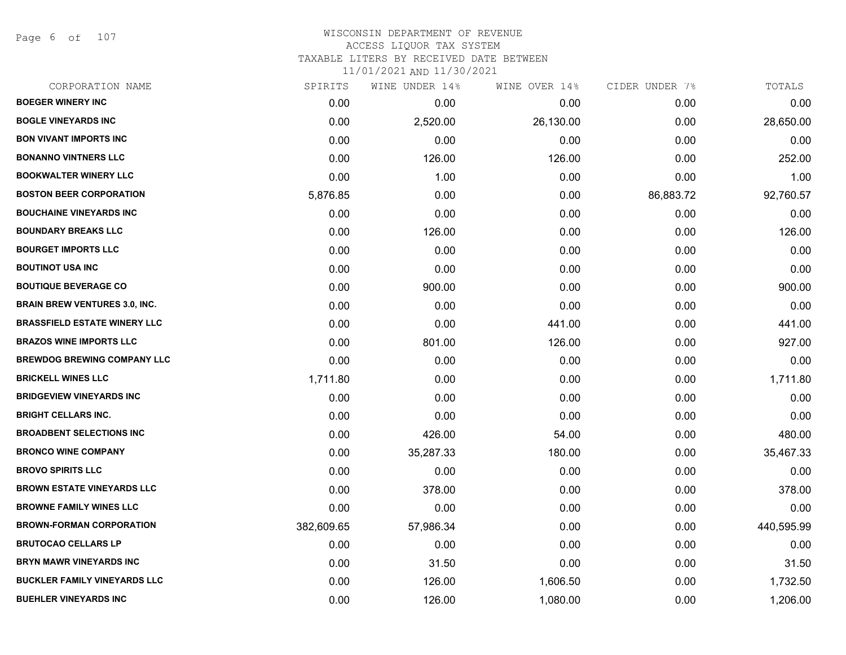Page 6 of 107

# WISCONSIN DEPARTMENT OF REVENUE ACCESS LIQUOR TAX SYSTEM TAXABLE LITERS BY RECEIVED DATE BETWEEN

| CORPORATION NAME                     | SPIRITS    | WINE UNDER 14% | WINE OVER 14% | CIDER UNDER 7% | TOTALS     |
|--------------------------------------|------------|----------------|---------------|----------------|------------|
| <b>BOEGER WINERY INC</b>             | 0.00       | 0.00           | 0.00          | 0.00           | 0.00       |
| <b>BOGLE VINEYARDS INC</b>           | 0.00       | 2,520.00       | 26,130.00     | 0.00           | 28,650.00  |
| <b>BON VIVANT IMPORTS INC</b>        | 0.00       | 0.00           | 0.00          | 0.00           | 0.00       |
| <b>BONANNO VINTNERS LLC</b>          | 0.00       | 126.00         | 126.00        | 0.00           | 252.00     |
| <b>BOOKWALTER WINERY LLC</b>         | 0.00       | 1.00           | 0.00          | 0.00           | 1.00       |
| <b>BOSTON BEER CORPORATION</b>       | 5,876.85   | 0.00           | 0.00          | 86,883.72      | 92,760.57  |
| <b>BOUCHAINE VINEYARDS INC</b>       | 0.00       | 0.00           | 0.00          | 0.00           | 0.00       |
| <b>BOUNDARY BREAKS LLC</b>           | 0.00       | 126.00         | 0.00          | 0.00           | 126.00     |
| <b>BOURGET IMPORTS LLC</b>           | 0.00       | 0.00           | 0.00          | 0.00           | 0.00       |
| <b>BOUTINOT USA INC</b>              | 0.00       | 0.00           | 0.00          | 0.00           | 0.00       |
| <b>BOUTIQUE BEVERAGE CO</b>          | 0.00       | 900.00         | 0.00          | 0.00           | 900.00     |
| <b>BRAIN BREW VENTURES 3.0, INC.</b> | 0.00       | 0.00           | 0.00          | 0.00           | 0.00       |
| <b>BRASSFIELD ESTATE WINERY LLC</b>  | 0.00       | 0.00           | 441.00        | 0.00           | 441.00     |
| <b>BRAZOS WINE IMPORTS LLC</b>       | 0.00       | 801.00         | 126.00        | 0.00           | 927.00     |
| <b>BREWDOG BREWING COMPANY LLC</b>   | 0.00       | 0.00           | 0.00          | 0.00           | 0.00       |
| <b>BRICKELL WINES LLC</b>            | 1,711.80   | 0.00           | 0.00          | 0.00           | 1,711.80   |
| <b>BRIDGEVIEW VINEYARDS INC</b>      | 0.00       | 0.00           | 0.00          | 0.00           | 0.00       |
| <b>BRIGHT CELLARS INC.</b>           | 0.00       | 0.00           | 0.00          | 0.00           | 0.00       |
| <b>BROADBENT SELECTIONS INC</b>      | 0.00       | 426.00         | 54.00         | 0.00           | 480.00     |
| <b>BRONCO WINE COMPANY</b>           | 0.00       | 35,287.33      | 180.00        | 0.00           | 35,467.33  |
| <b>BROVO SPIRITS LLC</b>             | 0.00       | 0.00           | 0.00          | 0.00           | 0.00       |
| <b>BROWN ESTATE VINEYARDS LLC</b>    | 0.00       | 378.00         | 0.00          | 0.00           | 378.00     |
| <b>BROWNE FAMILY WINES LLC</b>       | 0.00       | 0.00           | 0.00          | 0.00           | 0.00       |
| <b>BROWN-FORMAN CORPORATION</b>      | 382,609.65 | 57,986.34      | 0.00          | 0.00           | 440,595.99 |
| <b>BRUTOCAO CELLARS LP</b>           | 0.00       | 0.00           | 0.00          | 0.00           | 0.00       |
| <b>BRYN MAWR VINEYARDS INC</b>       | 0.00       | 31.50          | 0.00          | 0.00           | 31.50      |
| <b>BUCKLER FAMILY VINEYARDS LLC</b>  | 0.00       | 126.00         | 1,606.50      | 0.00           | 1,732.50   |
| <b>BUEHLER VINEYARDS INC</b>         | 0.00       | 126.00         | 1,080.00      | 0.00           | 1,206.00   |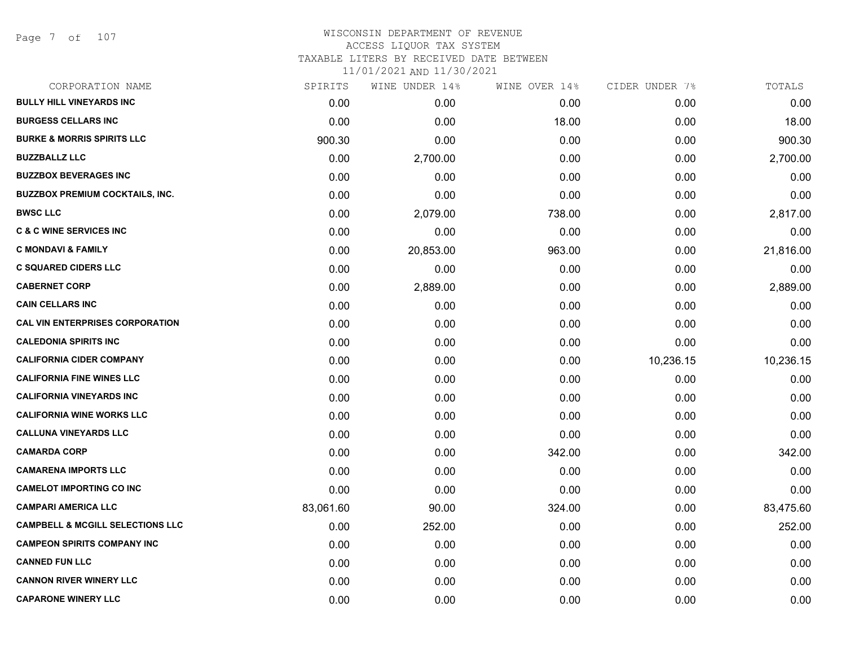#### WISCONSIN DEPARTMENT OF REVENUE ACCESS LIQUOR TAX SYSTEM TAXABLE LITERS BY RECEIVED DATE BETWEEN

| CORPORATION NAME                            | SPIRITS   | WINE UNDER 14% | WINE OVER 14% | CIDER UNDER 7% | TOTALS    |
|---------------------------------------------|-----------|----------------|---------------|----------------|-----------|
| <b>BULLY HILL VINEYARDS INC</b>             | 0.00      | 0.00           | 0.00          | 0.00           | 0.00      |
| <b>BURGESS CELLARS INC</b>                  | 0.00      | 0.00           | 18.00         | 0.00           | 18.00     |
| <b>BURKE &amp; MORRIS SPIRITS LLC</b>       | 900.30    | 0.00           | 0.00          | 0.00           | 900.30    |
| <b>BUZZBALLZ LLC</b>                        | 0.00      | 2,700.00       | 0.00          | 0.00           | 2,700.00  |
| <b>BUZZBOX BEVERAGES INC</b>                | 0.00      | 0.00           | 0.00          | 0.00           | 0.00      |
| <b>BUZZBOX PREMIUM COCKTAILS, INC.</b>      | 0.00      | 0.00           | 0.00          | 0.00           | 0.00      |
| <b>BWSC LLC</b>                             | 0.00      | 2,079.00       | 738.00        | 0.00           | 2,817.00  |
| <b>C &amp; C WINE SERVICES INC</b>          | 0.00      | 0.00           | 0.00          | 0.00           | 0.00      |
| <b>C MONDAVI &amp; FAMILY</b>               | 0.00      | 20,853.00      | 963.00        | 0.00           | 21,816.00 |
| <b>C SQUARED CIDERS LLC</b>                 | 0.00      | 0.00           | 0.00          | 0.00           | 0.00      |
| <b>CABERNET CORP</b>                        | 0.00      | 2,889.00       | 0.00          | 0.00           | 2,889.00  |
| <b>CAIN CELLARS INC</b>                     | 0.00      | 0.00           | 0.00          | 0.00           | 0.00      |
| <b>CAL VIN ENTERPRISES CORPORATION</b>      | 0.00      | 0.00           | 0.00          | 0.00           | 0.00      |
| <b>CALEDONIA SPIRITS INC</b>                | 0.00      | 0.00           | 0.00          | 0.00           | 0.00      |
| <b>CALIFORNIA CIDER COMPANY</b>             | 0.00      | 0.00           | 0.00          | 10,236.15      | 10,236.15 |
| <b>CALIFORNIA FINE WINES LLC</b>            | 0.00      | 0.00           | 0.00          | 0.00           | 0.00      |
| <b>CALIFORNIA VINEYARDS INC</b>             | 0.00      | 0.00           | 0.00          | 0.00           | 0.00      |
| <b>CALIFORNIA WINE WORKS LLC</b>            | 0.00      | 0.00           | 0.00          | 0.00           | 0.00      |
| <b>CALLUNA VINEYARDS LLC</b>                | 0.00      | 0.00           | 0.00          | 0.00           | 0.00      |
| <b>CAMARDA CORP</b>                         | 0.00      | 0.00           | 342.00        | 0.00           | 342.00    |
| <b>CAMARENA IMPORTS LLC</b>                 | 0.00      | 0.00           | 0.00          | 0.00           | 0.00      |
| <b>CAMELOT IMPORTING CO INC</b>             | 0.00      | 0.00           | 0.00          | 0.00           | 0.00      |
| <b>CAMPARI AMERICA LLC</b>                  | 83,061.60 | 90.00          | 324.00        | 0.00           | 83,475.60 |
| <b>CAMPBELL &amp; MCGILL SELECTIONS LLC</b> | 0.00      | 252.00         | 0.00          | 0.00           | 252.00    |
| <b>CAMPEON SPIRITS COMPANY INC</b>          | 0.00      | 0.00           | 0.00          | 0.00           | 0.00      |
| <b>CANNED FUN LLC</b>                       | 0.00      | 0.00           | 0.00          | 0.00           | 0.00      |
| <b>CANNON RIVER WINERY LLC</b>              | 0.00      | 0.00           | 0.00          | 0.00           | 0.00      |
| <b>CAPARONE WINERY LLC</b>                  | 0.00      | 0.00           | 0.00          | 0.00           | 0.00      |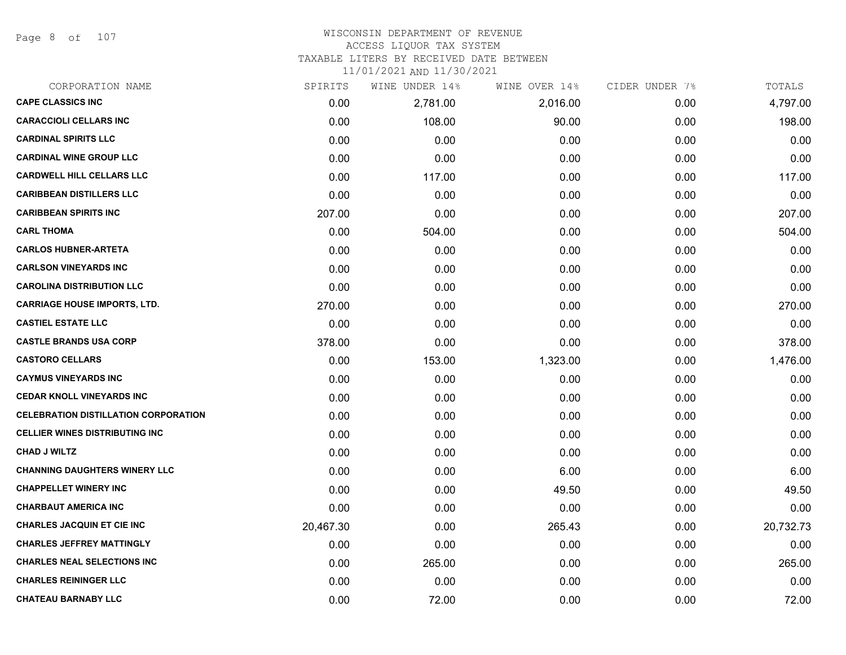Page 8 of 107

#### WISCONSIN DEPARTMENT OF REVENUE ACCESS LIQUOR TAX SYSTEM TAXABLE LITERS BY RECEIVED DATE BETWEEN

| CORPORATION NAME                            | SPIRITS   | WINE UNDER 14% | WINE OVER 14% | CIDER UNDER 7% | TOTALS    |
|---------------------------------------------|-----------|----------------|---------------|----------------|-----------|
| <b>CAPE CLASSICS INC</b>                    | 0.00      | 2,781.00       | 2,016.00      | 0.00           | 4,797.00  |
| <b>CARACCIOLI CELLARS INC</b>               | 0.00      | 108.00         | 90.00         | 0.00           | 198.00    |
| <b>CARDINAL SPIRITS LLC</b>                 | 0.00      | 0.00           | 0.00          | 0.00           | 0.00      |
| <b>CARDINAL WINE GROUP LLC</b>              | 0.00      | 0.00           | 0.00          | 0.00           | 0.00      |
| <b>CARDWELL HILL CELLARS LLC</b>            | 0.00      | 117.00         | 0.00          | 0.00           | 117.00    |
| <b>CARIBBEAN DISTILLERS LLC</b>             | 0.00      | 0.00           | 0.00          | 0.00           | 0.00      |
| <b>CARIBBEAN SPIRITS INC</b>                | 207.00    | 0.00           | 0.00          | 0.00           | 207.00    |
| <b>CARL THOMA</b>                           | 0.00      | 504.00         | 0.00          | 0.00           | 504.00    |
| <b>CARLOS HUBNER-ARTETA</b>                 | 0.00      | 0.00           | 0.00          | 0.00           | 0.00      |
| <b>CARLSON VINEYARDS INC</b>                | 0.00      | 0.00           | 0.00          | 0.00           | 0.00      |
| <b>CAROLINA DISTRIBUTION LLC</b>            | 0.00      | 0.00           | 0.00          | 0.00           | 0.00      |
| <b>CARRIAGE HOUSE IMPORTS, LTD.</b>         | 270.00    | 0.00           | 0.00          | 0.00           | 270.00    |
| <b>CASTIEL ESTATE LLC</b>                   | 0.00      | 0.00           | 0.00          | 0.00           | 0.00      |
| <b>CASTLE BRANDS USA CORP</b>               | 378.00    | 0.00           | 0.00          | 0.00           | 378.00    |
| <b>CASTORO CELLARS</b>                      | 0.00      | 153.00         | 1,323.00      | 0.00           | 1,476.00  |
| <b>CAYMUS VINEYARDS INC</b>                 | 0.00      | 0.00           | 0.00          | 0.00           | 0.00      |
| <b>CEDAR KNOLL VINEYARDS INC</b>            | 0.00      | 0.00           | 0.00          | 0.00           | 0.00      |
| <b>CELEBRATION DISTILLATION CORPORATION</b> | 0.00      | 0.00           | 0.00          | 0.00           | 0.00      |
| <b>CELLIER WINES DISTRIBUTING INC</b>       | 0.00      | 0.00           | 0.00          | 0.00           | 0.00      |
| <b>CHAD J WILTZ</b>                         | 0.00      | 0.00           | 0.00          | 0.00           | 0.00      |
| <b>CHANNING DAUGHTERS WINERY LLC</b>        | 0.00      | 0.00           | 6.00          | 0.00           | 6.00      |
| <b>CHAPPELLET WINERY INC</b>                | 0.00      | 0.00           | 49.50         | 0.00           | 49.50     |
| <b>CHARBAUT AMERICA INC</b>                 | 0.00      | 0.00           | 0.00          | 0.00           | 0.00      |
| <b>CHARLES JACQUIN ET CIE INC</b>           | 20,467.30 | 0.00           | 265.43        | 0.00           | 20,732.73 |
| <b>CHARLES JEFFREY MATTINGLY</b>            | 0.00      | 0.00           | 0.00          | 0.00           | 0.00      |
| <b>CHARLES NEAL SELECTIONS INC</b>          | 0.00      | 265.00         | 0.00          | 0.00           | 265.00    |
| <b>CHARLES REININGER LLC</b>                | 0.00      | 0.00           | 0.00          | 0.00           | 0.00      |
| <b>CHATEAU BARNABY LLC</b>                  | 0.00      | 72.00          | 0.00          | 0.00           | 72.00     |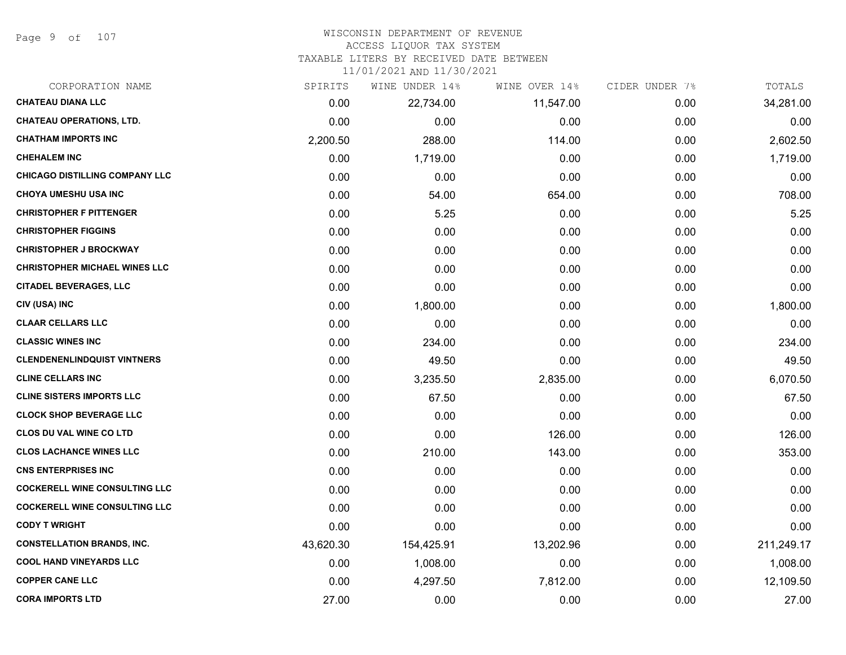Page 9 of 107

# WISCONSIN DEPARTMENT OF REVENUE

#### ACCESS LIQUOR TAX SYSTEM

TAXABLE LITERS BY RECEIVED DATE BETWEEN

| CORPORATION NAME                     | SPIRITS   | WINE UNDER 14% | WINE OVER 14% | CIDER UNDER 7% | TOTALS     |
|--------------------------------------|-----------|----------------|---------------|----------------|------------|
| <b>CHATEAU DIANA LLC</b>             | 0.00      | 22,734.00      | 11,547.00     | 0.00           | 34,281.00  |
| <b>CHATEAU OPERATIONS, LTD.</b>      | 0.00      | 0.00           | 0.00          | 0.00           | 0.00       |
| <b>CHATHAM IMPORTS INC</b>           | 2,200.50  | 288.00         | 114.00        | 0.00           | 2,602.50   |
| <b>CHEHALEM INC</b>                  | 0.00      | 1,719.00       | 0.00          | 0.00           | 1,719.00   |
| CHICAGO DISTILLING COMPANY LLC       | 0.00      | 0.00           | 0.00          | 0.00           | 0.00       |
| <b>CHOYA UMESHU USA INC</b>          | 0.00      | 54.00          | 654.00        | 0.00           | 708.00     |
| <b>CHRISTOPHER F PITTENGER</b>       | 0.00      | 5.25           | 0.00          | 0.00           | 5.25       |
| <b>CHRISTOPHER FIGGINS</b>           | 0.00      | 0.00           | 0.00          | 0.00           | 0.00       |
| <b>CHRISTOPHER J BROCKWAY</b>        | 0.00      | 0.00           | 0.00          | 0.00           | 0.00       |
| <b>CHRISTOPHER MICHAEL WINES LLC</b> | 0.00      | 0.00           | 0.00          | 0.00           | 0.00       |
| <b>CITADEL BEVERAGES, LLC</b>        | 0.00      | 0.00           | 0.00          | 0.00           | 0.00       |
| CIV (USA) INC                        | 0.00      | 1,800.00       | 0.00          | 0.00           | 1,800.00   |
| <b>CLAAR CELLARS LLC</b>             | 0.00      | 0.00           | 0.00          | 0.00           | 0.00       |
| <b>CLASSIC WINES INC</b>             | 0.00      | 234.00         | 0.00          | 0.00           | 234.00     |
| <b>CLENDENENLINDQUIST VINTNERS</b>   | 0.00      | 49.50          | 0.00          | 0.00           | 49.50      |
| <b>CLINE CELLARS INC</b>             | 0.00      | 3,235.50       | 2,835.00      | 0.00           | 6,070.50   |
| <b>CLINE SISTERS IMPORTS LLC</b>     | 0.00      | 67.50          | 0.00          | 0.00           | 67.50      |
| <b>CLOCK SHOP BEVERAGE LLC</b>       | 0.00      | 0.00           | 0.00          | 0.00           | 0.00       |
| <b>CLOS DU VAL WINE CO LTD</b>       | 0.00      | 0.00           | 126.00        | 0.00           | 126.00     |
| <b>CLOS LACHANCE WINES LLC</b>       | 0.00      | 210.00         | 143.00        | 0.00           | 353.00     |
| <b>CNS ENTERPRISES INC</b>           | 0.00      | 0.00           | 0.00          | 0.00           | 0.00       |
| <b>COCKERELL WINE CONSULTING LLC</b> | 0.00      | 0.00           | 0.00          | 0.00           | 0.00       |
| <b>COCKERELL WINE CONSULTING LLC</b> | 0.00      | 0.00           | 0.00          | 0.00           | 0.00       |
| <b>CODY T WRIGHT</b>                 | 0.00      | 0.00           | 0.00          | 0.00           | 0.00       |
| <b>CONSTELLATION BRANDS, INC.</b>    | 43,620.30 | 154,425.91     | 13,202.96     | 0.00           | 211,249.17 |
| <b>COOL HAND VINEYARDS LLC</b>       | 0.00      | 1,008.00       | 0.00          | 0.00           | 1,008.00   |
| <b>COPPER CANE LLC</b>               | 0.00      | 4,297.50       | 7,812.00      | 0.00           | 12,109.50  |
| <b>CORA IMPORTS LTD</b>              | 27.00     | 0.00           | 0.00          | 0.00           | 27.00      |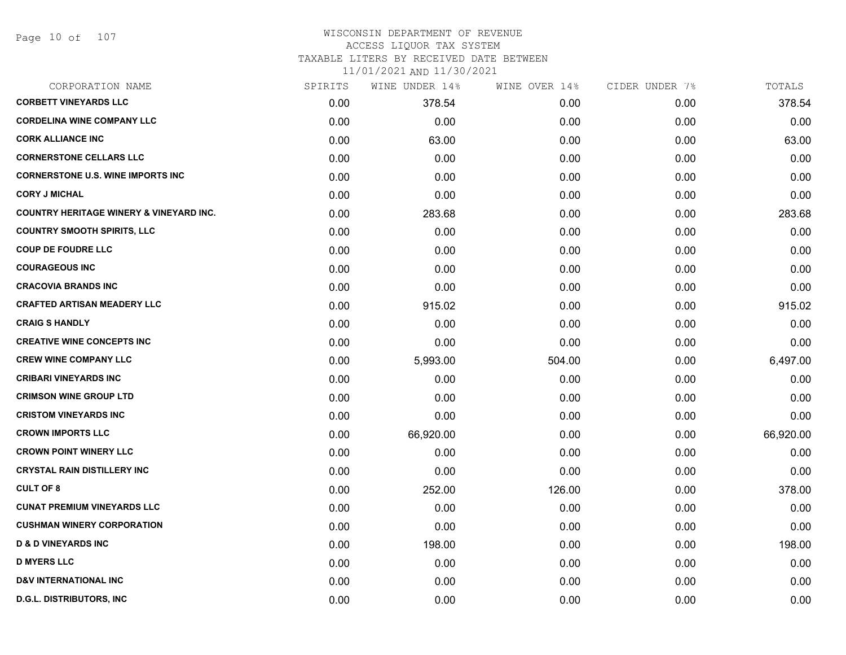#### WISCONSIN DEPARTMENT OF REVENUE ACCESS LIQUOR TAX SYSTEM TAXABLE LITERS BY RECEIVED DATE BETWEEN

| CORPORATION NAME                                   | SPIRITS | WINE UNDER 14% | WINE OVER 14% | CIDER UNDER 7% | TOTALS    |
|----------------------------------------------------|---------|----------------|---------------|----------------|-----------|
| <b>CORBETT VINEYARDS LLC</b>                       | 0.00    | 378.54         | 0.00          | 0.00           | 378.54    |
| <b>CORDELINA WINE COMPANY LLC</b>                  | 0.00    | 0.00           | 0.00          | 0.00           | 0.00      |
| <b>CORK ALLIANCE INC</b>                           | 0.00    | 63.00          | 0.00          | 0.00           | 63.00     |
| <b>CORNERSTONE CELLARS LLC</b>                     | 0.00    | 0.00           | 0.00          | 0.00           | 0.00      |
| <b>CORNERSTONE U.S. WINE IMPORTS INC</b>           | 0.00    | 0.00           | 0.00          | 0.00           | 0.00      |
| <b>CORY J MICHAL</b>                               | 0.00    | 0.00           | 0.00          | 0.00           | 0.00      |
| <b>COUNTRY HERITAGE WINERY &amp; VINEYARD INC.</b> | 0.00    | 283.68         | 0.00          | 0.00           | 283.68    |
| <b>COUNTRY SMOOTH SPIRITS, LLC</b>                 | 0.00    | 0.00           | 0.00          | 0.00           | 0.00      |
| <b>COUP DE FOUDRE LLC</b>                          | 0.00    | 0.00           | 0.00          | 0.00           | 0.00      |
| <b>COURAGEOUS INC</b>                              | 0.00    | 0.00           | 0.00          | 0.00           | 0.00      |
| <b>CRACOVIA BRANDS INC</b>                         | 0.00    | 0.00           | 0.00          | 0.00           | 0.00      |
| <b>CRAFTED ARTISAN MEADERY LLC</b>                 | 0.00    | 915.02         | 0.00          | 0.00           | 915.02    |
| <b>CRAIG S HANDLY</b>                              | 0.00    | 0.00           | 0.00          | 0.00           | 0.00      |
| <b>CREATIVE WINE CONCEPTS INC</b>                  | 0.00    | 0.00           | 0.00          | 0.00           | 0.00      |
| <b>CREW WINE COMPANY LLC</b>                       | 0.00    | 5,993.00       | 504.00        | 0.00           | 6,497.00  |
| <b>CRIBARI VINEYARDS INC</b>                       | 0.00    | 0.00           | 0.00          | 0.00           | 0.00      |
| <b>CRIMSON WINE GROUP LTD</b>                      | 0.00    | 0.00           | 0.00          | 0.00           | 0.00      |
| <b>CRISTOM VINEYARDS INC</b>                       | 0.00    | 0.00           | 0.00          | 0.00           | 0.00      |
| <b>CROWN IMPORTS LLC</b>                           | 0.00    | 66,920.00      | 0.00          | 0.00           | 66,920.00 |
| <b>CROWN POINT WINERY LLC</b>                      | 0.00    | 0.00           | 0.00          | 0.00           | 0.00      |
| <b>CRYSTAL RAIN DISTILLERY INC</b>                 | 0.00    | 0.00           | 0.00          | 0.00           | 0.00      |
| <b>CULT OF 8</b>                                   | 0.00    | 252.00         | 126.00        | 0.00           | 378.00    |
| <b>CUNAT PREMIUM VINEYARDS LLC</b>                 | 0.00    | 0.00           | 0.00          | 0.00           | 0.00      |
| <b>CUSHMAN WINERY CORPORATION</b>                  | 0.00    | 0.00           | 0.00          | 0.00           | 0.00      |
| <b>D &amp; D VINEYARDS INC</b>                     | 0.00    | 198.00         | 0.00          | 0.00           | 198.00    |
| <b>D MYERS LLC</b>                                 | 0.00    | 0.00           | 0.00          | 0.00           | 0.00      |
| <b>D&amp;V INTERNATIONAL INC</b>                   | 0.00    | 0.00           | 0.00          | 0.00           | 0.00      |
| <b>D.G.L. DISTRIBUTORS, INC</b>                    | 0.00    | 0.00           | 0.00          | 0.00           | 0.00      |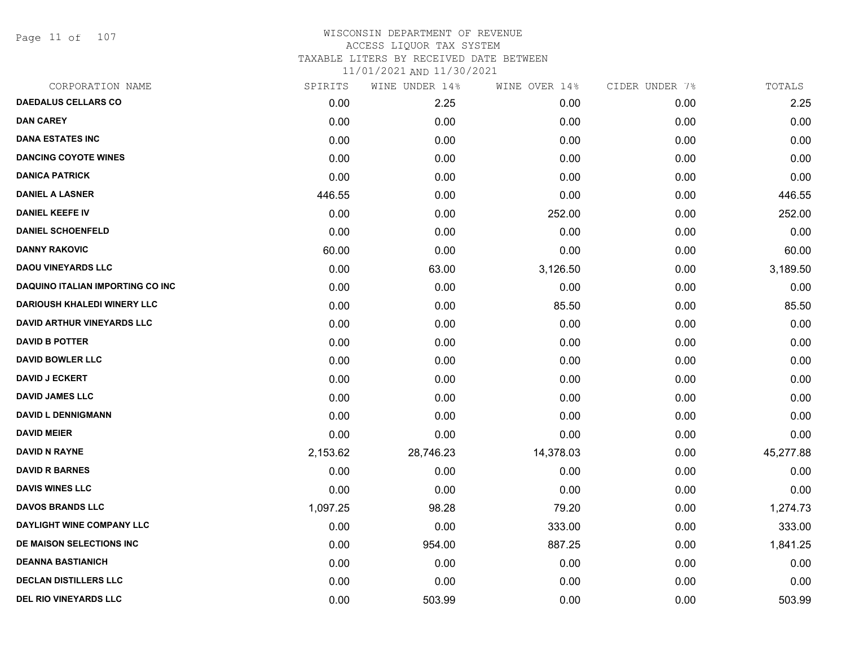Page 11 of 107

## WISCONSIN DEPARTMENT OF REVENUE ACCESS LIQUOR TAX SYSTEM TAXABLE LITERS BY RECEIVED DATE BETWEEN

| CORPORATION NAME                        | SPIRITS  | WINE UNDER 14% | WINE OVER 14% | CIDER UNDER 7% | TOTALS    |
|-----------------------------------------|----------|----------------|---------------|----------------|-----------|
| <b>DAEDALUS CELLARS CO</b>              | 0.00     | 2.25           | 0.00          | 0.00           | 2.25      |
| <b>DAN CAREY</b>                        | 0.00     | 0.00           | 0.00          | 0.00           | 0.00      |
| <b>DANA ESTATES INC</b>                 | 0.00     | 0.00           | 0.00          | 0.00           | 0.00      |
| <b>DANCING COYOTE WINES</b>             | 0.00     | 0.00           | 0.00          | 0.00           | 0.00      |
| <b>DANICA PATRICK</b>                   | 0.00     | 0.00           | 0.00          | 0.00           | 0.00      |
| <b>DANIEL A LASNER</b>                  | 446.55   | 0.00           | 0.00          | 0.00           | 446.55    |
| <b>DANIEL KEEFE IV</b>                  | 0.00     | 0.00           | 252.00        | 0.00           | 252.00    |
| <b>DANIEL SCHOENFELD</b>                | 0.00     | 0.00           | 0.00          | 0.00           | 0.00      |
| <b>DANNY RAKOVIC</b>                    | 60.00    | 0.00           | 0.00          | 0.00           | 60.00     |
| <b>DAOU VINEYARDS LLC</b>               | 0.00     | 63.00          | 3,126.50      | 0.00           | 3,189.50  |
| <b>DAQUINO ITALIAN IMPORTING CO INC</b> | 0.00     | 0.00           | 0.00          | 0.00           | 0.00      |
| <b>DARIOUSH KHALEDI WINERY LLC</b>      | 0.00     | 0.00           | 85.50         | 0.00           | 85.50     |
| <b>DAVID ARTHUR VINEYARDS LLC</b>       | 0.00     | 0.00           | 0.00          | 0.00           | 0.00      |
| <b>DAVID B POTTER</b>                   | 0.00     | 0.00           | 0.00          | 0.00           | 0.00      |
| <b>DAVID BOWLER LLC</b>                 | 0.00     | 0.00           | 0.00          | 0.00           | 0.00      |
| <b>DAVID J ECKERT</b>                   | 0.00     | 0.00           | 0.00          | 0.00           | 0.00      |
| <b>DAVID JAMES LLC</b>                  | 0.00     | 0.00           | 0.00          | 0.00           | 0.00      |
| <b>DAVID L DENNIGMANN</b>               | 0.00     | 0.00           | 0.00          | 0.00           | 0.00      |
| <b>DAVID MEIER</b>                      | 0.00     | 0.00           | 0.00          | 0.00           | 0.00      |
| <b>DAVID N RAYNE</b>                    | 2,153.62 | 28,746.23      | 14,378.03     | 0.00           | 45,277.88 |
| <b>DAVID R BARNES</b>                   | 0.00     | 0.00           | 0.00          | 0.00           | 0.00      |
| <b>DAVIS WINES LLC</b>                  | 0.00     | 0.00           | 0.00          | 0.00           | 0.00      |
| <b>DAVOS BRANDS LLC</b>                 | 1,097.25 | 98.28          | 79.20         | 0.00           | 1,274.73  |
| DAYLIGHT WINE COMPANY LLC               | 0.00     | 0.00           | 333.00        | 0.00           | 333.00    |
| DE MAISON SELECTIONS INC                | 0.00     | 954.00         | 887.25        | 0.00           | 1,841.25  |
| <b>DEANNA BASTIANICH</b>                | 0.00     | 0.00           | 0.00          | 0.00           | 0.00      |
| <b>DECLAN DISTILLERS LLC</b>            | 0.00     | 0.00           | 0.00          | 0.00           | 0.00      |
| <b>DEL RIO VINEYARDS LLC</b>            | 0.00     | 503.99         | 0.00          | 0.00           | 503.99    |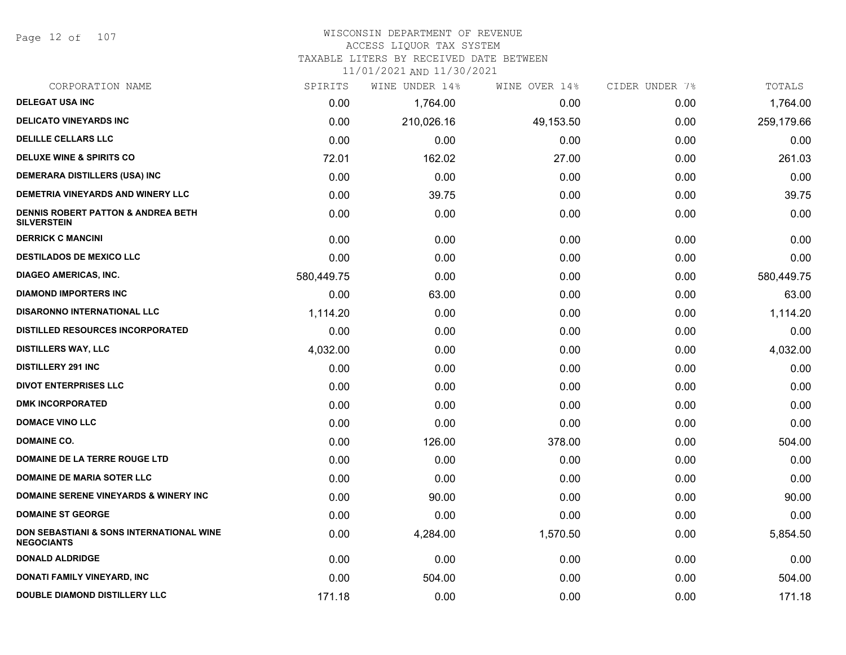Page 12 of 107

#### WISCONSIN DEPARTMENT OF REVENUE ACCESS LIQUOR TAX SYSTEM

TAXABLE LITERS BY RECEIVED DATE BETWEEN

| CORPORATION NAME                                                         | SPIRITS    | WINE UNDER 14% | WINE OVER 14% | CIDER UNDER 7% | TOTALS     |
|--------------------------------------------------------------------------|------------|----------------|---------------|----------------|------------|
| <b>DELEGAT USA INC</b>                                                   | 0.00       | 1,764.00       | 0.00          | 0.00           | 1,764.00   |
| <b>DELICATO VINEYARDS INC</b>                                            | 0.00       | 210,026.16     | 49,153.50     | 0.00           | 259,179.66 |
| <b>DELILLE CELLARS LLC</b>                                               | 0.00       | 0.00           | 0.00          | 0.00           | 0.00       |
| <b>DELUXE WINE &amp; SPIRITS CO</b>                                      | 72.01      | 162.02         | 27.00         | 0.00           | 261.03     |
| <b>DEMERARA DISTILLERS (USA) INC</b>                                     | 0.00       | 0.00           | 0.00          | 0.00           | 0.00       |
| DEMETRIA VINEYARDS AND WINERY LLC                                        | 0.00       | 39.75          | 0.00          | 0.00           | 39.75      |
| <b>DENNIS ROBERT PATTON &amp; ANDREA BETH</b><br><b>SILVERSTEIN</b>      | 0.00       | 0.00           | 0.00          | 0.00           | 0.00       |
| <b>DERRICK C MANCINI</b>                                                 | 0.00       | 0.00           | 0.00          | 0.00           | 0.00       |
| <b>DESTILADOS DE MEXICO LLC</b>                                          | 0.00       | 0.00           | 0.00          | 0.00           | 0.00       |
| <b>DIAGEO AMERICAS, INC.</b>                                             | 580,449.75 | 0.00           | 0.00          | 0.00           | 580,449.75 |
| <b>DIAMOND IMPORTERS INC</b>                                             | 0.00       | 63.00          | 0.00          | 0.00           | 63.00      |
| <b>DISARONNO INTERNATIONAL LLC</b>                                       | 1,114.20   | 0.00           | 0.00          | 0.00           | 1,114.20   |
| <b>DISTILLED RESOURCES INCORPORATED</b>                                  | 0.00       | 0.00           | 0.00          | 0.00           | 0.00       |
| <b>DISTILLERS WAY, LLC</b>                                               | 4,032.00   | 0.00           | 0.00          | 0.00           | 4,032.00   |
| <b>DISTILLERY 291 INC</b>                                                | 0.00       | 0.00           | 0.00          | 0.00           | 0.00       |
| <b>DIVOT ENTERPRISES LLC</b>                                             | 0.00       | 0.00           | 0.00          | 0.00           | 0.00       |
| <b>DMK INCORPORATED</b>                                                  | 0.00       | 0.00           | 0.00          | 0.00           | 0.00       |
| <b>DOMACE VINO LLC</b>                                                   | 0.00       | 0.00           | 0.00          | 0.00           | 0.00       |
| <b>DOMAINE CO.</b>                                                       | 0.00       | 126.00         | 378.00        | 0.00           | 504.00     |
| <b>DOMAINE DE LA TERRE ROUGE LTD</b>                                     | 0.00       | 0.00           | 0.00          | 0.00           | 0.00       |
| DOMAINE DE MARIA SOTER LLC                                               | 0.00       | 0.00           | 0.00          | 0.00           | 0.00       |
| <b>DOMAINE SERENE VINEYARDS &amp; WINERY INC</b>                         | 0.00       | 90.00          | 0.00          | 0.00           | 90.00      |
| <b>DOMAINE ST GEORGE</b>                                                 | 0.00       | 0.00           | 0.00          | 0.00           | 0.00       |
| <b>DON SEBASTIANI &amp; SONS INTERNATIONAL WINE</b><br><b>NEGOCIANTS</b> | 0.00       | 4,284.00       | 1,570.50      | 0.00           | 5,854.50   |
| <b>DONALD ALDRIDGE</b>                                                   | 0.00       | 0.00           | 0.00          | 0.00           | 0.00       |
| DONATI FAMILY VINEYARD, INC                                              | 0.00       | 504.00         | 0.00          | 0.00           | 504.00     |
| <b>DOUBLE DIAMOND DISTILLERY LLC</b>                                     | 171.18     | 0.00           | 0.00          | 0.00           | 171.18     |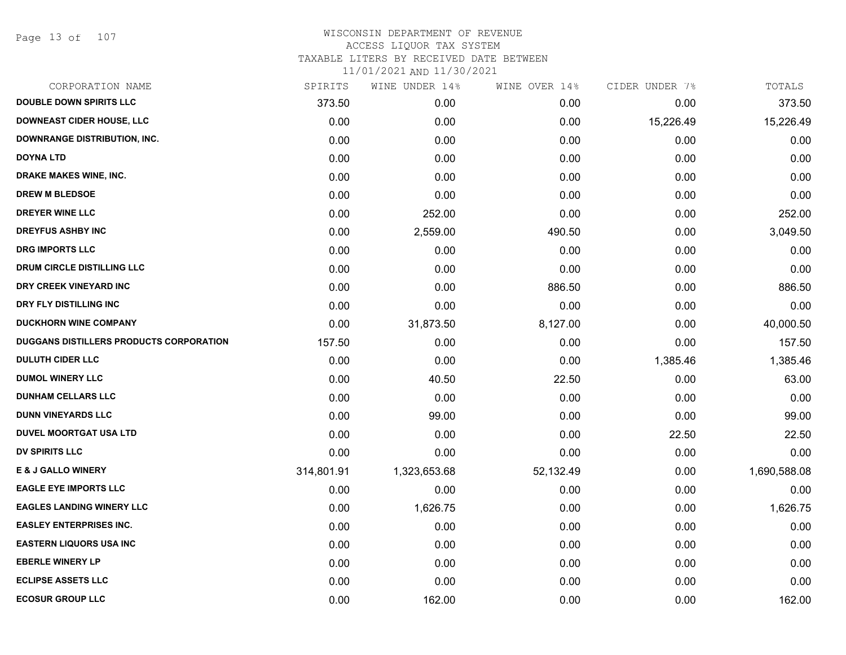Page 13 of 107

| CORPORATION NAME                        | SPIRITS    | WINE UNDER 14% | WINE OVER 14% | CIDER UNDER 7% | TOTALS       |
|-----------------------------------------|------------|----------------|---------------|----------------|--------------|
| <b>DOUBLE DOWN SPIRITS LLC</b>          | 373.50     | 0.00           | 0.00          | 0.00           | 373.50       |
| <b>DOWNEAST CIDER HOUSE, LLC</b>        | 0.00       | 0.00           | 0.00          | 15,226.49      | 15,226.49    |
| <b>DOWNRANGE DISTRIBUTION, INC.</b>     | 0.00       | 0.00           | 0.00          | 0.00           | 0.00         |
| <b>DOYNA LTD</b>                        | 0.00       | 0.00           | 0.00          | 0.00           | 0.00         |
| <b>DRAKE MAKES WINE, INC.</b>           | 0.00       | 0.00           | 0.00          | 0.00           | 0.00         |
| <b>DREW M BLEDSOE</b>                   | 0.00       | 0.00           | 0.00          | 0.00           | 0.00         |
| <b>DREYER WINE LLC</b>                  | 0.00       | 252.00         | 0.00          | 0.00           | 252.00       |
| <b>DREYFUS ASHBY INC</b>                | 0.00       | 2,559.00       | 490.50        | 0.00           | 3,049.50     |
| <b>DRG IMPORTS LLC</b>                  | 0.00       | 0.00           | 0.00          | 0.00           | 0.00         |
| DRUM CIRCLE DISTILLING LLC              | 0.00       | 0.00           | 0.00          | 0.00           | 0.00         |
| DRY CREEK VINEYARD INC                  | 0.00       | 0.00           | 886.50        | 0.00           | 886.50       |
| DRY FLY DISTILLING INC                  | 0.00       | 0.00           | 0.00          | 0.00           | 0.00         |
| <b>DUCKHORN WINE COMPANY</b>            | 0.00       | 31,873.50      | 8,127.00      | 0.00           | 40,000.50    |
| DUGGANS DISTILLERS PRODUCTS CORPORATION | 157.50     | 0.00           | 0.00          | 0.00           | 157.50       |
| <b>DULUTH CIDER LLC</b>                 | 0.00       | 0.00           | 0.00          | 1,385.46       | 1,385.46     |
| <b>DUMOL WINERY LLC</b>                 | 0.00       | 40.50          | 22.50         | 0.00           | 63.00        |
| <b>DUNHAM CELLARS LLC</b>               | 0.00       | 0.00           | 0.00          | 0.00           | 0.00         |
| <b>DUNN VINEYARDS LLC</b>               | 0.00       | 99.00          | 0.00          | 0.00           | 99.00        |
| <b>DUVEL MOORTGAT USA LTD</b>           | 0.00       | 0.00           | 0.00          | 22.50          | 22.50        |
| <b>DV SPIRITS LLC</b>                   | 0.00       | 0.00           | 0.00          | 0.00           | 0.00         |
| <b>E &amp; J GALLO WINERY</b>           | 314,801.91 | 1,323,653.68   | 52,132.49     | 0.00           | 1,690,588.08 |
| <b>EAGLE EYE IMPORTS LLC</b>            | 0.00       | 0.00           | 0.00          | 0.00           | 0.00         |
| <b>EAGLES LANDING WINERY LLC</b>        | 0.00       | 1,626.75       | 0.00          | 0.00           | 1,626.75     |
| <b>EASLEY ENTERPRISES INC.</b>          | 0.00       | 0.00           | 0.00          | 0.00           | 0.00         |
| <b>EASTERN LIQUORS USA INC</b>          | 0.00       | 0.00           | 0.00          | 0.00           | 0.00         |
| <b>EBERLE WINERY LP</b>                 | 0.00       | 0.00           | 0.00          | 0.00           | 0.00         |
| <b>ECLIPSE ASSETS LLC</b>               | 0.00       | 0.00           | 0.00          | 0.00           | 0.00         |
| <b>ECOSUR GROUP LLC</b>                 | 0.00       | 162.00         | 0.00          | 0.00           | 162.00       |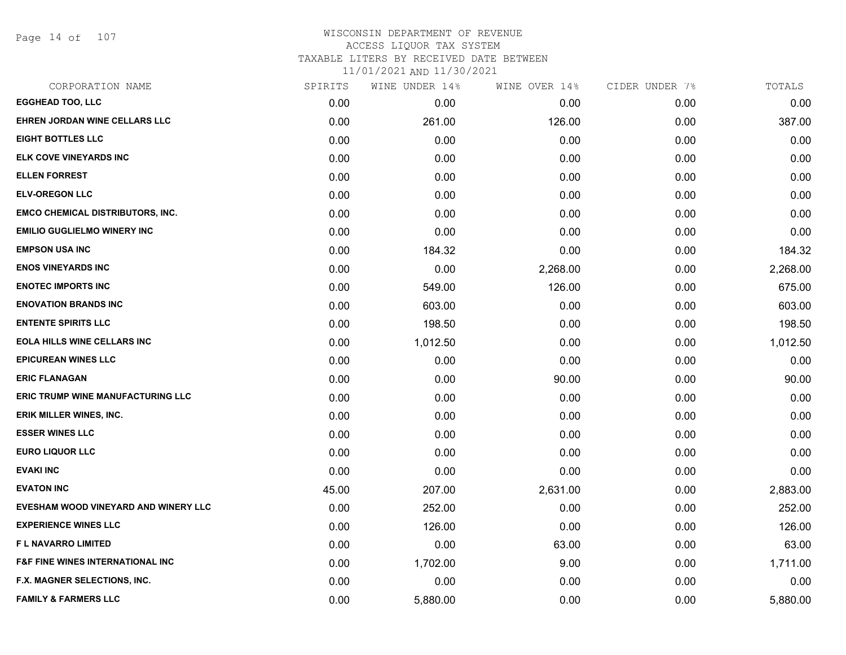Page 14 of 107

#### WISCONSIN DEPARTMENT OF REVENUE ACCESS LIQUOR TAX SYSTEM TAXABLE LITERS BY RECEIVED DATE BETWEEN

| CORPORATION NAME                            | SPIRITS | WINE UNDER 14% | WINE OVER 14% | CIDER UNDER 7% | TOTALS   |
|---------------------------------------------|---------|----------------|---------------|----------------|----------|
| <b>EGGHEAD TOO, LLC</b>                     | 0.00    | 0.00           | 0.00          | 0.00           | 0.00     |
| EHREN JORDAN WINE CELLARS LLC               | 0.00    | 261.00         | 126.00        | 0.00           | 387.00   |
| <b>EIGHT BOTTLES LLC</b>                    | 0.00    | 0.00           | 0.00          | 0.00           | 0.00     |
| ELK COVE VINEYARDS INC                      | 0.00    | 0.00           | 0.00          | 0.00           | 0.00     |
| <b>ELLEN FORREST</b>                        | 0.00    | 0.00           | 0.00          | 0.00           | 0.00     |
| <b>ELV-OREGON LLC</b>                       | 0.00    | 0.00           | 0.00          | 0.00           | 0.00     |
| <b>EMCO CHEMICAL DISTRIBUTORS, INC.</b>     | 0.00    | 0.00           | 0.00          | 0.00           | 0.00     |
| <b>EMILIO GUGLIELMO WINERY INC</b>          | 0.00    | 0.00           | 0.00          | 0.00           | 0.00     |
| <b>EMPSON USA INC</b>                       | 0.00    | 184.32         | 0.00          | 0.00           | 184.32   |
| <b>ENOS VINEYARDS INC</b>                   | 0.00    | 0.00           | 2,268.00      | 0.00           | 2,268.00 |
| <b>ENOTEC IMPORTS INC</b>                   | 0.00    | 549.00         | 126.00        | 0.00           | 675.00   |
| <b>ENOVATION BRANDS INC</b>                 | 0.00    | 603.00         | 0.00          | 0.00           | 603.00   |
| <b>ENTENTE SPIRITS LLC</b>                  | 0.00    | 198.50         | 0.00          | 0.00           | 198.50   |
| <b>EOLA HILLS WINE CELLARS INC</b>          | 0.00    | 1,012.50       | 0.00          | 0.00           | 1,012.50 |
| <b>EPICUREAN WINES LLC</b>                  | 0.00    | 0.00           | 0.00          | 0.00           | 0.00     |
| <b>ERIC FLANAGAN</b>                        | 0.00    | 0.00           | 90.00         | 0.00           | 90.00    |
| <b>ERIC TRUMP WINE MANUFACTURING LLC</b>    | 0.00    | 0.00           | 0.00          | 0.00           | 0.00     |
| <b>ERIK MILLER WINES, INC.</b>              | 0.00    | 0.00           | 0.00          | 0.00           | 0.00     |
| <b>ESSER WINES LLC</b>                      | 0.00    | 0.00           | 0.00          | 0.00           | 0.00     |
| <b>EURO LIQUOR LLC</b>                      | 0.00    | 0.00           | 0.00          | 0.00           | 0.00     |
| <b>EVAKI INC</b>                            | 0.00    | 0.00           | 0.00          | 0.00           | 0.00     |
| <b>EVATON INC</b>                           | 45.00   | 207.00         | 2,631.00      | 0.00           | 2,883.00 |
| EVESHAM WOOD VINEYARD AND WINERY LLC        | 0.00    | 252.00         | 0.00          | 0.00           | 252.00   |
| <b>EXPERIENCE WINES LLC</b>                 | 0.00    | 126.00         | 0.00          | 0.00           | 126.00   |
| <b>FL NAVARRO LIMITED</b>                   | 0.00    | 0.00           | 63.00         | 0.00           | 63.00    |
| <b>F&amp;F FINE WINES INTERNATIONAL INC</b> | 0.00    | 1,702.00       | 9.00          | 0.00           | 1,711.00 |
| F.X. MAGNER SELECTIONS, INC.                | 0.00    | 0.00           | 0.00          | 0.00           | 0.00     |
| <b>FAMILY &amp; FARMERS LLC</b>             | 0.00    | 5,880.00       | 0.00          | 0.00           | 5,880.00 |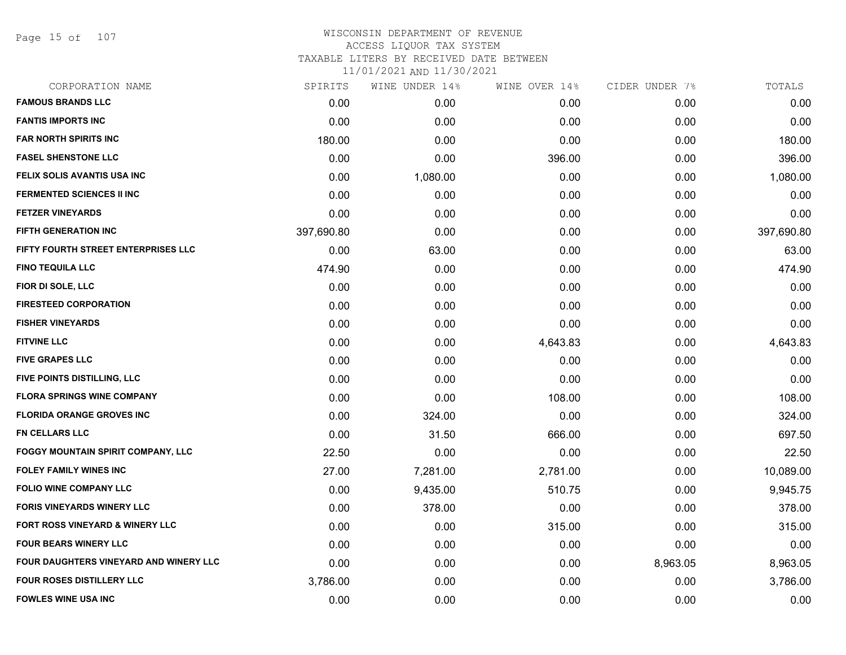Page 15 of 107

# WISCONSIN DEPARTMENT OF REVENUE ACCESS LIQUOR TAX SYSTEM TAXABLE LITERS BY RECEIVED DATE BETWEEN

| CORPORATION NAME                          | SPIRITS    | WINE UNDER 14% | WINE OVER 14% | CIDER UNDER 7% | TOTALS     |
|-------------------------------------------|------------|----------------|---------------|----------------|------------|
| <b>FAMOUS BRANDS LLC</b>                  | 0.00       | 0.00           | 0.00          | 0.00           | 0.00       |
| <b>FANTIS IMPORTS INC</b>                 | 0.00       | 0.00           | 0.00          | 0.00           | 0.00       |
| <b>FAR NORTH SPIRITS INC</b>              | 180.00     | 0.00           | 0.00          | 0.00           | 180.00     |
| <b>FASEL SHENSTONE LLC</b>                | 0.00       | 0.00           | 396.00        | 0.00           | 396.00     |
| FELIX SOLIS AVANTIS USA INC               | 0.00       | 1,080.00       | 0.00          | 0.00           | 1,080.00   |
| <b>FERMENTED SCIENCES II INC</b>          | 0.00       | 0.00           | 0.00          | 0.00           | 0.00       |
| <b>FETZER VINEYARDS</b>                   | 0.00       | 0.00           | 0.00          | 0.00           | 0.00       |
| <b>FIFTH GENERATION INC</b>               | 397,690.80 | 0.00           | 0.00          | 0.00           | 397,690.80 |
| FIFTY FOURTH STREET ENTERPRISES LLC       | 0.00       | 63.00          | 0.00          | 0.00           | 63.00      |
| <b>FINO TEQUILA LLC</b>                   | 474.90     | 0.00           | 0.00          | 0.00           | 474.90     |
| FIOR DI SOLE, LLC                         | 0.00       | 0.00           | 0.00          | 0.00           | 0.00       |
| <b>FIRESTEED CORPORATION</b>              | 0.00       | 0.00           | 0.00          | 0.00           | 0.00       |
| <b>FISHER VINEYARDS</b>                   | 0.00       | 0.00           | 0.00          | 0.00           | 0.00       |
| <b>FITVINE LLC</b>                        | 0.00       | 0.00           | 4,643.83      | 0.00           | 4,643.83   |
| <b>FIVE GRAPES LLC</b>                    | 0.00       | 0.00           | 0.00          | 0.00           | 0.00       |
| FIVE POINTS DISTILLING, LLC               | 0.00       | 0.00           | 0.00          | 0.00           | 0.00       |
| <b>FLORA SPRINGS WINE COMPANY</b>         | 0.00       | 0.00           | 108.00        | 0.00           | 108.00     |
| <b>FLORIDA ORANGE GROVES INC</b>          | 0.00       | 324.00         | 0.00          | 0.00           | 324.00     |
| <b>FN CELLARS LLC</b>                     | 0.00       | 31.50          | 666.00        | 0.00           | 697.50     |
| <b>FOGGY MOUNTAIN SPIRIT COMPANY, LLC</b> | 22.50      | 0.00           | 0.00          | 0.00           | 22.50      |
| <b>FOLEY FAMILY WINES INC</b>             | 27.00      | 7,281.00       | 2,781.00      | 0.00           | 10,089.00  |
| <b>FOLIO WINE COMPANY LLC</b>             | 0.00       | 9,435.00       | 510.75        | 0.00           | 9,945.75   |
| <b>FORIS VINEYARDS WINERY LLC</b>         | 0.00       | 378.00         | 0.00          | 0.00           | 378.00     |
| FORT ROSS VINEYARD & WINERY LLC           | 0.00       | 0.00           | 315.00        | 0.00           | 315.00     |
| <b>FOUR BEARS WINERY LLC</b>              | 0.00       | 0.00           | 0.00          | 0.00           | 0.00       |
| FOUR DAUGHTERS VINEYARD AND WINERY LLC    | 0.00       | 0.00           | 0.00          | 8,963.05       | 8,963.05   |
| <b>FOUR ROSES DISTILLERY LLC</b>          | 3,786.00   | 0.00           | 0.00          | 0.00           | 3,786.00   |
| <b>FOWLES WINE USA INC</b>                | 0.00       | 0.00           | 0.00          | 0.00           | 0.00       |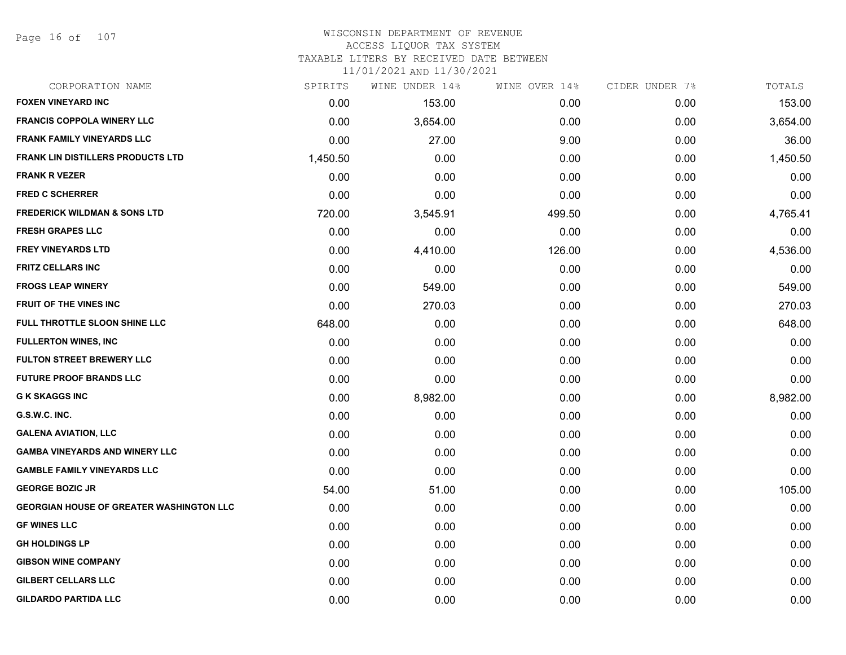Page 16 of 107

#### WISCONSIN DEPARTMENT OF REVENUE ACCESS LIQUOR TAX SYSTEM

TAXABLE LITERS BY RECEIVED DATE BETWEEN

| CORPORATION NAME                                | SPIRITS  | WINE UNDER 14% | WINE OVER 14% | CIDER UNDER 7% | TOTALS   |
|-------------------------------------------------|----------|----------------|---------------|----------------|----------|
| <b>FOXEN VINEYARD INC</b>                       | 0.00     | 153.00         | 0.00          | 0.00           | 153.00   |
| <b>FRANCIS COPPOLA WINERY LLC</b>               | 0.00     | 3,654.00       | 0.00          | 0.00           | 3,654.00 |
| <b>FRANK FAMILY VINEYARDS LLC</b>               | 0.00     | 27.00          | 9.00          | 0.00           | 36.00    |
| <b>FRANK LIN DISTILLERS PRODUCTS LTD</b>        | 1,450.50 | 0.00           | 0.00          | 0.00           | 1,450.50 |
| <b>FRANK R VEZER</b>                            | 0.00     | 0.00           | 0.00          | 0.00           | 0.00     |
| <b>FRED C SCHERRER</b>                          | 0.00     | 0.00           | 0.00          | 0.00           | 0.00     |
| <b>FREDERICK WILDMAN &amp; SONS LTD</b>         | 720.00   | 3,545.91       | 499.50        | 0.00           | 4,765.41 |
| <b>FRESH GRAPES LLC</b>                         | 0.00     | 0.00           | 0.00          | 0.00           | 0.00     |
| <b>FREY VINEYARDS LTD</b>                       | 0.00     | 4,410.00       | 126.00        | 0.00           | 4,536.00 |
| <b>FRITZ CELLARS INC</b>                        | 0.00     | 0.00           | 0.00          | 0.00           | 0.00     |
| <b>FROGS LEAP WINERY</b>                        | 0.00     | 549.00         | 0.00          | 0.00           | 549.00   |
| FRUIT OF THE VINES INC                          | 0.00     | 270.03         | 0.00          | 0.00           | 270.03   |
| FULL THROTTLE SLOON SHINE LLC                   | 648.00   | 0.00           | 0.00          | 0.00           | 648.00   |
| <b>FULLERTON WINES, INC</b>                     | 0.00     | 0.00           | 0.00          | 0.00           | 0.00     |
| <b>FULTON STREET BREWERY LLC</b>                | 0.00     | 0.00           | 0.00          | 0.00           | 0.00     |
| <b>FUTURE PROOF BRANDS LLC</b>                  | 0.00     | 0.00           | 0.00          | 0.00           | 0.00     |
| <b>G K SKAGGS INC</b>                           | 0.00     | 8,982.00       | 0.00          | 0.00           | 8,982.00 |
| G.S.W.C. INC.                                   | 0.00     | 0.00           | 0.00          | 0.00           | 0.00     |
| <b>GALENA AVIATION, LLC</b>                     | 0.00     | 0.00           | 0.00          | 0.00           | 0.00     |
| <b>GAMBA VINEYARDS AND WINERY LLC</b>           | 0.00     | 0.00           | 0.00          | 0.00           | 0.00     |
| <b>GAMBLE FAMILY VINEYARDS LLC</b>              | 0.00     | 0.00           | 0.00          | 0.00           | 0.00     |
| <b>GEORGE BOZIC JR</b>                          | 54.00    | 51.00          | 0.00          | 0.00           | 105.00   |
| <b>GEORGIAN HOUSE OF GREATER WASHINGTON LLC</b> | 0.00     | 0.00           | 0.00          | 0.00           | 0.00     |
| <b>GF WINES LLC</b>                             | 0.00     | 0.00           | 0.00          | 0.00           | 0.00     |
| <b>GH HOLDINGS LP</b>                           | 0.00     | 0.00           | 0.00          | 0.00           | 0.00     |
| <b>GIBSON WINE COMPANY</b>                      | 0.00     | 0.00           | 0.00          | 0.00           | 0.00     |
| <b>GILBERT CELLARS LLC</b>                      | 0.00     | 0.00           | 0.00          | 0.00           | 0.00     |
| <b>GILDARDO PARTIDA LLC</b>                     | 0.00     | 0.00           | 0.00          | 0.00           | 0.00     |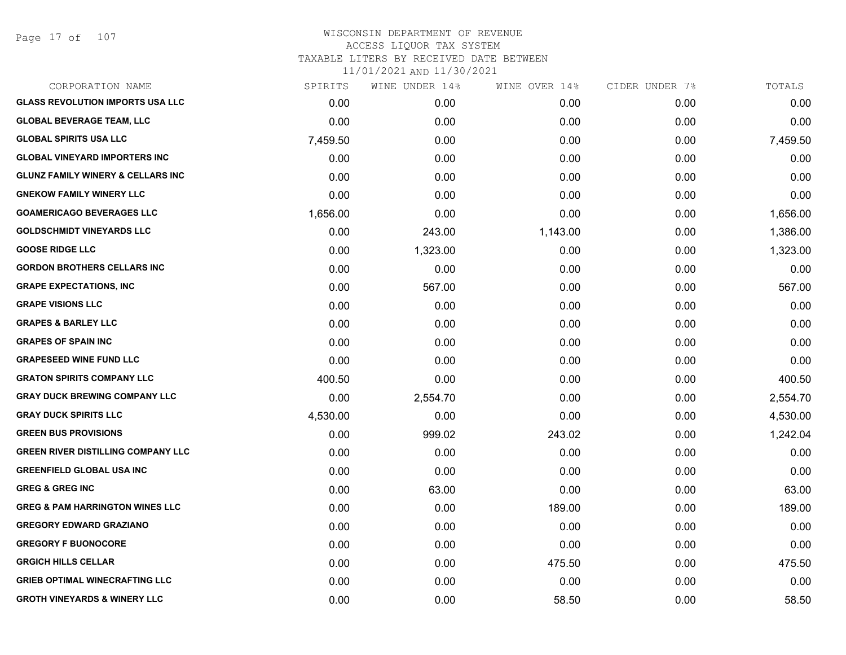Page 17 of 107

| CORPORATION NAME                             | SPIRITS  | WINE UNDER 14% | WINE OVER 14% | CIDER UNDER 7% | TOTALS   |
|----------------------------------------------|----------|----------------|---------------|----------------|----------|
| <b>GLASS REVOLUTION IMPORTS USA LLC</b>      | 0.00     | 0.00           | 0.00          | 0.00           | 0.00     |
| <b>GLOBAL BEVERAGE TEAM, LLC</b>             | 0.00     | 0.00           | 0.00          | 0.00           | 0.00     |
| <b>GLOBAL SPIRITS USA LLC</b>                | 7,459.50 | 0.00           | 0.00          | 0.00           | 7,459.50 |
| <b>GLOBAL VINEYARD IMPORTERS INC</b>         | 0.00     | 0.00           | 0.00          | 0.00           | 0.00     |
| <b>GLUNZ FAMILY WINERY &amp; CELLARS INC</b> | 0.00     | 0.00           | 0.00          | 0.00           | 0.00     |
| <b>GNEKOW FAMILY WINERY LLC</b>              | 0.00     | 0.00           | 0.00          | 0.00           | 0.00     |
| <b>GOAMERICAGO BEVERAGES LLC</b>             | 1,656.00 | 0.00           | 0.00          | 0.00           | 1,656.00 |
| <b>GOLDSCHMIDT VINEYARDS LLC</b>             | 0.00     | 243.00         | 1,143.00      | 0.00           | 1,386.00 |
| <b>GOOSE RIDGE LLC</b>                       | 0.00     | 1,323.00       | 0.00          | 0.00           | 1,323.00 |
| <b>GORDON BROTHERS CELLARS INC</b>           | 0.00     | 0.00           | 0.00          | 0.00           | 0.00     |
| <b>GRAPE EXPECTATIONS, INC</b>               | 0.00     | 567.00         | 0.00          | 0.00           | 567.00   |
| <b>GRAPE VISIONS LLC</b>                     | 0.00     | 0.00           | 0.00          | 0.00           | 0.00     |
| <b>GRAPES &amp; BARLEY LLC</b>               | 0.00     | 0.00           | 0.00          | 0.00           | 0.00     |
| <b>GRAPES OF SPAIN INC</b>                   | 0.00     | 0.00           | 0.00          | 0.00           | 0.00     |
| <b>GRAPESEED WINE FUND LLC</b>               | 0.00     | 0.00           | 0.00          | 0.00           | 0.00     |
| <b>GRATON SPIRITS COMPANY LLC</b>            | 400.50   | 0.00           | 0.00          | 0.00           | 400.50   |
| <b>GRAY DUCK BREWING COMPANY LLC</b>         | 0.00     | 2,554.70       | 0.00          | 0.00           | 2,554.70 |
| <b>GRAY DUCK SPIRITS LLC</b>                 | 4,530.00 | 0.00           | 0.00          | 0.00           | 4,530.00 |
| <b>GREEN BUS PROVISIONS</b>                  | 0.00     | 999.02         | 243.02        | 0.00           | 1,242.04 |
| <b>GREEN RIVER DISTILLING COMPANY LLC</b>    | 0.00     | 0.00           | 0.00          | 0.00           | 0.00     |
| <b>GREENFIELD GLOBAL USA INC</b>             | 0.00     | 0.00           | 0.00          | 0.00           | 0.00     |
| <b>GREG &amp; GREG INC</b>                   | 0.00     | 63.00          | 0.00          | 0.00           | 63.00    |
| <b>GREG &amp; PAM HARRINGTON WINES LLC</b>   | 0.00     | 0.00           | 189.00        | 0.00           | 189.00   |
| <b>GREGORY EDWARD GRAZIANO</b>               | 0.00     | 0.00           | 0.00          | 0.00           | 0.00     |
| <b>GREGORY F BUONOCORE</b>                   | 0.00     | 0.00           | 0.00          | 0.00           | 0.00     |
| <b>GRGICH HILLS CELLAR</b>                   | 0.00     | 0.00           | 475.50        | 0.00           | 475.50   |
| <b>GRIEB OPTIMAL WINECRAFTING LLC</b>        | 0.00     | 0.00           | 0.00          | 0.00           | 0.00     |
| <b>GROTH VINEYARDS &amp; WINERY LLC</b>      | 0.00     | 0.00           | 58.50         | 0.00           | 58.50    |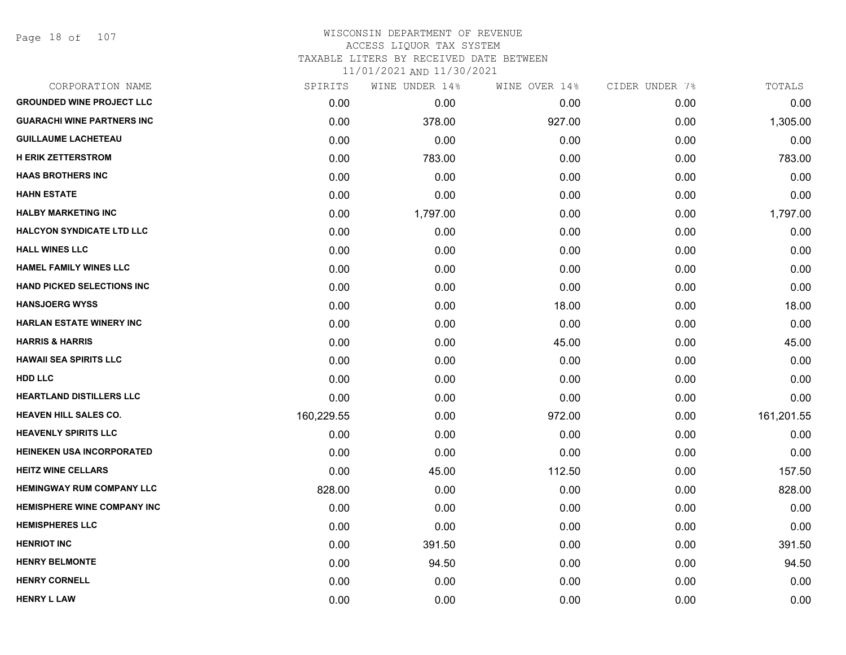### WISCONSIN DEPARTMENT OF REVENUE ACCESS LIQUOR TAX SYSTEM TAXABLE LITERS BY RECEIVED DATE BETWEEN

| CORPORATION NAME                  | SPIRITS    | WINE UNDER 14% | WINE OVER 14% | CIDER UNDER 7% | TOTALS     |
|-----------------------------------|------------|----------------|---------------|----------------|------------|
| <b>GROUNDED WINE PROJECT LLC</b>  | 0.00       | 0.00           | 0.00          | 0.00           | 0.00       |
| <b>GUARACHI WINE PARTNERS INC</b> | 0.00       | 378.00         | 927.00        | 0.00           | 1,305.00   |
| <b>GUILLAUME LACHETEAU</b>        | 0.00       | 0.00           | 0.00          | 0.00           | 0.00       |
| <b>H ERIK ZETTERSTROM</b>         | 0.00       | 783.00         | 0.00          | 0.00           | 783.00     |
| <b>HAAS BROTHERS INC</b>          | 0.00       | 0.00           | 0.00          | 0.00           | 0.00       |
| <b>HAHN ESTATE</b>                | 0.00       | 0.00           | 0.00          | 0.00           | 0.00       |
| <b>HALBY MARKETING INC</b>        | 0.00       | 1,797.00       | 0.00          | 0.00           | 1,797.00   |
| <b>HALCYON SYNDICATE LTD LLC</b>  | 0.00       | 0.00           | 0.00          | 0.00           | 0.00       |
| <b>HALL WINES LLC</b>             | 0.00       | 0.00           | 0.00          | 0.00           | 0.00       |
| <b>HAMEL FAMILY WINES LLC</b>     | 0.00       | 0.00           | 0.00          | 0.00           | 0.00       |
| HAND PICKED SELECTIONS INC        | 0.00       | 0.00           | 0.00          | 0.00           | 0.00       |
| <b>HANSJOERG WYSS</b>             | 0.00       | 0.00           | 18.00         | 0.00           | 18.00      |
| <b>HARLAN ESTATE WINERY INC</b>   | 0.00       | 0.00           | 0.00          | 0.00           | 0.00       |
| <b>HARRIS &amp; HARRIS</b>        | 0.00       | 0.00           | 45.00         | 0.00           | 45.00      |
| <b>HAWAII SEA SPIRITS LLC</b>     | 0.00       | 0.00           | 0.00          | 0.00           | 0.00       |
| HDD LLC                           | 0.00       | 0.00           | 0.00          | 0.00           | 0.00       |
| <b>HEARTLAND DISTILLERS LLC</b>   | 0.00       | 0.00           | 0.00          | 0.00           | 0.00       |
| <b>HEAVEN HILL SALES CO.</b>      | 160,229.55 | 0.00           | 972.00        | 0.00           | 161,201.55 |
| <b>HEAVENLY SPIRITS LLC</b>       | 0.00       | 0.00           | 0.00          | 0.00           | 0.00       |
| <b>HEINEKEN USA INCORPORATED</b>  | 0.00       | 0.00           | 0.00          | 0.00           | 0.00       |
| <b>HEITZ WINE CELLARS</b>         | 0.00       | 45.00          | 112.50        | 0.00           | 157.50     |
| <b>HEMINGWAY RUM COMPANY LLC</b>  | 828.00     | 0.00           | 0.00          | 0.00           | 828.00     |
| HEMISPHERE WINE COMPANY INC       | 0.00       | 0.00           | 0.00          | 0.00           | 0.00       |
| <b>HEMISPHERES LLC</b>            | 0.00       | 0.00           | 0.00          | 0.00           | 0.00       |
| <b>HENRIOT INC</b>                | 0.00       | 391.50         | 0.00          | 0.00           | 391.50     |
| <b>HENRY BELMONTE</b>             | 0.00       | 94.50          | 0.00          | 0.00           | 94.50      |
| <b>HENRY CORNELL</b>              | 0.00       | 0.00           | 0.00          | 0.00           | 0.00       |
| <b>HENRY L LAW</b>                | 0.00       | 0.00           | 0.00          | 0.00           | 0.00       |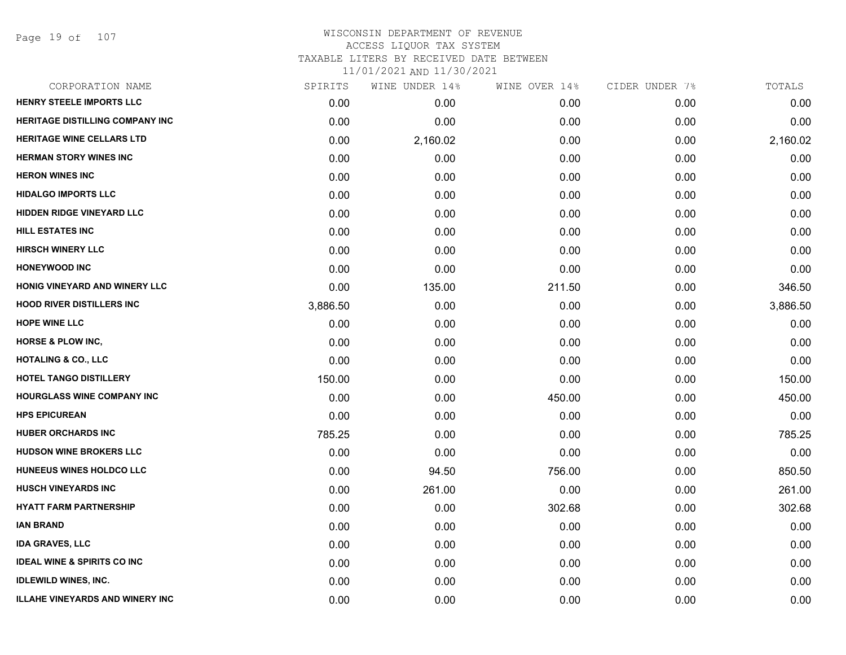Page 19 of 107

# WISCONSIN DEPARTMENT OF REVENUE ACCESS LIQUOR TAX SYSTEM TAXABLE LITERS BY RECEIVED DATE BETWEEN

| CORPORATION NAME                       | SPIRITS  | WINE UNDER 14% | WINE OVER 14% | CIDER UNDER 7% | TOTALS   |
|----------------------------------------|----------|----------------|---------------|----------------|----------|
| HENRY STEELE IMPORTS LLC               | 0.00     | 0.00           | 0.00          | 0.00           | 0.00     |
| <b>HERITAGE DISTILLING COMPANY INC</b> | 0.00     | 0.00           | 0.00          | 0.00           | 0.00     |
| <b>HERITAGE WINE CELLARS LTD</b>       | 0.00     | 2,160.02       | 0.00          | 0.00           | 2,160.02 |
| <b>HERMAN STORY WINES INC</b>          | 0.00     | 0.00           | 0.00          | 0.00           | 0.00     |
| <b>HERON WINES INC</b>                 | 0.00     | 0.00           | 0.00          | 0.00           | 0.00     |
| <b>HIDALGO IMPORTS LLC</b>             | 0.00     | 0.00           | 0.00          | 0.00           | 0.00     |
| <b>HIDDEN RIDGE VINEYARD LLC</b>       | 0.00     | 0.00           | 0.00          | 0.00           | 0.00     |
| <b>HILL ESTATES INC</b>                | 0.00     | 0.00           | 0.00          | 0.00           | 0.00     |
| <b>HIRSCH WINERY LLC</b>               | 0.00     | 0.00           | 0.00          | 0.00           | 0.00     |
| <b>HONEYWOOD INC</b>                   | 0.00     | 0.00           | 0.00          | 0.00           | 0.00     |
| HONIG VINEYARD AND WINERY LLC          | 0.00     | 135.00         | 211.50        | 0.00           | 346.50   |
| <b>HOOD RIVER DISTILLERS INC</b>       | 3,886.50 | 0.00           | 0.00          | 0.00           | 3,886.50 |
| <b>HOPE WINE LLC</b>                   | 0.00     | 0.00           | 0.00          | 0.00           | 0.00     |
| <b>HORSE &amp; PLOW INC,</b>           | 0.00     | 0.00           | 0.00          | 0.00           | 0.00     |
| <b>HOTALING &amp; CO., LLC</b>         | 0.00     | 0.00           | 0.00          | 0.00           | 0.00     |
| <b>HOTEL TANGO DISTILLERY</b>          | 150.00   | 0.00           | 0.00          | 0.00           | 150.00   |
| <b>HOURGLASS WINE COMPANY INC</b>      | 0.00     | 0.00           | 450.00        | 0.00           | 450.00   |
| <b>HPS EPICUREAN</b>                   | 0.00     | 0.00           | 0.00          | 0.00           | 0.00     |
| <b>HUBER ORCHARDS INC</b>              | 785.25   | 0.00           | 0.00          | 0.00           | 785.25   |
| <b>HUDSON WINE BROKERS LLC</b>         | 0.00     | 0.00           | 0.00          | 0.00           | 0.00     |
| <b>HUNEEUS WINES HOLDCO LLC</b>        | 0.00     | 94.50          | 756.00        | 0.00           | 850.50   |
| <b>HUSCH VINEYARDS INC</b>             | 0.00     | 261.00         | 0.00          | 0.00           | 261.00   |
| <b>HYATT FARM PARTNERSHIP</b>          | 0.00     | 0.00           | 302.68        | 0.00           | 302.68   |
| IAN BRAND                              | 0.00     | 0.00           | 0.00          | 0.00           | 0.00     |
| <b>IDA GRAVES, LLC</b>                 | 0.00     | 0.00           | 0.00          | 0.00           | 0.00     |
| <b>IDEAL WINE &amp; SPIRITS CO INC</b> | 0.00     | 0.00           | 0.00          | 0.00           | 0.00     |
| <b>IDLEWILD WINES, INC.</b>            | 0.00     | 0.00           | 0.00          | 0.00           | 0.00     |
| <b>ILLAHE VINEYARDS AND WINERY INC</b> | 0.00     | 0.00           | 0.00          | 0.00           | 0.00     |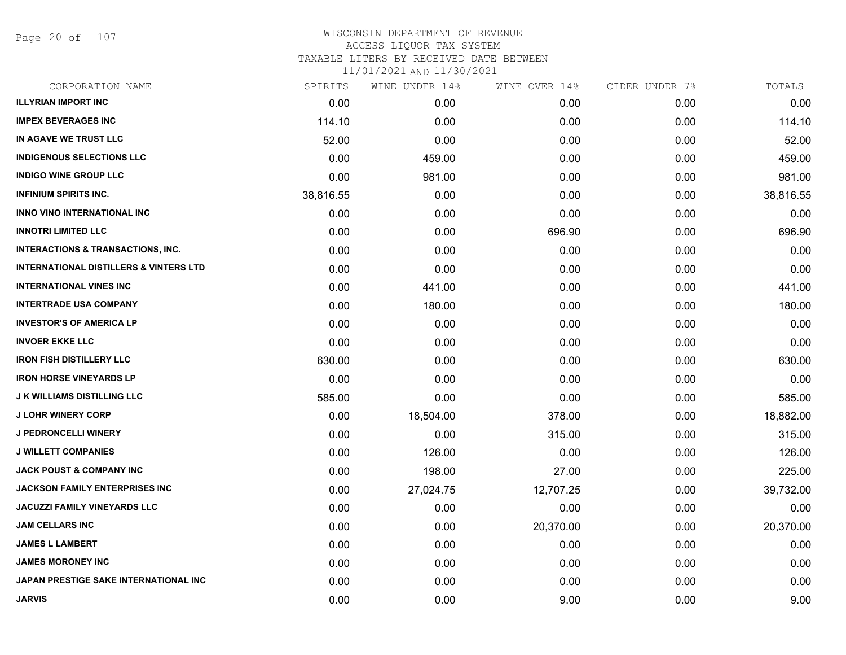Page 20 of 107

| CORPORATION NAME                                  | SPIRITS   | WINE UNDER 14% | WINE OVER 14% | CIDER UNDER 7% | TOTALS    |
|---------------------------------------------------|-----------|----------------|---------------|----------------|-----------|
| <b>ILLYRIAN IMPORT INC</b>                        | 0.00      | 0.00           | 0.00          | 0.00           | 0.00      |
| <b>IMPEX BEVERAGES INC</b>                        | 114.10    | 0.00           | 0.00          | 0.00           | 114.10    |
| IN AGAVE WE TRUST LLC                             | 52.00     | 0.00           | 0.00          | 0.00           | 52.00     |
| <b>INDIGENOUS SELECTIONS LLC</b>                  | 0.00      | 459.00         | 0.00          | 0.00           | 459.00    |
| <b>INDIGO WINE GROUP LLC</b>                      | 0.00      | 981.00         | 0.00          | 0.00           | 981.00    |
| <b>INFINIUM SPIRITS INC.</b>                      | 38,816.55 | 0.00           | 0.00          | 0.00           | 38,816.55 |
| <b>INNO VINO INTERNATIONAL INC</b>                | 0.00      | 0.00           | 0.00          | 0.00           | 0.00      |
| <b>INNOTRI LIMITED LLC</b>                        | 0.00      | 0.00           | 696.90        | 0.00           | 696.90    |
| <b>INTERACTIONS &amp; TRANSACTIONS, INC.</b>      | 0.00      | 0.00           | 0.00          | 0.00           | 0.00      |
| <b>INTERNATIONAL DISTILLERS &amp; VINTERS LTD</b> | 0.00      | 0.00           | 0.00          | 0.00           | 0.00      |
| <b>INTERNATIONAL VINES INC</b>                    | 0.00      | 441.00         | 0.00          | 0.00           | 441.00    |
| <b>INTERTRADE USA COMPANY</b>                     | 0.00      | 180.00         | 0.00          | 0.00           | 180.00    |
| <b>INVESTOR'S OF AMERICA LP</b>                   | 0.00      | 0.00           | 0.00          | 0.00           | 0.00      |
| <b>INVOER EKKE LLC</b>                            | 0.00      | 0.00           | 0.00          | 0.00           | 0.00      |
| <b>IRON FISH DISTILLERY LLC</b>                   | 630.00    | 0.00           | 0.00          | 0.00           | 630.00    |
| <b>IRON HORSE VINEYARDS LP</b>                    | 0.00      | 0.00           | 0.00          | 0.00           | 0.00      |
| <b>J K WILLIAMS DISTILLING LLC</b>                | 585.00    | 0.00           | 0.00          | 0.00           | 585.00    |
| <b>J LOHR WINERY CORP</b>                         | 0.00      | 18,504.00      | 378.00        | 0.00           | 18,882.00 |
| <b>J PEDRONCELLI WINERY</b>                       | 0.00      | 0.00           | 315.00        | 0.00           | 315.00    |
| <b>J WILLETT COMPANIES</b>                        | 0.00      | 126.00         | 0.00          | 0.00           | 126.00    |
| <b>JACK POUST &amp; COMPANY INC</b>               | 0.00      | 198.00         | 27.00         | 0.00           | 225.00    |
| JACKSON FAMILY ENTERPRISES INC                    | 0.00      | 27,024.75      | 12,707.25     | 0.00           | 39,732.00 |
| <b>JACUZZI FAMILY VINEYARDS LLC</b>               | 0.00      | 0.00           | 0.00          | 0.00           | 0.00      |
| <b>JAM CELLARS INC</b>                            | 0.00      | 0.00           | 20,370.00     | 0.00           | 20,370.00 |
| <b>JAMES L LAMBERT</b>                            | 0.00      | 0.00           | 0.00          | 0.00           | 0.00      |
| <b>JAMES MORONEY INC</b>                          | 0.00      | 0.00           | 0.00          | 0.00           | 0.00      |
| JAPAN PRESTIGE SAKE INTERNATIONAL INC             | 0.00      | 0.00           | 0.00          | 0.00           | 0.00      |
| <b>JARVIS</b>                                     | 0.00      | 0.00           | 9.00          | 0.00           | 9.00      |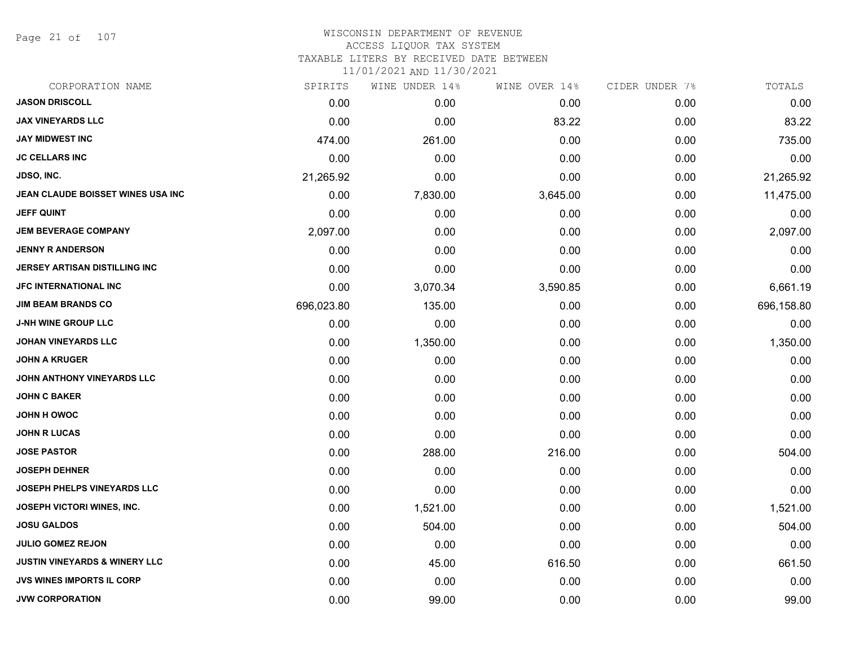Page 21 of 107

#### WISCONSIN DEPARTMENT OF REVENUE ACCESS LIQUOR TAX SYSTEM

TAXABLE LITERS BY RECEIVED DATE BETWEEN

| CORPORATION NAME                         | SPIRITS    | WINE UNDER 14% | WINE OVER 14% | CIDER UNDER 7% | TOTALS     |
|------------------------------------------|------------|----------------|---------------|----------------|------------|
| <b>JASON DRISCOLL</b>                    | 0.00       | 0.00           | 0.00          | 0.00           | 0.00       |
| <b>JAX VINEYARDS LLC</b>                 | 0.00       | 0.00           | 83.22         | 0.00           | 83.22      |
| <b>JAY MIDWEST INC</b>                   | 474.00     | 261.00         | 0.00          | 0.00           | 735.00     |
| <b>JC CELLARS INC</b>                    | 0.00       | 0.00           | 0.00          | 0.00           | 0.00       |
| JDSO, INC.                               | 21,265.92  | 0.00           | 0.00          | 0.00           | 21,265.92  |
| JEAN CLAUDE BOISSET WINES USA INC        | 0.00       | 7,830.00       | 3,645.00      | 0.00           | 11,475.00  |
| <b>JEFF QUINT</b>                        | 0.00       | 0.00           | 0.00          | 0.00           | 0.00       |
| <b>JEM BEVERAGE COMPANY</b>              | 2,097.00   | 0.00           | 0.00          | 0.00           | 2,097.00   |
| <b>JENNY R ANDERSON</b>                  | 0.00       | 0.00           | 0.00          | 0.00           | 0.00       |
| JERSEY ARTISAN DISTILLING INC            | 0.00       | 0.00           | 0.00          | 0.00           | 0.00       |
| <b>JFC INTERNATIONAL INC</b>             | 0.00       | 3,070.34       | 3,590.85      | 0.00           | 6,661.19   |
| <b>JIM BEAM BRANDS CO</b>                | 696,023.80 | 135.00         | 0.00          | 0.00           | 696,158.80 |
| <b>J-NH WINE GROUP LLC</b>               | 0.00       | 0.00           | 0.00          | 0.00           | 0.00       |
| JOHAN VINEYARDS LLC                      | 0.00       | 1,350.00       | 0.00          | 0.00           | 1,350.00   |
| <b>JOHN A KRUGER</b>                     | 0.00       | 0.00           | 0.00          | 0.00           | 0.00       |
| JOHN ANTHONY VINEYARDS LLC               | 0.00       | 0.00           | 0.00          | 0.00           | 0.00       |
| <b>JOHN C BAKER</b>                      | 0.00       | 0.00           | 0.00          | 0.00           | 0.00       |
| <b>JOHN H OWOC</b>                       | 0.00       | 0.00           | 0.00          | 0.00           | 0.00       |
| <b>JOHN R LUCAS</b>                      | 0.00       | 0.00           | 0.00          | 0.00           | 0.00       |
| <b>JOSE PASTOR</b>                       | 0.00       | 288.00         | 216.00        | 0.00           | 504.00     |
| <b>JOSEPH DEHNER</b>                     | 0.00       | 0.00           | 0.00          | 0.00           | 0.00       |
| JOSEPH PHELPS VINEYARDS LLC              | 0.00       | 0.00           | 0.00          | 0.00           | 0.00       |
| <b>JOSEPH VICTORI WINES, INC.</b>        | 0.00       | 1,521.00       | 0.00          | 0.00           | 1,521.00   |
| <b>JOSU GALDOS</b>                       | 0.00       | 504.00         | 0.00          | 0.00           | 504.00     |
| <b>JULIO GOMEZ REJON</b>                 | 0.00       | 0.00           | 0.00          | 0.00           | 0.00       |
| <b>JUSTIN VINEYARDS &amp; WINERY LLC</b> | 0.00       | 45.00          | 616.50        | 0.00           | 661.50     |
| <b>JVS WINES IMPORTS IL CORP</b>         | 0.00       | 0.00           | 0.00          | 0.00           | 0.00       |
| <b>JVW CORPORATION</b>                   | 0.00       | 99.00          | 0.00          | 0.00           | 99.00      |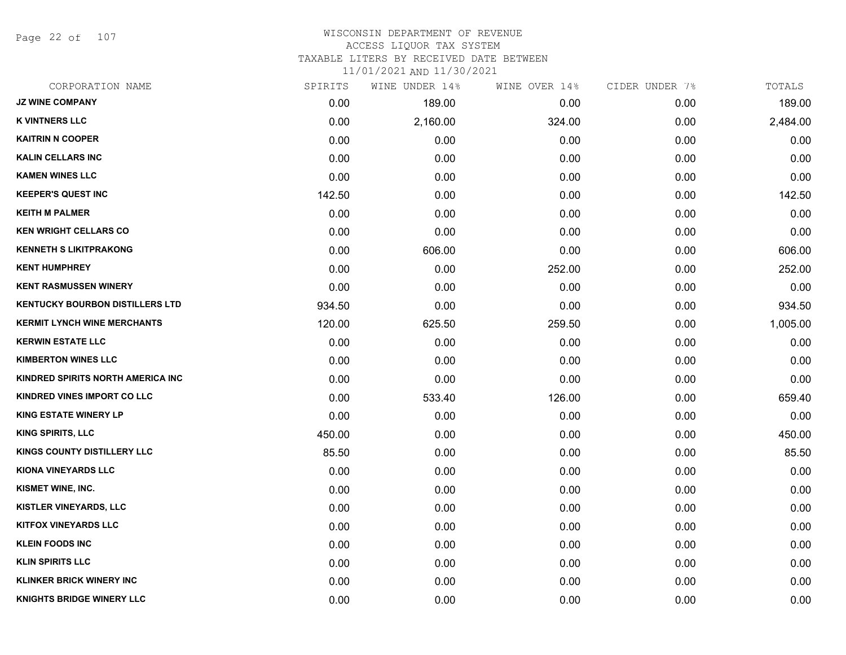Page 22 of 107

# WISCONSIN DEPARTMENT OF REVENUE ACCESS LIQUOR TAX SYSTEM

TAXABLE LITERS BY RECEIVED DATE BETWEEN

| CORPORATION NAME                       | SPIRITS | WINE UNDER 14% | WINE OVER 14% | CIDER UNDER 7% | TOTALS   |
|----------------------------------------|---------|----------------|---------------|----------------|----------|
| <b>JZ WINE COMPANY</b>                 | 0.00    | 189.00         | 0.00          | 0.00           | 189.00   |
| <b>K VINTNERS LLC</b>                  | 0.00    | 2,160.00       | 324.00        | 0.00           | 2,484.00 |
| <b>KAITRIN N COOPER</b>                | 0.00    | 0.00           | 0.00          | 0.00           | 0.00     |
| <b>KALIN CELLARS INC</b>               | 0.00    | 0.00           | 0.00          | 0.00           | 0.00     |
| <b>KAMEN WINES LLC</b>                 | 0.00    | 0.00           | 0.00          | 0.00           | 0.00     |
| <b>KEEPER'S QUEST INC</b>              | 142.50  | 0.00           | 0.00          | 0.00           | 142.50   |
| <b>KEITH M PALMER</b>                  | 0.00    | 0.00           | 0.00          | 0.00           | 0.00     |
| <b>KEN WRIGHT CELLARS CO</b>           | 0.00    | 0.00           | 0.00          | 0.00           | 0.00     |
| <b>KENNETH S LIKITPRAKONG</b>          | 0.00    | 606.00         | 0.00          | 0.00           | 606.00   |
| <b>KENT HUMPHREY</b>                   | 0.00    | 0.00           | 252.00        | 0.00           | 252.00   |
| <b>KENT RASMUSSEN WINERY</b>           | 0.00    | 0.00           | 0.00          | 0.00           | 0.00     |
| <b>KENTUCKY BOURBON DISTILLERS LTD</b> | 934.50  | 0.00           | 0.00          | 0.00           | 934.50   |
| <b>KERMIT LYNCH WINE MERCHANTS</b>     | 120.00  | 625.50         | 259.50        | 0.00           | 1,005.00 |
| <b>KERWIN ESTATE LLC</b>               | 0.00    | 0.00           | 0.00          | 0.00           | 0.00     |
| <b>KIMBERTON WINES LLC</b>             | 0.00    | 0.00           | 0.00          | 0.00           | 0.00     |
| KINDRED SPIRITS NORTH AMERICA INC      | 0.00    | 0.00           | 0.00          | 0.00           | 0.00     |
| KINDRED VINES IMPORT CO LLC            | 0.00    | 533.40         | 126.00        | 0.00           | 659.40   |
| <b>KING ESTATE WINERY LP</b>           | 0.00    | 0.00           | 0.00          | 0.00           | 0.00     |
| <b>KING SPIRITS, LLC</b>               | 450.00  | 0.00           | 0.00          | 0.00           | 450.00   |
| KINGS COUNTY DISTILLERY LLC            | 85.50   | 0.00           | 0.00          | 0.00           | 85.50    |
| <b>KIONA VINEYARDS LLC</b>             | 0.00    | 0.00           | 0.00          | 0.00           | 0.00     |
| KISMET WINE, INC.                      | 0.00    | 0.00           | 0.00          | 0.00           | 0.00     |
| <b>KISTLER VINEYARDS, LLC</b>          | 0.00    | 0.00           | 0.00          | 0.00           | 0.00     |
| <b>KITFOX VINEYARDS LLC</b>            | 0.00    | 0.00           | 0.00          | 0.00           | 0.00     |
| <b>KLEIN FOODS INC</b>                 | 0.00    | 0.00           | 0.00          | 0.00           | 0.00     |
| <b>KLIN SPIRITS LLC</b>                | 0.00    | 0.00           | 0.00          | 0.00           | 0.00     |
| <b>KLINKER BRICK WINERY INC</b>        | 0.00    | 0.00           | 0.00          | 0.00           | 0.00     |
| <b>KNIGHTS BRIDGE WINERY LLC</b>       | 0.00    | 0.00           | 0.00          | 0.00           | 0.00     |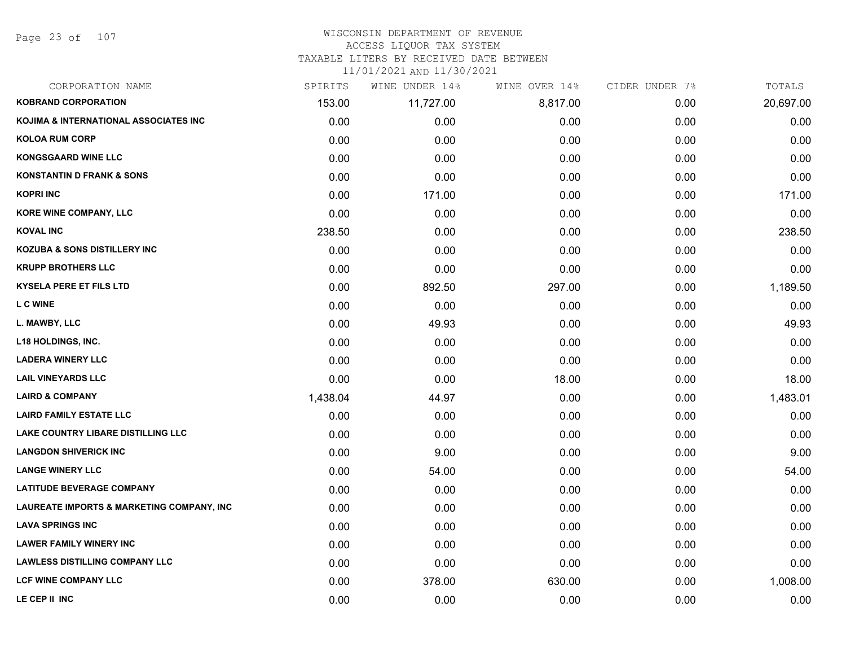Page 23 of 107

### WISCONSIN DEPARTMENT OF REVENUE ACCESS LIQUOR TAX SYSTEM

TAXABLE LITERS BY RECEIVED DATE BETWEEN

| CORPORATION NAME                                     | SPIRITS  | WINE UNDER 14% | WINE OVER 14% | CIDER UNDER 7% | TOTALS    |
|------------------------------------------------------|----------|----------------|---------------|----------------|-----------|
| <b>KOBRAND CORPORATION</b>                           | 153.00   | 11,727.00      | 8,817.00      | 0.00           | 20,697.00 |
| <b>KOJIMA &amp; INTERNATIONAL ASSOCIATES INC.</b>    | 0.00     | 0.00           | 0.00          | 0.00           | 0.00      |
| <b>KOLOA RUM CORP</b>                                | 0.00     | 0.00           | 0.00          | 0.00           | 0.00      |
| <b>KONGSGAARD WINE LLC</b>                           | 0.00     | 0.00           | 0.00          | 0.00           | 0.00      |
| <b>KONSTANTIN D FRANK &amp; SONS</b>                 | 0.00     | 0.00           | 0.00          | 0.00           | 0.00      |
| <b>KOPRI INC</b>                                     | 0.00     | 171.00         | 0.00          | 0.00           | 171.00    |
| <b>KORE WINE COMPANY, LLC</b>                        | 0.00     | 0.00           | 0.00          | 0.00           | 0.00      |
| <b>KOVAL INC</b>                                     | 238.50   | 0.00           | 0.00          | 0.00           | 238.50    |
| <b>KOZUBA &amp; SONS DISTILLERY INC</b>              | 0.00     | 0.00           | 0.00          | 0.00           | 0.00      |
| <b>KRUPP BROTHERS LLC</b>                            | 0.00     | 0.00           | 0.00          | 0.00           | 0.00      |
| <b>KYSELA PERE ET FILS LTD</b>                       | 0.00     | 892.50         | 297.00        | 0.00           | 1,189.50  |
| L C WINE                                             | 0.00     | 0.00           | 0.00          | 0.00           | 0.00      |
| L. MAWBY, LLC                                        | 0.00     | 49.93          | 0.00          | 0.00           | 49.93     |
| <b>L18 HOLDINGS, INC.</b>                            | 0.00     | 0.00           | 0.00          | 0.00           | 0.00      |
| <b>LADERA WINERY LLC</b>                             | 0.00     | 0.00           | 0.00          | 0.00           | 0.00      |
| <b>LAIL VINEYARDS LLC</b>                            | 0.00     | 0.00           | 18.00         | 0.00           | 18.00     |
| <b>LAIRD &amp; COMPANY</b>                           | 1,438.04 | 44.97          | 0.00          | 0.00           | 1,483.01  |
| <b>LAIRD FAMILY ESTATE LLC</b>                       | 0.00     | 0.00           | 0.00          | 0.00           | 0.00      |
| <b>LAKE COUNTRY LIBARE DISTILLING LLC</b>            | 0.00     | 0.00           | 0.00          | 0.00           | 0.00      |
| <b>LANGDON SHIVERICK INC</b>                         | 0.00     | 9.00           | 0.00          | 0.00           | 9.00      |
| <b>LANGE WINERY LLC</b>                              | 0.00     | 54.00          | 0.00          | 0.00           | 54.00     |
| <b>LATITUDE BEVERAGE COMPANY</b>                     | 0.00     | 0.00           | 0.00          | 0.00           | 0.00      |
| <b>LAUREATE IMPORTS &amp; MARKETING COMPANY, INC</b> | 0.00     | 0.00           | 0.00          | 0.00           | 0.00      |
| <b>LAVA SPRINGS INC</b>                              | 0.00     | 0.00           | 0.00          | 0.00           | 0.00      |
| <b>LAWER FAMILY WINERY INC</b>                       | 0.00     | 0.00           | 0.00          | 0.00           | 0.00      |
| <b>LAWLESS DISTILLING COMPANY LLC</b>                | 0.00     | 0.00           | 0.00          | 0.00           | 0.00      |
| <b>LCF WINE COMPANY LLC</b>                          | 0.00     | 378.00         | 630.00        | 0.00           | 1,008.00  |
| LE CEP II INC                                        | 0.00     | 0.00           | 0.00          | 0.00           | 0.00      |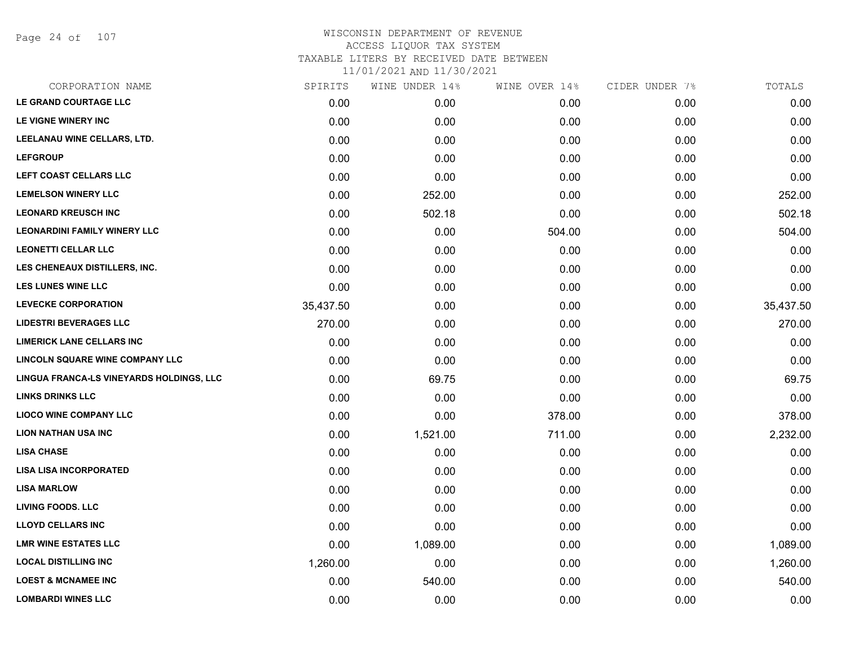Page 24 of 107

| CORPORATION NAME                         | SPIRITS   | WINE UNDER 14% | WINE OVER 14% | CIDER UNDER 7% | TOTALS    |
|------------------------------------------|-----------|----------------|---------------|----------------|-----------|
| LE GRAND COURTAGE LLC                    | 0.00      | 0.00           | 0.00          | 0.00           | 0.00      |
| LE VIGNE WINERY INC                      | 0.00      | 0.00           | 0.00          | 0.00           | 0.00      |
| LEELANAU WINE CELLARS, LTD.              | 0.00      | 0.00           | 0.00          | 0.00           | 0.00      |
| <b>LEFGROUP</b>                          | 0.00      | 0.00           | 0.00          | 0.00           | 0.00      |
| LEFT COAST CELLARS LLC                   | 0.00      | 0.00           | 0.00          | 0.00           | 0.00      |
| <b>LEMELSON WINERY LLC</b>               | 0.00      | 252.00         | 0.00          | 0.00           | 252.00    |
| <b>LEONARD KREUSCH INC</b>               | 0.00      | 502.18         | 0.00          | 0.00           | 502.18    |
| <b>LEONARDINI FAMILY WINERY LLC</b>      | 0.00      | 0.00           | 504.00        | 0.00           | 504.00    |
| <b>LEONETTI CELLAR LLC</b>               | 0.00      | 0.00           | 0.00          | 0.00           | 0.00      |
| LES CHENEAUX DISTILLERS, INC.            | 0.00      | 0.00           | 0.00          | 0.00           | 0.00      |
| <b>LES LUNES WINE LLC</b>                | 0.00      | 0.00           | 0.00          | 0.00           | 0.00      |
| <b>LEVECKE CORPORATION</b>               | 35,437.50 | 0.00           | 0.00          | 0.00           | 35,437.50 |
| <b>LIDESTRI BEVERAGES LLC</b>            | 270.00    | 0.00           | 0.00          | 0.00           | 270.00    |
| <b>LIMERICK LANE CELLARS INC</b>         | 0.00      | 0.00           | 0.00          | 0.00           | 0.00      |
| LINCOLN SQUARE WINE COMPANY LLC          | 0.00      | 0.00           | 0.00          | 0.00           | 0.00      |
| LINGUA FRANCA-LS VINEYARDS HOLDINGS, LLC | 0.00      | 69.75          | 0.00          | 0.00           | 69.75     |
| <b>LINKS DRINKS LLC</b>                  | 0.00      | 0.00           | 0.00          | 0.00           | 0.00      |
| <b>LIOCO WINE COMPANY LLC</b>            | 0.00      | 0.00           | 378.00        | 0.00           | 378.00    |
| <b>LION NATHAN USA INC</b>               | 0.00      | 1,521.00       | 711.00        | 0.00           | 2,232.00  |
| <b>LISA CHASE</b>                        | 0.00      | 0.00           | 0.00          | 0.00           | 0.00      |
| <b>LISA LISA INCORPORATED</b>            | 0.00      | 0.00           | 0.00          | 0.00           | 0.00      |
| <b>LISA MARLOW</b>                       | 0.00      | 0.00           | 0.00          | 0.00           | 0.00      |
| <b>LIVING FOODS. LLC</b>                 | 0.00      | 0.00           | 0.00          | 0.00           | 0.00      |
| <b>LLOYD CELLARS INC</b>                 | 0.00      | 0.00           | 0.00          | 0.00           | 0.00      |
| <b>LMR WINE ESTATES LLC</b>              | 0.00      | 1,089.00       | 0.00          | 0.00           | 1,089.00  |
| <b>LOCAL DISTILLING INC</b>              | 1,260.00  | 0.00           | 0.00          | 0.00           | 1,260.00  |
| <b>LOEST &amp; MCNAMEE INC</b>           | 0.00      | 540.00         | 0.00          | 0.00           | 540.00    |
| <b>LOMBARDI WINES LLC</b>                | 0.00      | 0.00           | 0.00          | 0.00           | 0.00      |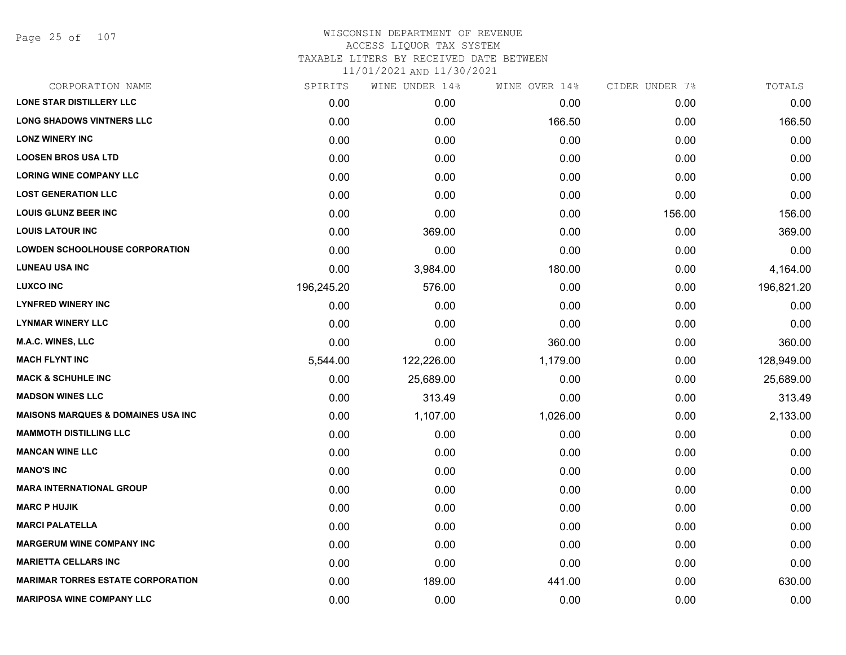Page 25 of 107

| CORPORATION NAME                              | SPIRITS    | WINE UNDER 14% | WINE OVER 14% | CIDER UNDER 7% | TOTALS     |
|-----------------------------------------------|------------|----------------|---------------|----------------|------------|
| <b>LONE STAR DISTILLERY LLC</b>               | 0.00       | 0.00           | 0.00          | 0.00           | 0.00       |
| <b>LONG SHADOWS VINTNERS LLC</b>              | 0.00       | 0.00           | 166.50        | 0.00           | 166.50     |
| <b>LONZ WINERY INC</b>                        | 0.00       | 0.00           | 0.00          | 0.00           | 0.00       |
| <b>LOOSEN BROS USA LTD</b>                    | 0.00       | 0.00           | 0.00          | 0.00           | 0.00       |
| <b>LORING WINE COMPANY LLC</b>                | 0.00       | 0.00           | 0.00          | 0.00           | 0.00       |
| <b>LOST GENERATION LLC</b>                    | 0.00       | 0.00           | 0.00          | 0.00           | 0.00       |
| <b>LOUIS GLUNZ BEER INC</b>                   | 0.00       | 0.00           | 0.00          | 156.00         | 156.00     |
| <b>LOUIS LATOUR INC</b>                       | 0.00       | 369.00         | 0.00          | 0.00           | 369.00     |
| <b>LOWDEN SCHOOLHOUSE CORPORATION</b>         | 0.00       | 0.00           | 0.00          | 0.00           | 0.00       |
| <b>LUNEAU USA INC</b>                         | 0.00       | 3,984.00       | 180.00        | 0.00           | 4,164.00   |
| <b>LUXCO INC</b>                              | 196,245.20 | 576.00         | 0.00          | 0.00           | 196,821.20 |
| <b>LYNFRED WINERY INC</b>                     | 0.00       | 0.00           | 0.00          | 0.00           | 0.00       |
| <b>LYNMAR WINERY LLC</b>                      | 0.00       | 0.00           | 0.00          | 0.00           | 0.00       |
| <b>M.A.C. WINES, LLC</b>                      | 0.00       | 0.00           | 360.00        | 0.00           | 360.00     |
| <b>MACH FLYNT INC</b>                         | 5,544.00   | 122,226.00     | 1,179.00      | 0.00           | 128,949.00 |
| <b>MACK &amp; SCHUHLE INC</b>                 | 0.00       | 25,689.00      | 0.00          | 0.00           | 25,689.00  |
| <b>MADSON WINES LLC</b>                       | 0.00       | 313.49         | 0.00          | 0.00           | 313.49     |
| <b>MAISONS MARQUES &amp; DOMAINES USA INC</b> | 0.00       | 1,107.00       | 1,026.00      | 0.00           | 2,133.00   |
| <b>MAMMOTH DISTILLING LLC</b>                 | 0.00       | 0.00           | 0.00          | 0.00           | 0.00       |
| <b>MANCAN WINE LLC</b>                        | 0.00       | 0.00           | 0.00          | 0.00           | 0.00       |
| <b>MANO'S INC</b>                             | 0.00       | 0.00           | 0.00          | 0.00           | 0.00       |
| <b>MARA INTERNATIONAL GROUP</b>               | 0.00       | 0.00           | 0.00          | 0.00           | 0.00       |
| <b>MARC P HUJIK</b>                           | 0.00       | 0.00           | 0.00          | 0.00           | 0.00       |
| <b>MARCI PALATELLA</b>                        | 0.00       | 0.00           | 0.00          | 0.00           | 0.00       |
| <b>MARGERUM WINE COMPANY INC</b>              | 0.00       | 0.00           | 0.00          | 0.00           | 0.00       |
| <b>MARIETTA CELLARS INC</b>                   | 0.00       | 0.00           | 0.00          | 0.00           | 0.00       |
| <b>MARIMAR TORRES ESTATE CORPORATION</b>      | 0.00       | 189.00         | 441.00        | 0.00           | 630.00     |
| <b>MARIPOSA WINE COMPANY LLC</b>              | 0.00       | 0.00           | 0.00          | 0.00           | 0.00       |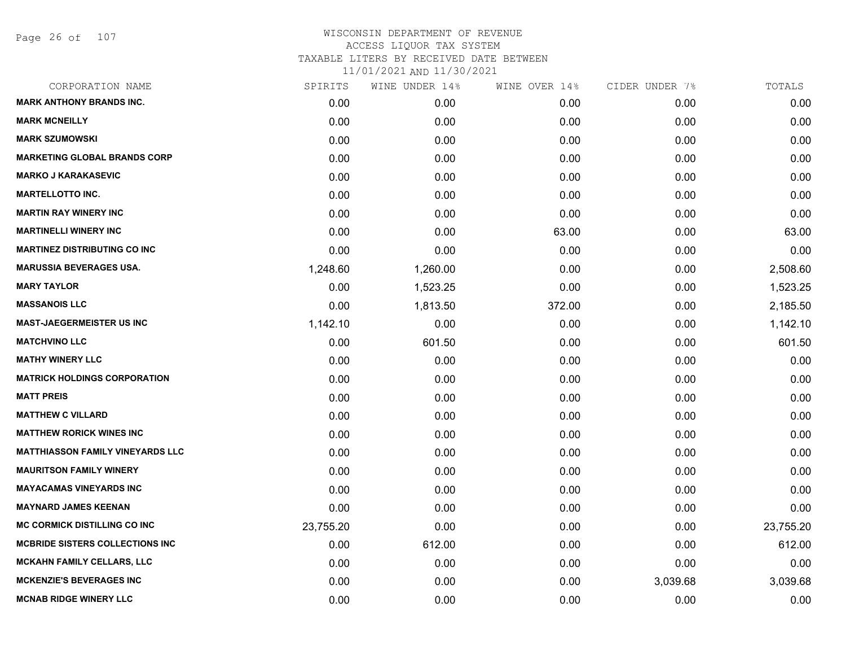Page 26 of 107

|           | WINE UNDER 14% |        |               | TOTALS         |
|-----------|----------------|--------|---------------|----------------|
| 0.00      | 0.00           | 0.00   | 0.00          | 0.00           |
| 0.00      | 0.00           | 0.00   | 0.00          | 0.00           |
| 0.00      | 0.00           | 0.00   | 0.00          | 0.00           |
| 0.00      | 0.00           | 0.00   | 0.00          | 0.00           |
| 0.00      | 0.00           | 0.00   | 0.00          | 0.00           |
| 0.00      | 0.00           | 0.00   | 0.00          | 0.00           |
| 0.00      | 0.00           | 0.00   | 0.00          | 0.00           |
| 0.00      | 0.00           | 63.00  | 0.00          | 63.00          |
| 0.00      | 0.00           | 0.00   | 0.00          | 0.00           |
| 1,248.60  | 1,260.00       | 0.00   | 0.00          | 2,508.60       |
| 0.00      | 1,523.25       | 0.00   | 0.00          | 1,523.25       |
| 0.00      | 1,813.50       | 372.00 | 0.00          | 2,185.50       |
| 1,142.10  | 0.00           | 0.00   | 0.00          | 1,142.10       |
| 0.00      | 601.50         | 0.00   | 0.00          | 601.50         |
| 0.00      | 0.00           | 0.00   | 0.00          | 0.00           |
| 0.00      | 0.00           | 0.00   | 0.00          | 0.00           |
| 0.00      | 0.00           | 0.00   | 0.00          | 0.00           |
| 0.00      | 0.00           | 0.00   | 0.00          | 0.00           |
| 0.00      | 0.00           | 0.00   | 0.00          | 0.00           |
| 0.00      | 0.00           | 0.00   | 0.00          | 0.00           |
| 0.00      | 0.00           | 0.00   | 0.00          | 0.00           |
| 0.00      | 0.00           | 0.00   | 0.00          | 0.00           |
| 0.00      | 0.00           | 0.00   | 0.00          | 0.00           |
| 23,755.20 | 0.00           | 0.00   | 0.00          | 23,755.20      |
| 0.00      | 612.00         | 0.00   | 0.00          | 612.00         |
| 0.00      | 0.00           | 0.00   | 0.00          | 0.00           |
| 0.00      | 0.00           | 0.00   | 3,039.68      | 3,039.68       |
| 0.00      | 0.00           | 0.00   | 0.00          | 0.00           |
|           | SPIRITS        |        | WINE OVER 14% | CIDER UNDER 7% |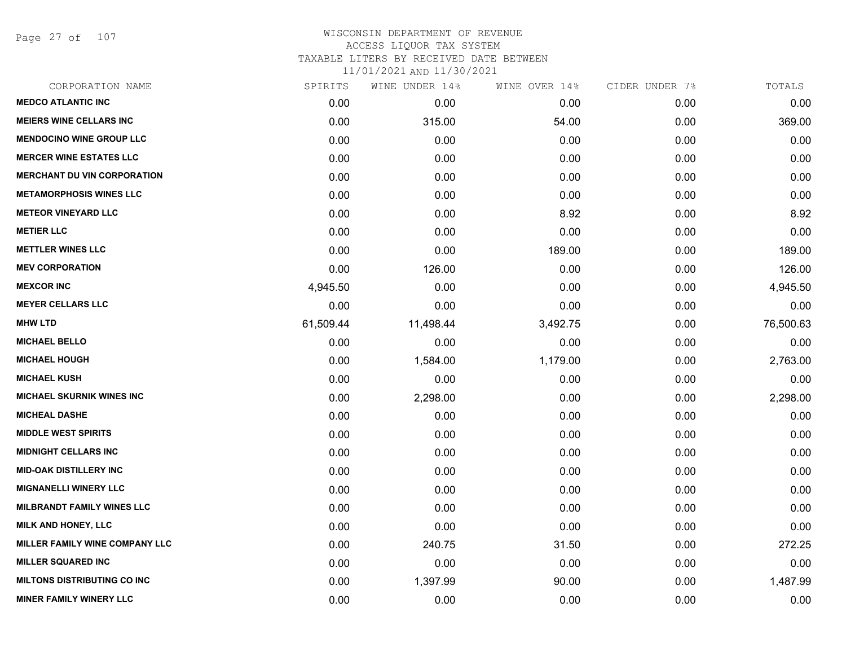Page 27 of 107

## WISCONSIN DEPARTMENT OF REVENUE ACCESS LIQUOR TAX SYSTEM TAXABLE LITERS BY RECEIVED DATE BETWEEN

| CORPORATION NAME                   | SPIRITS   | WINE UNDER 14% | WINE OVER 14% | CIDER UNDER 7% | TOTALS    |
|------------------------------------|-----------|----------------|---------------|----------------|-----------|
| <b>MEDCO ATLANTIC INC</b>          | 0.00      | 0.00           | 0.00          | 0.00           | 0.00      |
| <b>MEIERS WINE CELLARS INC</b>     | 0.00      | 315.00         | 54.00         | 0.00           | 369.00    |
| <b>MENDOCINO WINE GROUP LLC</b>    | 0.00      | 0.00           | 0.00          | 0.00           | 0.00      |
| <b>MERCER WINE ESTATES LLC</b>     | 0.00      | 0.00           | 0.00          | 0.00           | 0.00      |
| <b>MERCHANT DU VIN CORPORATION</b> | 0.00      | 0.00           | 0.00          | 0.00           | 0.00      |
| <b>METAMORPHOSIS WINES LLC</b>     | 0.00      | 0.00           | 0.00          | 0.00           | 0.00      |
| <b>METEOR VINEYARD LLC</b>         | 0.00      | 0.00           | 8.92          | 0.00           | 8.92      |
| <b>METIER LLC</b>                  | 0.00      | 0.00           | 0.00          | 0.00           | 0.00      |
| <b>METTLER WINES LLC</b>           | 0.00      | 0.00           | 189.00        | 0.00           | 189.00    |
| <b>MEV CORPORATION</b>             | 0.00      | 126.00         | 0.00          | 0.00           | 126.00    |
| <b>MEXCOR INC</b>                  | 4,945.50  | 0.00           | 0.00          | 0.00           | 4,945.50  |
| <b>MEYER CELLARS LLC</b>           | 0.00      | 0.00           | 0.00          | 0.00           | 0.00      |
| <b>MHW LTD</b>                     | 61,509.44 | 11,498.44      | 3,492.75      | 0.00           | 76,500.63 |
| <b>MICHAEL BELLO</b>               | 0.00      | 0.00           | 0.00          | 0.00           | 0.00      |
| <b>MICHAEL HOUGH</b>               | 0.00      | 1,584.00       | 1,179.00      | 0.00           | 2,763.00  |
| <b>MICHAEL KUSH</b>                | 0.00      | 0.00           | 0.00          | 0.00           | 0.00      |
| <b>MICHAEL SKURNIK WINES INC</b>   | 0.00      | 2,298.00       | 0.00          | 0.00           | 2,298.00  |
| <b>MICHEAL DASHE</b>               | 0.00      | 0.00           | 0.00          | 0.00           | 0.00      |
| <b>MIDDLE WEST SPIRITS</b>         | 0.00      | 0.00           | 0.00          | 0.00           | 0.00      |
| <b>MIDNIGHT CELLARS INC</b>        | 0.00      | 0.00           | 0.00          | 0.00           | 0.00      |
| <b>MID-OAK DISTILLERY INC</b>      | 0.00      | 0.00           | 0.00          | 0.00           | 0.00      |
| <b>MIGNANELLI WINERY LLC</b>       | 0.00      | 0.00           | 0.00          | 0.00           | 0.00      |
| <b>MILBRANDT FAMILY WINES LLC</b>  | 0.00      | 0.00           | 0.00          | 0.00           | 0.00      |
| MILK AND HONEY, LLC                | 0.00      | 0.00           | 0.00          | 0.00           | 0.00      |
| MILLER FAMILY WINE COMPANY LLC     | 0.00      | 240.75         | 31.50         | 0.00           | 272.25    |
| <b>MILLER SQUARED INC</b>          | 0.00      | 0.00           | 0.00          | 0.00           | 0.00      |
| <b>MILTONS DISTRIBUTING CO INC</b> | 0.00      | 1,397.99       | 90.00         | 0.00           | 1,487.99  |
| <b>MINER FAMILY WINERY LLC</b>     | 0.00      | 0.00           | 0.00          | 0.00           | 0.00      |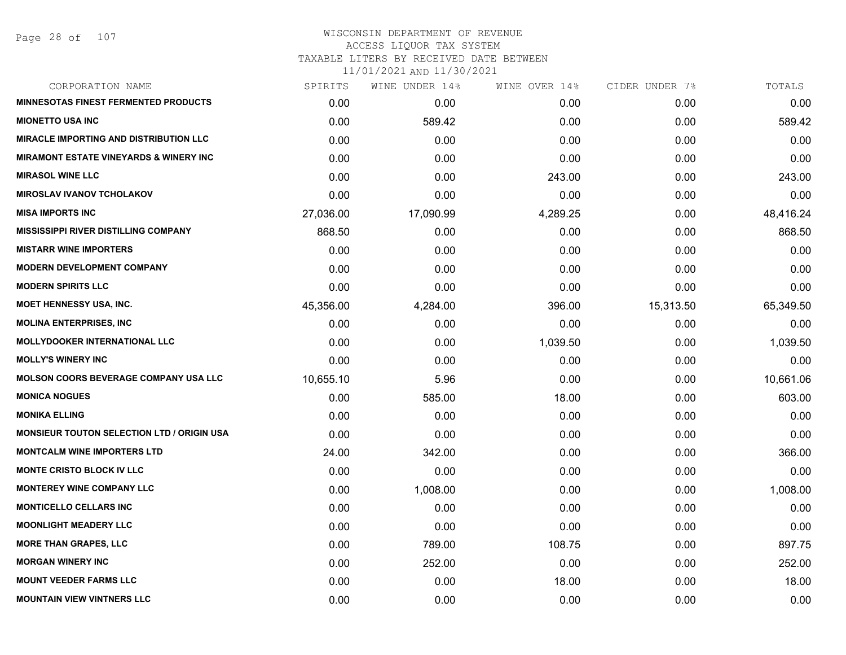Page 28 of 107

#### WISCONSIN DEPARTMENT OF REVENUE ACCESS LIQUOR TAX SYSTEM TAXABLE LITERS BY RECEIVED DATE BETWEEN

| CORPORATION NAME                                  | SPIRITS   | WINE UNDER 14% | WINE OVER 14% | CIDER UNDER 7% | TOTALS    |
|---------------------------------------------------|-----------|----------------|---------------|----------------|-----------|
| <b>MINNESOTAS FINEST FERMENTED PRODUCTS</b>       | 0.00      | 0.00           | 0.00          | 0.00           | 0.00      |
| <b>MIONETTO USA INC</b>                           | 0.00      | 589.42         | 0.00          | 0.00           | 589.42    |
| <b>MIRACLE IMPORTING AND DISTRIBUTION LLC</b>     | 0.00      | 0.00           | 0.00          | 0.00           | 0.00      |
| <b>MIRAMONT ESTATE VINEYARDS &amp; WINERY INC</b> | 0.00      | 0.00           | 0.00          | 0.00           | 0.00      |
| <b>MIRASOL WINE LLC</b>                           | 0.00      | 0.00           | 243.00        | 0.00           | 243.00    |
| <b>MIROSLAV IVANOV TCHOLAKOV</b>                  | 0.00      | 0.00           | 0.00          | 0.00           | 0.00      |
| <b>MISA IMPORTS INC</b>                           | 27,036.00 | 17,090.99      | 4,289.25      | 0.00           | 48,416.24 |
| <b>MISSISSIPPI RIVER DISTILLING COMPANY</b>       | 868.50    | 0.00           | 0.00          | 0.00           | 868.50    |
| <b>MISTARR WINE IMPORTERS</b>                     | 0.00      | 0.00           | 0.00          | 0.00           | 0.00      |
| <b>MODERN DEVELOPMENT COMPANY</b>                 | 0.00      | 0.00           | 0.00          | 0.00           | 0.00      |
| <b>MODERN SPIRITS LLC</b>                         | 0.00      | 0.00           | 0.00          | 0.00           | 0.00      |
| <b>MOET HENNESSY USA, INC.</b>                    | 45,356.00 | 4,284.00       | 396.00        | 15,313.50      | 65,349.50 |
| <b>MOLINA ENTERPRISES, INC</b>                    | 0.00      | 0.00           | 0.00          | 0.00           | 0.00      |
| <b>MOLLYDOOKER INTERNATIONAL LLC</b>              | 0.00      | 0.00           | 1,039.50      | 0.00           | 1,039.50  |
| <b>MOLLY'S WINERY INC</b>                         | 0.00      | 0.00           | 0.00          | 0.00           | 0.00      |
| <b>MOLSON COORS BEVERAGE COMPANY USA LLC</b>      | 10,655.10 | 5.96           | 0.00          | 0.00           | 10,661.06 |
| <b>MONICA NOGUES</b>                              | 0.00      | 585.00         | 18.00         | 0.00           | 603.00    |
| <b>MONIKA ELLING</b>                              | 0.00      | 0.00           | 0.00          | 0.00           | 0.00      |
| <b>MONSIEUR TOUTON SELECTION LTD / ORIGIN USA</b> | 0.00      | 0.00           | 0.00          | 0.00           | 0.00      |
| <b>MONTCALM WINE IMPORTERS LTD</b>                | 24.00     | 342.00         | 0.00          | 0.00           | 366.00    |
| <b>MONTE CRISTO BLOCK IV LLC</b>                  | 0.00      | 0.00           | 0.00          | 0.00           | 0.00      |
| <b>MONTEREY WINE COMPANY LLC</b>                  | 0.00      | 1,008.00       | 0.00          | 0.00           | 1,008.00  |
| <b>MONTICELLO CELLARS INC</b>                     | 0.00      | 0.00           | 0.00          | 0.00           | 0.00      |
| <b>MOONLIGHT MEADERY LLC</b>                      | 0.00      | 0.00           | 0.00          | 0.00           | 0.00      |
| <b>MORE THAN GRAPES, LLC</b>                      | 0.00      | 789.00         | 108.75        | 0.00           | 897.75    |
| <b>MORGAN WINERY INC</b>                          | 0.00      | 252.00         | 0.00          | 0.00           | 252.00    |
| <b>MOUNT VEEDER FARMS LLC</b>                     | 0.00      | 0.00           | 18.00         | 0.00           | 18.00     |
| <b>MOUNTAIN VIEW VINTNERS LLC</b>                 | 0.00      | 0.00           | 0.00          | 0.00           | 0.00      |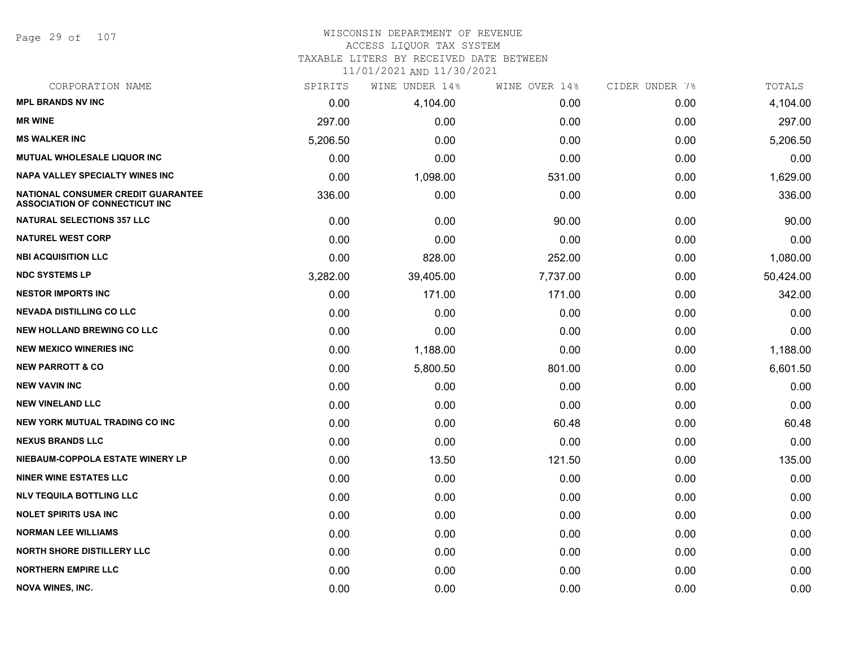Page 29 of 107

#### WISCONSIN DEPARTMENT OF REVENUE ACCESS LIQUOR TAX SYSTEM TAXABLE LITERS BY RECEIVED DATE BETWEEN

| CORPORATION NAME                                                            | SPIRITS  | WINE UNDER 14% | WINE OVER 14% | CIDER UNDER 7% | TOTALS    |
|-----------------------------------------------------------------------------|----------|----------------|---------------|----------------|-----------|
| <b>MPL BRANDS NV INC</b>                                                    | 0.00     | 4,104.00       | 0.00          | 0.00           | 4,104.00  |
| <b>MR WINE</b>                                                              | 297.00   | 0.00           | 0.00          | 0.00           | 297.00    |
| <b>MS WALKER INC</b>                                                        | 5,206.50 | 0.00           | 0.00          | 0.00           | 5,206.50  |
| MUTUAL WHOLESALE LIQUOR INC                                                 | 0.00     | 0.00           | 0.00          | 0.00           | 0.00      |
| <b>NAPA VALLEY SPECIALTY WINES INC</b>                                      | 0.00     | 1,098.00       | 531.00        | 0.00           | 1,629.00  |
| NATIONAL CONSUMER CREDIT GUARANTEE<br><b>ASSOCIATION OF CONNECTICUT INC</b> | 336.00   | 0.00           | 0.00          | 0.00           | 336.00    |
| <b>NATURAL SELECTIONS 357 LLC</b>                                           | 0.00     | 0.00           | 90.00         | 0.00           | 90.00     |
| <b>NATUREL WEST CORP</b>                                                    | 0.00     | 0.00           | 0.00          | 0.00           | 0.00      |
| <b>NBI ACQUISITION LLC</b>                                                  | 0.00     | 828.00         | 252.00        | 0.00           | 1,080.00  |
| <b>NDC SYSTEMS LP</b>                                                       | 3,282.00 | 39,405.00      | 7,737.00      | 0.00           | 50,424.00 |
| <b>NESTOR IMPORTS INC</b>                                                   | 0.00     | 171.00         | 171.00        | 0.00           | 342.00    |
| <b>NEVADA DISTILLING CO LLC</b>                                             | 0.00     | 0.00           | 0.00          | 0.00           | 0.00      |
| <b>NEW HOLLAND BREWING CO LLC</b>                                           | 0.00     | 0.00           | 0.00          | 0.00           | 0.00      |
| <b>NEW MEXICO WINERIES INC.</b>                                             | 0.00     | 1,188.00       | 0.00          | 0.00           | 1,188.00  |
| <b>NEW PARROTT &amp; CO</b>                                                 | 0.00     | 5,800.50       | 801.00        | 0.00           | 6,601.50  |
| <b>NEW VAVIN INC</b>                                                        | 0.00     | 0.00           | 0.00          | 0.00           | 0.00      |
| <b>NEW VINELAND LLC</b>                                                     | 0.00     | 0.00           | 0.00          | 0.00           | 0.00      |
| <b>NEW YORK MUTUAL TRADING CO INC</b>                                       | 0.00     | 0.00           | 60.48         | 0.00           | 60.48     |
| <b>NEXUS BRANDS LLC</b>                                                     | 0.00     | 0.00           | 0.00          | 0.00           | 0.00      |
| NIEBAUM-COPPOLA ESTATE WINERY LP                                            | 0.00     | 13.50          | 121.50        | 0.00           | 135.00    |
| <b>NINER WINE ESTATES LLC</b>                                               | 0.00     | 0.00           | 0.00          | 0.00           | 0.00      |
| <b>NLV TEQUILA BOTTLING LLC</b>                                             | 0.00     | 0.00           | 0.00          | 0.00           | 0.00      |
| <b>NOLET SPIRITS USA INC</b>                                                | 0.00     | 0.00           | 0.00          | 0.00           | 0.00      |
| <b>NORMAN LEE WILLIAMS</b>                                                  | 0.00     | 0.00           | 0.00          | 0.00           | 0.00      |
| <b>NORTH SHORE DISTILLERY LLC</b>                                           | 0.00     | 0.00           | 0.00          | 0.00           | 0.00      |
| <b>NORTHERN EMPIRE LLC</b>                                                  | 0.00     | 0.00           | 0.00          | 0.00           | 0.00      |
| <b>NOVA WINES, INC.</b>                                                     | 0.00     | 0.00           | 0.00          | 0.00           | 0.00      |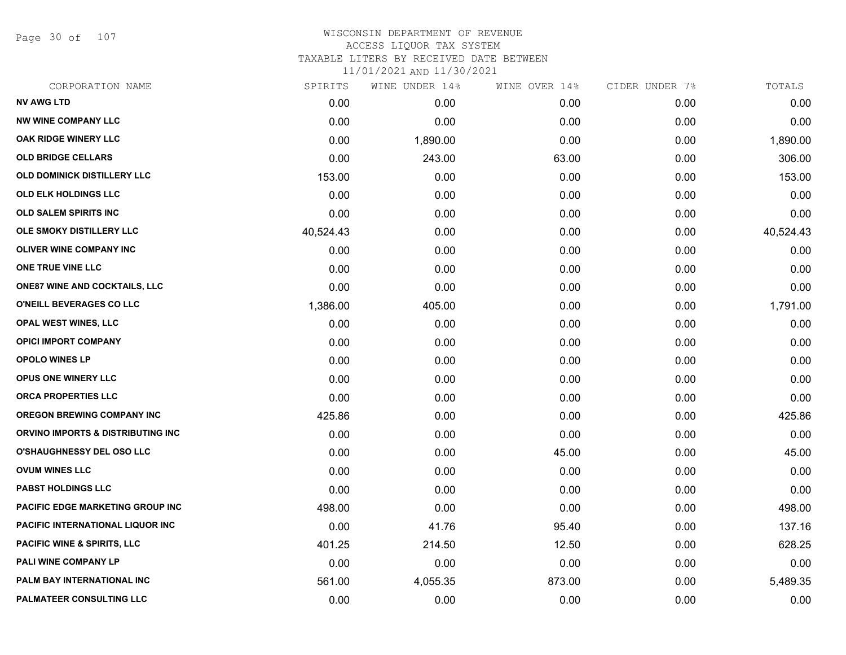Page 30 of 107

#### WISCONSIN DEPARTMENT OF REVENUE ACCESS LIQUOR TAX SYSTEM TAXABLE LITERS BY RECEIVED DATE BETWEEN

| CORPORATION NAME                       | SPIRITS   | WINE UNDER 14% | WINE OVER 14% | CIDER UNDER 7% | TOTALS    |
|----------------------------------------|-----------|----------------|---------------|----------------|-----------|
| <b>NV AWG LTD</b>                      | 0.00      | 0.00           | 0.00          | 0.00           | 0.00      |
| <b>NW WINE COMPANY LLC</b>             | 0.00      | 0.00           | 0.00          | 0.00           | 0.00      |
| <b>OAK RIDGE WINERY LLC</b>            | 0.00      | 1,890.00       | 0.00          | 0.00           | 1,890.00  |
| <b>OLD BRIDGE CELLARS</b>              | 0.00      | 243.00         | 63.00         | 0.00           | 306.00    |
| OLD DOMINICK DISTILLERY LLC            | 153.00    | 0.00           | 0.00          | 0.00           | 153.00    |
| OLD ELK HOLDINGS LLC                   | 0.00      | 0.00           | 0.00          | 0.00           | 0.00      |
| <b>OLD SALEM SPIRITS INC</b>           | 0.00      | 0.00           | 0.00          | 0.00           | 0.00      |
| OLE SMOKY DISTILLERY LLC               | 40,524.43 | 0.00           | 0.00          | 0.00           | 40,524.43 |
| <b>OLIVER WINE COMPANY INC</b>         | 0.00      | 0.00           | 0.00          | 0.00           | 0.00      |
| ONE TRUE VINE LLC                      | 0.00      | 0.00           | 0.00          | 0.00           | 0.00      |
| <b>ONE87 WINE AND COCKTAILS, LLC</b>   | 0.00      | 0.00           | 0.00          | 0.00           | 0.00      |
| O'NEILL BEVERAGES CO LLC               | 1,386.00  | 405.00         | 0.00          | 0.00           | 1,791.00  |
| <b>OPAL WEST WINES, LLC</b>            | 0.00      | 0.00           | 0.00          | 0.00           | 0.00      |
| <b>OPICI IMPORT COMPANY</b>            | 0.00      | 0.00           | 0.00          | 0.00           | 0.00      |
| <b>OPOLO WINES LP</b>                  | 0.00      | 0.00           | 0.00          | 0.00           | 0.00      |
| OPUS ONE WINERY LLC                    | 0.00      | 0.00           | 0.00          | 0.00           | 0.00      |
| ORCA PROPERTIES LLC                    | 0.00      | 0.00           | 0.00          | 0.00           | 0.00      |
| <b>OREGON BREWING COMPANY INC</b>      | 425.86    | 0.00           | 0.00          | 0.00           | 425.86    |
| ORVINO IMPORTS & DISTRIBUTING INC      | 0.00      | 0.00           | 0.00          | 0.00           | 0.00      |
| <b>O'SHAUGHNESSY DEL OSO LLC</b>       | 0.00      | 0.00           | 45.00         | 0.00           | 45.00     |
| <b>OVUM WINES LLC</b>                  | 0.00      | 0.00           | 0.00          | 0.00           | 0.00      |
| <b>PABST HOLDINGS LLC</b>              | 0.00      | 0.00           | 0.00          | 0.00           | 0.00      |
| PACIFIC EDGE MARKETING GROUP INC       | 498.00    | 0.00           | 0.00          | 0.00           | 498.00    |
| PACIFIC INTERNATIONAL LIQUOR INC       | 0.00      | 41.76          | 95.40         | 0.00           | 137.16    |
| <b>PACIFIC WINE &amp; SPIRITS, LLC</b> | 401.25    | 214.50         | 12.50         | 0.00           | 628.25    |
| <b>PALI WINE COMPANY LP</b>            | 0.00      | 0.00           | 0.00          | 0.00           | 0.00      |
| PALM BAY INTERNATIONAL INC             | 561.00    | 4,055.35       | 873.00        | 0.00           | 5,489.35  |
| PALMATEER CONSULTING LLC               | 0.00      | 0.00           | 0.00          | 0.00           | 0.00      |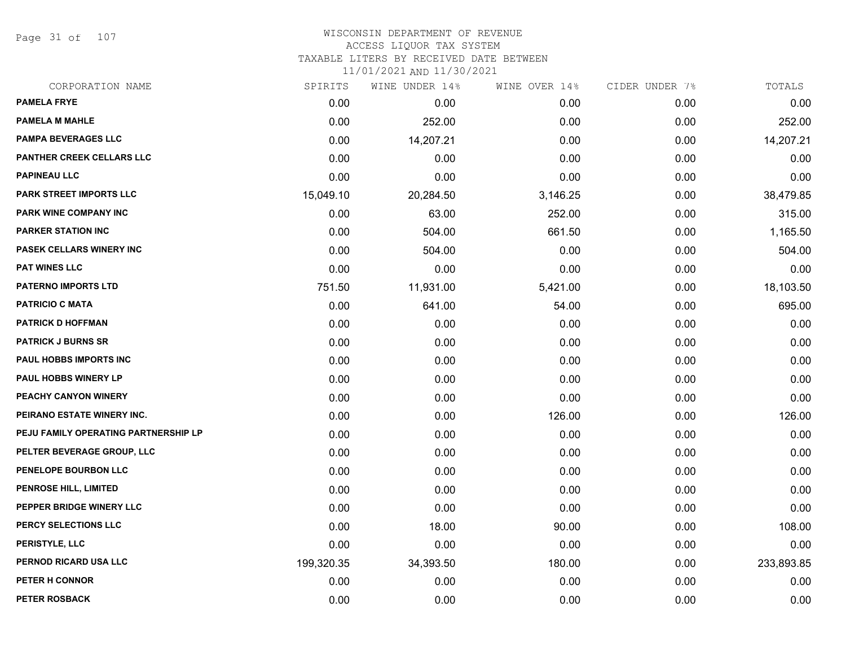Page 31 of 107

#### WISCONSIN DEPARTMENT OF REVENUE ACCESS LIQUOR TAX SYSTEM TAXABLE LITERS BY RECEIVED DATE BETWEEN

| CORPORATION NAME                     | SPIRITS    | WINE UNDER 14% | WINE OVER 14% | CIDER UNDER 7% | TOTALS     |
|--------------------------------------|------------|----------------|---------------|----------------|------------|
| <b>PAMELA FRYE</b>                   | 0.00       | 0.00           | 0.00          | 0.00           | 0.00       |
| <b>PAMELA M MAHLE</b>                | 0.00       | 252.00         | 0.00          | 0.00           | 252.00     |
| <b>PAMPA BEVERAGES LLC</b>           | 0.00       | 14,207.21      | 0.00          | 0.00           | 14,207.21  |
| <b>PANTHER CREEK CELLARS LLC</b>     | 0.00       | 0.00           | 0.00          | 0.00           | 0.00       |
| <b>PAPINEAU LLC</b>                  | 0.00       | 0.00           | 0.00          | 0.00           | 0.00       |
| PARK STREET IMPORTS LLC              | 15,049.10  | 20,284.50      | 3,146.25      | 0.00           | 38,479.85  |
| PARK WINE COMPANY INC                | 0.00       | 63.00          | 252.00        | 0.00           | 315.00     |
| <b>PARKER STATION INC</b>            | 0.00       | 504.00         | 661.50        | 0.00           | 1,165.50   |
| PASEK CELLARS WINERY INC             | 0.00       | 504.00         | 0.00          | 0.00           | 504.00     |
| <b>PAT WINES LLC</b>                 | 0.00       | 0.00           | 0.00          | 0.00           | 0.00       |
| <b>PATERNO IMPORTS LTD</b>           | 751.50     | 11,931.00      | 5,421.00      | 0.00           | 18,103.50  |
| <b>PATRICIO C MATA</b>               | 0.00       | 641.00         | 54.00         | 0.00           | 695.00     |
| <b>PATRICK D HOFFMAN</b>             | 0.00       | 0.00           | 0.00          | 0.00           | 0.00       |
| <b>PATRICK J BURNS SR</b>            | 0.00       | 0.00           | 0.00          | 0.00           | 0.00       |
| PAUL HOBBS IMPORTS INC               | 0.00       | 0.00           | 0.00          | 0.00           | 0.00       |
| PAUL HOBBS WINERY LP                 | 0.00       | 0.00           | 0.00          | 0.00           | 0.00       |
| PEACHY CANYON WINERY                 | 0.00       | 0.00           | 0.00          | 0.00           | 0.00       |
| PEIRANO ESTATE WINERY INC.           | 0.00       | 0.00           | 126.00        | 0.00           | 126.00     |
| PEJU FAMILY OPERATING PARTNERSHIP LP | 0.00       | 0.00           | 0.00          | 0.00           | 0.00       |
| PELTER BEVERAGE GROUP, LLC           | 0.00       | 0.00           | 0.00          | 0.00           | 0.00       |
| PENELOPE BOURBON LLC                 | 0.00       | 0.00           | 0.00          | 0.00           | 0.00       |
| PENROSE HILL, LIMITED                | 0.00       | 0.00           | 0.00          | 0.00           | 0.00       |
| PEPPER BRIDGE WINERY LLC             | 0.00       | 0.00           | 0.00          | 0.00           | 0.00       |
| PERCY SELECTIONS LLC                 | 0.00       | 18.00          | 90.00         | 0.00           | 108.00     |
| PERISTYLE, LLC                       | 0.00       | 0.00           | 0.00          | 0.00           | 0.00       |
| PERNOD RICARD USA LLC                | 199,320.35 | 34,393.50      | 180.00        | 0.00           | 233,893.85 |
| PETER H CONNOR                       | 0.00       | 0.00           | 0.00          | 0.00           | 0.00       |
| <b>PETER ROSBACK</b>                 | 0.00       | 0.00           | 0.00          | 0.00           | 0.00       |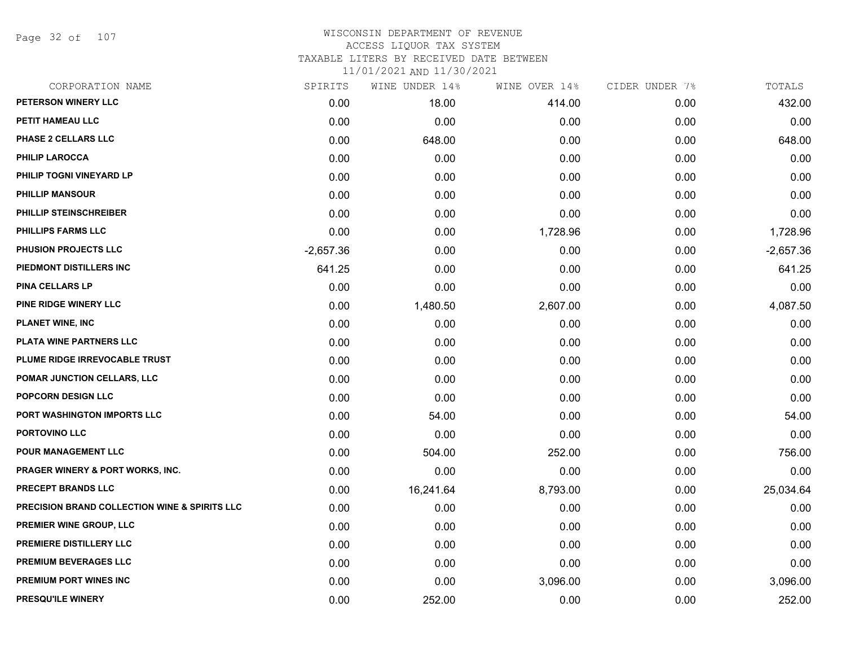Page 32 of 107

# WISCONSIN DEPARTMENT OF REVENUE ACCESS LIQUOR TAX SYSTEM

TAXABLE LITERS BY RECEIVED DATE BETWEEN

| CORPORATION NAME                                         | SPIRITS     | WINE UNDER 14% | WINE OVER 14% | CIDER UNDER 7% | TOTALS      |
|----------------------------------------------------------|-------------|----------------|---------------|----------------|-------------|
| PETERSON WINERY LLC                                      | 0.00        | 18.00          | 414.00        | 0.00           | 432.00      |
| PETIT HAMEAU LLC                                         | 0.00        | 0.00           | 0.00          | 0.00           | 0.00        |
| PHASE 2 CELLARS LLC                                      | 0.00        | 648.00         | 0.00          | 0.00           | 648.00      |
| <b>PHILIP LAROCCA</b>                                    | 0.00        | 0.00           | 0.00          | 0.00           | 0.00        |
| PHILIP TOGNI VINEYARD LP                                 | 0.00        | 0.00           | 0.00          | 0.00           | 0.00        |
| <b>PHILLIP MANSOUR</b>                                   | 0.00        | 0.00           | 0.00          | 0.00           | 0.00        |
| PHILLIP STEINSCHREIBER                                   | 0.00        | 0.00           | 0.00          | 0.00           | 0.00        |
| <b>PHILLIPS FARMS LLC</b>                                | 0.00        | 0.00           | 1,728.96      | 0.00           | 1,728.96    |
| PHUSION PROJECTS LLC                                     | $-2,657.36$ | 0.00           | 0.00          | 0.00           | $-2,657.36$ |
| PIEDMONT DISTILLERS INC                                  | 641.25      | 0.00           | 0.00          | 0.00           | 641.25      |
| <b>PINA CELLARS LP</b>                                   | 0.00        | 0.00           | 0.00          | 0.00           | 0.00        |
| PINE RIDGE WINERY LLC                                    | 0.00        | 1,480.50       | 2,607.00      | 0.00           | 4,087.50    |
| <b>PLANET WINE, INC</b>                                  | 0.00        | 0.00           | 0.00          | 0.00           | 0.00        |
| PLATA WINE PARTNERS LLC                                  | 0.00        | 0.00           | 0.00          | 0.00           | 0.00        |
| PLUME RIDGE IRREVOCABLE TRUST                            | 0.00        | 0.00           | 0.00          | 0.00           | 0.00        |
| <b>POMAR JUNCTION CELLARS, LLC</b>                       | 0.00        | 0.00           | 0.00          | 0.00           | 0.00        |
| POPCORN DESIGN LLC                                       | 0.00        | 0.00           | 0.00          | 0.00           | 0.00        |
| PORT WASHINGTON IMPORTS LLC                              | 0.00        | 54.00          | 0.00          | 0.00           | 54.00       |
| <b>PORTOVINO LLC</b>                                     | 0.00        | 0.00           | 0.00          | 0.00           | 0.00        |
| POUR MANAGEMENT LLC                                      | 0.00        | 504.00         | 252.00        | 0.00           | 756.00      |
| <b>PRAGER WINERY &amp; PORT WORKS, INC.</b>              | 0.00        | 0.00           | 0.00          | 0.00           | 0.00        |
| PRECEPT BRANDS LLC                                       | 0.00        | 16,241.64      | 8,793.00      | 0.00           | 25,034.64   |
| <b>PRECISION BRAND COLLECTION WINE &amp; SPIRITS LLC</b> | 0.00        | 0.00           | 0.00          | 0.00           | 0.00        |
| <b>PREMIER WINE GROUP, LLC</b>                           | 0.00        | 0.00           | 0.00          | 0.00           | 0.00        |
| PREMIERE DISTILLERY LLC                                  | 0.00        | 0.00           | 0.00          | 0.00           | 0.00        |
| PREMIUM BEVERAGES LLC                                    | 0.00        | 0.00           | 0.00          | 0.00           | 0.00        |
| <b>PREMIUM PORT WINES INC</b>                            | 0.00        | 0.00           | 3,096.00      | 0.00           | 3,096.00    |
| PRESQU'ILE WINERY                                        | 0.00        | 252.00         | 0.00          | 0.00           | 252.00      |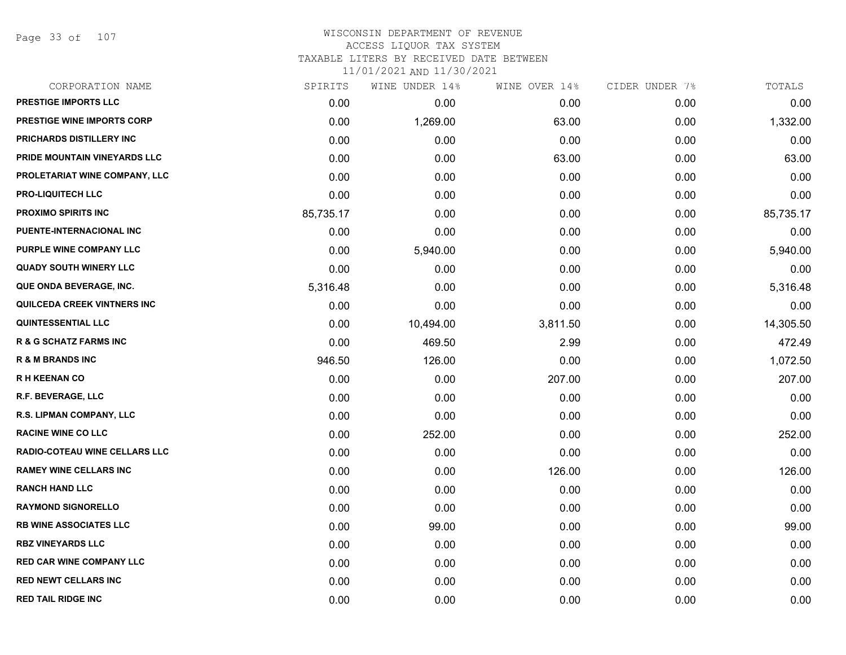Page 33 of 107

## WISCONSIN DEPARTMENT OF REVENUE ACCESS LIQUOR TAX SYSTEM TAXABLE LITERS BY RECEIVED DATE BETWEEN

| CORPORATION NAME                  | SPIRITS   | WINE UNDER 14% | WINE OVER 14% | CIDER UNDER 7% | TOTALS    |
|-----------------------------------|-----------|----------------|---------------|----------------|-----------|
| PRESTIGE IMPORTS LLC              | 0.00      | 0.00           | 0.00          | 0.00           | 0.00      |
| <b>PRESTIGE WINE IMPORTS CORP</b> | 0.00      | 1,269.00       | 63.00         | 0.00           | 1,332.00  |
| PRICHARDS DISTILLERY INC          | 0.00      | 0.00           | 0.00          | 0.00           | 0.00      |
| PRIDE MOUNTAIN VINEYARDS LLC      | 0.00      | 0.00           | 63.00         | 0.00           | 63.00     |
| PROLETARIAT WINE COMPANY, LLC     | 0.00      | 0.00           | 0.00          | 0.00           | 0.00      |
| <b>PRO-LIQUITECH LLC</b>          | 0.00      | 0.00           | 0.00          | 0.00           | 0.00      |
| PROXIMO SPIRITS INC               | 85,735.17 | 0.00           | 0.00          | 0.00           | 85,735.17 |
| PUENTE-INTERNACIONAL INC          | 0.00      | 0.00           | 0.00          | 0.00           | 0.00      |
| PURPLE WINE COMPANY LLC           | 0.00      | 5,940.00       | 0.00          | 0.00           | 5,940.00  |
| <b>QUADY SOUTH WINERY LLC</b>     | 0.00      | 0.00           | 0.00          | 0.00           | 0.00      |
| QUE ONDA BEVERAGE, INC.           | 5,316.48  | 0.00           | 0.00          | 0.00           | 5,316.48  |
| QUILCEDA CREEK VINTNERS INC       | 0.00      | 0.00           | 0.00          | 0.00           | 0.00      |
| <b>QUINTESSENTIAL LLC</b>         | 0.00      | 10,494.00      | 3,811.50      | 0.00           | 14,305.50 |
| <b>R &amp; G SCHATZ FARMS INC</b> | 0.00      | 469.50         | 2.99          | 0.00           | 472.49    |
| <b>R &amp; M BRANDS INC</b>       | 946.50    | 126.00         | 0.00          | 0.00           | 1,072.50  |
| <b>RH KEENAN CO</b>               | 0.00      | 0.00           | 207.00        | 0.00           | 207.00    |
| <b>R.F. BEVERAGE, LLC</b>         | 0.00      | 0.00           | 0.00          | 0.00           | 0.00      |
| R.S. LIPMAN COMPANY, LLC          | 0.00      | 0.00           | 0.00          | 0.00           | 0.00      |
| <b>RACINE WINE CO LLC</b>         | 0.00      | 252.00         | 0.00          | 0.00           | 252.00    |
| RADIO-COTEAU WINE CELLARS LLC     | 0.00      | 0.00           | 0.00          | 0.00           | 0.00      |
| <b>RAMEY WINE CELLARS INC</b>     | 0.00      | 0.00           | 126.00        | 0.00           | 126.00    |
| <b>RANCH HAND LLC</b>             | 0.00      | 0.00           | 0.00          | 0.00           | 0.00      |
| <b>RAYMOND SIGNORELLO</b>         | 0.00      | 0.00           | 0.00          | 0.00           | 0.00      |
| <b>RB WINE ASSOCIATES LLC</b>     | 0.00      | 99.00          | 0.00          | 0.00           | 99.00     |
| <b>RBZ VINEYARDS LLC</b>          | 0.00      | 0.00           | 0.00          | 0.00           | 0.00      |
| <b>RED CAR WINE COMPANY LLC</b>   | 0.00      | 0.00           | 0.00          | 0.00           | 0.00      |
| <b>RED NEWT CELLARS INC</b>       | 0.00      | 0.00           | 0.00          | 0.00           | 0.00      |
| <b>RED TAIL RIDGE INC</b>         | 0.00      | 0.00           | 0.00          | 0.00           | 0.00      |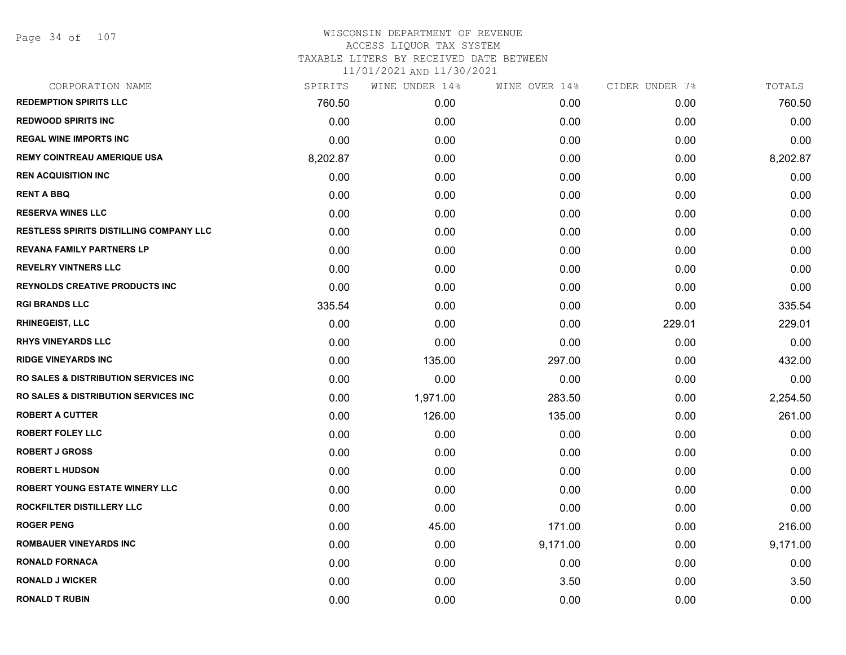| CORPORATION NAME                                 | SPIRITS  | WINE UNDER 14% | WINE OVER 14% | CIDER UNDER 7% | TOTALS   |
|--------------------------------------------------|----------|----------------|---------------|----------------|----------|
| <b>REDEMPTION SPIRITS LLC</b>                    | 760.50   | 0.00           | 0.00          | 0.00           | 760.50   |
| <b>REDWOOD SPIRITS INC</b>                       | 0.00     | 0.00           | 0.00          | 0.00           | 0.00     |
| <b>REGAL WINE IMPORTS INC</b>                    | 0.00     | 0.00           | 0.00          | 0.00           | 0.00     |
| <b>REMY COINTREAU AMERIQUE USA</b>               | 8,202.87 | 0.00           | 0.00          | 0.00           | 8,202.87 |
| <b>REN ACQUISITION INC</b>                       | 0.00     | 0.00           | 0.00          | 0.00           | 0.00     |
| <b>RENT A BBQ</b>                                | 0.00     | 0.00           | 0.00          | 0.00           | 0.00     |
| <b>RESERVA WINES LLC</b>                         | 0.00     | 0.00           | 0.00          | 0.00           | 0.00     |
| <b>RESTLESS SPIRITS DISTILLING COMPANY LLC</b>   | 0.00     | 0.00           | 0.00          | 0.00           | 0.00     |
| <b>REVANA FAMILY PARTNERS LP</b>                 | 0.00     | 0.00           | 0.00          | 0.00           | 0.00     |
| <b>REVELRY VINTNERS LLC</b>                      | 0.00     | 0.00           | 0.00          | 0.00           | 0.00     |
| <b>REYNOLDS CREATIVE PRODUCTS INC</b>            | 0.00     | 0.00           | 0.00          | 0.00           | 0.00     |
| <b>RGI BRANDS LLC</b>                            | 335.54   | 0.00           | 0.00          | 0.00           | 335.54   |
| <b>RHINEGEIST, LLC</b>                           | 0.00     | 0.00           | 0.00          | 229.01         | 229.01   |
| <b>RHYS VINEYARDS LLC</b>                        | 0.00     | 0.00           | 0.00          | 0.00           | 0.00     |
| <b>RIDGE VINEYARDS INC</b>                       | 0.00     | 135.00         | 297.00        | 0.00           | 432.00   |
| <b>RO SALES &amp; DISTRIBUTION SERVICES INC</b>  | 0.00     | 0.00           | 0.00          | 0.00           | 0.00     |
| <b>RO SALES &amp; DISTRIBUTION SERVICES INC.</b> | 0.00     | 1,971.00       | 283.50        | 0.00           | 2,254.50 |
| <b>ROBERT A CUTTER</b>                           | 0.00     | 126.00         | 135.00        | 0.00           | 261.00   |
| <b>ROBERT FOLEY LLC</b>                          | 0.00     | 0.00           | 0.00          | 0.00           | 0.00     |
| <b>ROBERT J GROSS</b>                            | 0.00     | 0.00           | 0.00          | 0.00           | 0.00     |
| <b>ROBERT L HUDSON</b>                           | 0.00     | 0.00           | 0.00          | 0.00           | 0.00     |
| <b>ROBERT YOUNG ESTATE WINERY LLC</b>            | 0.00     | 0.00           | 0.00          | 0.00           | 0.00     |
| ROCKFILTER DISTILLERY LLC                        | 0.00     | 0.00           | 0.00          | 0.00           | 0.00     |
| <b>ROGER PENG</b>                                | 0.00     | 45.00          | 171.00        | 0.00           | 216.00   |
| <b>ROMBAUER VINEYARDS INC</b>                    | 0.00     | 0.00           | 9,171.00      | 0.00           | 9,171.00 |
| <b>RONALD FORNACA</b>                            | 0.00     | 0.00           | 0.00          | 0.00           | 0.00     |
| <b>RONALD J WICKER</b>                           | 0.00     | 0.00           | 3.50          | 0.00           | 3.50     |
| <b>RONALD T RUBIN</b>                            | 0.00     | 0.00           | 0.00          | 0.00           | 0.00     |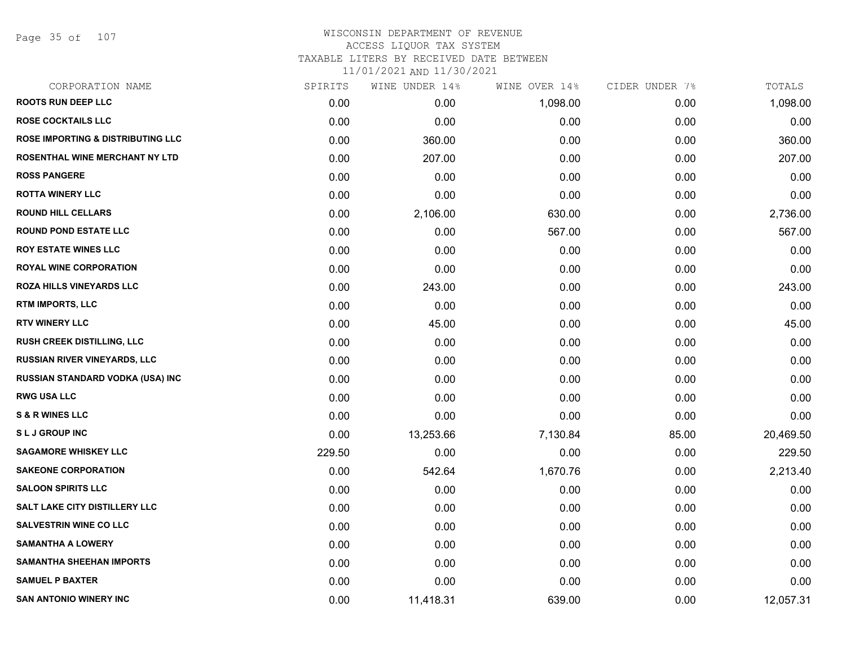Page 35 of 107

### WISCONSIN DEPARTMENT OF REVENUE ACCESS LIQUOR TAX SYSTEM TAXABLE LITERS BY RECEIVED DATE BETWEEN

| CORPORATION NAME                             | SPIRITS | WINE UNDER 14% | WINE OVER 14% | CIDER UNDER 7% | TOTALS    |
|----------------------------------------------|---------|----------------|---------------|----------------|-----------|
| <b>ROOTS RUN DEEP LLC</b>                    | 0.00    | 0.00           | 1,098.00      | 0.00           | 1,098.00  |
| <b>ROSE COCKTAILS LLC</b>                    | 0.00    | 0.00           | 0.00          | 0.00           | 0.00      |
| <b>ROSE IMPORTING &amp; DISTRIBUTING LLC</b> | 0.00    | 360.00         | 0.00          | 0.00           | 360.00    |
| ROSENTHAL WINE MERCHANT NY LTD               | 0.00    | 207.00         | 0.00          | 0.00           | 207.00    |
| <b>ROSS PANGERE</b>                          | 0.00    | 0.00           | 0.00          | 0.00           | 0.00      |
| <b>ROTTA WINERY LLC</b>                      | 0.00    | 0.00           | 0.00          | 0.00           | 0.00      |
| <b>ROUND HILL CELLARS</b>                    | 0.00    | 2,106.00       | 630.00        | 0.00           | 2,736.00  |
| <b>ROUND POND ESTATE LLC</b>                 | 0.00    | 0.00           | 567.00        | 0.00           | 567.00    |
| <b>ROY ESTATE WINES LLC</b>                  | 0.00    | 0.00           | 0.00          | 0.00           | 0.00      |
| <b>ROYAL WINE CORPORATION</b>                | 0.00    | 0.00           | 0.00          | 0.00           | 0.00      |
| <b>ROZA HILLS VINEYARDS LLC</b>              | 0.00    | 243.00         | 0.00          | 0.00           | 243.00    |
| RTM IMPORTS, LLC                             | 0.00    | 0.00           | 0.00          | 0.00           | 0.00      |
| <b>RTV WINERY LLC</b>                        | 0.00    | 45.00          | 0.00          | 0.00           | 45.00     |
| RUSH CREEK DISTILLING, LLC                   | 0.00    | 0.00           | 0.00          | 0.00           | 0.00      |
| <b>RUSSIAN RIVER VINEYARDS, LLC</b>          | 0.00    | 0.00           | 0.00          | 0.00           | 0.00      |
| RUSSIAN STANDARD VODKA (USA) INC             | 0.00    | 0.00           | 0.00          | 0.00           | 0.00      |
| <b>RWG USA LLC</b>                           | 0.00    | 0.00           | 0.00          | 0.00           | 0.00      |
| <b>S &amp; R WINES LLC</b>                   | 0.00    | 0.00           | 0.00          | 0.00           | 0.00      |
| <b>SLJ GROUP INC</b>                         | 0.00    | 13,253.66      | 7,130.84      | 85.00          | 20,469.50 |
| <b>SAGAMORE WHISKEY LLC</b>                  | 229.50  | 0.00           | 0.00          | 0.00           | 229.50    |
| <b>SAKEONE CORPORATION</b>                   | 0.00    | 542.64         | 1,670.76      | 0.00           | 2,213.40  |
| <b>SALOON SPIRITS LLC</b>                    | 0.00    | 0.00           | 0.00          | 0.00           | 0.00      |
| SALT LAKE CITY DISTILLERY LLC                | 0.00    | 0.00           | 0.00          | 0.00           | 0.00      |
| <b>SALVESTRIN WINE CO LLC</b>                | 0.00    | 0.00           | 0.00          | 0.00           | 0.00      |
| <b>SAMANTHA A LOWERY</b>                     | 0.00    | 0.00           | 0.00          | 0.00           | 0.00      |
| <b>SAMANTHA SHEEHAN IMPORTS</b>              | 0.00    | 0.00           | 0.00          | 0.00           | 0.00      |
| <b>SAMUEL P BAXTER</b>                       | 0.00    | 0.00           | 0.00          | 0.00           | 0.00      |
| <b>SAN ANTONIO WINERY INC</b>                | 0.00    | 11,418.31      | 639.00        | 0.00           | 12,057.31 |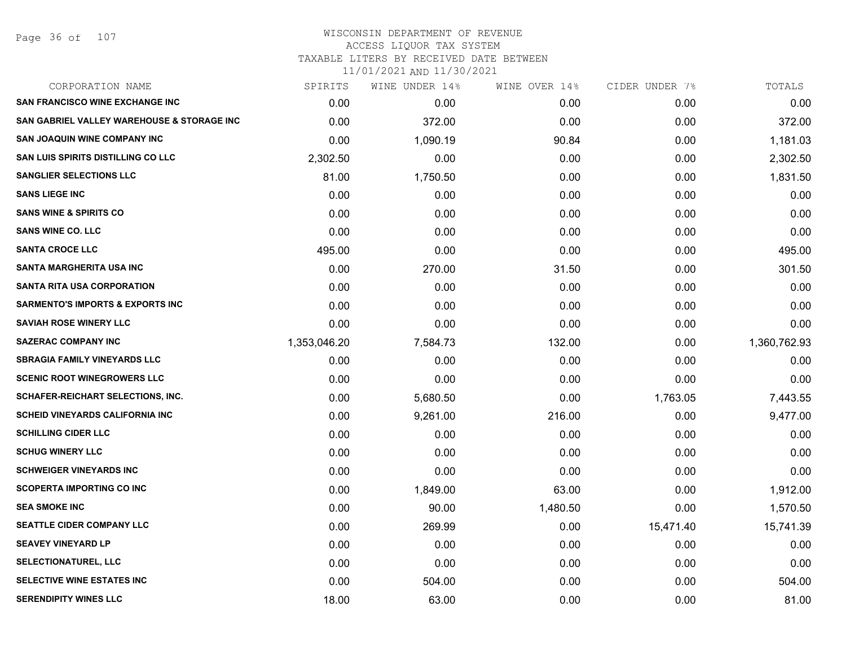#### WISCONSIN DEPARTMENT OF REVENUE ACCESS LIQUOR TAX SYSTEM TAXABLE LITERS BY RECEIVED DATE BETWEEN

| CORPORATION NAME                                      | SPIRITS      | WINE UNDER 14% | WINE OVER 14% | CIDER UNDER 7% | TOTALS       |
|-------------------------------------------------------|--------------|----------------|---------------|----------------|--------------|
| <b>SAN FRANCISCO WINE EXCHANGE INC</b>                | 0.00         | 0.00           | 0.00          | 0.00           | 0.00         |
| <b>SAN GABRIEL VALLEY WAREHOUSE &amp; STORAGE INC</b> | 0.00         | 372.00         | 0.00          | 0.00           | 372.00       |
| <b>SAN JOAQUIN WINE COMPANY INC</b>                   | 0.00         | 1,090.19       | 90.84         | 0.00           | 1,181.03     |
| <b>SAN LUIS SPIRITS DISTILLING CO LLC</b>             | 2,302.50     | 0.00           | 0.00          | 0.00           | 2,302.50     |
| <b>SANGLIER SELECTIONS LLC</b>                        | 81.00        | 1,750.50       | 0.00          | 0.00           | 1,831.50     |
| <b>SANS LIEGE INC</b>                                 | 0.00         | 0.00           | 0.00          | 0.00           | 0.00         |
| <b>SANS WINE &amp; SPIRITS CO</b>                     | 0.00         | 0.00           | 0.00          | 0.00           | 0.00         |
| <b>SANS WINE CO. LLC</b>                              | 0.00         | 0.00           | 0.00          | 0.00           | 0.00         |
| <b>SANTA CROCE LLC</b>                                | 495.00       | 0.00           | 0.00          | 0.00           | 495.00       |
| SANTA MARGHERITA USA INC                              | 0.00         | 270.00         | 31.50         | 0.00           | 301.50       |
| <b>SANTA RITA USA CORPORATION</b>                     | 0.00         | 0.00           | 0.00          | 0.00           | 0.00         |
| <b>SARMENTO'S IMPORTS &amp; EXPORTS INC</b>           | 0.00         | 0.00           | 0.00          | 0.00           | 0.00         |
| <b>SAVIAH ROSE WINERY LLC</b>                         | 0.00         | 0.00           | 0.00          | 0.00           | 0.00         |
| <b>SAZERAC COMPANY INC</b>                            | 1,353,046.20 | 7,584.73       | 132.00        | 0.00           | 1,360,762.93 |
| <b>SBRAGIA FAMILY VINEYARDS LLC</b>                   | 0.00         | 0.00           | 0.00          | 0.00           | 0.00         |
| <b>SCENIC ROOT WINEGROWERS LLC</b>                    | 0.00         | 0.00           | 0.00          | 0.00           | 0.00         |
| <b>SCHAFER-REICHART SELECTIONS, INC.</b>              | 0.00         | 5,680.50       | 0.00          | 1,763.05       | 7,443.55     |
| <b>SCHEID VINEYARDS CALIFORNIA INC.</b>               | 0.00         | 9,261.00       | 216.00        | 0.00           | 9,477.00     |
| <b>SCHILLING CIDER LLC</b>                            | 0.00         | 0.00           | 0.00          | 0.00           | 0.00         |
| <b>SCHUG WINERY LLC</b>                               | 0.00         | 0.00           | 0.00          | 0.00           | 0.00         |
| <b>SCHWEIGER VINEYARDS INC</b>                        | 0.00         | 0.00           | 0.00          | 0.00           | 0.00         |
| <b>SCOPERTA IMPORTING CO INC</b>                      | 0.00         | 1,849.00       | 63.00         | 0.00           | 1,912.00     |
| <b>SEA SMOKE INC</b>                                  | 0.00         | 90.00          | 1,480.50      | 0.00           | 1,570.50     |
| <b>SEATTLE CIDER COMPANY LLC</b>                      | 0.00         | 269.99         | 0.00          | 15,471.40      | 15,741.39    |
| <b>SEAVEY VINEYARD LP</b>                             | 0.00         | 0.00           | 0.00          | 0.00           | 0.00         |
| <b>SELECTIONATUREL, LLC</b>                           | 0.00         | 0.00           | 0.00          | 0.00           | 0.00         |
| SELECTIVE WINE ESTATES INC                            | 0.00         | 504.00         | 0.00          | 0.00           | 504.00       |
| <b>SERENDIPITY WINES LLC</b>                          | 18.00        | 63.00          | 0.00          | 0.00           | 81.00        |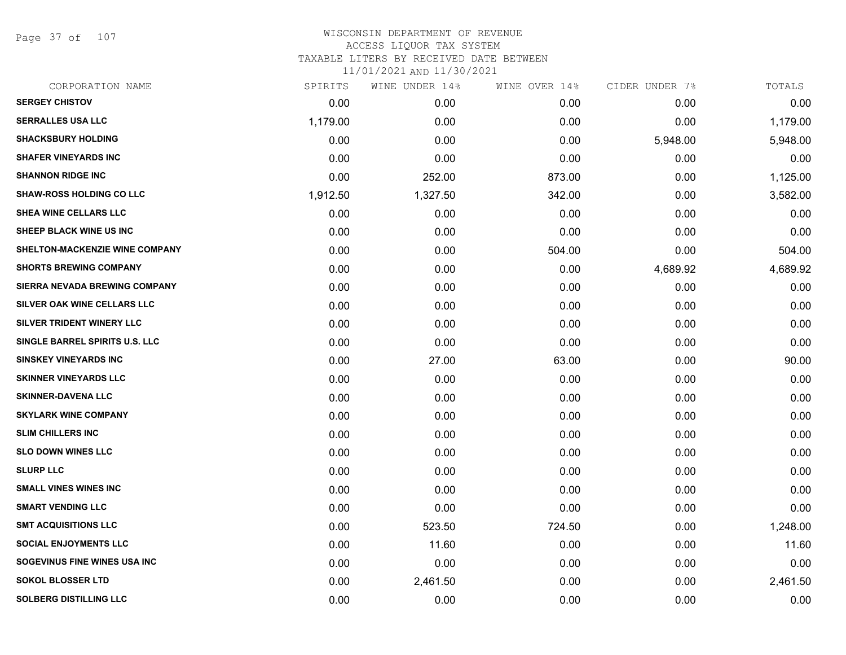Page 37 of 107

| CORPORATION NAME                | SPIRITS  | WINE UNDER 14% | WINE OVER 14% | CIDER UNDER 7% | TOTALS   |
|---------------------------------|----------|----------------|---------------|----------------|----------|
| <b>SERGEY CHISTOV</b>           | 0.00     | 0.00           | 0.00          | 0.00           | 0.00     |
| <b>SERRALLES USA LLC</b>        | 1,179.00 | 0.00           | 0.00          | 0.00           | 1,179.00 |
| <b>SHACKSBURY HOLDING</b>       | 0.00     | 0.00           | 0.00          | 5,948.00       | 5,948.00 |
| <b>SHAFER VINEYARDS INC</b>     | 0.00     | 0.00           | 0.00          | 0.00           | 0.00     |
| <b>SHANNON RIDGE INC</b>        | 0.00     | 252.00         | 873.00        | 0.00           | 1,125.00 |
| <b>SHAW-ROSS HOLDING CO LLC</b> | 1,912.50 | 1,327.50       | 342.00        | 0.00           | 3,582.00 |
| SHEA WINE CELLARS LLC           | 0.00     | 0.00           | 0.00          | 0.00           | 0.00     |
| SHEEP BLACK WINE US INC         | 0.00     | 0.00           | 0.00          | 0.00           | 0.00     |
| SHELTON-MACKENZIE WINE COMPANY  | 0.00     | 0.00           | 504.00        | 0.00           | 504.00   |
| <b>SHORTS BREWING COMPANY</b>   | 0.00     | 0.00           | 0.00          | 4,689.92       | 4,689.92 |
| SIERRA NEVADA BREWING COMPANY   | 0.00     | 0.00           | 0.00          | 0.00           | 0.00     |
| SILVER OAK WINE CELLARS LLC     | 0.00     | 0.00           | 0.00          | 0.00           | 0.00     |
| SILVER TRIDENT WINERY LLC       | 0.00     | 0.00           | 0.00          | 0.00           | 0.00     |
| SINGLE BARREL SPIRITS U.S. LLC  | 0.00     | 0.00           | 0.00          | 0.00           | 0.00     |
| <b>SINSKEY VINEYARDS INC</b>    | 0.00     | 27.00          | 63.00         | 0.00           | 90.00    |
| <b>SKINNER VINEYARDS LLC</b>    | 0.00     | 0.00           | 0.00          | 0.00           | 0.00     |
| <b>SKINNER-DAVENA LLC</b>       | 0.00     | 0.00           | 0.00          | 0.00           | 0.00     |
| <b>SKYLARK WINE COMPANY</b>     | 0.00     | 0.00           | 0.00          | 0.00           | 0.00     |
| <b>SLIM CHILLERS INC</b>        | 0.00     | 0.00           | 0.00          | 0.00           | 0.00     |
| <b>SLO DOWN WINES LLC</b>       | 0.00     | 0.00           | 0.00          | 0.00           | 0.00     |
| <b>SLURP LLC</b>                | 0.00     | 0.00           | 0.00          | 0.00           | 0.00     |
| <b>SMALL VINES WINES INC</b>    | 0.00     | 0.00           | 0.00          | 0.00           | 0.00     |
| <b>SMART VENDING LLC</b>        | 0.00     | 0.00           | 0.00          | 0.00           | 0.00     |
| <b>SMT ACQUISITIONS LLC</b>     | 0.00     | 523.50         | 724.50        | 0.00           | 1,248.00 |
| <b>SOCIAL ENJOYMENTS LLC</b>    | 0.00     | 11.60          | 0.00          | 0.00           | 11.60    |
| SOGEVINUS FINE WINES USA INC    | 0.00     | 0.00           | 0.00          | 0.00           | 0.00     |
| <b>SOKOL BLOSSER LTD</b>        | 0.00     | 2,461.50       | 0.00          | 0.00           | 2,461.50 |
| <b>SOLBERG DISTILLING LLC</b>   | 0.00     | 0.00           | 0.00          | 0.00           | 0.00     |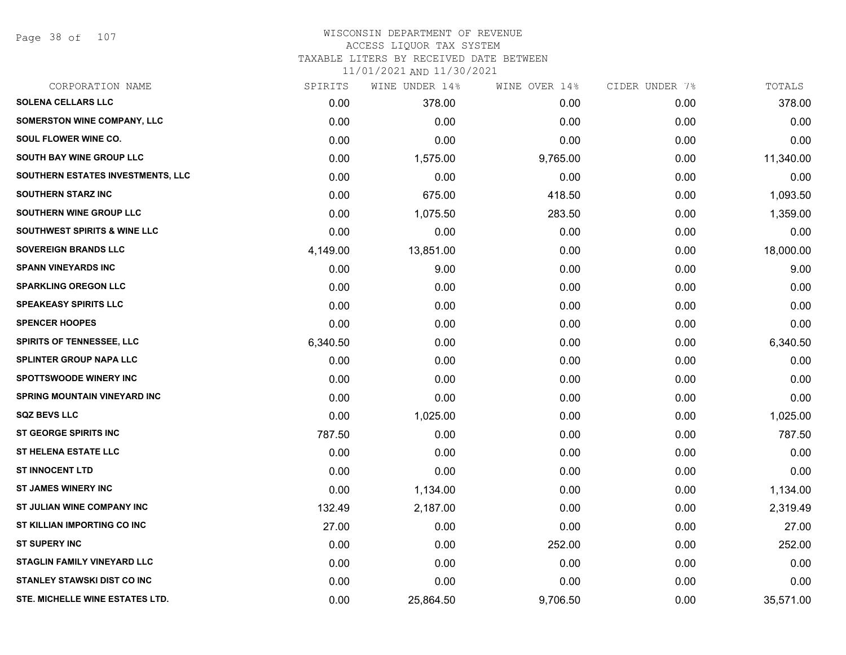Page 38 of 107

#### WISCONSIN DEPARTMENT OF REVENUE ACCESS LIQUOR TAX SYSTEM

TAXABLE LITERS BY RECEIVED DATE BETWEEN

| CORPORATION NAME                        | SPIRITS  | WINE UNDER 14% | WINE OVER 14% | CIDER UNDER 7% | TOTALS    |
|-----------------------------------------|----------|----------------|---------------|----------------|-----------|
| <b>SOLENA CELLARS LLC</b>               | 0.00     | 378.00         | 0.00          | 0.00           | 378.00    |
| <b>SOMERSTON WINE COMPANY, LLC</b>      | 0.00     | 0.00           | 0.00          | 0.00           | 0.00      |
| SOUL FLOWER WINE CO.                    | 0.00     | 0.00           | 0.00          | 0.00           | 0.00      |
| <b>SOUTH BAY WINE GROUP LLC</b>         | 0.00     | 1,575.00       | 9,765.00      | 0.00           | 11,340.00 |
| SOUTHERN ESTATES INVESTMENTS, LLC       | 0.00     | 0.00           | 0.00          | 0.00           | 0.00      |
| SOUTHERN STARZ INC                      | 0.00     | 675.00         | 418.50        | 0.00           | 1,093.50  |
| SOUTHERN WINE GROUP LLC                 | 0.00     | 1,075.50       | 283.50        | 0.00           | 1,359.00  |
| <b>SOUTHWEST SPIRITS &amp; WINE LLC</b> | 0.00     | 0.00           | 0.00          | 0.00           | 0.00      |
| <b>SOVEREIGN BRANDS LLC</b>             | 4,149.00 | 13,851.00      | 0.00          | 0.00           | 18,000.00 |
| <b>SPANN VINEYARDS INC</b>              | 0.00     | 9.00           | 0.00          | 0.00           | 9.00      |
| <b>SPARKLING OREGON LLC</b>             | 0.00     | 0.00           | 0.00          | 0.00           | 0.00      |
| <b>SPEAKEASY SPIRITS LLC</b>            | 0.00     | 0.00           | 0.00          | 0.00           | 0.00      |
| <b>SPENCER HOOPES</b>                   | 0.00     | 0.00           | 0.00          | 0.00           | 0.00      |
| <b>SPIRITS OF TENNESSEE, LLC</b>        | 6,340.50 | 0.00           | 0.00          | 0.00           | 6,340.50  |
| SPLINTER GROUP NAPA LLC                 | 0.00     | 0.00           | 0.00          | 0.00           | 0.00      |
| <b>SPOTTSWOODE WINERY INC</b>           | 0.00     | 0.00           | 0.00          | 0.00           | 0.00      |
| <b>SPRING MOUNTAIN VINEYARD INC</b>     | 0.00     | 0.00           | 0.00          | 0.00           | 0.00      |
| <b>SQZ BEVS LLC</b>                     | 0.00     | 1,025.00       | 0.00          | 0.00           | 1,025.00  |
| <b>ST GEORGE SPIRITS INC</b>            | 787.50   | 0.00           | 0.00          | 0.00           | 787.50    |
| <b>ST HELENA ESTATE LLC</b>             | 0.00     | 0.00           | 0.00          | 0.00           | 0.00      |
| <b>ST INNOCENT LTD</b>                  | 0.00     | 0.00           | 0.00          | 0.00           | 0.00      |
| <b>ST JAMES WINERY INC</b>              | 0.00     | 1,134.00       | 0.00          | 0.00           | 1,134.00  |
| ST JULIAN WINE COMPANY INC              | 132.49   | 2,187.00       | 0.00          | 0.00           | 2,319.49  |
| <b>ST KILLIAN IMPORTING CO INC</b>      | 27.00    | 0.00           | 0.00          | 0.00           | 27.00     |
| <b>ST SUPERY INC</b>                    | 0.00     | 0.00           | 252.00        | 0.00           | 252.00    |
| <b>STAGLIN FAMILY VINEYARD LLC</b>      | 0.00     | 0.00           | 0.00          | 0.00           | 0.00      |
| <b>STANLEY STAWSKI DIST CO INC</b>      | 0.00     | 0.00           | 0.00          | 0.00           | 0.00      |
| STE. MICHELLE WINE ESTATES LTD.         | 0.00     | 25,864.50      | 9,706.50      | 0.00           | 35,571.00 |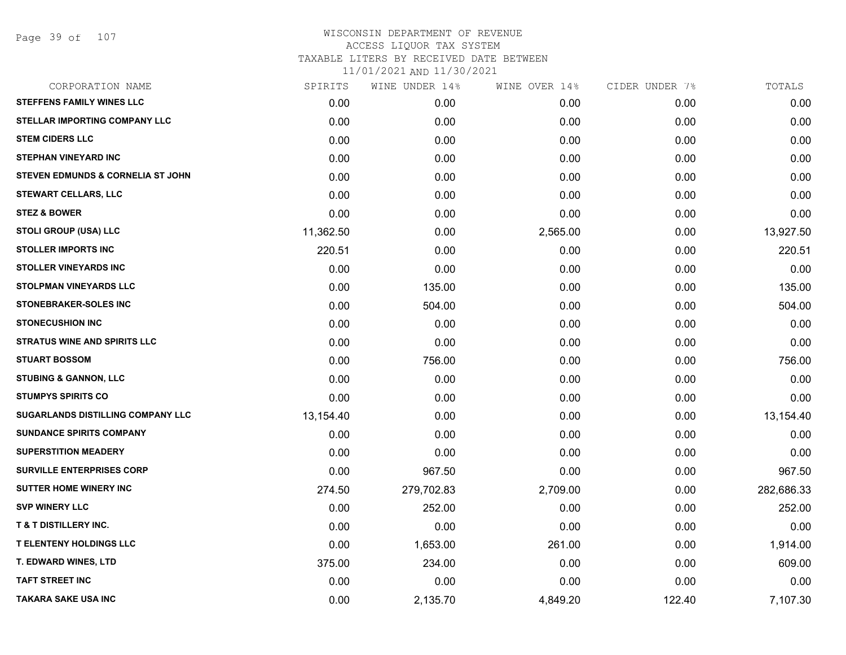| CORPORATION NAME                             | SPIRITS   | WINE UNDER 14% | WINE OVER 14% | CIDER UNDER 7% | TOTALS     |
|----------------------------------------------|-----------|----------------|---------------|----------------|------------|
| <b>STEFFENS FAMILY WINES LLC</b>             | 0.00      | 0.00           | 0.00          | 0.00           | 0.00       |
| STELLAR IMPORTING COMPANY LLC                | 0.00      | 0.00           | 0.00          | 0.00           | 0.00       |
| <b>STEM CIDERS LLC</b>                       | 0.00      | 0.00           | 0.00          | 0.00           | 0.00       |
| <b>STEPHAN VINEYARD INC</b>                  | 0.00      | 0.00           | 0.00          | 0.00           | 0.00       |
| <b>STEVEN EDMUNDS &amp; CORNELIA ST JOHN</b> | 0.00      | 0.00           | 0.00          | 0.00           | 0.00       |
| <b>STEWART CELLARS, LLC</b>                  | 0.00      | 0.00           | 0.00          | 0.00           | 0.00       |
| <b>STEZ &amp; BOWER</b>                      | 0.00      | 0.00           | 0.00          | 0.00           | 0.00       |
| <b>STOLI GROUP (USA) LLC</b>                 | 11,362.50 | 0.00           | 2,565.00      | 0.00           | 13,927.50  |
| <b>STOLLER IMPORTS INC</b>                   | 220.51    | 0.00           | 0.00          | 0.00           | 220.51     |
| <b>STOLLER VINEYARDS INC</b>                 | 0.00      | 0.00           | 0.00          | 0.00           | 0.00       |
| <b>STOLPMAN VINEYARDS LLC</b>                | 0.00      | 135.00         | 0.00          | 0.00           | 135.00     |
| <b>STONEBRAKER-SOLES INC</b>                 | 0.00      | 504.00         | 0.00          | 0.00           | 504.00     |
| <b>STONECUSHION INC</b>                      | 0.00      | 0.00           | 0.00          | 0.00           | 0.00       |
| <b>STRATUS WINE AND SPIRITS LLC</b>          | 0.00      | 0.00           | 0.00          | 0.00           | 0.00       |
| <b>STUART BOSSOM</b>                         | 0.00      | 756.00         | 0.00          | 0.00           | 756.00     |
| <b>STUBING &amp; GANNON, LLC</b>             | 0.00      | 0.00           | 0.00          | 0.00           | 0.00       |
| <b>STUMPYS SPIRITS CO</b>                    | 0.00      | 0.00           | 0.00          | 0.00           | 0.00       |
| <b>SUGARLANDS DISTILLING COMPANY LLC</b>     | 13,154.40 | 0.00           | 0.00          | 0.00           | 13,154.40  |
| <b>SUNDANCE SPIRITS COMPANY</b>              | 0.00      | 0.00           | 0.00          | 0.00           | 0.00       |
| <b>SUPERSTITION MEADERY</b>                  | 0.00      | 0.00           | 0.00          | 0.00           | 0.00       |
| <b>SURVILLE ENTERPRISES CORP</b>             | 0.00      | 967.50         | 0.00          | 0.00           | 967.50     |
| <b>SUTTER HOME WINERY INC</b>                | 274.50    | 279,702.83     | 2,709.00      | 0.00           | 282,686.33 |
| <b>SVP WINERY LLC</b>                        | 0.00      | 252.00         | 0.00          | 0.00           | 252.00     |
| <b>T &amp; T DISTILLERY INC.</b>             | 0.00      | 0.00           | 0.00          | 0.00           | 0.00       |
| <b>T ELENTENY HOLDINGS LLC</b>               | 0.00      | 1,653.00       | 261.00        | 0.00           | 1,914.00   |
| T. EDWARD WINES, LTD                         | 375.00    | 234.00         | 0.00          | 0.00           | 609.00     |
| <b>TAFT STREET INC</b>                       | 0.00      | 0.00           | 0.00          | 0.00           | 0.00       |
| <b>TAKARA SAKE USA INC</b>                   | 0.00      | 2,135.70       | 4,849.20      | 122.40         | 7,107.30   |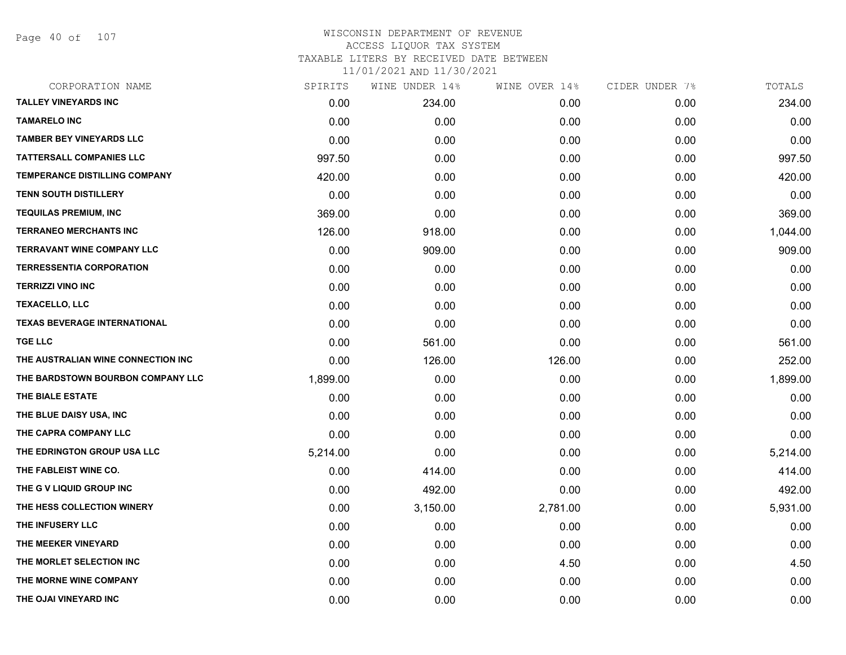Page 40 of 107

| CORPORATION NAME                     | SPIRITS  | WINE UNDER 14% | WINE OVER 14% | CIDER UNDER 7% | TOTALS   |
|--------------------------------------|----------|----------------|---------------|----------------|----------|
| <b>TALLEY VINEYARDS INC</b>          | 0.00     | 234.00         | 0.00          | 0.00           | 234.00   |
| <b>TAMARELO INC</b>                  | 0.00     | 0.00           | 0.00          | 0.00           | 0.00     |
| <b>TAMBER BEY VINEYARDS LLC</b>      | 0.00     | 0.00           | 0.00          | 0.00           | 0.00     |
| <b>TATTERSALL COMPANIES LLC</b>      | 997.50   | 0.00           | 0.00          | 0.00           | 997.50   |
| <b>TEMPERANCE DISTILLING COMPANY</b> | 420.00   | 0.00           | 0.00          | 0.00           | 420.00   |
| <b>TENN SOUTH DISTILLERY</b>         | 0.00     | 0.00           | 0.00          | 0.00           | 0.00     |
| <b>TEQUILAS PREMIUM, INC</b>         | 369.00   | 0.00           | 0.00          | 0.00           | 369.00   |
| TERRANEO MERCHANTS INC               | 126.00   | 918.00         | 0.00          | 0.00           | 1,044.00 |
| <b>TERRAVANT WINE COMPANY LLC</b>    | 0.00     | 909.00         | 0.00          | 0.00           | 909.00   |
| <b>TERRESSENTIA CORPORATION</b>      | 0.00     | 0.00           | 0.00          | 0.00           | 0.00     |
| <b>TERRIZZI VINO INC</b>             | 0.00     | 0.00           | 0.00          | 0.00           | 0.00     |
| <b>TEXACELLO, LLC</b>                | 0.00     | 0.00           | 0.00          | 0.00           | 0.00     |
| <b>TEXAS BEVERAGE INTERNATIONAL</b>  | 0.00     | 0.00           | 0.00          | 0.00           | 0.00     |
| <b>TGE LLC</b>                       | 0.00     | 561.00         | 0.00          | 0.00           | 561.00   |
| THE AUSTRALIAN WINE CONNECTION INC   | 0.00     | 126.00         | 126.00        | 0.00           | 252.00   |
| THE BARDSTOWN BOURBON COMPANY LLC    | 1,899.00 | 0.00           | 0.00          | 0.00           | 1,899.00 |
| THE BIALE ESTATE                     | 0.00     | 0.00           | 0.00          | 0.00           | 0.00     |
| THE BLUE DAISY USA, INC              | 0.00     | 0.00           | 0.00          | 0.00           | 0.00     |
| THE CAPRA COMPANY LLC                | 0.00     | 0.00           | 0.00          | 0.00           | 0.00     |
| THE EDRINGTON GROUP USA LLC          | 5,214.00 | 0.00           | 0.00          | 0.00           | 5,214.00 |
| THE FABLEIST WINE CO.                | 0.00     | 414.00         | 0.00          | 0.00           | 414.00   |
| THE G V LIQUID GROUP INC             | 0.00     | 492.00         | 0.00          | 0.00           | 492.00   |
| THE HESS COLLECTION WINERY           | 0.00     | 3,150.00       | 2,781.00      | 0.00           | 5,931.00 |
| THE INFUSERY LLC                     | 0.00     | 0.00           | 0.00          | 0.00           | 0.00     |
| THE MEEKER VINEYARD                  | 0.00     | 0.00           | 0.00          | 0.00           | 0.00     |
| THE MORLET SELECTION INC             | 0.00     | 0.00           | 4.50          | 0.00           | 4.50     |
| THE MORNE WINE COMPANY               | 0.00     | 0.00           | 0.00          | 0.00           | 0.00     |
| THE OJAI VINEYARD INC                | 0.00     | 0.00           | 0.00          | 0.00           | 0.00     |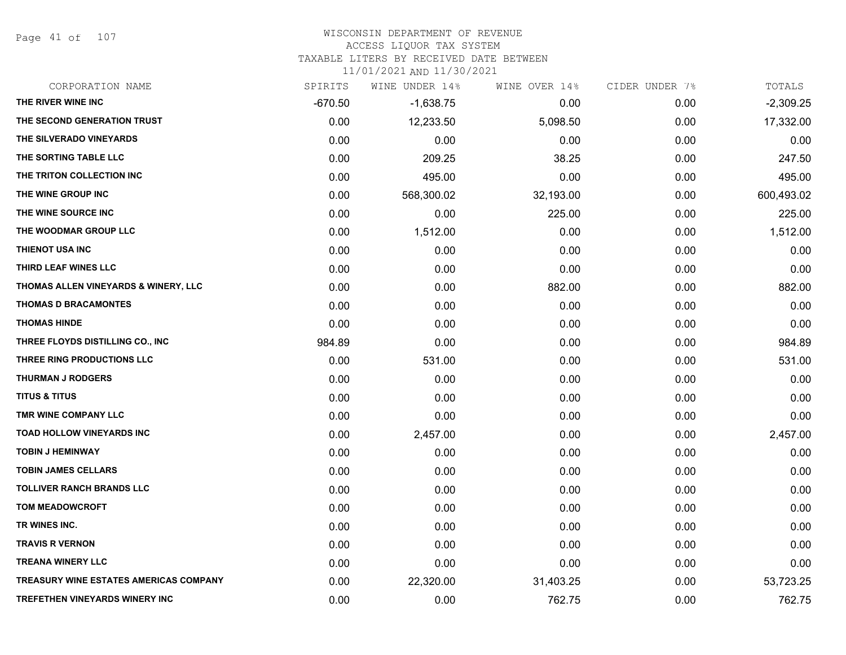Page 41 of 107

# WISCONSIN DEPARTMENT OF REVENUE

#### ACCESS LIQUOR TAX SYSTEM

TAXABLE LITERS BY RECEIVED DATE BETWEEN

| CORPORATION NAME                              | SPIRITS   | WINE UNDER 14% | WINE OVER 14% | CIDER UNDER 7% | TOTALS      |
|-----------------------------------------------|-----------|----------------|---------------|----------------|-------------|
| THE RIVER WINE INC                            | $-670.50$ | $-1,638.75$    | 0.00          | 0.00           | $-2,309.25$ |
| THE SECOND GENERATION TRUST                   | 0.00      | 12,233.50      | 5,098.50      | 0.00           | 17,332.00   |
| THE SILVERADO VINEYARDS                       | 0.00      | 0.00           | 0.00          | 0.00           | 0.00        |
| THE SORTING TABLE LLC                         | 0.00      | 209.25         | 38.25         | 0.00           | 247.50      |
| THE TRITON COLLECTION INC                     | 0.00      | 495.00         | 0.00          | 0.00           | 495.00      |
| THE WINE GROUP INC                            | 0.00      | 568,300.02     | 32,193.00     | 0.00           | 600,493.02  |
| THE WINE SOURCE INC                           | 0.00      | 0.00           | 225.00        | 0.00           | 225.00      |
| THE WOODMAR GROUP LLC                         | 0.00      | 1,512.00       | 0.00          | 0.00           | 1,512.00    |
| THIENOT USA INC                               | 0.00      | 0.00           | 0.00          | 0.00           | 0.00        |
| THIRD LEAF WINES LLC                          | 0.00      | 0.00           | 0.00          | 0.00           | 0.00        |
| THOMAS ALLEN VINEYARDS & WINERY, LLC          | 0.00      | 0.00           | 882.00        | 0.00           | 882.00      |
| <b>THOMAS D BRACAMONTES</b>                   | 0.00      | 0.00           | 0.00          | 0.00           | 0.00        |
| <b>THOMAS HINDE</b>                           | 0.00      | 0.00           | 0.00          | 0.00           | 0.00        |
| THREE FLOYDS DISTILLING CO., INC              | 984.89    | 0.00           | 0.00          | 0.00           | 984.89      |
| THREE RING PRODUCTIONS LLC                    | 0.00      | 531.00         | 0.00          | 0.00           | 531.00      |
| <b>THURMAN J RODGERS</b>                      | 0.00      | 0.00           | 0.00          | 0.00           | 0.00        |
| <b>TITUS &amp; TITUS</b>                      | 0.00      | 0.00           | 0.00          | 0.00           | 0.00        |
| TMR WINE COMPANY LLC                          | 0.00      | 0.00           | 0.00          | 0.00           | 0.00        |
| TOAD HOLLOW VINEYARDS INC                     | 0.00      | 2,457.00       | 0.00          | 0.00           | 2,457.00    |
| <b>TOBIN J HEMINWAY</b>                       | 0.00      | 0.00           | 0.00          | 0.00           | 0.00        |
| <b>TOBIN JAMES CELLARS</b>                    | 0.00      | 0.00           | 0.00          | 0.00           | 0.00        |
| <b>TOLLIVER RANCH BRANDS LLC</b>              | 0.00      | 0.00           | 0.00          | 0.00           | 0.00        |
| <b>TOM MEADOWCROFT</b>                        | 0.00      | 0.00           | 0.00          | 0.00           | 0.00        |
| TR WINES INC.                                 | 0.00      | 0.00           | 0.00          | 0.00           | 0.00        |
| <b>TRAVIS R VERNON</b>                        | 0.00      | 0.00           | 0.00          | 0.00           | 0.00        |
| <b>TREANA WINERY LLC</b>                      | 0.00      | 0.00           | 0.00          | 0.00           | 0.00        |
| <b>TREASURY WINE ESTATES AMERICAS COMPANY</b> | 0.00      | 22,320.00      | 31,403.25     | 0.00           | 53,723.25   |
| <b>TREFETHEN VINEYARDS WINERY INC</b>         | 0.00      | 0.00           | 762.75        | 0.00           | 762.75      |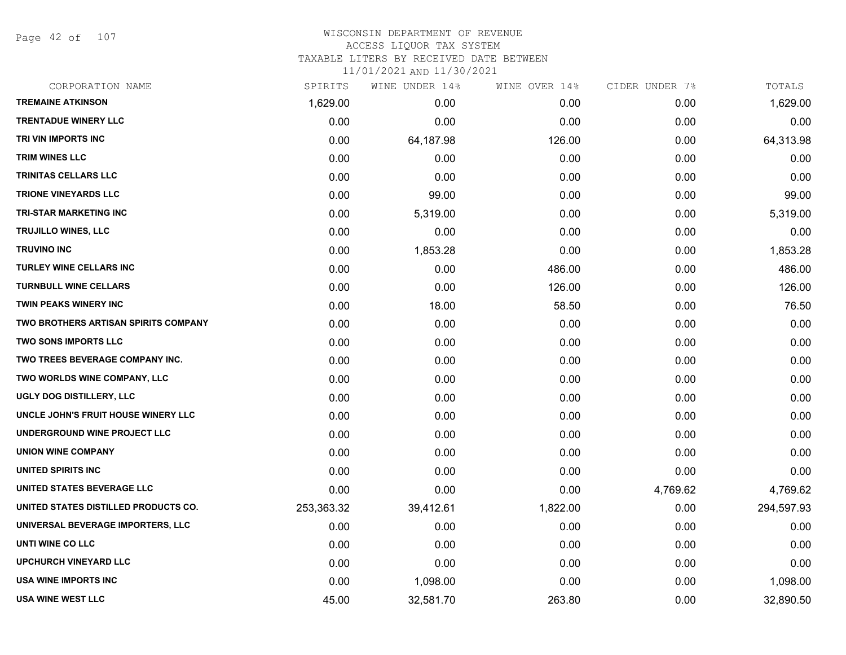Page 42 of 107

### WISCONSIN DEPARTMENT OF REVENUE ACCESS LIQUOR TAX SYSTEM TAXABLE LITERS BY RECEIVED DATE BETWEEN

| CORPORATION NAME                            | SPIRITS    | WINE UNDER 14% | WINE OVER 14% | CIDER UNDER 7% | TOTALS     |
|---------------------------------------------|------------|----------------|---------------|----------------|------------|
| <b>TREMAINE ATKINSON</b>                    | 1,629.00   | 0.00           | 0.00          | 0.00           | 1,629.00   |
| <b>TRENTADUE WINERY LLC</b>                 | 0.00       | 0.00           | 0.00          | 0.00           | 0.00       |
| TRI VIN IMPORTS INC                         | 0.00       | 64,187.98      | 126.00        | 0.00           | 64,313.98  |
| <b>TRIM WINES LLC</b>                       | 0.00       | 0.00           | 0.00          | 0.00           | 0.00       |
| TRINITAS CELLARS LLC                        | 0.00       | 0.00           | 0.00          | 0.00           | 0.00       |
| <b>TRIONE VINEYARDS LLC</b>                 | 0.00       | 99.00          | 0.00          | 0.00           | 99.00      |
| TRI-STAR MARKETING INC                      | 0.00       | 5,319.00       | 0.00          | 0.00           | 5,319.00   |
| <b>TRUJILLO WINES, LLC</b>                  | 0.00       | 0.00           | 0.00          | 0.00           | 0.00       |
| <b>TRUVINO INC</b>                          | 0.00       | 1,853.28       | 0.00          | 0.00           | 1,853.28   |
| <b>TURLEY WINE CELLARS INC</b>              | 0.00       | 0.00           | 486.00        | 0.00           | 486.00     |
| <b>TURNBULL WINE CELLARS</b>                | 0.00       | 0.00           | 126.00        | 0.00           | 126.00     |
| TWIN PEAKS WINERY INC                       | 0.00       | 18.00          | 58.50         | 0.00           | 76.50      |
| <b>TWO BROTHERS ARTISAN SPIRITS COMPANY</b> | 0.00       | 0.00           | 0.00          | 0.00           | 0.00       |
| <b>TWO SONS IMPORTS LLC</b>                 | 0.00       | 0.00           | 0.00          | 0.00           | 0.00       |
| TWO TREES BEVERAGE COMPANY INC.             | 0.00       | 0.00           | 0.00          | 0.00           | 0.00       |
| TWO WORLDS WINE COMPANY, LLC                | 0.00       | 0.00           | 0.00          | 0.00           | 0.00       |
| UGLY DOG DISTILLERY, LLC                    | 0.00       | 0.00           | 0.00          | 0.00           | 0.00       |
| UNCLE JOHN'S FRUIT HOUSE WINERY LLC         | 0.00       | 0.00           | 0.00          | 0.00           | 0.00       |
| UNDERGROUND WINE PROJECT LLC                | 0.00       | 0.00           | 0.00          | 0.00           | 0.00       |
| <b>UNION WINE COMPANY</b>                   | 0.00       | 0.00           | 0.00          | 0.00           | 0.00       |
| UNITED SPIRITS INC                          | 0.00       | 0.00           | 0.00          | 0.00           | 0.00       |
| UNITED STATES BEVERAGE LLC                  | 0.00       | 0.00           | 0.00          | 4,769.62       | 4,769.62   |
| UNITED STATES DISTILLED PRODUCTS CO.        | 253,363.32 | 39,412.61      | 1,822.00      | 0.00           | 294,597.93 |
| UNIVERSAL BEVERAGE IMPORTERS, LLC           | 0.00       | 0.00           | 0.00          | 0.00           | 0.00       |
| UNTI WINE CO LLC                            | 0.00       | 0.00           | 0.00          | 0.00           | 0.00       |
| <b>UPCHURCH VINEYARD LLC</b>                | 0.00       | 0.00           | 0.00          | 0.00           | 0.00       |
| USA WINE IMPORTS INC                        | 0.00       | 1,098.00       | 0.00          | 0.00           | 1,098.00   |
| USA WINE WEST LLC                           | 45.00      | 32,581.70      | 263.80        | 0.00           | 32,890.50  |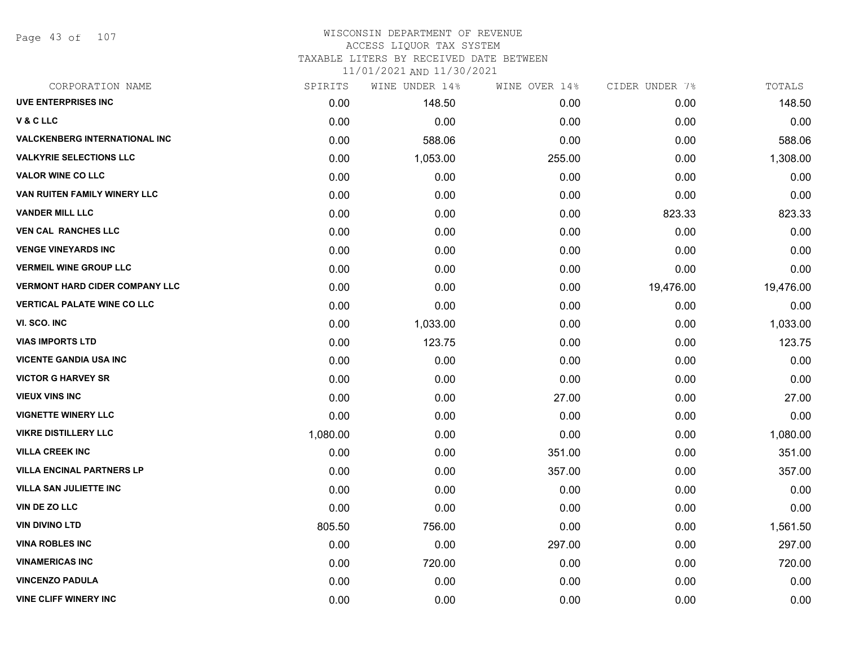Page 43 of 107

### WISCONSIN DEPARTMENT OF REVENUE ACCESS LIQUOR TAX SYSTEM TAXABLE LITERS BY RECEIVED DATE BETWEEN

| CORPORATION NAME                      | SPIRITS  | WINE UNDER 14% | WINE OVER 14% | CIDER UNDER 7% | TOTALS    |
|---------------------------------------|----------|----------------|---------------|----------------|-----------|
| <b>UVE ENTERPRISES INC</b>            | 0.00     | 148.50         | 0.00          | 0.00           | 148.50    |
| V&CLLC                                | 0.00     | 0.00           | 0.00          | 0.00           | 0.00      |
| <b>VALCKENBERG INTERNATIONAL INC</b>  | 0.00     | 588.06         | 0.00          | 0.00           | 588.06    |
| <b>VALKYRIE SELECTIONS LLC</b>        | 0.00     | 1,053.00       | 255.00        | 0.00           | 1,308.00  |
| <b>VALOR WINE CO LLC</b>              | 0.00     | 0.00           | 0.00          | 0.00           | 0.00      |
| VAN RUITEN FAMILY WINERY LLC          | 0.00     | 0.00           | 0.00          | 0.00           | 0.00      |
| <b>VANDER MILL LLC</b>                | 0.00     | 0.00           | 0.00          | 823.33         | 823.33    |
| <b>VEN CAL RANCHES LLC</b>            | 0.00     | 0.00           | 0.00          | 0.00           | 0.00      |
| <b>VENGE VINEYARDS INC</b>            | 0.00     | 0.00           | 0.00          | 0.00           | 0.00      |
| <b>VERMEIL WINE GROUP LLC</b>         | 0.00     | 0.00           | 0.00          | 0.00           | 0.00      |
| <b>VERMONT HARD CIDER COMPANY LLC</b> | 0.00     | 0.00           | 0.00          | 19,476.00      | 19,476.00 |
| <b>VERTICAL PALATE WINE CO LLC</b>    | 0.00     | 0.00           | 0.00          | 0.00           | 0.00      |
| VI. SCO. INC                          | 0.00     | 1,033.00       | 0.00          | 0.00           | 1,033.00  |
| <b>VIAS IMPORTS LTD</b>               | 0.00     | 123.75         | 0.00          | 0.00           | 123.75    |
| <b>VICENTE GANDIA USA INC</b>         | 0.00     | 0.00           | 0.00          | 0.00           | 0.00      |
| <b>VICTOR G HARVEY SR</b>             | 0.00     | 0.00           | 0.00          | 0.00           | 0.00      |
| <b>VIEUX VINS INC</b>                 | 0.00     | 0.00           | 27.00         | 0.00           | 27.00     |
| <b>VIGNETTE WINERY LLC</b>            | 0.00     | 0.00           | 0.00          | 0.00           | 0.00      |
| <b>VIKRE DISTILLERY LLC</b>           | 1,080.00 | 0.00           | 0.00          | 0.00           | 1,080.00  |
| <b>VILLA CREEK INC</b>                | 0.00     | 0.00           | 351.00        | 0.00           | 351.00    |
| <b>VILLA ENCINAL PARTNERS LP</b>      | 0.00     | 0.00           | 357.00        | 0.00           | 357.00    |
| <b>VILLA SAN JULIETTE INC</b>         | 0.00     | 0.00           | 0.00          | 0.00           | 0.00      |
| <b>VIN DE ZO LLC</b>                  | 0.00     | 0.00           | 0.00          | 0.00           | 0.00      |
| <b>VIN DIVINO LTD</b>                 | 805.50   | 756.00         | 0.00          | 0.00           | 1,561.50  |
| <b>VINA ROBLES INC</b>                | 0.00     | 0.00           | 297.00        | 0.00           | 297.00    |
| <b>VINAMERICAS INC</b>                | 0.00     | 720.00         | 0.00          | 0.00           | 720.00    |
| <b>VINCENZO PADULA</b>                | 0.00     | 0.00           | 0.00          | 0.00           | 0.00      |
| <b>VINE CLIFF WINERY INC</b>          | 0.00     | 0.00           | 0.00          | 0.00           | 0.00      |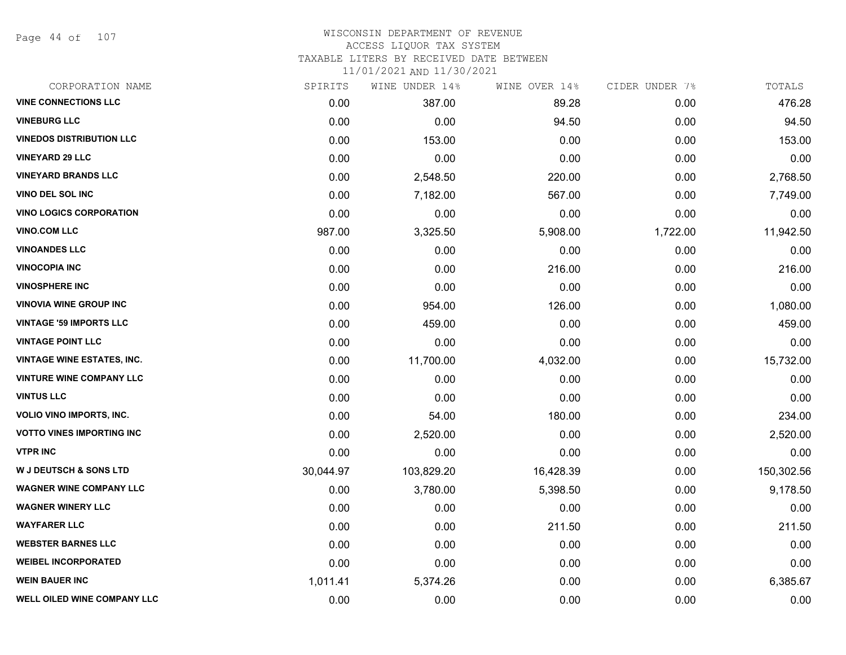Page 44 of 107

### WISCONSIN DEPARTMENT OF REVENUE ACCESS LIQUOR TAX SYSTEM TAXABLE LITERS BY RECEIVED DATE BETWEEN

| CORPORATION NAME                   | SPIRITS   | WINE UNDER 14% | WINE OVER 14% | CIDER UNDER 7% | TOTALS     |
|------------------------------------|-----------|----------------|---------------|----------------|------------|
| <b>VINE CONNECTIONS LLC</b>        | 0.00      | 387.00         | 89.28         | 0.00           | 476.28     |
| <b>VINEBURG LLC</b>                | 0.00      | 0.00           | 94.50         | 0.00           | 94.50      |
| <b>VINEDOS DISTRIBUTION LLC</b>    | 0.00      | 153.00         | 0.00          | 0.00           | 153.00     |
| <b>VINEYARD 29 LLC</b>             | 0.00      | 0.00           | 0.00          | 0.00           | 0.00       |
| <b>VINEYARD BRANDS LLC</b>         | 0.00      | 2,548.50       | 220.00        | 0.00           | 2,768.50   |
| VINO DEL SOL INC                   | 0.00      | 7,182.00       | 567.00        | 0.00           | 7,749.00   |
| <b>VINO LOGICS CORPORATION</b>     | 0.00      | 0.00           | 0.00          | 0.00           | 0.00       |
| <b>VINO.COM LLC</b>                | 987.00    | 3,325.50       | 5,908.00      | 1,722.00       | 11,942.50  |
| <b>VINOANDES LLC</b>               | 0.00      | 0.00           | 0.00          | 0.00           | 0.00       |
| <b>VINOCOPIA INC</b>               | 0.00      | 0.00           | 216.00        | 0.00           | 216.00     |
| <b>VINOSPHERE INC</b>              | 0.00      | 0.00           | 0.00          | 0.00           | 0.00       |
| <b>VINOVIA WINE GROUP INC</b>      | 0.00      | 954.00         | 126.00        | 0.00           | 1,080.00   |
| <b>VINTAGE '59 IMPORTS LLC</b>     | 0.00      | 459.00         | 0.00          | 0.00           | 459.00     |
| <b>VINTAGE POINT LLC</b>           | 0.00      | 0.00           | 0.00          | 0.00           | 0.00       |
| <b>VINTAGE WINE ESTATES, INC.</b>  | 0.00      | 11,700.00      | 4,032.00      | 0.00           | 15,732.00  |
| <b>VINTURE WINE COMPANY LLC</b>    | 0.00      | 0.00           | 0.00          | 0.00           | 0.00       |
| <b>VINTUS LLC</b>                  | 0.00      | 0.00           | 0.00          | 0.00           | 0.00       |
| VOLIO VINO IMPORTS, INC.           | 0.00      | 54.00          | 180.00        | 0.00           | 234.00     |
| <b>VOTTO VINES IMPORTING INC</b>   | 0.00      | 2,520.00       | 0.00          | 0.00           | 2,520.00   |
| <b>VTPR INC</b>                    | 0.00      | 0.00           | 0.00          | 0.00           | 0.00       |
| <b>W J DEUTSCH &amp; SONS LTD</b>  | 30,044.97 | 103,829.20     | 16,428.39     | 0.00           | 150,302.56 |
| <b>WAGNER WINE COMPANY LLC</b>     | 0.00      | 3,780.00       | 5,398.50      | 0.00           | 9,178.50   |
| <b>WAGNER WINERY LLC</b>           | 0.00      | 0.00           | 0.00          | 0.00           | 0.00       |
| <b>WAYFARER LLC</b>                | 0.00      | 0.00           | 211.50        | 0.00           | 211.50     |
| <b>WEBSTER BARNES LLC</b>          | 0.00      | 0.00           | 0.00          | 0.00           | 0.00       |
| <b>WEIBEL INCORPORATED</b>         | 0.00      | 0.00           | 0.00          | 0.00           | 0.00       |
| <b>WEIN BAUER INC</b>              | 1,011.41  | 5,374.26       | 0.00          | 0.00           | 6,385.67   |
| <b>WELL OILED WINE COMPANY LLC</b> | 0.00      | 0.00           | 0.00          | 0.00           | 0.00       |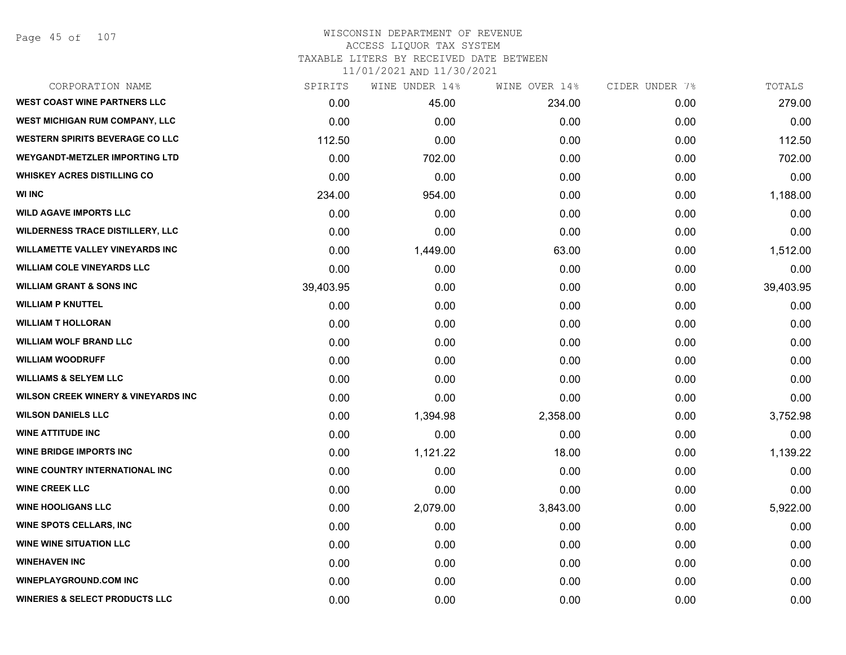Page 45 of 107

### WISCONSIN DEPARTMENT OF REVENUE ACCESS LIQUOR TAX SYSTEM TAXABLE LITERS BY RECEIVED DATE BETWEEN

| CORPORATION NAME                               | SPIRITS   | WINE UNDER 14% | WINE OVER 14% | CIDER UNDER 7% | TOTALS    |
|------------------------------------------------|-----------|----------------|---------------|----------------|-----------|
| <b>WEST COAST WINE PARTNERS LLC</b>            | 0.00      | 45.00          | 234.00        | 0.00           | 279.00    |
| <b>WEST MICHIGAN RUM COMPANY, LLC</b>          | 0.00      | 0.00           | 0.00          | 0.00           | 0.00      |
| <b>WESTERN SPIRITS BEVERAGE CO LLC</b>         | 112.50    | 0.00           | 0.00          | 0.00           | 112.50    |
| <b>WEYGANDT-METZLER IMPORTING LTD</b>          | 0.00      | 702.00         | 0.00          | 0.00           | 702.00    |
| <b>WHISKEY ACRES DISTILLING CO</b>             | 0.00      | 0.00           | 0.00          | 0.00           | 0.00      |
| <b>WI INC</b>                                  | 234.00    | 954.00         | 0.00          | 0.00           | 1,188.00  |
| <b>WILD AGAVE IMPORTS LLC</b>                  | 0.00      | 0.00           | 0.00          | 0.00           | 0.00      |
| <b>WILDERNESS TRACE DISTILLERY, LLC</b>        | 0.00      | 0.00           | 0.00          | 0.00           | 0.00      |
| <b>WILLAMETTE VALLEY VINEYARDS INC</b>         | 0.00      | 1,449.00       | 63.00         | 0.00           | 1,512.00  |
| <b>WILLIAM COLE VINEYARDS LLC</b>              | 0.00      | 0.00           | 0.00          | 0.00           | 0.00      |
| <b>WILLIAM GRANT &amp; SONS INC</b>            | 39,403.95 | 0.00           | 0.00          | 0.00           | 39,403.95 |
| <b>WILLIAM P KNUTTEL</b>                       | 0.00      | 0.00           | 0.00          | 0.00           | 0.00      |
| <b>WILLIAM T HOLLORAN</b>                      | 0.00      | 0.00           | 0.00          | 0.00           | 0.00      |
| <b>WILLIAM WOLF BRAND LLC</b>                  | 0.00      | 0.00           | 0.00          | 0.00           | 0.00      |
| <b>WILLIAM WOODRUFF</b>                        | 0.00      | 0.00           | 0.00          | 0.00           | 0.00      |
| <b>WILLIAMS &amp; SELYEM LLC</b>               | 0.00      | 0.00           | 0.00          | 0.00           | 0.00      |
| <b>WILSON CREEK WINERY &amp; VINEYARDS INC</b> | 0.00      | 0.00           | 0.00          | 0.00           | 0.00      |
| <b>WILSON DANIELS LLC</b>                      | 0.00      | 1,394.98       | 2,358.00      | 0.00           | 3,752.98  |
| <b>WINE ATTITUDE INC</b>                       | 0.00      | 0.00           | 0.00          | 0.00           | 0.00      |
| <b>WINE BRIDGE IMPORTS INC</b>                 | 0.00      | 1,121.22       | 18.00         | 0.00           | 1,139.22  |
| WINE COUNTRY INTERNATIONAL INC                 | 0.00      | 0.00           | 0.00          | 0.00           | 0.00      |
| <b>WINE CREEK LLC</b>                          | 0.00      | 0.00           | 0.00          | 0.00           | 0.00      |
| <b>WINE HOOLIGANS LLC</b>                      | 0.00      | 2,079.00       | 3,843.00      | 0.00           | 5,922.00  |
| <b>WINE SPOTS CELLARS, INC</b>                 | 0.00      | 0.00           | 0.00          | 0.00           | 0.00      |
| <b>WINE WINE SITUATION LLC</b>                 | 0.00      | 0.00           | 0.00          | 0.00           | 0.00      |
| <b>WINEHAVEN INC</b>                           | 0.00      | 0.00           | 0.00          | 0.00           | 0.00      |
| <b>WINEPLAYGROUND.COM INC</b>                  | 0.00      | 0.00           | 0.00          | 0.00           | 0.00      |
| <b>WINERIES &amp; SELECT PRODUCTS LLC</b>      | 0.00      | 0.00           | 0.00          | 0.00           | 0.00      |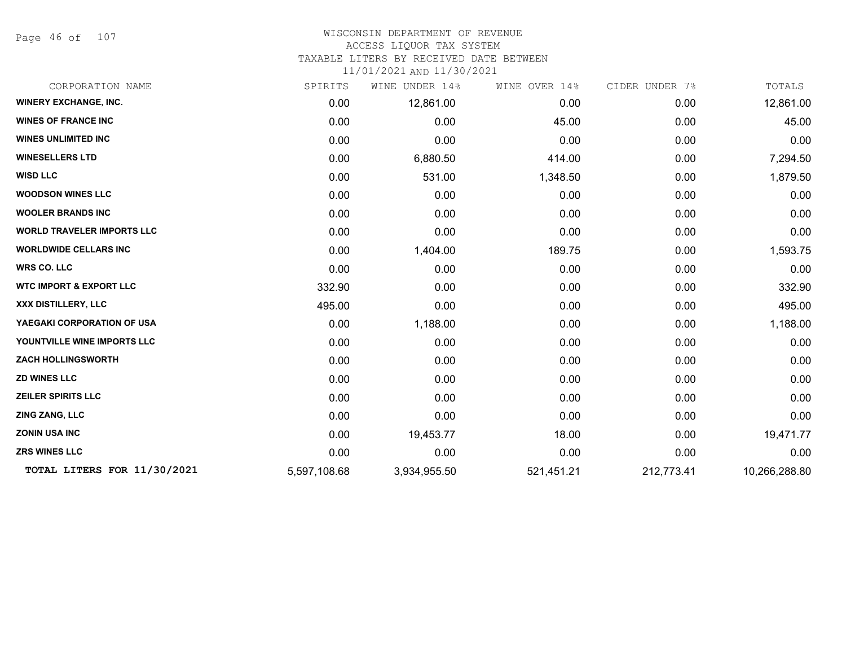Page 46 of 107

#### WISCONSIN DEPARTMENT OF REVENUE ACCESS LIQUOR TAX SYSTEM

TAXABLE LITERS BY RECEIVED DATE BETWEEN

| CORPORATION NAME                   | SPIRITS      | UNDER 14%<br>WINE | WINE OVER 14% | CIDER UNDER 7% | TOTALS        |
|------------------------------------|--------------|-------------------|---------------|----------------|---------------|
| <b>WINERY EXCHANGE, INC.</b>       | 0.00         | 12,861.00         | 0.00          | 0.00           | 12,861.00     |
| <b>WINES OF FRANCE INC</b>         | 0.00         | 0.00              | 45.00         | 0.00           | 45.00         |
| <b>WINES UNLIMITED INC</b>         | 0.00         | 0.00              | 0.00          | 0.00           | 0.00          |
| <b>WINESELLERS LTD</b>             | 0.00         | 6,880.50          | 414.00        | 0.00           | 7,294.50      |
| <b>WISD LLC</b>                    | 0.00         | 531.00            | 1,348.50      | 0.00           | 1,879.50      |
| <b>WOODSON WINES LLC</b>           | 0.00         | 0.00              | 0.00          | 0.00           | 0.00          |
| <b>WOOLER BRANDS INC</b>           | 0.00         | 0.00              | 0.00          | 0.00           | 0.00          |
| <b>WORLD TRAVELER IMPORTS LLC</b>  | 0.00         | 0.00              | 0.00          | 0.00           | 0.00          |
| <b>WORLDWIDE CELLARS INC</b>       | 0.00         | 1,404.00          | 189.75        | 0.00           | 1,593.75      |
| <b>WRS CO. LLC</b>                 | 0.00         | 0.00              | 0.00          | 0.00           | 0.00          |
| <b>WTC IMPORT &amp; EXPORT LLC</b> | 332.90       | 0.00              | 0.00          | 0.00           | 332.90        |
| XXX DISTILLERY, LLC                | 495.00       | 0.00              | 0.00          | 0.00           | 495.00        |
| YAEGAKI CORPORATION OF USA         | 0.00         | 1,188.00          | 0.00          | 0.00           | 1,188.00      |
| YOUNTVILLE WINE IMPORTS LLC        | 0.00         | 0.00              | 0.00          | 0.00           | 0.00          |
| <b>ZACH HOLLINGSWORTH</b>          | 0.00         | 0.00              | 0.00          | 0.00           | 0.00          |
| <b>ZD WINES LLC</b>                | 0.00         | 0.00              | 0.00          | 0.00           | 0.00          |
| <b>ZEILER SPIRITS LLC</b>          | 0.00         | 0.00              | 0.00          | 0.00           | 0.00          |
| <b>ZING ZANG, LLC</b>              | 0.00         | 0.00              | 0.00          | 0.00           | 0.00          |
| <b>ZONIN USA INC</b>               | 0.00         | 19,453.77         | 18.00         | 0.00           | 19,471.77     |
| <b>ZRS WINES LLC</b>               | 0.00         | 0.00              | 0.00          | 0.00           | 0.00          |
| TOTAL LITERS FOR 11/30/2021        | 5,597,108.68 | 3,934,955.50      | 521,451.21    | 212,773.41     | 10,266,288.80 |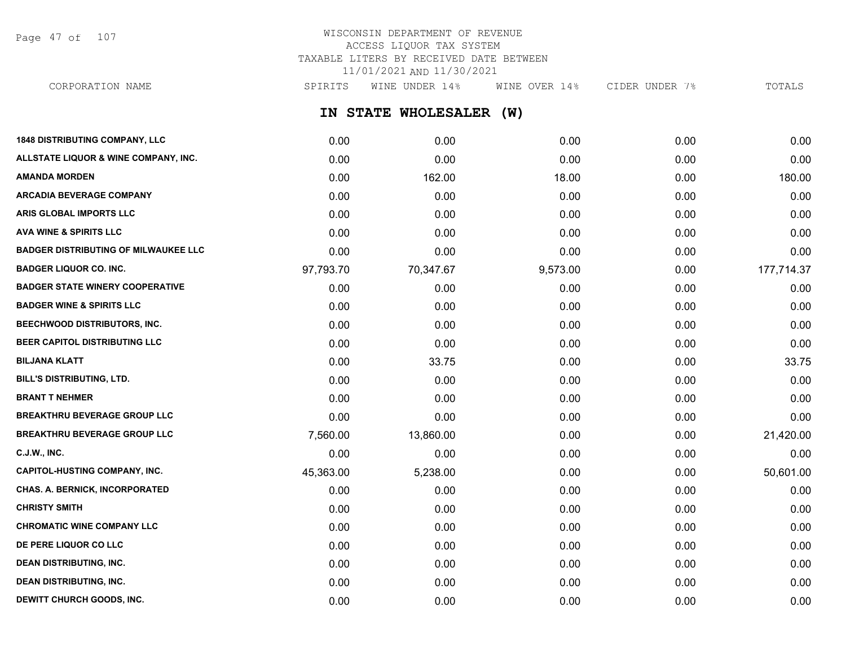Page 47 of 107

# WISCONSIN DEPARTMENT OF REVENUE ACCESS LIQUOR TAX SYSTEM TAXABLE LITERS BY RECEIVED DATE BETWEEN 11/01/2021 AND 11/30/2021

**IN STATE WHOLESALER (W) 1848 DISTRIBUTING COMPANY, LLC** 0.00 0.00 0.00 0.00 0.00 **ALLSTATE LIQUOR & WINE COMPANY, INC.** 0.00 0.00 0.00 0.00 0.00 **AMANDA MORDEN** 0.00 162.00 18.00 0.00 180.00 **ARCADIA BEVERAGE COMPANY**  $0.00$   $0.00$   $0.00$   $0.00$   $0.00$   $0.00$   $0.00$   $0.00$   $0.00$   $0.00$   $0.00$   $0.00$   $0.00$   $0.00$   $0.00$   $0.00$   $0.00$   $0.00$   $0.00$   $0.00$   $0.00$   $0.00$   $0.00$   $0.00$   $0.00$   $0.00$   $0.00$   $0.00$ **ARIS GLOBAL IMPORTS LLC** 0.00 0.00 0.00 0.00 0.00 **AVA WINE & SPIRITS LLC** 0.00 0.00 0.00 0.00 0.00 **BADGER DISTRIBUTING OF MILWAUKEE LLC** 0.00 0.00 0.00 0.00 0.00 **BADGER LIQUOR CO. INC.** 97,793.70 70,347.67 9,573.00 0.00 177,714.37 **BADGER STATE WINERY COOPERATIVE** 0.00 0.00 0.00 0.00 0.00 **BADGER WINE & SPIRITS LLC** 0.00 0.00 0.00 0.00 0.00 **BEECHWOOD DISTRIBUTORS, INC.** 0.00 0.00 0.00 0.00 0.00 **BEER CAPITOL DISTRIBUTING LLC** 0.00 0.00 0.00 0.00 0.00 **BILJANA KLATT** 0.00 33.75 0.00 0.00 33.75 **BILL'S DISTRIBUTING, LTD.** 0.00 0.00 0.00 0.00 0.00 **BRANT T NEHMER** 0.00 0.00 0.00 0.00 0.00 **BREAKTHRU BEVERAGE GROUP LLC** 0.00 0.00 0.00 0.00 0.00 **BREAKTHRU BEVERAGE GROUP LLC** 7,560.00 13,860.00 0.00 0.00 21,420.00 **C.J.W., INC.** 6.00 **0.00 0.00 0.00 0.00 0.00 0.00 0.00 0.00 0.00 0.00 0.00 0.00 0.00 CAPITOL-HUSTING COMPANY, INC.** 45,363.00 5,238.00 0.00 0.00 50,601.00 **CHAS. A. BERNICK, INCORPORATED** 0.00 0.00 0.00 0.00 0.00 **CHRISTY SMITH** 0.00 0.00 0.00 0.00 0.00 **CHROMATIC WINE COMPANY LLC** 0.00 0.00 0.00 0.00 0.00 **DE PERE LIQUOR CO LLC** 0.00 0.00 0.00 0.00 0.00 CORPORATION NAME SPIRITS WINE UNDER 14% WINE OVER 14% CIDER UNDER 7% TOTALS

**DEAN DISTRIBUTING, INC.** 0.00 0.00 0.00 0.00 0.00 **DEAN DISTRIBUTING, INC.** 0.00 0.00 0.00 0.00 0.00 **DEWITT CHURCH GOODS, INC.** 0.00 0.00 0.00 0.00 0.00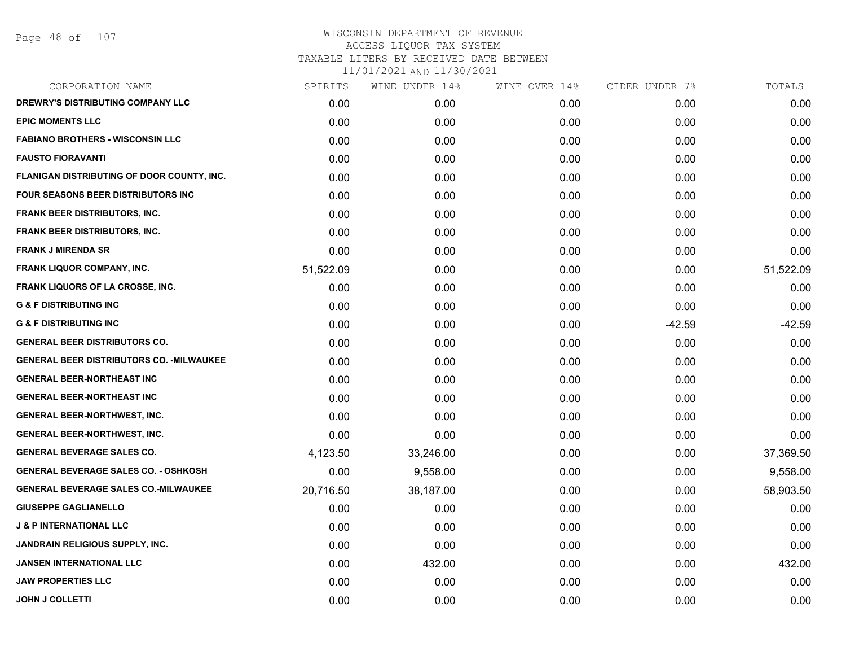Page 48 of 107

| SPIRITS   | WINE UNDER 14% | WINE OVER 14% | CIDER UNDER 7% | TOTALS    |
|-----------|----------------|---------------|----------------|-----------|
| 0.00      | 0.00           | 0.00          | 0.00           | 0.00      |
| 0.00      | 0.00           | 0.00          | 0.00           | 0.00      |
| 0.00      | 0.00           | 0.00          | 0.00           | 0.00      |
| 0.00      | 0.00           | 0.00          | 0.00           | 0.00      |
| 0.00      | 0.00           | 0.00          | 0.00           | 0.00      |
| 0.00      | 0.00           | 0.00          | 0.00           | 0.00      |
| 0.00      | 0.00           | 0.00          | 0.00           | 0.00      |
| 0.00      | 0.00           | 0.00          | 0.00           | 0.00      |
| 0.00      | 0.00           | 0.00          | 0.00           | 0.00      |
| 51,522.09 | 0.00           | 0.00          | 0.00           | 51,522.09 |
| 0.00      | 0.00           | 0.00          | 0.00           | 0.00      |
| 0.00      | 0.00           | 0.00          | 0.00           | 0.00      |
| 0.00      | 0.00           | 0.00          | $-42.59$       | $-42.59$  |
| 0.00      | 0.00           | 0.00          | 0.00           | 0.00      |
| 0.00      | 0.00           | 0.00          | 0.00           | 0.00      |
| 0.00      | 0.00           | 0.00          | 0.00           | 0.00      |
| 0.00      | 0.00           | 0.00          | 0.00           | 0.00      |
| 0.00      | 0.00           | 0.00          | 0.00           | 0.00      |
| 0.00      | 0.00           | 0.00          | 0.00           | 0.00      |
| 4,123.50  | 33,246.00      | 0.00          | 0.00           | 37,369.50 |
| 0.00      | 9,558.00       | 0.00          | 0.00           | 9,558.00  |
| 20,716.50 | 38,187.00      | 0.00          | 0.00           | 58,903.50 |
| 0.00      | 0.00           | 0.00          | 0.00           | 0.00      |
| 0.00      | 0.00           | 0.00          | 0.00           | 0.00      |
| 0.00      | 0.00           | 0.00          | 0.00           | 0.00      |
| 0.00      | 432.00         | 0.00          | 0.00           | 432.00    |
| 0.00      | 0.00           | 0.00          | 0.00           | 0.00      |
| 0.00      | 0.00           | 0.00          | 0.00           | 0.00      |
|           |                |               |                |           |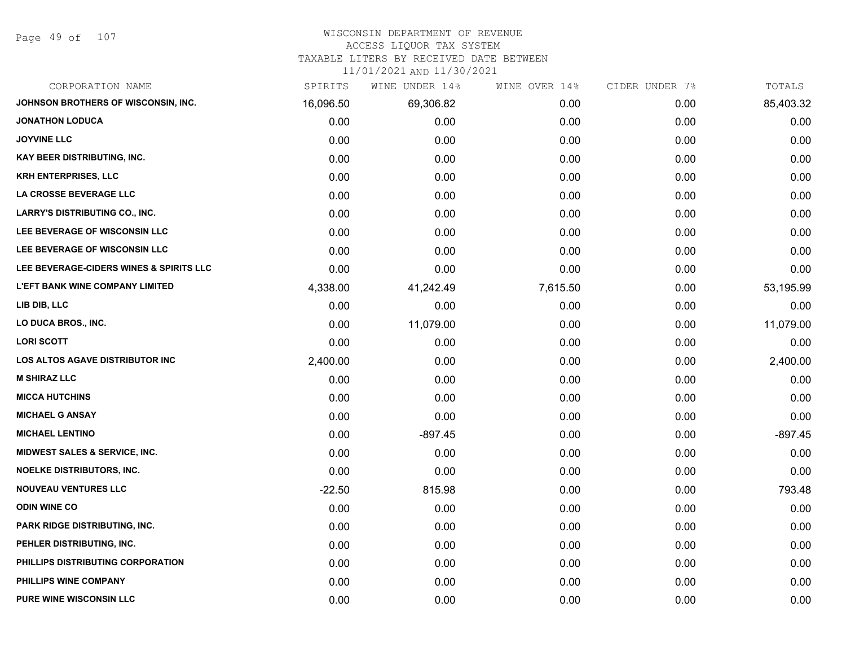Page 49 of 107

# WISCONSIN DEPARTMENT OF REVENUE

#### ACCESS LIQUOR TAX SYSTEM

TAXABLE LITERS BY RECEIVED DATE BETWEEN

| CORPORATION NAME                         | SPIRITS   | WINE UNDER 14% | WINE OVER 14% | CIDER UNDER 7% | TOTALS    |
|------------------------------------------|-----------|----------------|---------------|----------------|-----------|
| JOHNSON BROTHERS OF WISCONSIN, INC.      | 16,096.50 | 69,306.82      | 0.00          | 0.00           | 85,403.32 |
| <b>JONATHON LODUCA</b>                   | 0.00      | 0.00           | 0.00          | 0.00           | 0.00      |
| <b>JOYVINE LLC</b>                       | 0.00      | 0.00           | 0.00          | 0.00           | 0.00      |
| KAY BEER DISTRIBUTING, INC.              | 0.00      | 0.00           | 0.00          | 0.00           | 0.00      |
| <b>KRH ENTERPRISES, LLC</b>              | 0.00      | 0.00           | 0.00          | 0.00           | 0.00      |
| LA CROSSE BEVERAGE LLC                   | 0.00      | 0.00           | 0.00          | 0.00           | 0.00      |
| <b>LARRY'S DISTRIBUTING CO., INC.</b>    | 0.00      | 0.00           | 0.00          | 0.00           | 0.00      |
| LEE BEVERAGE OF WISCONSIN LLC            | 0.00      | 0.00           | 0.00          | 0.00           | 0.00      |
| LEE BEVERAGE OF WISCONSIN LLC            | 0.00      | 0.00           | 0.00          | 0.00           | 0.00      |
| LEE BEVERAGE-CIDERS WINES & SPIRITS LLC  | 0.00      | 0.00           | 0.00          | 0.00           | 0.00      |
| <b>L'EFT BANK WINE COMPANY LIMITED</b>   | 4,338.00  | 41,242.49      | 7,615.50      | 0.00           | 53,195.99 |
| LIB DIB, LLC                             | 0.00      | 0.00           | 0.00          | 0.00           | 0.00      |
| LO DUCA BROS., INC.                      | 0.00      | 11,079.00      | 0.00          | 0.00           | 11,079.00 |
| <b>LORI SCOTT</b>                        | 0.00      | 0.00           | 0.00          | 0.00           | 0.00      |
| LOS ALTOS AGAVE DISTRIBUTOR INC          | 2,400.00  | 0.00           | 0.00          | 0.00           | 2,400.00  |
| <b>M SHIRAZ LLC</b>                      | 0.00      | 0.00           | 0.00          | 0.00           | 0.00      |
| <b>MICCA HUTCHINS</b>                    | 0.00      | 0.00           | 0.00          | 0.00           | 0.00      |
| <b>MICHAEL G ANSAY</b>                   | 0.00      | 0.00           | 0.00          | 0.00           | 0.00      |
| <b>MICHAEL LENTINO</b>                   | 0.00      | $-897.45$      | 0.00          | 0.00           | $-897.45$ |
| <b>MIDWEST SALES &amp; SERVICE, INC.</b> | 0.00      | 0.00           | 0.00          | 0.00           | 0.00      |
| <b>NOELKE DISTRIBUTORS, INC.</b>         | 0.00      | 0.00           | 0.00          | 0.00           | 0.00      |
| <b>NOUVEAU VENTURES LLC</b>              | $-22.50$  | 815.98         | 0.00          | 0.00           | 793.48    |
| <b>ODIN WINE CO</b>                      | 0.00      | 0.00           | 0.00          | 0.00           | 0.00      |
| PARK RIDGE DISTRIBUTING, INC.            | 0.00      | 0.00           | 0.00          | 0.00           | 0.00      |
| PEHLER DISTRIBUTING, INC.                | 0.00      | 0.00           | 0.00          | 0.00           | 0.00      |
| PHILLIPS DISTRIBUTING CORPORATION        | 0.00      | 0.00           | 0.00          | 0.00           | 0.00      |
| PHILLIPS WINE COMPANY                    | 0.00      | 0.00           | 0.00          | 0.00           | 0.00      |
| <b>PURE WINE WISCONSIN LLC</b>           | 0.00      | 0.00           | 0.00          | 0.00           | 0.00      |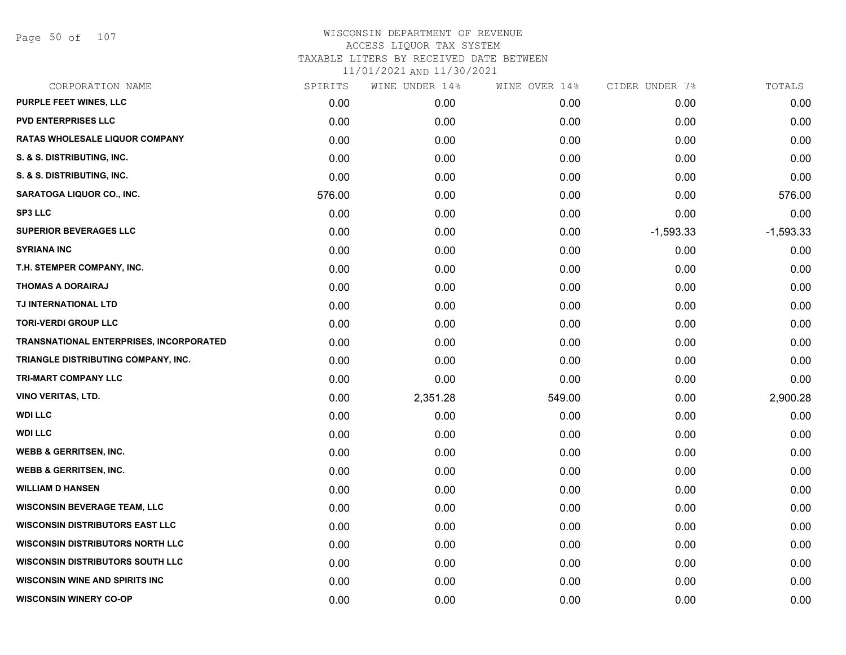Page 50 of 107

| CORPORATION NAME                               | SPIRITS | WINE UNDER 14% | WINE OVER 14% | CIDER UNDER 7% | TOTALS      |
|------------------------------------------------|---------|----------------|---------------|----------------|-------------|
| <b>PURPLE FEET WINES, LLC</b>                  | 0.00    | 0.00           | 0.00          | 0.00           | 0.00        |
| <b>PVD ENTERPRISES LLC</b>                     | 0.00    | 0.00           | 0.00          | 0.00           | 0.00        |
| <b>RATAS WHOLESALE LIQUOR COMPANY</b>          | 0.00    | 0.00           | 0.00          | 0.00           | 0.00        |
| S. & S. DISTRIBUTING, INC.                     | 0.00    | 0.00           | 0.00          | 0.00           | 0.00        |
| S. & S. DISTRIBUTING, INC.                     | 0.00    | 0.00           | 0.00          | 0.00           | 0.00        |
| <b>SARATOGA LIQUOR CO., INC.</b>               | 576.00  | 0.00           | 0.00          | 0.00           | 576.00      |
| <b>SP3 LLC</b>                                 | 0.00    | 0.00           | 0.00          | 0.00           | 0.00        |
| <b>SUPERIOR BEVERAGES LLC</b>                  | 0.00    | 0.00           | 0.00          | $-1,593.33$    | $-1,593.33$ |
| <b>SYRIANA INC</b>                             | 0.00    | 0.00           | 0.00          | 0.00           | 0.00        |
| T.H. STEMPER COMPANY, INC.                     | 0.00    | 0.00           | 0.00          | 0.00           | 0.00        |
| <b>THOMAS A DORAIRAJ</b>                       | 0.00    | 0.00           | 0.00          | 0.00           | 0.00        |
| TJ INTERNATIONAL LTD                           | 0.00    | 0.00           | 0.00          | 0.00           | 0.00        |
| <b>TORI-VERDI GROUP LLC</b>                    | 0.00    | 0.00           | 0.00          | 0.00           | 0.00        |
| <b>TRANSNATIONAL ENTERPRISES, INCORPORATED</b> | 0.00    | 0.00           | 0.00          | 0.00           | 0.00        |
| TRIANGLE DISTRIBUTING COMPANY, INC.            | 0.00    | 0.00           | 0.00          | 0.00           | 0.00        |
| TRI-MART COMPANY LLC                           | 0.00    | 0.00           | 0.00          | 0.00           | 0.00        |
| <b>VINO VERITAS, LTD.</b>                      | 0.00    | 2,351.28       | 549.00        | 0.00           | 2,900.28    |
| <b>WDI LLC</b>                                 | 0.00    | 0.00           | 0.00          | 0.00           | 0.00        |
| <b>WDI LLC</b>                                 | 0.00    | 0.00           | 0.00          | 0.00           | 0.00        |
| <b>WEBB &amp; GERRITSEN, INC.</b>              | 0.00    | 0.00           | 0.00          | 0.00           | 0.00        |
| <b>WEBB &amp; GERRITSEN, INC.</b>              | 0.00    | 0.00           | 0.00          | 0.00           | 0.00        |
| <b>WILLIAM D HANSEN</b>                        | 0.00    | 0.00           | 0.00          | 0.00           | 0.00        |
| <b>WISCONSIN BEVERAGE TEAM, LLC</b>            | 0.00    | 0.00           | 0.00          | 0.00           | 0.00        |
| <b>WISCONSIN DISTRIBUTORS EAST LLC</b>         | 0.00    | 0.00           | 0.00          | 0.00           | 0.00        |
| <b>WISCONSIN DISTRIBUTORS NORTH LLC</b>        | 0.00    | 0.00           | 0.00          | 0.00           | 0.00        |
| <b>WISCONSIN DISTRIBUTORS SOUTH LLC</b>        | 0.00    | 0.00           | 0.00          | 0.00           | 0.00        |
| <b>WISCONSIN WINE AND SPIRITS INC</b>          | 0.00    | 0.00           | 0.00          | 0.00           | 0.00        |
| <b>WISCONSIN WINERY CO-OP</b>                  | 0.00    | 0.00           | 0.00          | 0.00           | 0.00        |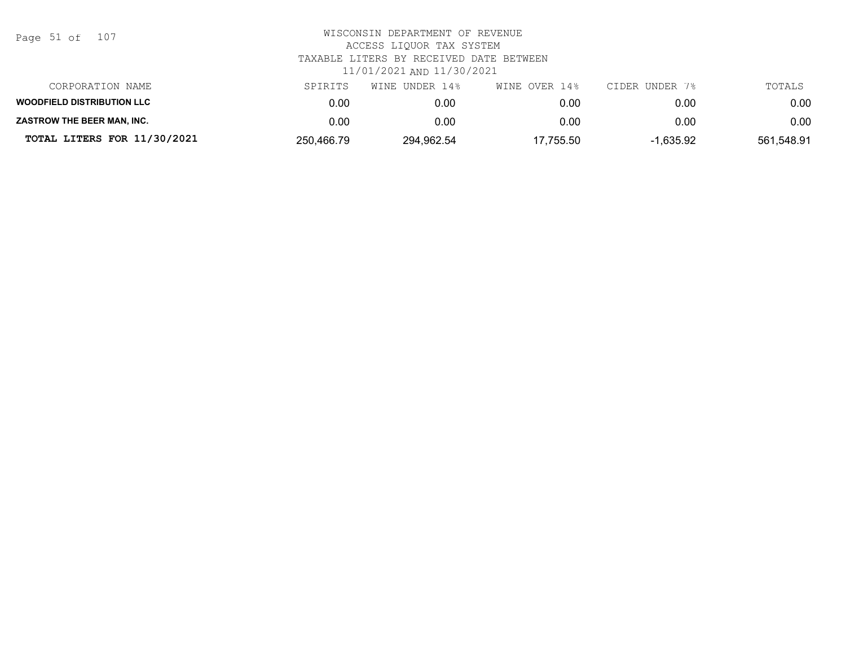| Page 51 of |  |  | 107 |
|------------|--|--|-----|
|------------|--|--|-----|

| CORPORATION NAME                  | SPIRITS    | WINE UNDER 14% | WINE OVER 14% | CIDER UNDER 7% | TOTALS     |
|-----------------------------------|------------|----------------|---------------|----------------|------------|
| <b>WOODFIELD DISTRIBUTION LLC</b> | 0.00       | 0.00           | 0.00          | 0.00           | 0.00       |
| ZASTROW THE BEER MAN, INC.        | 0.00       | 0.00           | 0.00          | 0.00           | 0.00       |
| TOTAL LITERS FOR 11/30/2021       | 250,466.79 | 294,962.54     | 17,755.50     | 1.635.92       | 561,548.91 |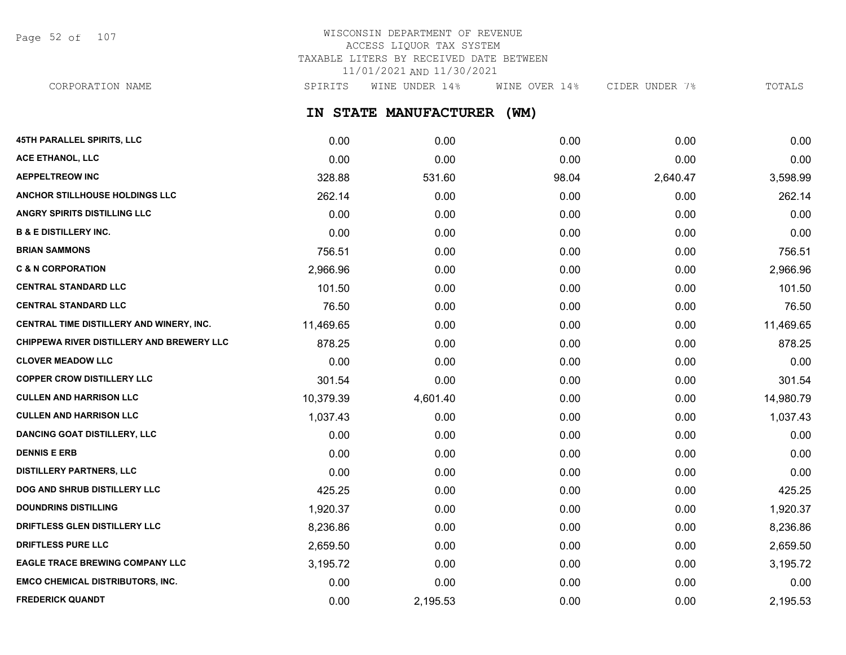Page 52 of 107

# WISCONSIN DEPARTMENT OF REVENUE ACCESS LIQUOR TAX SYSTEM TAXABLE LITERS BY RECEIVED DATE BETWEEN 11/01/2021 AND 11/30/2021

**IN STATE MANUFACTURER (WM)** CORPORATION NAME SALL SPIRITS WINE UNDER 14% WINE OVER 14% CIDER UNDER 7% TOTALS

| 45TH PARALLEL SPIRITS, LLC                       | 0.00      | 0.00     | 0.00  | 0.00     | 0.00      |
|--------------------------------------------------|-----------|----------|-------|----------|-----------|
| ACE ETHANOL, LLC                                 | 0.00      | 0.00     | 0.00  | 0.00     | 0.00      |
| <b>AEPPELTREOW INC</b>                           | 328.88    | 531.60   | 98.04 | 2,640.47 | 3,598.99  |
| ANCHOR STILLHOUSE HOLDINGS LLC                   | 262.14    | 0.00     | 0.00  | 0.00     | 262.14    |
| ANGRY SPIRITS DISTILLING LLC                     | 0.00      | 0.00     | 0.00  | 0.00     | 0.00      |
| <b>B &amp; E DISTILLERY INC.</b>                 | 0.00      | 0.00     | 0.00  | 0.00     | 0.00      |
| <b>BRIAN SAMMONS</b>                             | 756.51    | 0.00     | 0.00  | 0.00     | 756.51    |
| <b>C &amp; N CORPORATION</b>                     | 2,966.96  | 0.00     | 0.00  | 0.00     | 2,966.96  |
| <b>CENTRAL STANDARD LLC</b>                      | 101.50    | 0.00     | 0.00  | 0.00     | 101.50    |
| <b>CENTRAL STANDARD LLC</b>                      | 76.50     | 0.00     | 0.00  | 0.00     | 76.50     |
| CENTRAL TIME DISTILLERY AND WINERY, INC.         | 11,469.65 | 0.00     | 0.00  | 0.00     | 11,469.65 |
| <b>CHIPPEWA RIVER DISTILLERY AND BREWERY LLC</b> | 878.25    | 0.00     | 0.00  | 0.00     | 878.25    |
| <b>CLOVER MEADOW LLC</b>                         | 0.00      | 0.00     | 0.00  | 0.00     | 0.00      |
| <b>COPPER CROW DISTILLERY LLC</b>                | 301.54    | 0.00     | 0.00  | 0.00     | 301.54    |
| <b>CULLEN AND HARRISON LLC</b>                   | 10,379.39 | 4,601.40 | 0.00  | 0.00     | 14,980.79 |
| <b>CULLEN AND HARRISON LLC</b>                   | 1,037.43  | 0.00     | 0.00  | 0.00     | 1,037.43  |
| <b>DANCING GOAT DISTILLERY, LLC</b>              | 0.00      | 0.00     | 0.00  | 0.00     | 0.00      |
| <b>DENNIS E ERB</b>                              | 0.00      | 0.00     | 0.00  | 0.00     | 0.00      |
| <b>DISTILLERY PARTNERS, LLC</b>                  | 0.00      | 0.00     | 0.00  | 0.00     | 0.00      |
| DOG AND SHRUB DISTILLERY LLC                     | 425.25    | 0.00     | 0.00  | 0.00     | 425.25    |
| <b>DOUNDRINS DISTILLING</b>                      | 1,920.37  | 0.00     | 0.00  | 0.00     | 1,920.37  |
| DRIFTLESS GLEN DISTILLERY LLC                    | 8,236.86  | 0.00     | 0.00  | 0.00     | 8,236.86  |
| <b>DRIFTLESS PURE LLC</b>                        | 2,659.50  | 0.00     | 0.00  | 0.00     | 2,659.50  |
| <b>EAGLE TRACE BREWING COMPANY LLC</b>           | 3,195.72  | 0.00     | 0.00  | 0.00     | 3,195.72  |
| <b>EMCO CHEMICAL DISTRIBUTORS, INC.</b>          | 0.00      | 0.00     | 0.00  | 0.00     | 0.00      |
| <b>FREDERICK QUANDT</b>                          | 0.00      | 2,195.53 | 0.00  | 0.00     | 2,195.53  |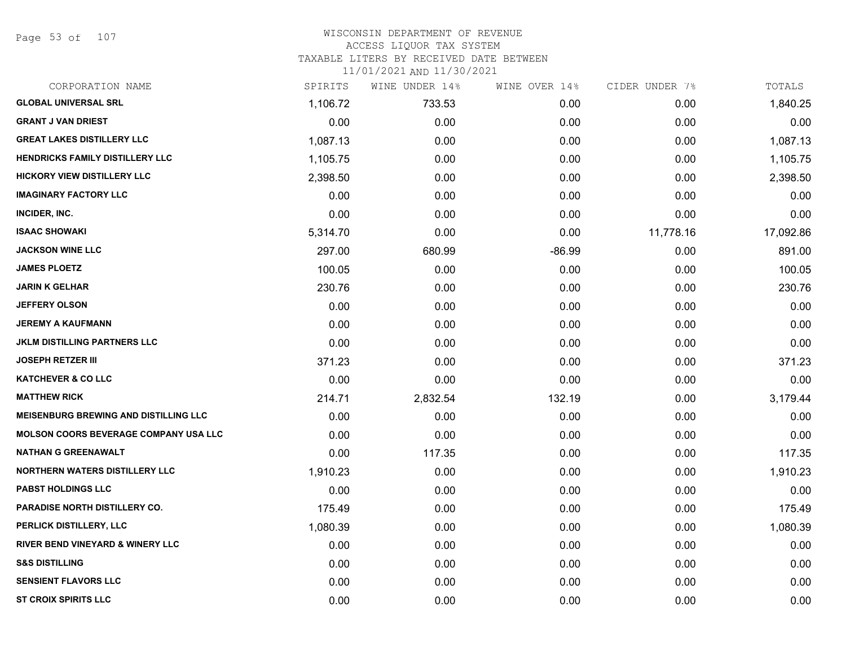Page 53 of 107

# WISCONSIN DEPARTMENT OF REVENUE ACCESS LIQUOR TAX SYSTEM TAXABLE LITERS BY RECEIVED DATE BETWEEN

| CORPORATION NAME                             | SPIRITS  | WINE UNDER 14% | WINE OVER 14% | CIDER UNDER 7% | TOTALS    |
|----------------------------------------------|----------|----------------|---------------|----------------|-----------|
| <b>GLOBAL UNIVERSAL SRL</b>                  | 1,106.72 | 733.53         | 0.00          | 0.00           | 1,840.25  |
| <b>GRANT J VAN DRIEST</b>                    | 0.00     | 0.00           | 0.00          | 0.00           | 0.00      |
| <b>GREAT LAKES DISTILLERY LLC</b>            | 1,087.13 | 0.00           | 0.00          | 0.00           | 1,087.13  |
| <b>HENDRICKS FAMILY DISTILLERY LLC</b>       | 1,105.75 | 0.00           | 0.00          | 0.00           | 1,105.75  |
| <b>HICKORY VIEW DISTILLERY LLC</b>           | 2,398.50 | 0.00           | 0.00          | 0.00           | 2,398.50  |
| <b>IMAGINARY FACTORY LLC</b>                 | 0.00     | 0.00           | 0.00          | 0.00           | 0.00      |
| INCIDER, INC.                                | 0.00     | 0.00           | 0.00          | 0.00           | 0.00      |
| <b>ISAAC SHOWAKI</b>                         | 5,314.70 | 0.00           | 0.00          | 11,778.16      | 17,092.86 |
| <b>JACKSON WINE LLC</b>                      | 297.00   | 680.99         | $-86.99$      | 0.00           | 891.00    |
| <b>JAMES PLOETZ</b>                          | 100.05   | 0.00           | 0.00          | 0.00           | 100.05    |
| <b>JARIN K GELHAR</b>                        | 230.76   | 0.00           | 0.00          | 0.00           | 230.76    |
| <b>JEFFERY OLSON</b>                         | 0.00     | 0.00           | 0.00          | 0.00           | 0.00      |
| <b>JEREMY A KAUFMANN</b>                     | 0.00     | 0.00           | 0.00          | 0.00           | 0.00      |
| JKLM DISTILLING PARTNERS LLC                 | 0.00     | 0.00           | 0.00          | 0.00           | 0.00      |
| <b>JOSEPH RETZER III</b>                     | 371.23   | 0.00           | 0.00          | 0.00           | 371.23    |
| <b>KATCHEVER &amp; CO LLC</b>                | 0.00     | 0.00           | 0.00          | 0.00           | 0.00      |
| <b>MATTHEW RICK</b>                          | 214.71   | 2,832.54       | 132.19        | 0.00           | 3,179.44  |
| <b>MEISENBURG BREWING AND DISTILLING LLC</b> | 0.00     | 0.00           | 0.00          | 0.00           | 0.00      |
| <b>MOLSON COORS BEVERAGE COMPANY USA LLC</b> | 0.00     | 0.00           | 0.00          | 0.00           | 0.00      |
| <b>NATHAN G GREENAWALT</b>                   | 0.00     | 117.35         | 0.00          | 0.00           | 117.35    |
| <b>NORTHERN WATERS DISTILLERY LLC</b>        | 1,910.23 | 0.00           | 0.00          | 0.00           | 1,910.23  |
| <b>PABST HOLDINGS LLC</b>                    | 0.00     | 0.00           | 0.00          | 0.00           | 0.00      |
| PARADISE NORTH DISTILLERY CO.                | 175.49   | 0.00           | 0.00          | 0.00           | 175.49    |
| PERLICK DISTILLERY, LLC                      | 1,080.39 | 0.00           | 0.00          | 0.00           | 1,080.39  |
| <b>RIVER BEND VINEYARD &amp; WINERY LLC</b>  | 0.00     | 0.00           | 0.00          | 0.00           | 0.00      |
| <b>S&amp;S DISTILLING</b>                    | 0.00     | 0.00           | 0.00          | 0.00           | 0.00      |
| <b>SENSIENT FLAVORS LLC</b>                  | 0.00     | 0.00           | 0.00          | 0.00           | 0.00      |
| <b>ST CROIX SPIRITS LLC</b>                  | 0.00     | 0.00           | 0.00          | 0.00           | 0.00      |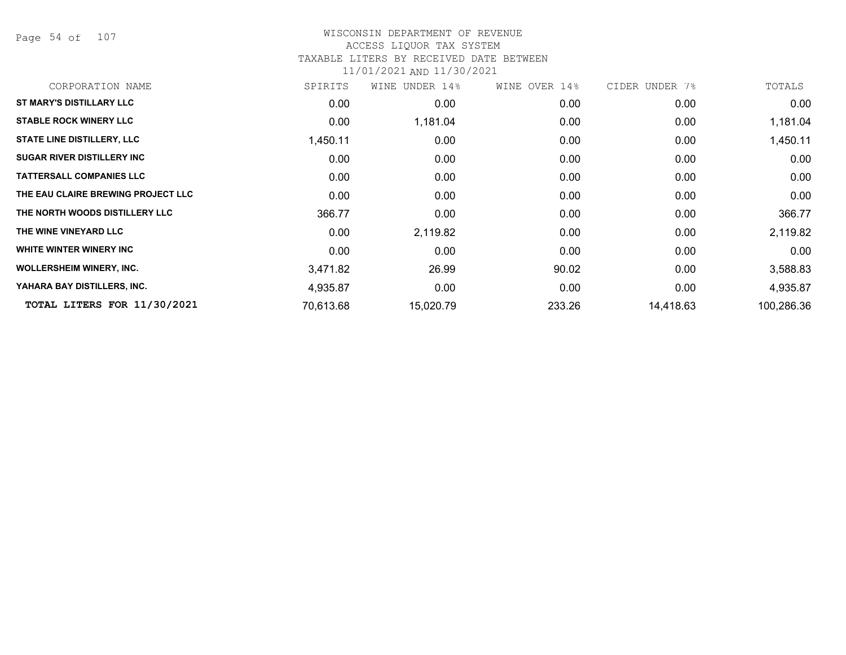Page 54 of 107

#### WISCONSIN DEPARTMENT OF REVENUE ACCESS LIQUOR TAX SYSTEM

#### TAXABLE LITERS BY RECEIVED DATE BETWEEN

| CORPORATION NAME                   | SPIRITS   | WINE UNDER 14% | WINE OVER 14% | CIDER UNDER 7% | TOTALS     |
|------------------------------------|-----------|----------------|---------------|----------------|------------|
| <b>ST MARY'S DISTILLARY LLC</b>    | 0.00      | 0.00           | 0.00          | 0.00           | 0.00       |
| <b>STABLE ROCK WINERY LLC</b>      | 0.00      | 1,181.04       | 0.00          | 0.00           | 1,181.04   |
| <b>STATE LINE DISTILLERY, LLC</b>  | 1,450.11  | 0.00           | 0.00          | 0.00           | 1,450.11   |
| <b>SUGAR RIVER DISTILLERY INC</b>  | 0.00      | 0.00           | 0.00          | 0.00           | 0.00       |
| <b>TATTERSALL COMPANIES LLC</b>    | 0.00      | 0.00           | 0.00          | 0.00           | 0.00       |
| THE EAU CLAIRE BREWING PROJECT LLC | 0.00      | 0.00           | 0.00          | 0.00           | 0.00       |
| THE NORTH WOODS DISTILLERY LLC     | 366.77    | 0.00           | 0.00          | 0.00           | 366.77     |
| THE WINE VINEYARD LLC              | 0.00      | 2,119.82       | 0.00          | 0.00           | 2,119.82   |
| WHITE WINTER WINERY INC            | 0.00      | 0.00           | 0.00          | 0.00           | 0.00       |
| <b>WOLLERSHEIM WINERY, INC.</b>    | 3,471.82  | 26.99          | 90.02         | 0.00           | 3,588.83   |
| YAHARA BAY DISTILLERS, INC.        | 4,935.87  | 0.00           | 0.00          | 0.00           | 4,935.87   |
| TOTAL LITERS FOR 11/30/2021        | 70,613.68 | 15,020.79      | 233.26        | 14,418.63      | 100,286.36 |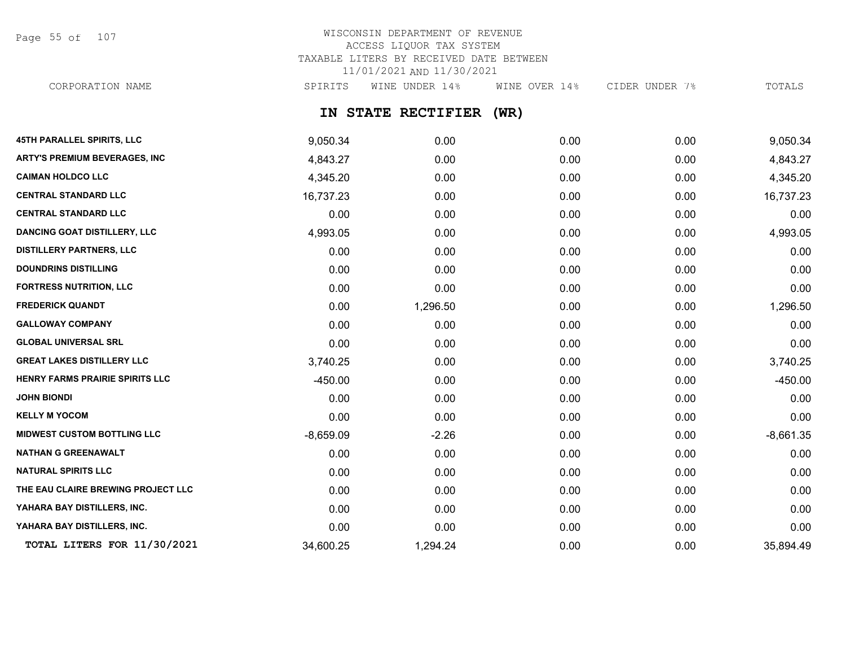Page 55 of 107

# WISCONSIN DEPARTMENT OF REVENUE ACCESS LIQUOR TAX SYSTEM TAXABLE LITERS BY RECEIVED DATE BETWEEN 11/01/2021 AND 11/30/2021

CORPORATION NAME SPIRITS WINE UNDER 14% WINE OVER 14% CIDER UNDER 7% TOTALS

# **IN STATE RECTIFIER (WR)**

| <b>45TH PARALLEL SPIRITS, LLC</b>   | 9,050.34    | 0.00     | 0.00 | 0.00 | 9,050.34    |
|-------------------------------------|-------------|----------|------|------|-------------|
| ARTY'S PREMIUM BEVERAGES, INC       | 4,843.27    | 0.00     | 0.00 | 0.00 | 4,843.27    |
| <b>CAIMAN HOLDCO LLC</b>            | 4,345.20    | 0.00     | 0.00 | 0.00 | 4,345.20    |
| <b>CENTRAL STANDARD LLC</b>         | 16,737.23   | 0.00     | 0.00 | 0.00 | 16,737.23   |
| <b>CENTRAL STANDARD LLC</b>         | 0.00        | 0.00     | 0.00 | 0.00 | 0.00        |
| <b>DANCING GOAT DISTILLERY, LLC</b> | 4,993.05    | 0.00     | 0.00 | 0.00 | 4,993.05    |
| <b>DISTILLERY PARTNERS, LLC</b>     | 0.00        | 0.00     | 0.00 | 0.00 | 0.00        |
| <b>DOUNDRINS DISTILLING</b>         | 0.00        | 0.00     | 0.00 | 0.00 | 0.00        |
| <b>FORTRESS NUTRITION, LLC</b>      | 0.00        | 0.00     | 0.00 | 0.00 | 0.00        |
| <b>FREDERICK QUANDT</b>             | 0.00        | 1,296.50 | 0.00 | 0.00 | 1,296.50    |
| <b>GALLOWAY COMPANY</b>             | 0.00        | 0.00     | 0.00 | 0.00 | 0.00        |
| <b>GLOBAL UNIVERSAL SRL</b>         | 0.00        | 0.00     | 0.00 | 0.00 | 0.00        |
| <b>GREAT LAKES DISTILLERY LLC</b>   | 3,740.25    | 0.00     | 0.00 | 0.00 | 3,740.25    |
| HENRY FARMS PRAIRIE SPIRITS LLC     | $-450.00$   | 0.00     | 0.00 | 0.00 | $-450.00$   |
| <b>JOHN BIONDI</b>                  | 0.00        | 0.00     | 0.00 | 0.00 | 0.00        |
| <b>KELLY M YOCOM</b>                | 0.00        | 0.00     | 0.00 | 0.00 | 0.00        |
| <b>MIDWEST CUSTOM BOTTLING LLC</b>  | $-8,659.09$ | $-2.26$  | 0.00 | 0.00 | $-8,661.35$ |
| <b>NATHAN G GREENAWALT</b>          | 0.00        | 0.00     | 0.00 | 0.00 | 0.00        |
| <b>NATURAL SPIRITS LLC</b>          | 0.00        | 0.00     | 0.00 | 0.00 | 0.00        |
| THE EAU CLAIRE BREWING PROJECT LLC  | 0.00        | 0.00     | 0.00 | 0.00 | 0.00        |
| YAHARA BAY DISTILLERS, INC.         | 0.00        | 0.00     | 0.00 | 0.00 | 0.00        |
| YAHARA BAY DISTILLERS, INC.         | 0.00        | 0.00     | 0.00 | 0.00 | 0.00        |
| TOTAL LITERS FOR 11/30/2021         | 34,600.25   | 1,294.24 | 0.00 | 0.00 | 35,894.49   |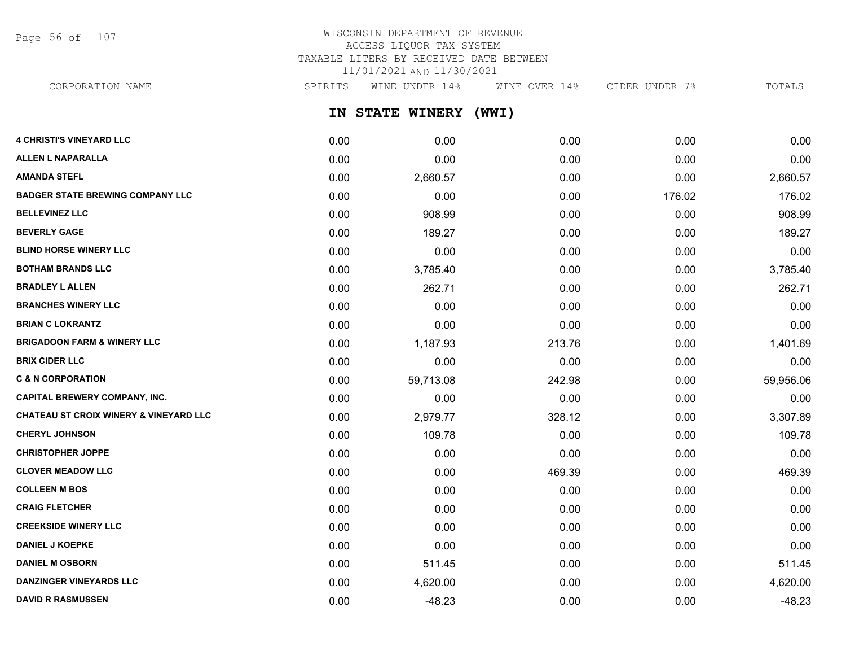Page 56 of 107

# WISCONSIN DEPARTMENT OF REVENUE ACCESS LIQUOR TAX SYSTEM TAXABLE LITERS BY RECEIVED DATE BETWEEN 11/01/2021 AND 11/30/2021

CORPORATION NAME SPIRITS WINE UNDER 14% WINE OVER 14% CIDER UNDER 7% TOTALS

**IN STATE WINERY (WWI)**

| <b>4 CHRISTI'S VINEYARD LLC</b>         | 0.00 | 0.00      | 0.00   | 0.00   | 0.00      |
|-----------------------------------------|------|-----------|--------|--------|-----------|
| <b>ALLEN L NAPARALLA</b>                | 0.00 | 0.00      | 0.00   | 0.00   | 0.00      |
| <b>AMANDA STEFL</b>                     | 0.00 | 2,660.57  | 0.00   | 0.00   | 2,660.57  |
| <b>BADGER STATE BREWING COMPANY LLC</b> | 0.00 | 0.00      | 0.00   | 176.02 | 176.02    |
| <b>BELLEVINEZ LLC</b>                   | 0.00 | 908.99    | 0.00   | 0.00   | 908.99    |
| <b>BEVERLY GAGE</b>                     | 0.00 | 189.27    | 0.00   | 0.00   | 189.27    |
| <b>BLIND HORSE WINERY LLC</b>           | 0.00 | 0.00      | 0.00   | 0.00   | 0.00      |
| <b>BOTHAM BRANDS LLC</b>                | 0.00 | 3,785.40  | 0.00   | 0.00   | 3,785.40  |
| <b>BRADLEY L ALLEN</b>                  | 0.00 | 262.71    | 0.00   | 0.00   | 262.71    |
| <b>BRANCHES WINERY LLC</b>              | 0.00 | 0.00      | 0.00   | 0.00   | 0.00      |
| <b>BRIAN C LOKRANTZ</b>                 | 0.00 | 0.00      | 0.00   | 0.00   | 0.00      |
| <b>BRIGADOON FARM &amp; WINERY LLC</b>  | 0.00 | 1,187.93  | 213.76 | 0.00   | 1,401.69  |
| <b>BRIX CIDER LLC</b>                   | 0.00 | 0.00      | 0.00   | 0.00   | 0.00      |
| <b>C &amp; N CORPORATION</b>            | 0.00 | 59,713.08 | 242.98 | 0.00   | 59,956.06 |
| <b>CAPITAL BREWERY COMPANY, INC.</b>    | 0.00 | 0.00      | 0.00   | 0.00   | 0.00      |
| CHATEAU ST CROIX WINERY & VINEYARD LLC  | 0.00 | 2,979.77  | 328.12 | 0.00   | 3,307.89  |
| <b>CHERYL JOHNSON</b>                   | 0.00 | 109.78    | 0.00   | 0.00   | 109.78    |
| <b>CHRISTOPHER JOPPE</b>                | 0.00 | 0.00      | 0.00   | 0.00   | 0.00      |
| <b>CLOVER MEADOW LLC</b>                | 0.00 | 0.00      | 469.39 | 0.00   | 469.39    |
| <b>COLLEEN M BOS</b>                    | 0.00 | 0.00      | 0.00   | 0.00   | 0.00      |
| <b>CRAIG FLETCHER</b>                   | 0.00 | 0.00      | 0.00   | 0.00   | 0.00      |
| <b>CREEKSIDE WINERY LLC</b>             | 0.00 | 0.00      | 0.00   | 0.00   | 0.00      |
| <b>DANIEL J KOEPKE</b>                  | 0.00 | 0.00      | 0.00   | 0.00   | 0.00      |
| <b>DANIEL M OSBORN</b>                  | 0.00 | 511.45    | 0.00   | 0.00   | 511.45    |
| <b>DANZINGER VINEYARDS LLC</b>          | 0.00 | 4,620.00  | 0.00   | 0.00   | 4,620.00  |
| <b>DAVID R RASMUSSEN</b>                | 0.00 | $-48.23$  | 0.00   | 0.00   | $-48.23$  |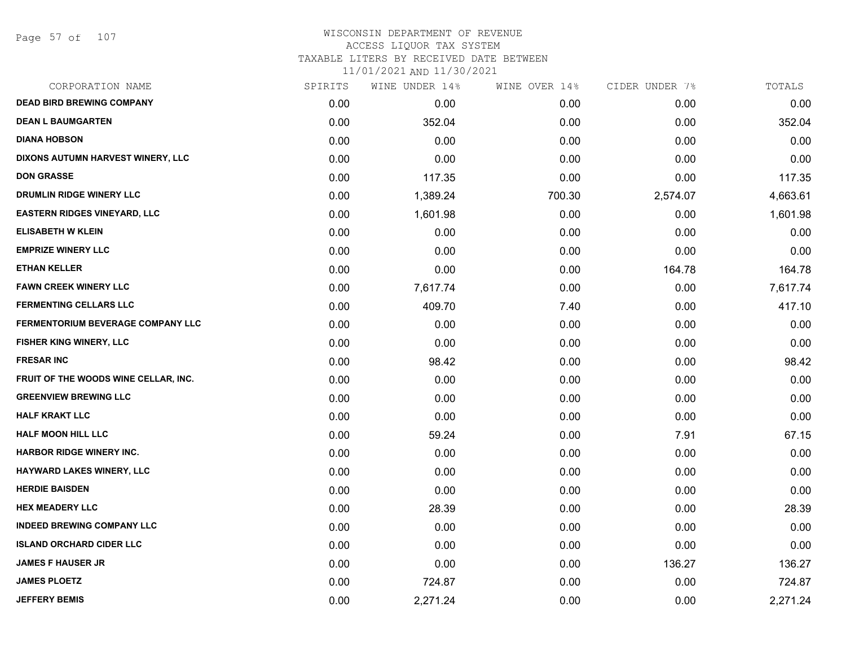### WISCONSIN DEPARTMENT OF REVENUE ACCESS LIQUOR TAX SYSTEM TAXABLE LITERS BY RECEIVED DATE BETWEEN

| CORPORATION NAME                         | SPIRITS | WINE UNDER 14% | WINE OVER 14% | CIDER UNDER 7% | TOTALS   |
|------------------------------------------|---------|----------------|---------------|----------------|----------|
| <b>DEAD BIRD BREWING COMPANY</b>         | 0.00    | 0.00           | 0.00          | 0.00           | 0.00     |
| <b>DEAN L BAUMGARTEN</b>                 | 0.00    | 352.04         | 0.00          | 0.00           | 352.04   |
| <b>DIANA HOBSON</b>                      | 0.00    | 0.00           | 0.00          | 0.00           | 0.00     |
| DIXONS AUTUMN HARVEST WINERY, LLC        | 0.00    | 0.00           | 0.00          | 0.00           | 0.00     |
| <b>DON GRASSE</b>                        | 0.00    | 117.35         | 0.00          | 0.00           | 117.35   |
| DRUMLIN RIDGE WINERY LLC                 | 0.00    | 1,389.24       | 700.30        | 2,574.07       | 4,663.61 |
| <b>EASTERN RIDGES VINEYARD, LLC</b>      | 0.00    | 1,601.98       | 0.00          | 0.00           | 1,601.98 |
| <b>ELISABETH W KLEIN</b>                 | 0.00    | 0.00           | 0.00          | 0.00           | 0.00     |
| <b>EMPRIZE WINERY LLC</b>                | 0.00    | 0.00           | 0.00          | 0.00           | 0.00     |
| <b>ETHAN KELLER</b>                      | 0.00    | 0.00           | 0.00          | 164.78         | 164.78   |
| <b>FAWN CREEK WINERY LLC</b>             | 0.00    | 7,617.74       | 0.00          | 0.00           | 7,617.74 |
| <b>FERMENTING CELLARS LLC</b>            | 0.00    | 409.70         | 7.40          | 0.00           | 417.10   |
| <b>FERMENTORIUM BEVERAGE COMPANY LLC</b> | 0.00    | 0.00           | 0.00          | 0.00           | 0.00     |
| <b>FISHER KING WINERY, LLC</b>           | 0.00    | 0.00           | 0.00          | 0.00           | 0.00     |
| <b>FRESAR INC</b>                        | 0.00    | 98.42          | 0.00          | 0.00           | 98.42    |
| FRUIT OF THE WOODS WINE CELLAR, INC.     | 0.00    | 0.00           | 0.00          | 0.00           | 0.00     |
| <b>GREENVIEW BREWING LLC</b>             | 0.00    | 0.00           | 0.00          | 0.00           | 0.00     |
| <b>HALF KRAKT LLC</b>                    | 0.00    | 0.00           | 0.00          | 0.00           | 0.00     |
| <b>HALF MOON HILL LLC</b>                | 0.00    | 59.24          | 0.00          | 7.91           | 67.15    |
| <b>HARBOR RIDGE WINERY INC.</b>          | 0.00    | 0.00           | 0.00          | 0.00           | 0.00     |
| HAYWARD LAKES WINERY, LLC                | 0.00    | 0.00           | 0.00          | 0.00           | 0.00     |
| <b>HERDIE BAISDEN</b>                    | 0.00    | 0.00           | 0.00          | 0.00           | 0.00     |
| <b>HEX MEADERY LLC</b>                   | 0.00    | 28.39          | 0.00          | 0.00           | 28.39    |
| <b>INDEED BREWING COMPANY LLC</b>        | 0.00    | 0.00           | 0.00          | 0.00           | 0.00     |
| <b>ISLAND ORCHARD CIDER LLC</b>          | 0.00    | 0.00           | 0.00          | 0.00           | 0.00     |
| <b>JAMES F HAUSER JR</b>                 | 0.00    | 0.00           | 0.00          | 136.27         | 136.27   |
| <b>JAMES PLOETZ</b>                      | 0.00    | 724.87         | 0.00          | 0.00           | 724.87   |
| <b>JEFFERY BEMIS</b>                     | 0.00    | 2,271.24       | 0.00          | 0.00           | 2,271.24 |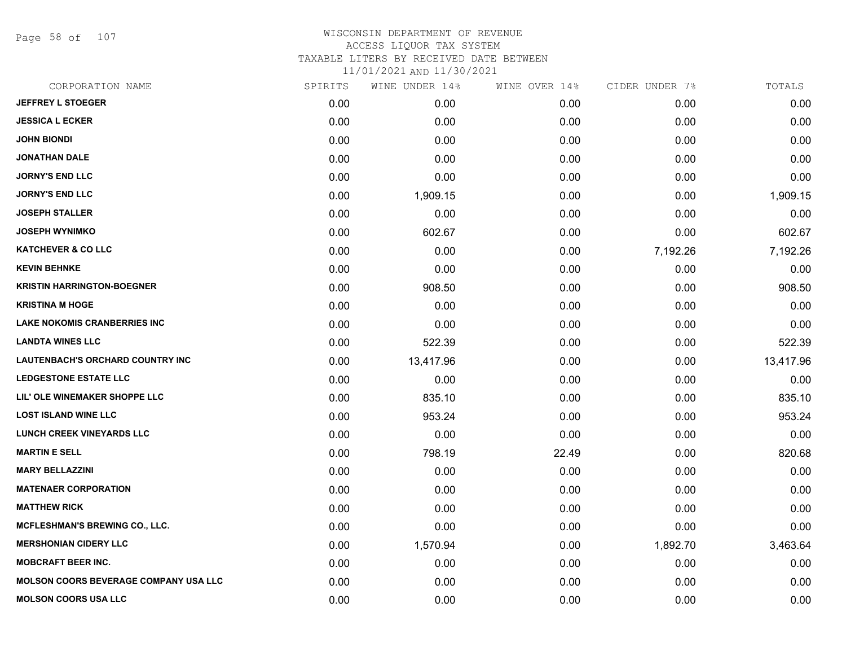Page 58 of 107

### WISCONSIN DEPARTMENT OF REVENUE ACCESS LIQUOR TAX SYSTEM TAXABLE LITERS BY RECEIVED DATE BETWEEN

| CORPORATION NAME                             | SPIRITS | WINE UNDER 14% | WINE OVER 14% | CIDER UNDER 7% | TOTALS    |
|----------------------------------------------|---------|----------------|---------------|----------------|-----------|
| <b>JEFFREY L STOEGER</b>                     | 0.00    | 0.00           | 0.00          | 0.00           | 0.00      |
| <b>JESSICA L ECKER</b>                       | 0.00    | 0.00           | 0.00          | 0.00           | 0.00      |
| <b>JOHN BIONDI</b>                           | 0.00    | 0.00           | 0.00          | 0.00           | 0.00      |
| <b>JONATHAN DALE</b>                         | 0.00    | 0.00           | 0.00          | 0.00           | 0.00      |
| <b>JORNY'S END LLC</b>                       | 0.00    | 0.00           | 0.00          | 0.00           | 0.00      |
| <b>JORNY'S END LLC</b>                       | 0.00    | 1,909.15       | 0.00          | 0.00           | 1,909.15  |
| <b>JOSEPH STALLER</b>                        | 0.00    | 0.00           | 0.00          | 0.00           | 0.00      |
| <b>JOSEPH WYNIMKO</b>                        | 0.00    | 602.67         | 0.00          | 0.00           | 602.67    |
| <b>KATCHEVER &amp; CO LLC</b>                | 0.00    | 0.00           | 0.00          | 7,192.26       | 7,192.26  |
| <b>KEVIN BEHNKE</b>                          | 0.00    | 0.00           | 0.00          | 0.00           | 0.00      |
| <b>KRISTIN HARRINGTON-BOEGNER</b>            | 0.00    | 908.50         | 0.00          | 0.00           | 908.50    |
| <b>KRISTINA M HOGE</b>                       | 0.00    | 0.00           | 0.00          | 0.00           | 0.00      |
| <b>LAKE NOKOMIS CRANBERRIES INC</b>          | 0.00    | 0.00           | 0.00          | 0.00           | 0.00      |
| <b>LANDTA WINES LLC</b>                      | 0.00    | 522.39         | 0.00          | 0.00           | 522.39    |
| <b>LAUTENBACH'S ORCHARD COUNTRY INC</b>      | 0.00    | 13,417.96      | 0.00          | 0.00           | 13,417.96 |
| <b>LEDGESTONE ESTATE LLC</b>                 | 0.00    | 0.00           | 0.00          | 0.00           | 0.00      |
| LIL' OLE WINEMAKER SHOPPE LLC                | 0.00    | 835.10         | 0.00          | 0.00           | 835.10    |
| <b>LOST ISLAND WINE LLC</b>                  | 0.00    | 953.24         | 0.00          | 0.00           | 953.24    |
| LUNCH CREEK VINEYARDS LLC                    | 0.00    | 0.00           | 0.00          | 0.00           | 0.00      |
| <b>MARTIN E SELL</b>                         | 0.00    | 798.19         | 22.49         | 0.00           | 820.68    |
| <b>MARY BELLAZZINI</b>                       | 0.00    | 0.00           | 0.00          | 0.00           | 0.00      |
| <b>MATENAER CORPORATION</b>                  | 0.00    | 0.00           | 0.00          | 0.00           | 0.00      |
| <b>MATTHEW RICK</b>                          | 0.00    | 0.00           | 0.00          | 0.00           | 0.00      |
| <b>MCFLESHMAN'S BREWING CO., LLC.</b>        | 0.00    | 0.00           | 0.00          | 0.00           | 0.00      |
| <b>MERSHONIAN CIDERY LLC</b>                 | 0.00    | 1,570.94       | 0.00          | 1,892.70       | 3,463.64  |
| <b>MOBCRAFT BEER INC.</b>                    | 0.00    | 0.00           | 0.00          | 0.00           | 0.00      |
| <b>MOLSON COORS BEVERAGE COMPANY USA LLC</b> | 0.00    | 0.00           | 0.00          | 0.00           | 0.00      |
| <b>MOLSON COORS USA LLC</b>                  | 0.00    | 0.00           | 0.00          | 0.00           | 0.00      |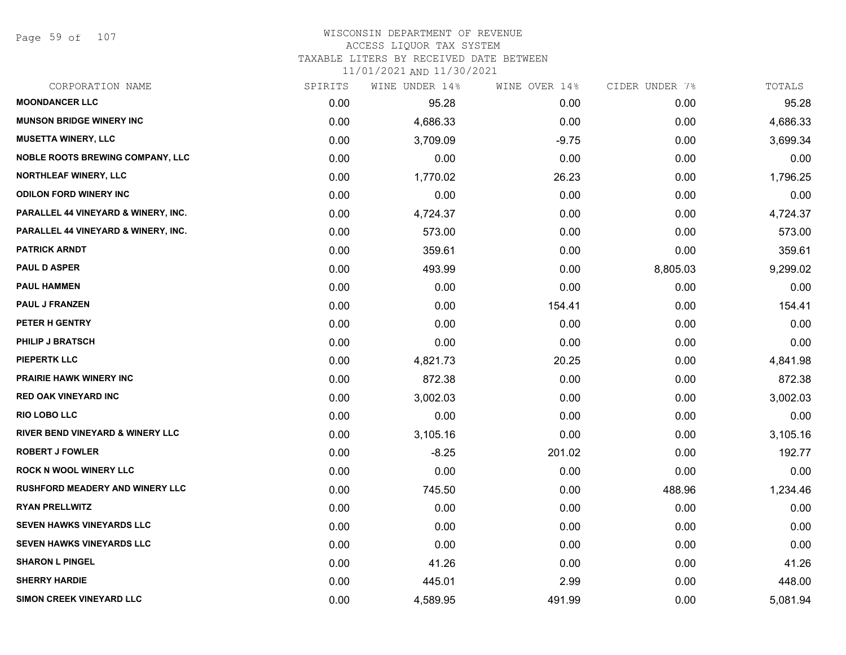Page 59 of 107

# WISCONSIN DEPARTMENT OF REVENUE ACCESS LIQUOR TAX SYSTEM

TAXABLE LITERS BY RECEIVED DATE BETWEEN

| CORPORATION NAME                            | SPIRITS | WINE UNDER 14% | WINE OVER 14% | CIDER UNDER 7% | TOTALS   |
|---------------------------------------------|---------|----------------|---------------|----------------|----------|
| <b>MOONDANCER LLC</b>                       | 0.00    | 95.28          | 0.00          | 0.00           | 95.28    |
| <b>MUNSON BRIDGE WINERY INC</b>             | 0.00    | 4,686.33       | 0.00          | 0.00           | 4,686.33 |
| <b>MUSETTA WINERY, LLC</b>                  | 0.00    | 3,709.09       | $-9.75$       | 0.00           | 3,699.34 |
| <b>NOBLE ROOTS BREWING COMPANY, LLC</b>     | 0.00    | 0.00           | 0.00          | 0.00           | 0.00     |
| <b>NORTHLEAF WINERY, LLC</b>                | 0.00    | 1,770.02       | 26.23         | 0.00           | 1,796.25 |
| <b>ODILON FORD WINERY INC</b>               | 0.00    | 0.00           | 0.00          | 0.00           | 0.00     |
| PARALLEL 44 VINEYARD & WINERY, INC.         | 0.00    | 4,724.37       | 0.00          | 0.00           | 4,724.37 |
| PARALLEL 44 VINEYARD & WINERY, INC.         | 0.00    | 573.00         | 0.00          | 0.00           | 573.00   |
| <b>PATRICK ARNDT</b>                        | 0.00    | 359.61         | 0.00          | 0.00           | 359.61   |
| <b>PAUL D ASPER</b>                         | 0.00    | 493.99         | 0.00          | 8,805.03       | 9,299.02 |
| <b>PAUL HAMMEN</b>                          | 0.00    | 0.00           | 0.00          | 0.00           | 0.00     |
| <b>PAUL J FRANZEN</b>                       | 0.00    | 0.00           | 154.41        | 0.00           | 154.41   |
| PETER H GENTRY                              | 0.00    | 0.00           | 0.00          | 0.00           | 0.00     |
| <b>PHILIP J BRATSCH</b>                     | 0.00    | 0.00           | 0.00          | 0.00           | 0.00     |
| <b>PIEPERTK LLC</b>                         | 0.00    | 4,821.73       | 20.25         | 0.00           | 4,841.98 |
| PRAIRIE HAWK WINERY INC                     | 0.00    | 872.38         | 0.00          | 0.00           | 872.38   |
| <b>RED OAK VINEYARD INC</b>                 | 0.00    | 3,002.03       | 0.00          | 0.00           | 3,002.03 |
| <b>RIO LOBO LLC</b>                         | 0.00    | 0.00           | 0.00          | 0.00           | 0.00     |
| <b>RIVER BEND VINEYARD &amp; WINERY LLC</b> | 0.00    | 3,105.16       | 0.00          | 0.00           | 3,105.16 |
| <b>ROBERT J FOWLER</b>                      | 0.00    | $-8.25$        | 201.02        | 0.00           | 192.77   |
| <b>ROCK N WOOL WINERY LLC</b>               | 0.00    | 0.00           | 0.00          | 0.00           | 0.00     |
| <b>RUSHFORD MEADERY AND WINERY LLC</b>      | 0.00    | 745.50         | 0.00          | 488.96         | 1,234.46 |
| <b>RYAN PRELLWITZ</b>                       | 0.00    | 0.00           | 0.00          | 0.00           | 0.00     |
| <b>SEVEN HAWKS VINEYARDS LLC</b>            | 0.00    | 0.00           | 0.00          | 0.00           | 0.00     |
| <b>SEVEN HAWKS VINEYARDS LLC</b>            | 0.00    | 0.00           | 0.00          | 0.00           | 0.00     |
| <b>SHARON L PINGEL</b>                      | 0.00    | 41.26          | 0.00          | 0.00           | 41.26    |
| <b>SHERRY HARDIE</b>                        | 0.00    | 445.01         | 2.99          | 0.00           | 448.00   |
| SIMON CREEK VINEYARD LLC                    | 0.00    | 4,589.95       | 491.99        | 0.00           | 5,081.94 |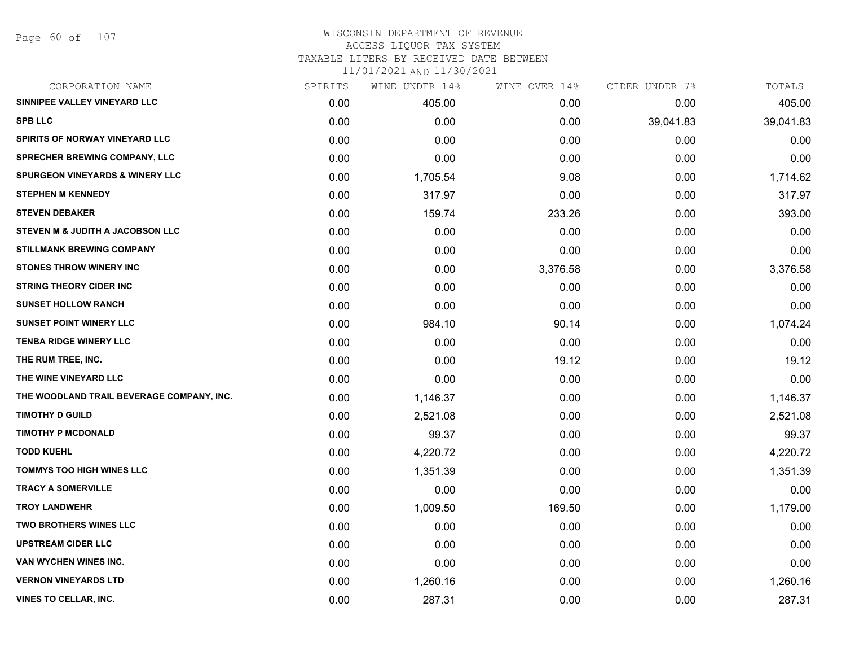# WISCONSIN DEPARTMENT OF REVENUE ACCESS LIQUOR TAX SYSTEM TAXABLE LITERS BY RECEIVED DATE BETWEEN

| CORPORATION NAME                            | SPIRITS | WINE UNDER 14% | WINE OVER 14% | CIDER UNDER 7% | TOTALS    |
|---------------------------------------------|---------|----------------|---------------|----------------|-----------|
| SINNIPEE VALLEY VINEYARD LLC                | 0.00    | 405.00         | 0.00          | 0.00           | 405.00    |
| <b>SPB LLC</b>                              | 0.00    | 0.00           | 0.00          | 39,041.83      | 39,041.83 |
| SPIRITS OF NORWAY VINEYARD LLC              | 0.00    | 0.00           | 0.00          | 0.00           | 0.00      |
| <b>SPRECHER BREWING COMPANY, LLC</b>        | 0.00    | 0.00           | 0.00          | 0.00           | 0.00      |
| <b>SPURGEON VINEYARDS &amp; WINERY LLC</b>  | 0.00    | 1,705.54       | 9.08          | 0.00           | 1,714.62  |
| <b>STEPHEN M KENNEDY</b>                    | 0.00    | 317.97         | 0.00          | 0.00           | 317.97    |
| <b>STEVEN DEBAKER</b>                       | 0.00    | 159.74         | 233.26        | 0.00           | 393.00    |
| <b>STEVEN M &amp; JUDITH A JACOBSON LLC</b> | 0.00    | 0.00           | 0.00          | 0.00           | 0.00      |
| <b>STILLMANK BREWING COMPANY</b>            | 0.00    | 0.00           | 0.00          | 0.00           | 0.00      |
| <b>STONES THROW WINERY INC</b>              | 0.00    | 0.00           | 3,376.58      | 0.00           | 3,376.58  |
| <b>STRING THEORY CIDER INC</b>              | 0.00    | 0.00           | 0.00          | 0.00           | 0.00      |
| <b>SUNSET HOLLOW RANCH</b>                  | 0.00    | 0.00           | 0.00          | 0.00           | 0.00      |
| <b>SUNSET POINT WINERY LLC</b>              | 0.00    | 984.10         | 90.14         | 0.00           | 1,074.24  |
| <b>TENBA RIDGE WINERY LLC</b>               | 0.00    | 0.00           | 0.00          | 0.00           | 0.00      |
| THE RUM TREE, INC.                          | 0.00    | 0.00           | 19.12         | 0.00           | 19.12     |
| THE WINE VINEYARD LLC                       | 0.00    | 0.00           | 0.00          | 0.00           | 0.00      |
| THE WOODLAND TRAIL BEVERAGE COMPANY, INC.   | 0.00    | 1,146.37       | 0.00          | 0.00           | 1,146.37  |
| <b>TIMOTHY D GUILD</b>                      | 0.00    | 2,521.08       | 0.00          | 0.00           | 2,521.08  |
| <b>TIMOTHY P MCDONALD</b>                   | 0.00    | 99.37          | 0.00          | 0.00           | 99.37     |
| <b>TODD KUEHL</b>                           | 0.00    | 4,220.72       | 0.00          | 0.00           | 4,220.72  |
| <b>TOMMYS TOO HIGH WINES LLC</b>            | 0.00    | 1,351.39       | 0.00          | 0.00           | 1,351.39  |
| <b>TRACY A SOMERVILLE</b>                   | 0.00    | 0.00           | 0.00          | 0.00           | 0.00      |
| <b>TROY LANDWEHR</b>                        | 0.00    | 1,009.50       | 169.50        | 0.00           | 1,179.00  |
| <b>TWO BROTHERS WINES LLC</b>               | 0.00    | 0.00           | 0.00          | 0.00           | 0.00      |
| <b>UPSTREAM CIDER LLC</b>                   | 0.00    | 0.00           | 0.00          | 0.00           | 0.00      |
| VAN WYCHEN WINES INC.                       | 0.00    | 0.00           | 0.00          | 0.00           | 0.00      |
| <b>VERNON VINEYARDS LTD</b>                 | 0.00    | 1,260.16       | 0.00          | 0.00           | 1,260.16  |
| <b>VINES TO CELLAR, INC.</b>                | 0.00    | 287.31         | 0.00          | 0.00           | 287.31    |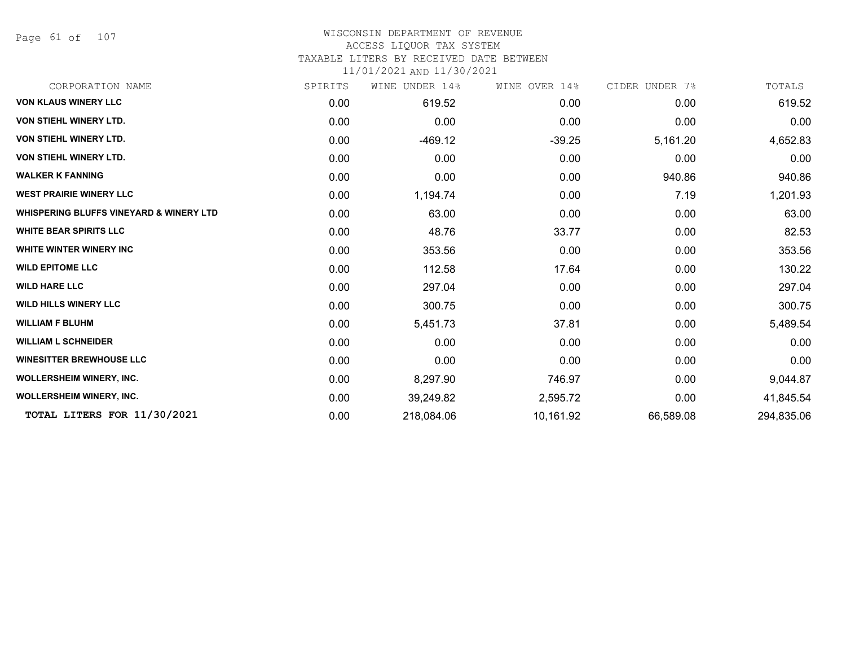Page 61 of 107

# WISCONSIN DEPARTMENT OF REVENUE

# ACCESS LIQUOR TAX SYSTEM

TAXABLE LITERS BY RECEIVED DATE BETWEEN

| CORPORATION NAME                                   | SPIRITS | WINE UNDER 14% | WINE OVER 14% | CIDER UNDER 7% | TOTALS     |
|----------------------------------------------------|---------|----------------|---------------|----------------|------------|
| <b>VON KLAUS WINERY LLC</b>                        | 0.00    | 619.52         | 0.00          | 0.00           | 619.52     |
| VON STIEHL WINERY LTD.                             | 0.00    | 0.00           | 0.00          | 0.00           | 0.00       |
| VON STIEHL WINERY LTD.                             | 0.00    | $-469.12$      | $-39.25$      | 5,161.20       | 4,652.83   |
| VON STIEHL WINERY LTD.                             | 0.00    | 0.00           | 0.00          | 0.00           | 0.00       |
| <b>WALKER K FANNING</b>                            | 0.00    | 0.00           | 0.00          | 940.86         | 940.86     |
| <b>WEST PRAIRIE WINERY LLC</b>                     | 0.00    | 1,194.74       | 0.00          | 7.19           | 1,201.93   |
| <b>WHISPERING BLUFFS VINEYARD &amp; WINERY LTD</b> | 0.00    | 63.00          | 0.00          | 0.00           | 63.00      |
| <b>WHITE BEAR SPIRITS LLC</b>                      | 0.00    | 48.76          | 33.77         | 0.00           | 82.53      |
| <b>WHITE WINTER WINERY INC</b>                     | 0.00    | 353.56         | 0.00          | 0.00           | 353.56     |
| <b>WILD EPITOME LLC</b>                            | 0.00    | 112.58         | 17.64         | 0.00           | 130.22     |
| <b>WILD HARE LLC</b>                               | 0.00    | 297.04         | 0.00          | 0.00           | 297.04     |
| <b>WILD HILLS WINERY LLC</b>                       | 0.00    | 300.75         | 0.00          | 0.00           | 300.75     |
| <b>WILLIAM F BLUHM</b>                             | 0.00    | 5,451.73       | 37.81         | 0.00           | 5,489.54   |
| <b>WILLIAM L SCHNEIDER</b>                         | 0.00    | 0.00           | 0.00          | 0.00           | 0.00       |
| <b>WINESITTER BREWHOUSE LLC</b>                    | 0.00    | 0.00           | 0.00          | 0.00           | 0.00       |
| <b>WOLLERSHEIM WINERY, INC.</b>                    | 0.00    | 8,297.90       | 746.97        | 0.00           | 9,044.87   |
| <b>WOLLERSHEIM WINERY, INC.</b>                    | 0.00    | 39,249.82      | 2,595.72      | 0.00           | 41,845.54  |
| TOTAL LITERS FOR 11/30/2021                        | 0.00    | 218,084.06     | 10,161.92     | 66,589.08      | 294,835.06 |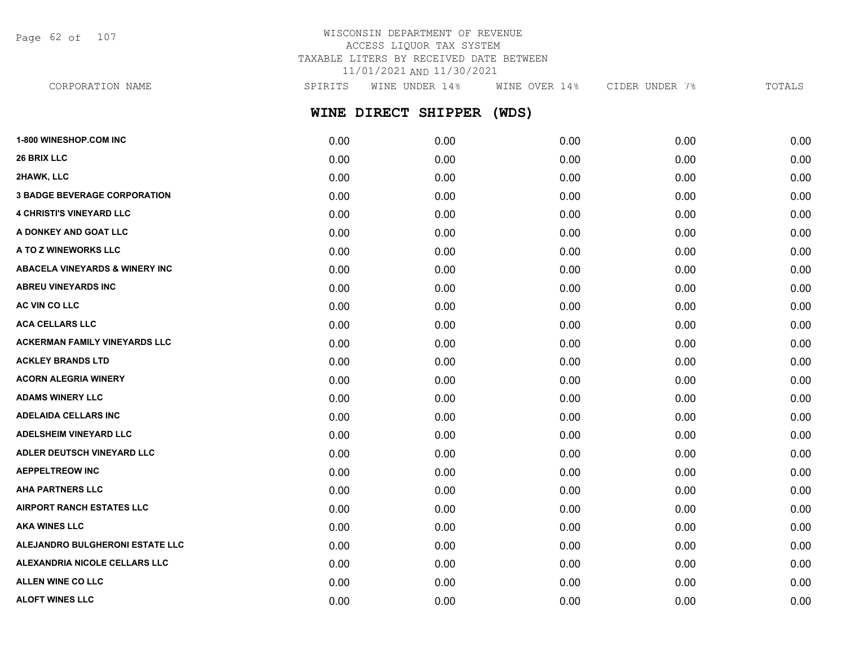Page 62 of 107

# WISCONSIN DEPARTMENT OF REVENUE ACCESS LIQUOR TAX SYSTEM TAXABLE LITERS BY RECEIVED DATE BETWEEN 11/01/2021 AND 11/30/2021

**WINE DIRECT SHIPPER (WDS)** CORPORATION NAME SPIRITS WINE UNDER 14% WINE OVER 14% CIDER UNDER 7% TOTALS

| 1-800 WINESHOP.COM INC                    | 0.00 | 0.00 | 0.00 | 0.00 | 0.00 |
|-------------------------------------------|------|------|------|------|------|
| 26 BRIX LLC                               | 0.00 | 0.00 | 0.00 | 0.00 | 0.00 |
| 2HAWK, LLC                                | 0.00 | 0.00 | 0.00 | 0.00 | 0.00 |
| <b>3 BADGE BEVERAGE CORPORATION</b>       | 0.00 | 0.00 | 0.00 | 0.00 | 0.00 |
| <b>4 CHRISTI'S VINEYARD LLC</b>           | 0.00 | 0.00 | 0.00 | 0.00 | 0.00 |
| A DONKEY AND GOAT LLC                     | 0.00 | 0.00 | 0.00 | 0.00 | 0.00 |
| A TO Z WINEWORKS LLC                      | 0.00 | 0.00 | 0.00 | 0.00 | 0.00 |
| <b>ABACELA VINEYARDS &amp; WINERY INC</b> | 0.00 | 0.00 | 0.00 | 0.00 | 0.00 |
| <b>ABREU VINEYARDS INC</b>                | 0.00 | 0.00 | 0.00 | 0.00 | 0.00 |
| AC VIN CO LLC                             | 0.00 | 0.00 | 0.00 | 0.00 | 0.00 |
| <b>ACA CELLARS LLC</b>                    | 0.00 | 0.00 | 0.00 | 0.00 | 0.00 |
| <b>ACKERMAN FAMILY VINEYARDS LLC</b>      | 0.00 | 0.00 | 0.00 | 0.00 | 0.00 |
| <b>ACKLEY BRANDS LTD</b>                  | 0.00 | 0.00 | 0.00 | 0.00 | 0.00 |
| <b>ACORN ALEGRIA WINERY</b>               | 0.00 | 0.00 | 0.00 | 0.00 | 0.00 |
| <b>ADAMS WINERY LLC</b>                   | 0.00 | 0.00 | 0.00 | 0.00 | 0.00 |
| <b>ADELAIDA CELLARS INC</b>               | 0.00 | 0.00 | 0.00 | 0.00 | 0.00 |
| <b>ADELSHEIM VINEYARD LLC</b>             | 0.00 | 0.00 | 0.00 | 0.00 | 0.00 |
| ADLER DEUTSCH VINEYARD LLC                | 0.00 | 0.00 | 0.00 | 0.00 | 0.00 |
| <b>AEPPELTREOW INC</b>                    | 0.00 | 0.00 | 0.00 | 0.00 | 0.00 |
| <b>AHA PARTNERS LLC</b>                   | 0.00 | 0.00 | 0.00 | 0.00 | 0.00 |
| <b>AIRPORT RANCH ESTATES LLC</b>          | 0.00 | 0.00 | 0.00 | 0.00 | 0.00 |
| <b>AKA WINES LLC</b>                      | 0.00 | 0.00 | 0.00 | 0.00 | 0.00 |
| ALEJANDRO BULGHERONI ESTATE LLC           | 0.00 | 0.00 | 0.00 | 0.00 | 0.00 |
| ALEXANDRIA NICOLE CELLARS LLC             | 0.00 | 0.00 | 0.00 | 0.00 | 0.00 |
| <b>ALLEN WINE CO LLC</b>                  | 0.00 | 0.00 | 0.00 | 0.00 | 0.00 |
| <b>ALOFT WINES LLC</b>                    | 0.00 | 0.00 | 0.00 | 0.00 | 0.00 |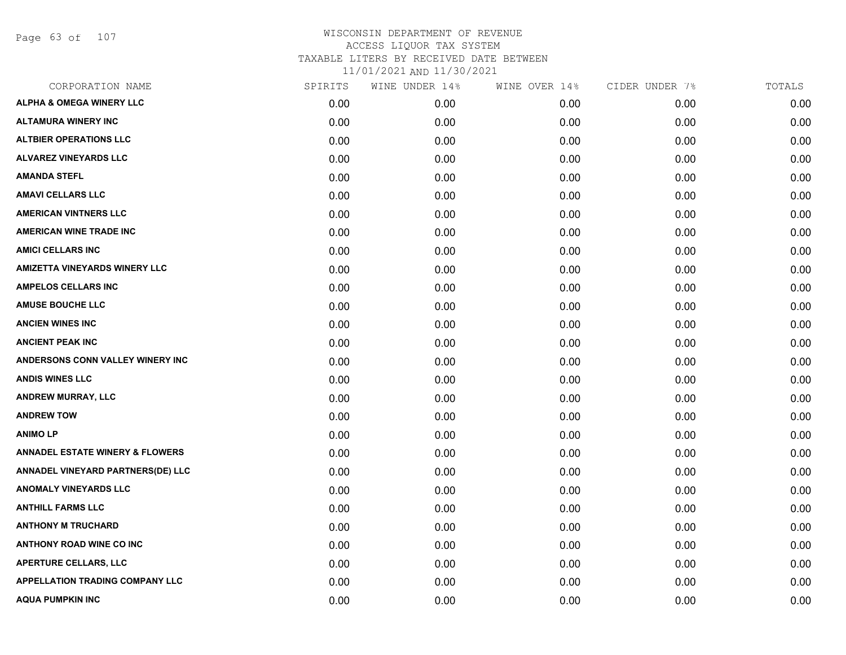Page 63 of 107

| CORPORATION NAME                           | SPIRITS | WINE UNDER 14% | WINE OVER 14% | CIDER UNDER 7% | TOTALS |
|--------------------------------------------|---------|----------------|---------------|----------------|--------|
| <b>ALPHA &amp; OMEGA WINERY LLC</b>        | 0.00    | 0.00           | 0.00          | 0.00           | 0.00   |
| <b>ALTAMURA WINERY INC</b>                 | 0.00    | 0.00           | 0.00          | 0.00           | 0.00   |
| <b>ALTBIER OPERATIONS LLC</b>              | 0.00    | 0.00           | 0.00          | 0.00           | 0.00   |
| <b>ALVAREZ VINEYARDS LLC</b>               | 0.00    | 0.00           | 0.00          | 0.00           | 0.00   |
| <b>AMANDA STEFL</b>                        | 0.00    | 0.00           | 0.00          | 0.00           | 0.00   |
| <b>AMAVI CELLARS LLC</b>                   | 0.00    | 0.00           | 0.00          | 0.00           | 0.00   |
| <b>AMERICAN VINTNERS LLC</b>               | 0.00    | 0.00           | 0.00          | 0.00           | 0.00   |
| <b>AMERICAN WINE TRADE INC</b>             | 0.00    | 0.00           | 0.00          | 0.00           | 0.00   |
| <b>AMICI CELLARS INC</b>                   | 0.00    | 0.00           | 0.00          | 0.00           | 0.00   |
| <b>AMIZETTA VINEYARDS WINERY LLC</b>       | 0.00    | 0.00           | 0.00          | 0.00           | 0.00   |
| <b>AMPELOS CELLARS INC</b>                 | 0.00    | 0.00           | 0.00          | 0.00           | 0.00   |
| <b>AMUSE BOUCHE LLC</b>                    | 0.00    | 0.00           | 0.00          | 0.00           | 0.00   |
| <b>ANCIEN WINES INC</b>                    | 0.00    | 0.00           | 0.00          | 0.00           | 0.00   |
| <b>ANCIENT PEAK INC</b>                    | 0.00    | 0.00           | 0.00          | 0.00           | 0.00   |
| ANDERSONS CONN VALLEY WINERY INC           | 0.00    | 0.00           | 0.00          | 0.00           | 0.00   |
| <b>ANDIS WINES LLC</b>                     | 0.00    | 0.00           | 0.00          | 0.00           | 0.00   |
| <b>ANDREW MURRAY, LLC</b>                  | 0.00    | 0.00           | 0.00          | 0.00           | 0.00   |
| <b>ANDREW TOW</b>                          | 0.00    | 0.00           | 0.00          | 0.00           | 0.00   |
| <b>ANIMOLP</b>                             | 0.00    | 0.00           | 0.00          | 0.00           | 0.00   |
| <b>ANNADEL ESTATE WINERY &amp; FLOWERS</b> | 0.00    | 0.00           | 0.00          | 0.00           | 0.00   |
| ANNADEL VINEYARD PARTNERS(DE) LLC          | 0.00    | 0.00           | 0.00          | 0.00           | 0.00   |
| <b>ANOMALY VINEYARDS LLC</b>               | 0.00    | 0.00           | 0.00          | 0.00           | 0.00   |
| <b>ANTHILL FARMS LLC</b>                   | 0.00    | 0.00           | 0.00          | 0.00           | 0.00   |
| <b>ANTHONY M TRUCHARD</b>                  | 0.00    | 0.00           | 0.00          | 0.00           | 0.00   |
| <b>ANTHONY ROAD WINE CO INC</b>            | 0.00    | 0.00           | 0.00          | 0.00           | 0.00   |
| APERTURE CELLARS, LLC                      | 0.00    | 0.00           | 0.00          | 0.00           | 0.00   |
| <b>APPELLATION TRADING COMPANY LLC</b>     | 0.00    | 0.00           | 0.00          | 0.00           | 0.00   |
| <b>AQUA PUMPKIN INC</b>                    | 0.00    | 0.00           | 0.00          | 0.00           | 0.00   |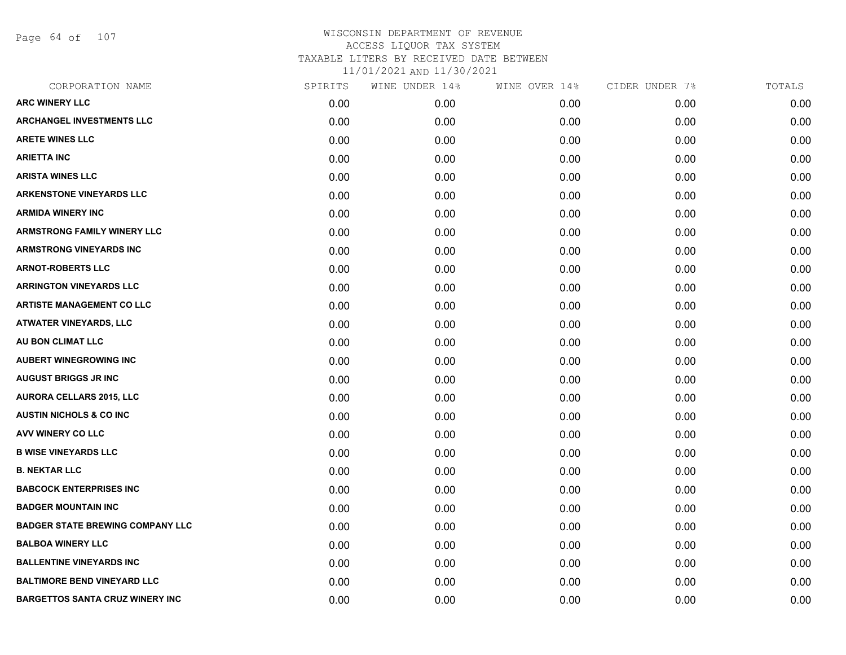Page 64 of 107

| CORPORATION NAME                        | SPIRITS | WINE UNDER 14% | WINE OVER 14% | CIDER UNDER 7% | TOTALS |
|-----------------------------------------|---------|----------------|---------------|----------------|--------|
| <b>ARC WINERY LLC</b>                   | 0.00    | 0.00           | 0.00          | 0.00           | 0.00   |
| <b>ARCHANGEL INVESTMENTS LLC</b>        | 0.00    | 0.00           | 0.00          | 0.00           | 0.00   |
| <b>ARETE WINES LLC</b>                  | 0.00    | 0.00           | 0.00          | 0.00           | 0.00   |
| <b>ARIETTA INC</b>                      | 0.00    | 0.00           | 0.00          | 0.00           | 0.00   |
| <b>ARISTA WINES LLC</b>                 | 0.00    | 0.00           | 0.00          | 0.00           | 0.00   |
| <b>ARKENSTONE VINEYARDS LLC</b>         | 0.00    | 0.00           | 0.00          | 0.00           | 0.00   |
| <b>ARMIDA WINERY INC</b>                | 0.00    | 0.00           | 0.00          | 0.00           | 0.00   |
| <b>ARMSTRONG FAMILY WINERY LLC</b>      | 0.00    | 0.00           | 0.00          | 0.00           | 0.00   |
| <b>ARMSTRONG VINEYARDS INC</b>          | 0.00    | 0.00           | 0.00          | 0.00           | 0.00   |
| <b>ARNOT-ROBERTS LLC</b>                | 0.00    | 0.00           | 0.00          | 0.00           | 0.00   |
| <b>ARRINGTON VINEYARDS LLC</b>          | 0.00    | 0.00           | 0.00          | 0.00           | 0.00   |
| <b>ARTISTE MANAGEMENT CO LLC</b>        | 0.00    | 0.00           | 0.00          | 0.00           | 0.00   |
| ATWATER VINEYARDS, LLC                  | 0.00    | 0.00           | 0.00          | 0.00           | 0.00   |
| AU BON CLIMAT LLC                       | 0.00    | 0.00           | 0.00          | 0.00           | 0.00   |
| <b>AUBERT WINEGROWING INC</b>           | 0.00    | 0.00           | 0.00          | 0.00           | 0.00   |
| <b>AUGUST BRIGGS JR INC</b>             | 0.00    | 0.00           | 0.00          | 0.00           | 0.00   |
| <b>AURORA CELLARS 2015, LLC</b>         | 0.00    | 0.00           | 0.00          | 0.00           | 0.00   |
| <b>AUSTIN NICHOLS &amp; CO INC</b>      | 0.00    | 0.00           | 0.00          | 0.00           | 0.00   |
| AVV WINERY CO LLC                       | 0.00    | 0.00           | 0.00          | 0.00           | 0.00   |
| <b>B WISE VINEYARDS LLC</b>             | 0.00    | 0.00           | 0.00          | 0.00           | 0.00   |
| <b>B. NEKTAR LLC</b>                    | 0.00    | 0.00           | 0.00          | 0.00           | 0.00   |
| <b>BABCOCK ENTERPRISES INC</b>          | 0.00    | 0.00           | 0.00          | 0.00           | 0.00   |
| <b>BADGER MOUNTAIN INC</b>              | 0.00    | 0.00           | 0.00          | 0.00           | 0.00   |
| <b>BADGER STATE BREWING COMPANY LLC</b> | 0.00    | 0.00           | 0.00          | 0.00           | 0.00   |
| <b>BALBOA WINERY LLC</b>                | 0.00    | 0.00           | 0.00          | 0.00           | 0.00   |
| <b>BALLENTINE VINEYARDS INC</b>         | 0.00    | 0.00           | 0.00          | 0.00           | 0.00   |
| <b>BALTIMORE BEND VINEYARD LLC</b>      | 0.00    | 0.00           | 0.00          | 0.00           | 0.00   |
| <b>BARGETTOS SANTA CRUZ WINERY INC</b>  | 0.00    | 0.00           | 0.00          | 0.00           | 0.00   |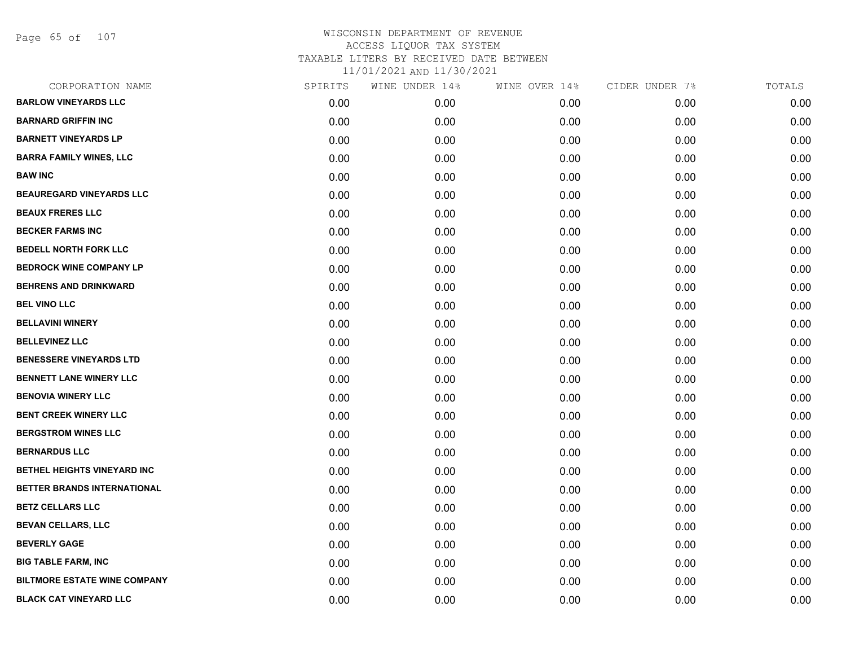Page 65 of 107

| CORPORATION NAME                    | SPIRITS | WINE UNDER 14% | WINE OVER 14% | CIDER UNDER 7% | TOTALS |
|-------------------------------------|---------|----------------|---------------|----------------|--------|
| <b>BARLOW VINEYARDS LLC</b>         | 0.00    | 0.00           | 0.00          | 0.00           | 0.00   |
| <b>BARNARD GRIFFIN INC</b>          | 0.00    | 0.00           | 0.00          | 0.00           | 0.00   |
| <b>BARNETT VINEYARDS LP</b>         | 0.00    | 0.00           | 0.00          | 0.00           | 0.00   |
| <b>BARRA FAMILY WINES, LLC</b>      | 0.00    | 0.00           | 0.00          | 0.00           | 0.00   |
| <b>BAW INC</b>                      | 0.00    | 0.00           | 0.00          | 0.00           | 0.00   |
| <b>BEAUREGARD VINEYARDS LLC</b>     | 0.00    | 0.00           | 0.00          | 0.00           | 0.00   |
| <b>BEAUX FRERES LLC</b>             | 0.00    | 0.00           | 0.00          | 0.00           | 0.00   |
| <b>BECKER FARMS INC</b>             | 0.00    | 0.00           | 0.00          | 0.00           | 0.00   |
| <b>BEDELL NORTH FORK LLC</b>        | 0.00    | 0.00           | 0.00          | 0.00           | 0.00   |
| <b>BEDROCK WINE COMPANY LP</b>      | 0.00    | 0.00           | 0.00          | 0.00           | 0.00   |
| <b>BEHRENS AND DRINKWARD</b>        | 0.00    | 0.00           | 0.00          | 0.00           | 0.00   |
| <b>BEL VINO LLC</b>                 | 0.00    | 0.00           | 0.00          | 0.00           | 0.00   |
| <b>BELLAVINI WINERY</b>             | 0.00    | 0.00           | 0.00          | 0.00           | 0.00   |
| <b>BELLEVINEZ LLC</b>               | 0.00    | 0.00           | 0.00          | 0.00           | 0.00   |
| <b>BENESSERE VINEYARDS LTD</b>      | 0.00    | 0.00           | 0.00          | 0.00           | 0.00   |
| <b>BENNETT LANE WINERY LLC</b>      | 0.00    | 0.00           | 0.00          | 0.00           | 0.00   |
| <b>BENOVIA WINERY LLC</b>           | 0.00    | 0.00           | 0.00          | 0.00           | 0.00   |
| <b>BENT CREEK WINERY LLC</b>        | 0.00    | 0.00           | 0.00          | 0.00           | 0.00   |
| <b>BERGSTROM WINES LLC</b>          | 0.00    | 0.00           | 0.00          | 0.00           | 0.00   |
| <b>BERNARDUS LLC</b>                | 0.00    | 0.00           | 0.00          | 0.00           | 0.00   |
| BETHEL HEIGHTS VINEYARD INC         | 0.00    | 0.00           | 0.00          | 0.00           | 0.00   |
| BETTER BRANDS INTERNATIONAL         | 0.00    | 0.00           | 0.00          | 0.00           | 0.00   |
| <b>BETZ CELLARS LLC</b>             | 0.00    | 0.00           | 0.00          | 0.00           | 0.00   |
| <b>BEVAN CELLARS, LLC</b>           | 0.00    | 0.00           | 0.00          | 0.00           | 0.00   |
| <b>BEVERLY GAGE</b>                 | 0.00    | 0.00           | 0.00          | 0.00           | 0.00   |
| <b>BIG TABLE FARM, INC</b>          | 0.00    | 0.00           | 0.00          | 0.00           | 0.00   |
| <b>BILTMORE ESTATE WINE COMPANY</b> | 0.00    | 0.00           | 0.00          | 0.00           | 0.00   |
| <b>BLACK CAT VINEYARD LLC</b>       | 0.00    | 0.00           | 0.00          | 0.00           | 0.00   |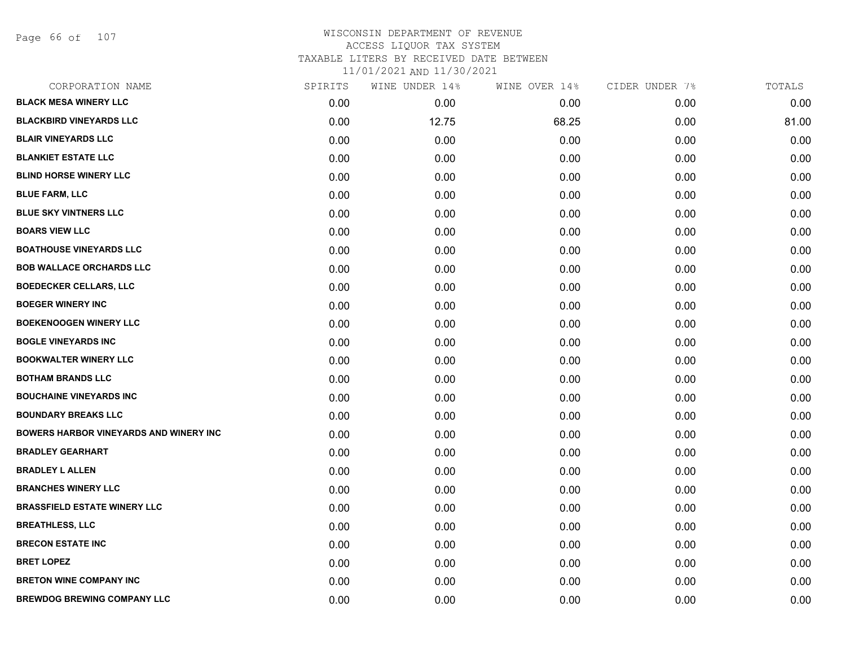Page 66 of 107

| CORPORATION NAME                       | SPIRITS | WINE UNDER 14% | WINE OVER 14% | CIDER UNDER 7% | TOTALS |
|----------------------------------------|---------|----------------|---------------|----------------|--------|
| <b>BLACK MESA WINERY LLC</b>           | 0.00    | 0.00           | 0.00          | 0.00           | 0.00   |
| <b>BLACKBIRD VINEYARDS LLC</b>         | 0.00    | 12.75          | 68.25         | 0.00           | 81.00  |
| <b>BLAIR VINEYARDS LLC</b>             | 0.00    | 0.00           | 0.00          | 0.00           | 0.00   |
| <b>BLANKIET ESTATE LLC</b>             | 0.00    | 0.00           | 0.00          | 0.00           | 0.00   |
| <b>BLIND HORSE WINERY LLC</b>          | 0.00    | 0.00           | 0.00          | 0.00           | 0.00   |
| <b>BLUE FARM, LLC</b>                  | 0.00    | 0.00           | 0.00          | 0.00           | 0.00   |
| <b>BLUE SKY VINTNERS LLC</b>           | 0.00    | 0.00           | 0.00          | 0.00           | 0.00   |
| <b>BOARS VIEW LLC</b>                  | 0.00    | 0.00           | 0.00          | 0.00           | 0.00   |
| <b>BOATHOUSE VINEYARDS LLC</b>         | 0.00    | 0.00           | 0.00          | 0.00           | 0.00   |
| <b>BOB WALLACE ORCHARDS LLC</b>        | 0.00    | 0.00           | 0.00          | 0.00           | 0.00   |
| <b>BOEDECKER CELLARS, LLC</b>          | 0.00    | 0.00           | 0.00          | 0.00           | 0.00   |
| <b>BOEGER WINERY INC</b>               | 0.00    | 0.00           | 0.00          | 0.00           | 0.00   |
| <b>BOEKENOOGEN WINERY LLC</b>          | 0.00    | 0.00           | 0.00          | 0.00           | 0.00   |
| <b>BOGLE VINEYARDS INC</b>             | 0.00    | 0.00           | 0.00          | 0.00           | 0.00   |
| <b>BOOKWALTER WINERY LLC</b>           | 0.00    | 0.00           | 0.00          | 0.00           | 0.00   |
| <b>BOTHAM BRANDS LLC</b>               | 0.00    | 0.00           | 0.00          | 0.00           | 0.00   |
| <b>BOUCHAINE VINEYARDS INC</b>         | 0.00    | 0.00           | 0.00          | 0.00           | 0.00   |
| <b>BOUNDARY BREAKS LLC</b>             | 0.00    | 0.00           | 0.00          | 0.00           | 0.00   |
| BOWERS HARBOR VINEYARDS AND WINERY INC | 0.00    | 0.00           | 0.00          | 0.00           | 0.00   |
| <b>BRADLEY GEARHART</b>                | 0.00    | 0.00           | 0.00          | 0.00           | 0.00   |
| <b>BRADLEY L ALLEN</b>                 | 0.00    | 0.00           | 0.00          | 0.00           | 0.00   |
| <b>BRANCHES WINERY LLC</b>             | 0.00    | 0.00           | 0.00          | 0.00           | 0.00   |
| <b>BRASSFIELD ESTATE WINERY LLC</b>    | 0.00    | 0.00           | 0.00          | 0.00           | 0.00   |
| <b>BREATHLESS, LLC</b>                 | 0.00    | 0.00           | 0.00          | 0.00           | 0.00   |
| <b>BRECON ESTATE INC</b>               | 0.00    | 0.00           | 0.00          | 0.00           | 0.00   |
| <b>BRET LOPEZ</b>                      | 0.00    | 0.00           | 0.00          | 0.00           | 0.00   |
| <b>BRETON WINE COMPANY INC</b>         | 0.00    | 0.00           | 0.00          | 0.00           | 0.00   |
| <b>BREWDOG BREWING COMPANY LLC</b>     | 0.00    | 0.00           | 0.00          | 0.00           | 0.00   |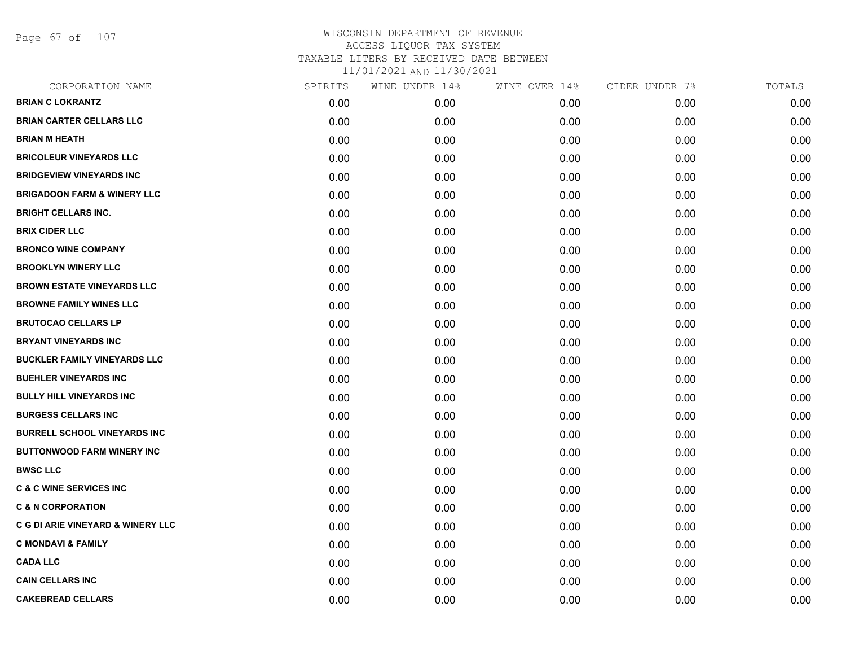Page 67 of 107

| CORPORATION NAME                       | SPIRITS | WINE UNDER 14% | WINE OVER 14% | CIDER UNDER 7% | TOTALS |
|----------------------------------------|---------|----------------|---------------|----------------|--------|
| <b>BRIAN C LOKRANTZ</b>                | 0.00    | 0.00           | 0.00          | 0.00           | 0.00   |
| <b>BRIAN CARTER CELLARS LLC</b>        | 0.00    | 0.00           | 0.00          | 0.00           | 0.00   |
| <b>BRIAN M HEATH</b>                   | 0.00    | 0.00           | 0.00          | 0.00           | 0.00   |
| <b>BRICOLEUR VINEYARDS LLC</b>         | 0.00    | 0.00           | 0.00          | 0.00           | 0.00   |
| <b>BRIDGEVIEW VINEYARDS INC</b>        | 0.00    | 0.00           | 0.00          | 0.00           | 0.00   |
| <b>BRIGADOON FARM &amp; WINERY LLC</b> | 0.00    | 0.00           | 0.00          | 0.00           | 0.00   |
| <b>BRIGHT CELLARS INC.</b>             | 0.00    | 0.00           | 0.00          | 0.00           | 0.00   |
| <b>BRIX CIDER LLC</b>                  | 0.00    | 0.00           | 0.00          | 0.00           | 0.00   |
| <b>BRONCO WINE COMPANY</b>             | 0.00    | 0.00           | 0.00          | 0.00           | 0.00   |
| <b>BROOKLYN WINERY LLC</b>             | 0.00    | 0.00           | 0.00          | 0.00           | 0.00   |
| <b>BROWN ESTATE VINEYARDS LLC</b>      | 0.00    | 0.00           | 0.00          | 0.00           | 0.00   |
| <b>BROWNE FAMILY WINES LLC</b>         | 0.00    | 0.00           | 0.00          | 0.00           | 0.00   |
| <b>BRUTOCAO CELLARS LP</b>             | 0.00    | 0.00           | 0.00          | 0.00           | 0.00   |
| <b>BRYANT VINEYARDS INC</b>            | 0.00    | 0.00           | 0.00          | 0.00           | 0.00   |
| <b>BUCKLER FAMILY VINEYARDS LLC</b>    | 0.00    | 0.00           | 0.00          | 0.00           | 0.00   |
| <b>BUEHLER VINEYARDS INC</b>           | 0.00    | 0.00           | 0.00          | 0.00           | 0.00   |
| <b>BULLY HILL VINEYARDS INC</b>        | 0.00    | 0.00           | 0.00          | 0.00           | 0.00   |
| <b>BURGESS CELLARS INC</b>             | 0.00    | 0.00           | 0.00          | 0.00           | 0.00   |
| <b>BURRELL SCHOOL VINEYARDS INC</b>    | 0.00    | 0.00           | 0.00          | 0.00           | 0.00   |
| <b>BUTTONWOOD FARM WINERY INC</b>      | 0.00    | 0.00           | 0.00          | 0.00           | 0.00   |
| <b>BWSC LLC</b>                        | 0.00    | 0.00           | 0.00          | 0.00           | 0.00   |
| <b>C &amp; C WINE SERVICES INC</b>     | 0.00    | 0.00           | 0.00          | 0.00           | 0.00   |
| <b>C &amp; N CORPORATION</b>           | 0.00    | 0.00           | 0.00          | 0.00           | 0.00   |
| C G DI ARIE VINEYARD & WINERY LLC      | 0.00    | 0.00           | 0.00          | 0.00           | 0.00   |
| <b>C MONDAVI &amp; FAMILY</b>          | 0.00    | 0.00           | 0.00          | 0.00           | 0.00   |
| <b>CADA LLC</b>                        | 0.00    | 0.00           | 0.00          | 0.00           | 0.00   |
| <b>CAIN CELLARS INC</b>                | 0.00    | 0.00           | 0.00          | 0.00           | 0.00   |
| <b>CAKEBREAD CELLARS</b>               | 0.00    | 0.00           | 0.00          | 0.00           | 0.00   |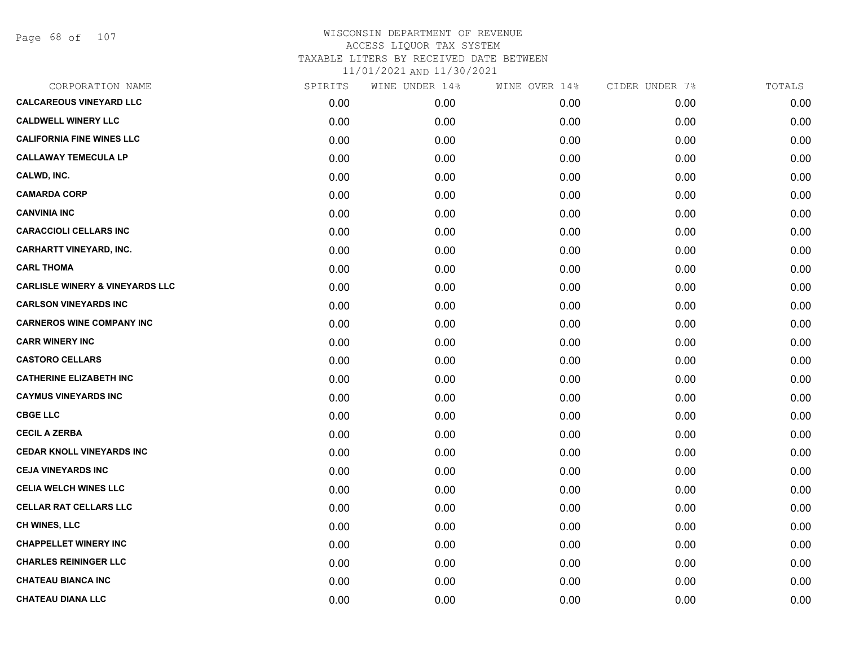Page 68 of 107

| CORPORATION NAME                           | SPIRITS | WINE UNDER 14% | WINE OVER 14% | CIDER UNDER 7% | TOTALS |
|--------------------------------------------|---------|----------------|---------------|----------------|--------|
| <b>CALCAREOUS VINEYARD LLC</b>             | 0.00    | 0.00           | 0.00          | 0.00           | 0.00   |
| <b>CALDWELL WINERY LLC</b>                 | 0.00    | 0.00           | 0.00          | 0.00           | 0.00   |
| <b>CALIFORNIA FINE WINES LLC</b>           | 0.00    | 0.00           | 0.00          | 0.00           | 0.00   |
| <b>CALLAWAY TEMECULA LP</b>                | 0.00    | 0.00           | 0.00          | 0.00           | 0.00   |
| CALWD, INC.                                | 0.00    | 0.00           | 0.00          | 0.00           | 0.00   |
| <b>CAMARDA CORP</b>                        | 0.00    | 0.00           | 0.00          | 0.00           | 0.00   |
| <b>CANVINIA INC</b>                        | 0.00    | 0.00           | 0.00          | 0.00           | 0.00   |
| <b>CARACCIOLI CELLARS INC</b>              | 0.00    | 0.00           | 0.00          | 0.00           | 0.00   |
| <b>CARHARTT VINEYARD, INC.</b>             | 0.00    | 0.00           | 0.00          | 0.00           | 0.00   |
| <b>CARL THOMA</b>                          | 0.00    | 0.00           | 0.00          | 0.00           | 0.00   |
| <b>CARLISLE WINERY &amp; VINEYARDS LLC</b> | 0.00    | 0.00           | 0.00          | 0.00           | 0.00   |
| <b>CARLSON VINEYARDS INC</b>               | 0.00    | 0.00           | 0.00          | 0.00           | 0.00   |
| <b>CARNEROS WINE COMPANY INC</b>           | 0.00    | 0.00           | 0.00          | 0.00           | 0.00   |
| <b>CARR WINERY INC</b>                     | 0.00    | 0.00           | 0.00          | 0.00           | 0.00   |
| <b>CASTORO CELLARS</b>                     | 0.00    | 0.00           | 0.00          | 0.00           | 0.00   |
| <b>CATHERINE ELIZABETH INC</b>             | 0.00    | 0.00           | 0.00          | 0.00           | 0.00   |
| <b>CAYMUS VINEYARDS INC</b>                | 0.00    | 0.00           | 0.00          | 0.00           | 0.00   |
| <b>CBGE LLC</b>                            | 0.00    | 0.00           | 0.00          | 0.00           | 0.00   |
| <b>CECIL A ZERBA</b>                       | 0.00    | 0.00           | 0.00          | 0.00           | 0.00   |
| <b>CEDAR KNOLL VINEYARDS INC</b>           | 0.00    | 0.00           | 0.00          | 0.00           | 0.00   |
| <b>CEJA VINEYARDS INC</b>                  | 0.00    | 0.00           | 0.00          | 0.00           | 0.00   |
| <b>CELIA WELCH WINES LLC</b>               | 0.00    | 0.00           | 0.00          | 0.00           | 0.00   |
| <b>CELLAR RAT CELLARS LLC</b>              | 0.00    | 0.00           | 0.00          | 0.00           | 0.00   |
| <b>CH WINES, LLC</b>                       | 0.00    | 0.00           | 0.00          | 0.00           | 0.00   |
| <b>CHAPPELLET WINERY INC</b>               | 0.00    | 0.00           | 0.00          | 0.00           | 0.00   |
| <b>CHARLES REININGER LLC</b>               | 0.00    | 0.00           | 0.00          | 0.00           | 0.00   |
| <b>CHATEAU BIANCA INC</b>                  | 0.00    | 0.00           | 0.00          | 0.00           | 0.00   |
| <b>CHATEAU DIANA LLC</b>                   | 0.00    | 0.00           | 0.00          | 0.00           | 0.00   |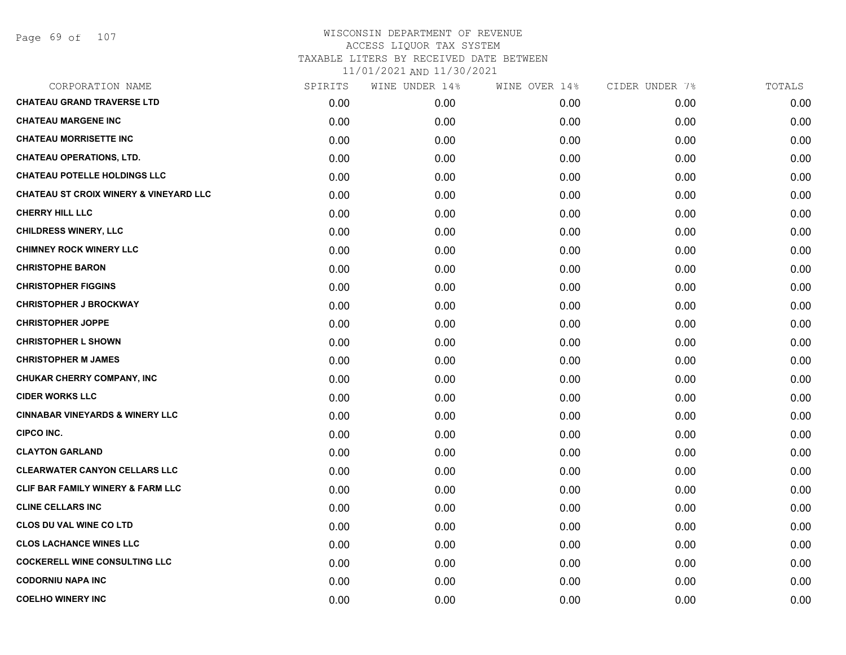| CORPORATION NAME                                  | SPIRITS | WINE UNDER 14% | WINE OVER 14% | CIDER UNDER 7% | TOTALS |
|---------------------------------------------------|---------|----------------|---------------|----------------|--------|
| <b>CHATEAU GRAND TRAVERSE LTD</b>                 | 0.00    | 0.00           | 0.00          | 0.00           | 0.00   |
| <b>CHATEAU MARGENE INC</b>                        | 0.00    | 0.00           | 0.00          | 0.00           | 0.00   |
| <b>CHATEAU MORRISETTE INC</b>                     | 0.00    | 0.00           | 0.00          | 0.00           | 0.00   |
| <b>CHATEAU OPERATIONS, LTD.</b>                   | 0.00    | 0.00           | 0.00          | 0.00           | 0.00   |
| <b>CHATEAU POTELLE HOLDINGS LLC</b>               | 0.00    | 0.00           | 0.00          | 0.00           | 0.00   |
| <b>CHATEAU ST CROIX WINERY &amp; VINEYARD LLC</b> | 0.00    | 0.00           | 0.00          | 0.00           | 0.00   |
| <b>CHERRY HILL LLC</b>                            | 0.00    | 0.00           | 0.00          | 0.00           | 0.00   |
| <b>CHILDRESS WINERY, LLC</b>                      | 0.00    | 0.00           | 0.00          | 0.00           | 0.00   |
| <b>CHIMNEY ROCK WINERY LLC</b>                    | 0.00    | 0.00           | 0.00          | 0.00           | 0.00   |
| <b>CHRISTOPHE BARON</b>                           | 0.00    | 0.00           | 0.00          | 0.00           | 0.00   |
| <b>CHRISTOPHER FIGGINS</b>                        | 0.00    | 0.00           | 0.00          | 0.00           | 0.00   |
| <b>CHRISTOPHER J BROCKWAY</b>                     | 0.00    | 0.00           | 0.00          | 0.00           | 0.00   |
| <b>CHRISTOPHER JOPPE</b>                          | 0.00    | 0.00           | 0.00          | 0.00           | 0.00   |
| <b>CHRISTOPHER L SHOWN</b>                        | 0.00    | 0.00           | 0.00          | 0.00           | 0.00   |
| <b>CHRISTOPHER M JAMES</b>                        | 0.00    | 0.00           | 0.00          | 0.00           | 0.00   |
| CHUKAR CHERRY COMPANY, INC                        | 0.00    | 0.00           | 0.00          | 0.00           | 0.00   |
| <b>CIDER WORKS LLC</b>                            | 0.00    | 0.00           | 0.00          | 0.00           | 0.00   |
| <b>CINNABAR VINEYARDS &amp; WINERY LLC</b>        | 0.00    | 0.00           | 0.00          | 0.00           | 0.00   |
| <b>CIPCO INC.</b>                                 | 0.00    | 0.00           | 0.00          | 0.00           | 0.00   |
| <b>CLAYTON GARLAND</b>                            | 0.00    | 0.00           | 0.00          | 0.00           | 0.00   |
| <b>CLEARWATER CANYON CELLARS LLC</b>              | 0.00    | 0.00           | 0.00          | 0.00           | 0.00   |
| CLIF BAR FAMILY WINERY & FARM LLC                 | 0.00    | 0.00           | 0.00          | 0.00           | 0.00   |
| <b>CLINE CELLARS INC</b>                          | 0.00    | 0.00           | 0.00          | 0.00           | 0.00   |
| <b>CLOS DU VAL WINE CO LTD</b>                    | 0.00    | 0.00           | 0.00          | 0.00           | 0.00   |
| <b>CLOS LACHANCE WINES LLC</b>                    | 0.00    | 0.00           | 0.00          | 0.00           | 0.00   |
| <b>COCKERELL WINE CONSULTING LLC</b>              | 0.00    | 0.00           | 0.00          | 0.00           | 0.00   |
| <b>CODORNIU NAPA INC</b>                          | 0.00    | 0.00           | 0.00          | 0.00           | 0.00   |
| <b>COELHO WINERY INC</b>                          | 0.00    | 0.00           | 0.00          | 0.00           | 0.00   |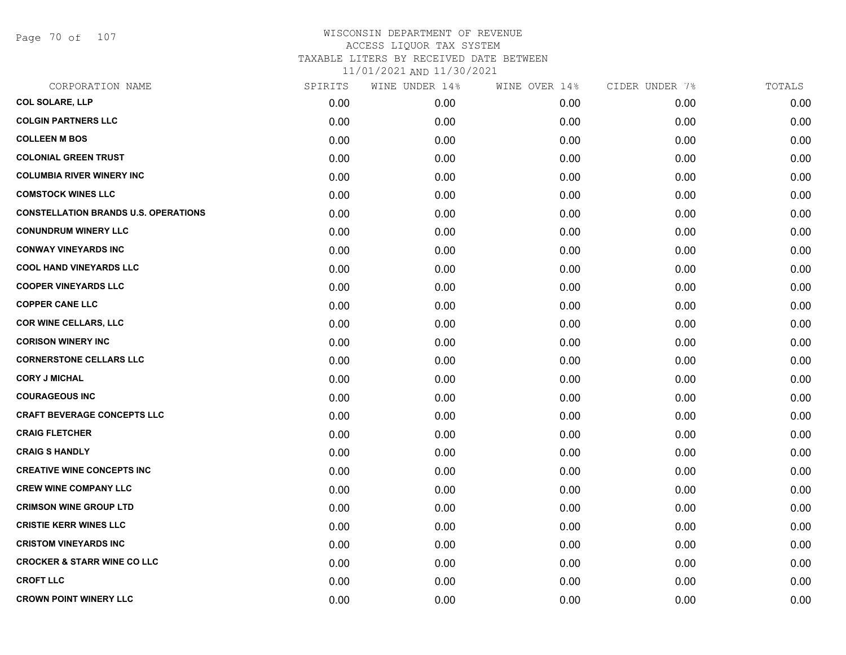Page 70 of 107

# WISCONSIN DEPARTMENT OF REVENUE ACCESS LIQUOR TAX SYSTEM TAXABLE LITERS BY RECEIVED DATE BETWEEN

| CORPORATION NAME                            | SPIRITS | WINE UNDER 14% | WINE OVER 14% | CIDER UNDER 7% | TOTALS |
|---------------------------------------------|---------|----------------|---------------|----------------|--------|
| <b>COL SOLARE, LLP</b>                      | 0.00    | 0.00           | 0.00          | 0.00           | 0.00   |
| <b>COLGIN PARTNERS LLC</b>                  | 0.00    | 0.00           | 0.00          | 0.00           | 0.00   |
| <b>COLLEEN M BOS</b>                        | 0.00    | 0.00           | 0.00          | 0.00           | 0.00   |
| <b>COLONIAL GREEN TRUST</b>                 | 0.00    | 0.00           | 0.00          | 0.00           | 0.00   |
| <b>COLUMBIA RIVER WINERY INC</b>            | 0.00    | 0.00           | 0.00          | 0.00           | 0.00   |
| <b>COMSTOCK WINES LLC</b>                   | 0.00    | 0.00           | 0.00          | 0.00           | 0.00   |
| <b>CONSTELLATION BRANDS U.S. OPERATIONS</b> | 0.00    | 0.00           | 0.00          | 0.00           | 0.00   |
| <b>CONUNDRUM WINERY LLC</b>                 | 0.00    | 0.00           | 0.00          | 0.00           | 0.00   |
| <b>CONWAY VINEYARDS INC</b>                 | 0.00    | 0.00           | 0.00          | 0.00           | 0.00   |
| <b>COOL HAND VINEYARDS LLC</b>              | 0.00    | 0.00           | 0.00          | 0.00           | 0.00   |
| <b>COOPER VINEYARDS LLC</b>                 | 0.00    | 0.00           | 0.00          | 0.00           | 0.00   |
| <b>COPPER CANE LLC</b>                      | 0.00    | 0.00           | 0.00          | 0.00           | 0.00   |
| <b>COR WINE CELLARS, LLC</b>                | 0.00    | 0.00           | 0.00          | 0.00           | 0.00   |
| <b>CORISON WINERY INC</b>                   | 0.00    | 0.00           | 0.00          | 0.00           | 0.00   |
| <b>CORNERSTONE CELLARS LLC</b>              | 0.00    | 0.00           | 0.00          | 0.00           | 0.00   |
| <b>CORY J MICHAL</b>                        | 0.00    | 0.00           | 0.00          | 0.00           | 0.00   |
| <b>COURAGEOUS INC</b>                       | 0.00    | 0.00           | 0.00          | 0.00           | 0.00   |
| <b>CRAFT BEVERAGE CONCEPTS LLC</b>          | 0.00    | 0.00           | 0.00          | 0.00           | 0.00   |
| <b>CRAIG FLETCHER</b>                       | 0.00    | 0.00           | 0.00          | 0.00           | 0.00   |
| <b>CRAIG S HANDLY</b>                       | 0.00    | 0.00           | 0.00          | 0.00           | 0.00   |
| <b>CREATIVE WINE CONCEPTS INC</b>           | 0.00    | 0.00           | 0.00          | 0.00           | 0.00   |
| <b>CREW WINE COMPANY LLC</b>                | 0.00    | 0.00           | 0.00          | 0.00           | 0.00   |
| <b>CRIMSON WINE GROUP LTD</b>               | 0.00    | 0.00           | 0.00          | 0.00           | 0.00   |
| <b>CRISTIE KERR WINES LLC</b>               | 0.00    | 0.00           | 0.00          | 0.00           | 0.00   |
| <b>CRISTOM VINEYARDS INC</b>                | 0.00    | 0.00           | 0.00          | 0.00           | 0.00   |
| <b>CROCKER &amp; STARR WINE CO LLC</b>      | 0.00    | 0.00           | 0.00          | 0.00           | 0.00   |
| <b>CROFT LLC</b>                            | 0.00    | 0.00           | 0.00          | 0.00           | 0.00   |
| <b>CROWN POINT WINERY LLC</b>               | 0.00    | 0.00           | 0.00          | 0.00           | 0.00   |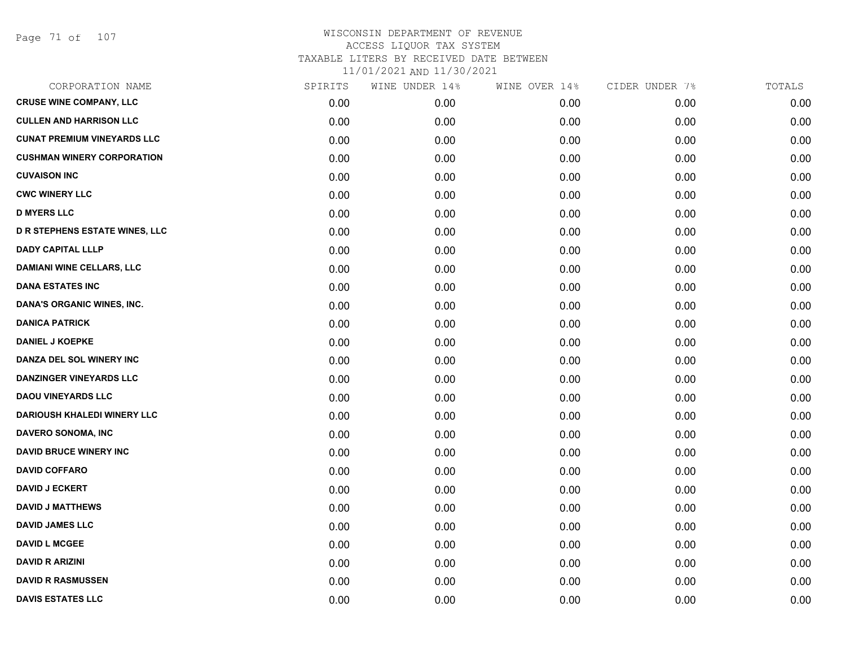Page 71 of 107

| CORPORATION NAME                      | SPIRITS | WINE UNDER 14% | WINE OVER 14% | CIDER UNDER 7% | TOTALS |
|---------------------------------------|---------|----------------|---------------|----------------|--------|
| <b>CRUSE WINE COMPANY, LLC</b>        | 0.00    | 0.00           | 0.00          | 0.00           | 0.00   |
| <b>CULLEN AND HARRISON LLC</b>        | 0.00    | 0.00           | 0.00          | 0.00           | 0.00   |
| <b>CUNAT PREMIUM VINEYARDS LLC</b>    | 0.00    | 0.00           | 0.00          | 0.00           | 0.00   |
| <b>CUSHMAN WINERY CORPORATION</b>     | 0.00    | 0.00           | 0.00          | 0.00           | 0.00   |
| <b>CUVAISON INC</b>                   | 0.00    | 0.00           | 0.00          | 0.00           | 0.00   |
| <b>CWC WINERY LLC</b>                 | 0.00    | 0.00           | 0.00          | 0.00           | 0.00   |
| <b>D MYERS LLC</b>                    | 0.00    | 0.00           | 0.00          | 0.00           | 0.00   |
| <b>D R STEPHENS ESTATE WINES, LLC</b> | 0.00    | 0.00           | 0.00          | 0.00           | 0.00   |
| <b>DADY CAPITAL LLLP</b>              | 0.00    | 0.00           | 0.00          | 0.00           | 0.00   |
| <b>DAMIANI WINE CELLARS, LLC</b>      | 0.00    | 0.00           | 0.00          | 0.00           | 0.00   |
| <b>DANA ESTATES INC</b>               | 0.00    | 0.00           | 0.00          | 0.00           | 0.00   |
| DANA'S ORGANIC WINES, INC.            | 0.00    | 0.00           | 0.00          | 0.00           | 0.00   |
| <b>DANICA PATRICK</b>                 | 0.00    | 0.00           | 0.00          | 0.00           | 0.00   |
| <b>DANIEL J KOEPKE</b>                | 0.00    | 0.00           | 0.00          | 0.00           | 0.00   |
| DANZA DEL SOL WINERY INC              | 0.00    | 0.00           | 0.00          | 0.00           | 0.00   |
| <b>DANZINGER VINEYARDS LLC</b>        | 0.00    | 0.00           | 0.00          | 0.00           | 0.00   |
| <b>DAOU VINEYARDS LLC</b>             | 0.00    | 0.00           | 0.00          | 0.00           | 0.00   |
| <b>DARIOUSH KHALEDI WINERY LLC</b>    | 0.00    | 0.00           | 0.00          | 0.00           | 0.00   |
| DAVERO SONOMA, INC                    | 0.00    | 0.00           | 0.00          | 0.00           | 0.00   |
| <b>DAVID BRUCE WINERY INC</b>         | 0.00    | 0.00           | 0.00          | 0.00           | 0.00   |
| <b>DAVID COFFARO</b>                  | 0.00    | 0.00           | 0.00          | 0.00           | 0.00   |
| <b>DAVID J ECKERT</b>                 | 0.00    | 0.00           | 0.00          | 0.00           | 0.00   |
| <b>DAVID J MATTHEWS</b>               | 0.00    | 0.00           | 0.00          | 0.00           | 0.00   |
| <b>DAVID JAMES LLC</b>                | 0.00    | 0.00           | 0.00          | 0.00           | 0.00   |
| <b>DAVID L MCGEE</b>                  | 0.00    | 0.00           | 0.00          | 0.00           | 0.00   |
| <b>DAVID R ARIZINI</b>                | 0.00    | 0.00           | 0.00          | 0.00           | 0.00   |
| <b>DAVID R RASMUSSEN</b>              | 0.00    | 0.00           | 0.00          | 0.00           | 0.00   |
| <b>DAVIS ESTATES LLC</b>              | 0.00    | 0.00           | 0.00          | 0.00           | 0.00   |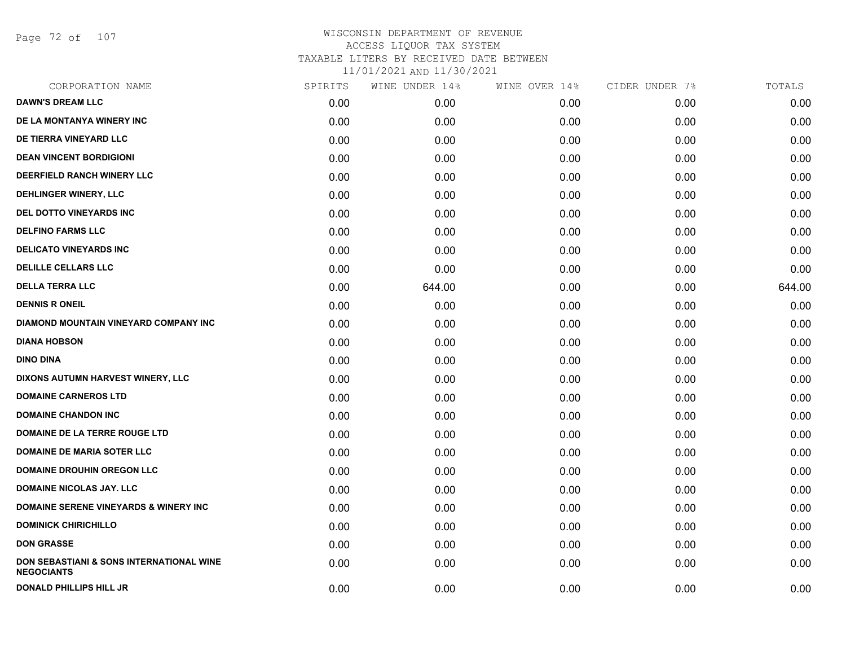Page 72 of 107

| CORPORATION NAME                                                         | SPIRITS | WINE UNDER 14% | WINE OVER 14% | CIDER UNDER 7% | TOTALS |
|--------------------------------------------------------------------------|---------|----------------|---------------|----------------|--------|
| <b>DAWN'S DREAM LLC</b>                                                  | 0.00    | 0.00           | 0.00          | 0.00           | 0.00   |
| DE LA MONTANYA WINERY INC                                                | 0.00    | 0.00           | 0.00          | 0.00           | 0.00   |
| DE TIERRA VINEYARD LLC                                                   | 0.00    | 0.00           | 0.00          | 0.00           | 0.00   |
| <b>DEAN VINCENT BORDIGIONI</b>                                           | 0.00    | 0.00           | 0.00          | 0.00           | 0.00   |
| DEERFIELD RANCH WINERY LLC                                               | 0.00    | 0.00           | 0.00          | 0.00           | 0.00   |
| DEHLINGER WINERY, LLC                                                    | 0.00    | 0.00           | 0.00          | 0.00           | 0.00   |
| DEL DOTTO VINEYARDS INC                                                  | 0.00    | 0.00           | 0.00          | 0.00           | 0.00   |
| <b>DELFINO FARMS LLC</b>                                                 | 0.00    | 0.00           | 0.00          | 0.00           | 0.00   |
| <b>DELICATO VINEYARDS INC</b>                                            | 0.00    | 0.00           | 0.00          | 0.00           | 0.00   |
| <b>DELILLE CELLARS LLC</b>                                               | 0.00    | 0.00           | 0.00          | 0.00           | 0.00   |
| <b>DELLA TERRA LLC</b>                                                   | 0.00    | 644.00         | 0.00          | 0.00           | 644.00 |
| <b>DENNIS R ONEIL</b>                                                    | 0.00    | 0.00           | 0.00          | 0.00           | 0.00   |
| DIAMOND MOUNTAIN VINEYARD COMPANY INC                                    | 0.00    | 0.00           | 0.00          | 0.00           | 0.00   |
| <b>DIANA HOBSON</b>                                                      | 0.00    | 0.00           | 0.00          | 0.00           | 0.00   |
| <b>DINO DINA</b>                                                         | 0.00    | 0.00           | 0.00          | 0.00           | 0.00   |
| DIXONS AUTUMN HARVEST WINERY, LLC                                        | 0.00    | 0.00           | 0.00          | 0.00           | 0.00   |
| <b>DOMAINE CARNEROS LTD</b>                                              | 0.00    | 0.00           | 0.00          | 0.00           | 0.00   |
| <b>DOMAINE CHANDON INC</b>                                               | 0.00    | 0.00           | 0.00          | 0.00           | 0.00   |
| DOMAINE DE LA TERRE ROUGE LTD                                            | 0.00    | 0.00           | 0.00          | 0.00           | 0.00   |
| <b>DOMAINE DE MARIA SOTER LLC</b>                                        | 0.00    | 0.00           | 0.00          | 0.00           | 0.00   |
| <b>DOMAINE DROUHIN OREGON LLC</b>                                        | 0.00    | 0.00           | 0.00          | 0.00           | 0.00   |
| <b>DOMAINE NICOLAS JAY, LLC</b>                                          | 0.00    | 0.00           | 0.00          | 0.00           | 0.00   |
| <b>DOMAINE SERENE VINEYARDS &amp; WINERY INC</b>                         | 0.00    | 0.00           | 0.00          | 0.00           | 0.00   |
| <b>DOMINICK CHIRICHILLO</b>                                              | 0.00    | 0.00           | 0.00          | 0.00           | 0.00   |
| <b>DON GRASSE</b>                                                        | 0.00    | 0.00           | 0.00          | 0.00           | 0.00   |
| <b>DON SEBASTIANI &amp; SONS INTERNATIONAL WINE</b><br><b>NEGOCIANTS</b> | 0.00    | 0.00           | 0.00          | 0.00           | 0.00   |
| <b>DONALD PHILLIPS HILL JR</b>                                           | 0.00    | 0.00           | 0.00          | 0.00           | 0.00   |
|                                                                          |         |                |               |                |        |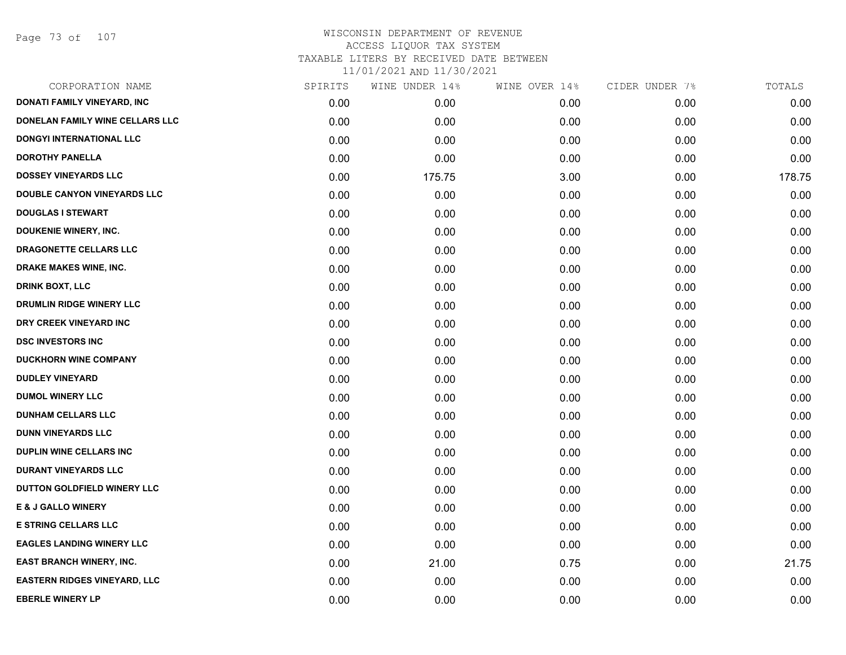Page 73 of 107

| CORPORATION NAME                    | SPIRITS | WINE UNDER 14% | WINE OVER 14% | CIDER UNDER 7% | TOTALS |
|-------------------------------------|---------|----------------|---------------|----------------|--------|
| DONATI FAMILY VINEYARD, INC         | 0.00    | 0.00           | 0.00          | 0.00           | 0.00   |
| DONELAN FAMILY WINE CELLARS LLC     | 0.00    | 0.00           | 0.00          | 0.00           | 0.00   |
| DONGYI INTERNATIONAL LLC            | 0.00    | 0.00           | 0.00          | 0.00           | 0.00   |
| <b>DOROTHY PANELLA</b>              | 0.00    | 0.00           | 0.00          | 0.00           | 0.00   |
| <b>DOSSEY VINEYARDS LLC</b>         | 0.00    | 175.75         | 3.00          | 0.00           | 178.75 |
| <b>DOUBLE CANYON VINEYARDS LLC</b>  | 0.00    | 0.00           | 0.00          | 0.00           | 0.00   |
| <b>DOUGLAS I STEWART</b>            | 0.00    | 0.00           | 0.00          | 0.00           | 0.00   |
| <b>DOUKENIE WINERY, INC.</b>        | 0.00    | 0.00           | 0.00          | 0.00           | 0.00   |
| <b>DRAGONETTE CELLARS LLC</b>       | 0.00    | 0.00           | 0.00          | 0.00           | 0.00   |
| DRAKE MAKES WINE, INC.              | 0.00    | 0.00           | 0.00          | 0.00           | 0.00   |
| <b>DRINK BOXT, LLC</b>              | 0.00    | 0.00           | 0.00          | 0.00           | 0.00   |
| DRUMLIN RIDGE WINERY LLC            | 0.00    | 0.00           | 0.00          | 0.00           | 0.00   |
| DRY CREEK VINEYARD INC              | 0.00    | 0.00           | 0.00          | 0.00           | 0.00   |
| <b>DSC INVESTORS INC</b>            | 0.00    | 0.00           | 0.00          | 0.00           | 0.00   |
| <b>DUCKHORN WINE COMPANY</b>        | 0.00    | 0.00           | 0.00          | 0.00           | 0.00   |
| <b>DUDLEY VINEYARD</b>              | 0.00    | 0.00           | 0.00          | 0.00           | 0.00   |
| <b>DUMOL WINERY LLC</b>             | 0.00    | 0.00           | 0.00          | 0.00           | 0.00   |
| <b>DUNHAM CELLARS LLC</b>           | 0.00    | 0.00           | 0.00          | 0.00           | 0.00   |
| <b>DUNN VINEYARDS LLC</b>           | 0.00    | 0.00           | 0.00          | 0.00           | 0.00   |
| <b>DUPLIN WINE CELLARS INC</b>      | 0.00    | 0.00           | 0.00          | 0.00           | 0.00   |
| <b>DURANT VINEYARDS LLC</b>         | 0.00    | 0.00           | 0.00          | 0.00           | 0.00   |
| DUTTON GOLDFIELD WINERY LLC         | 0.00    | 0.00           | 0.00          | 0.00           | 0.00   |
| <b>E &amp; J GALLO WINERY</b>       | 0.00    | 0.00           | 0.00          | 0.00           | 0.00   |
| <b>E STRING CELLARS LLC</b>         | 0.00    | 0.00           | 0.00          | 0.00           | 0.00   |
| <b>EAGLES LANDING WINERY LLC</b>    | 0.00    | 0.00           | 0.00          | 0.00           | 0.00   |
| EAST BRANCH WINERY, INC.            | 0.00    | 21.00          | 0.75          | 0.00           | 21.75  |
| <b>EASTERN RIDGES VINEYARD, LLC</b> | 0.00    | 0.00           | 0.00          | 0.00           | 0.00   |
| <b>EBERLE WINERY LP</b>             | 0.00    | 0.00           | 0.00          | 0.00           | 0.00   |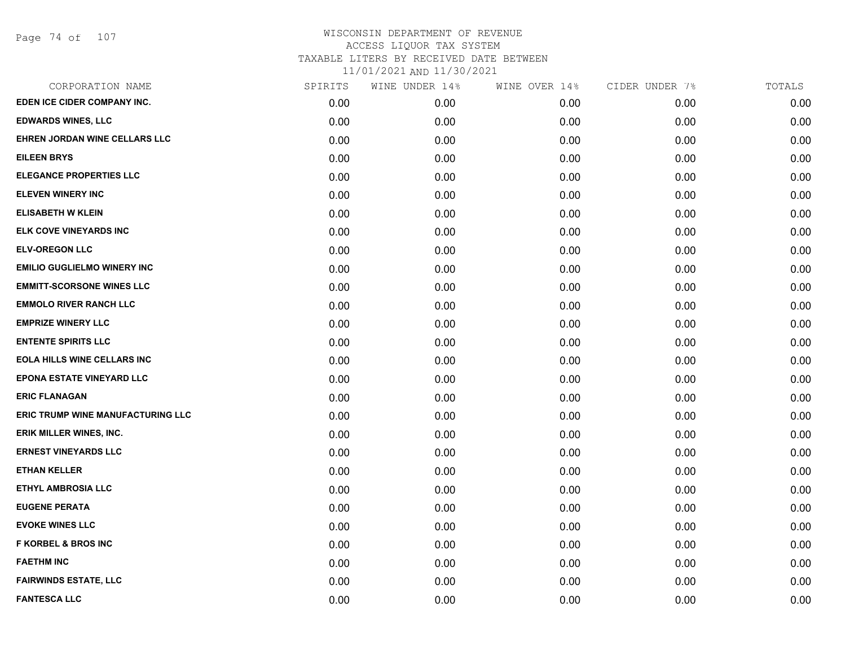| CORPORATION NAME                   | SPIRITS | WINE UNDER 14% | WINE OVER 14% | CIDER UNDER 7% | TOTALS |
|------------------------------------|---------|----------------|---------------|----------------|--------|
| EDEN ICE CIDER COMPANY INC.        | 0.00    | 0.00           | 0.00          | 0.00           | 0.00   |
| <b>EDWARDS WINES, LLC</b>          | 0.00    | 0.00           | 0.00          | 0.00           | 0.00   |
| EHREN JORDAN WINE CELLARS LLC      | 0.00    | 0.00           | 0.00          | 0.00           | 0.00   |
| <b>EILEEN BRYS</b>                 | 0.00    | 0.00           | 0.00          | 0.00           | 0.00   |
| <b>ELEGANCE PROPERTIES LLC</b>     | 0.00    | 0.00           | 0.00          | 0.00           | 0.00   |
| <b>ELEVEN WINERY INC</b>           | 0.00    | 0.00           | 0.00          | 0.00           | 0.00   |
| <b>ELISABETH W KLEIN</b>           | 0.00    | 0.00           | 0.00          | 0.00           | 0.00   |
| ELK COVE VINEYARDS INC             | 0.00    | 0.00           | 0.00          | 0.00           | 0.00   |
| <b>ELV-OREGON LLC</b>              | 0.00    | 0.00           | 0.00          | 0.00           | 0.00   |
| <b>EMILIO GUGLIELMO WINERY INC</b> | 0.00    | 0.00           | 0.00          | 0.00           | 0.00   |
| <b>EMMITT-SCORSONE WINES LLC</b>   | 0.00    | 0.00           | 0.00          | 0.00           | 0.00   |
| <b>EMMOLO RIVER RANCH LLC</b>      | 0.00    | 0.00           | 0.00          | 0.00           | 0.00   |
| <b>EMPRIZE WINERY LLC</b>          | 0.00    | 0.00           | 0.00          | 0.00           | 0.00   |
| <b>ENTENTE SPIRITS LLC</b>         | 0.00    | 0.00           | 0.00          | 0.00           | 0.00   |
| <b>EOLA HILLS WINE CELLARS INC</b> | 0.00    | 0.00           | 0.00          | 0.00           | 0.00   |
| EPONA ESTATE VINEYARD LLC          | 0.00    | 0.00           | 0.00          | 0.00           | 0.00   |
| <b>ERIC FLANAGAN</b>               | 0.00    | 0.00           | 0.00          | 0.00           | 0.00   |
| ERIC TRUMP WINE MANUFACTURING LLC  | 0.00    | 0.00           | 0.00          | 0.00           | 0.00   |
| ERIK MILLER WINES, INC.            | 0.00    | 0.00           | 0.00          | 0.00           | 0.00   |
| <b>ERNEST VINEYARDS LLC</b>        | 0.00    | 0.00           | 0.00          | 0.00           | 0.00   |
| <b>ETHAN KELLER</b>                | 0.00    | 0.00           | 0.00          | 0.00           | 0.00   |
| ETHYL AMBROSIA LLC                 | 0.00    | 0.00           | 0.00          | 0.00           | 0.00   |
| <b>EUGENE PERATA</b>               | 0.00    | 0.00           | 0.00          | 0.00           | 0.00   |
| <b>EVOKE WINES LLC</b>             | 0.00    | 0.00           | 0.00          | 0.00           | 0.00   |
| <b>F KORBEL &amp; BROS INC</b>     | 0.00    | 0.00           | 0.00          | 0.00           | 0.00   |
| <b>FAETHM INC</b>                  | 0.00    | 0.00           | 0.00          | 0.00           | 0.00   |
| <b>FAIRWINDS ESTATE, LLC</b>       | 0.00    | 0.00           | 0.00          | 0.00           | 0.00   |
| <b>FANTESCA LLC</b>                | 0.00    | 0.00           | 0.00          | 0.00           | 0.00   |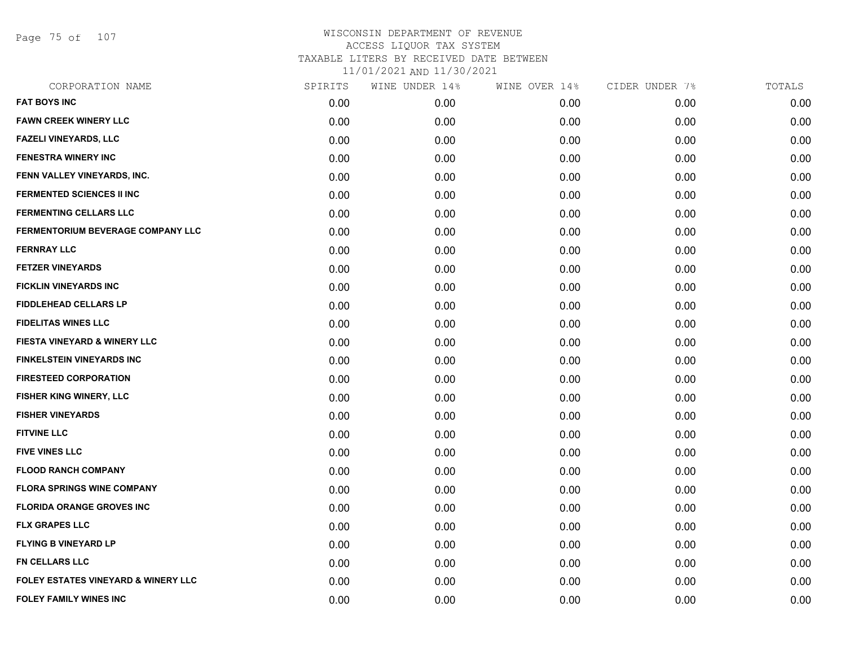Page 75 of 107

| CORPORATION NAME                               | SPIRITS | WINE UNDER 14% | WINE OVER 14% | CIDER UNDER 7% | TOTALS |
|------------------------------------------------|---------|----------------|---------------|----------------|--------|
| <b>FAT BOYS INC</b>                            | 0.00    | 0.00           | 0.00          | 0.00           | 0.00   |
| <b>FAWN CREEK WINERY LLC</b>                   | 0.00    | 0.00           | 0.00          | 0.00           | 0.00   |
| <b>FAZELI VINEYARDS, LLC</b>                   | 0.00    | 0.00           | 0.00          | 0.00           | 0.00   |
| <b>FENESTRA WINERY INC</b>                     | 0.00    | 0.00           | 0.00          | 0.00           | 0.00   |
| FENN VALLEY VINEYARDS, INC.                    | 0.00    | 0.00           | 0.00          | 0.00           | 0.00   |
| <b>FERMENTED SCIENCES II INC</b>               | 0.00    | 0.00           | 0.00          | 0.00           | 0.00   |
| <b>FERMENTING CELLARS LLC</b>                  | 0.00    | 0.00           | 0.00          | 0.00           | 0.00   |
| FERMENTORIUM BEVERAGE COMPANY LLC              | 0.00    | 0.00           | 0.00          | 0.00           | 0.00   |
| <b>FERNRAY LLC</b>                             | 0.00    | 0.00           | 0.00          | 0.00           | 0.00   |
| <b>FETZER VINEYARDS</b>                        | 0.00    | 0.00           | 0.00          | 0.00           | 0.00   |
| <b>FICKLIN VINEYARDS INC</b>                   | 0.00    | 0.00           | 0.00          | 0.00           | 0.00   |
| <b>FIDDLEHEAD CELLARS LP</b>                   | 0.00    | 0.00           | 0.00          | 0.00           | 0.00   |
| <b>FIDELITAS WINES LLC</b>                     | 0.00    | 0.00           | 0.00          | 0.00           | 0.00   |
| <b>FIESTA VINEYARD &amp; WINERY LLC</b>        | 0.00    | 0.00           | 0.00          | 0.00           | 0.00   |
| <b>FINKELSTEIN VINEYARDS INC</b>               | 0.00    | 0.00           | 0.00          | 0.00           | 0.00   |
| <b>FIRESTEED CORPORATION</b>                   | 0.00    | 0.00           | 0.00          | 0.00           | 0.00   |
| FISHER KING WINERY, LLC                        | 0.00    | 0.00           | 0.00          | 0.00           | 0.00   |
| <b>FISHER VINEYARDS</b>                        | 0.00    | 0.00           | 0.00          | 0.00           | 0.00   |
| <b>FITVINE LLC</b>                             | 0.00    | 0.00           | 0.00          | 0.00           | 0.00   |
| <b>FIVE VINES LLC</b>                          | 0.00    | 0.00           | 0.00          | 0.00           | 0.00   |
| <b>FLOOD RANCH COMPANY</b>                     | 0.00    | 0.00           | 0.00          | 0.00           | 0.00   |
| <b>FLORA SPRINGS WINE COMPANY</b>              | 0.00    | 0.00           | 0.00          | 0.00           | 0.00   |
| <b>FLORIDA ORANGE GROVES INC</b>               | 0.00    | 0.00           | 0.00          | 0.00           | 0.00   |
| <b>FLX GRAPES LLC</b>                          | 0.00    | 0.00           | 0.00          | 0.00           | 0.00   |
| <b>FLYING B VINEYARD LP</b>                    | 0.00    | 0.00           | 0.00          | 0.00           | 0.00   |
| <b>FN CELLARS LLC</b>                          | 0.00    | 0.00           | 0.00          | 0.00           | 0.00   |
| <b>FOLEY ESTATES VINEYARD &amp; WINERY LLC</b> | 0.00    | 0.00           | 0.00          | 0.00           | 0.00   |
| <b>FOLEY FAMILY WINES INC</b>                  | 0.00    | 0.00           | 0.00          | 0.00           | 0.00   |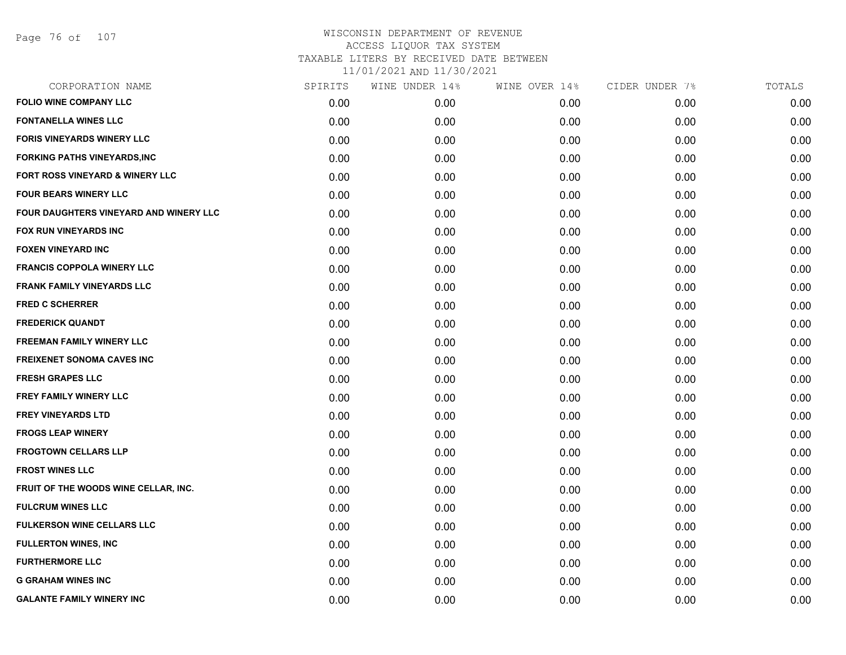| CORPORATION NAME                           | SPIRITS | WINE UNDER 14% | WINE OVER 14% | CIDER UNDER 7% | TOTALS |
|--------------------------------------------|---------|----------------|---------------|----------------|--------|
| <b>FOLIO WINE COMPANY LLC</b>              | 0.00    | 0.00           | 0.00          | 0.00           | 0.00   |
| <b>FONTANELLA WINES LLC</b>                | 0.00    | 0.00           | 0.00          | 0.00           | 0.00   |
| <b>FORIS VINEYARDS WINERY LLC</b>          | 0.00    | 0.00           | 0.00          | 0.00           | 0.00   |
| <b>FORKING PATHS VINEYARDS, INC</b>        | 0.00    | 0.00           | 0.00          | 0.00           | 0.00   |
| <b>FORT ROSS VINEYARD &amp; WINERY LLC</b> | 0.00    | 0.00           | 0.00          | 0.00           | 0.00   |
| <b>FOUR BEARS WINERY LLC</b>               | 0.00    | 0.00           | 0.00          | 0.00           | 0.00   |
| FOUR DAUGHTERS VINEYARD AND WINERY LLC     | 0.00    | 0.00           | 0.00          | 0.00           | 0.00   |
| <b>FOX RUN VINEYARDS INC</b>               | 0.00    | 0.00           | 0.00          | 0.00           | 0.00   |
| <b>FOXEN VINEYARD INC</b>                  | 0.00    | 0.00           | 0.00          | 0.00           | 0.00   |
| <b>FRANCIS COPPOLA WINERY LLC</b>          | 0.00    | 0.00           | 0.00          | 0.00           | 0.00   |
| <b>FRANK FAMILY VINEYARDS LLC</b>          | 0.00    | 0.00           | 0.00          | 0.00           | 0.00   |
| <b>FRED C SCHERRER</b>                     | 0.00    | 0.00           | 0.00          | 0.00           | 0.00   |
| <b>FREDERICK QUANDT</b>                    | 0.00    | 0.00           | 0.00          | 0.00           | 0.00   |
| <b>FREEMAN FAMILY WINERY LLC</b>           | 0.00    | 0.00           | 0.00          | 0.00           | 0.00   |
| <b>FREIXENET SONOMA CAVES INC</b>          | 0.00    | 0.00           | 0.00          | 0.00           | 0.00   |
| <b>FRESH GRAPES LLC</b>                    | 0.00    | 0.00           | 0.00          | 0.00           | 0.00   |
| <b>FREY FAMILY WINERY LLC</b>              | 0.00    | 0.00           | 0.00          | 0.00           | 0.00   |
| <b>FREY VINEYARDS LTD</b>                  | 0.00    | 0.00           | 0.00          | 0.00           | 0.00   |
| <b>FROGS LEAP WINERY</b>                   | 0.00    | 0.00           | 0.00          | 0.00           | 0.00   |
| <b>FROGTOWN CELLARS LLP</b>                | 0.00    | 0.00           | 0.00          | 0.00           | 0.00   |
| <b>FROST WINES LLC</b>                     | 0.00    | 0.00           | 0.00          | 0.00           | 0.00   |
| FRUIT OF THE WOODS WINE CELLAR, INC.       | 0.00    | 0.00           | 0.00          | 0.00           | 0.00   |
| <b>FULCRUM WINES LLC</b>                   | 0.00    | 0.00           | 0.00          | 0.00           | 0.00   |
| <b>FULKERSON WINE CELLARS LLC</b>          | 0.00    | 0.00           | 0.00          | 0.00           | 0.00   |
| <b>FULLERTON WINES, INC</b>                | 0.00    | 0.00           | 0.00          | 0.00           | 0.00   |
| <b>FURTHERMORE LLC</b>                     | 0.00    | 0.00           | 0.00          | 0.00           | 0.00   |
| <b>G GRAHAM WINES INC</b>                  | 0.00    | 0.00           | 0.00          | 0.00           | 0.00   |
| <b>GALANTE FAMILY WINERY INC</b>           | 0.00    | 0.00           | 0.00          | 0.00           | 0.00   |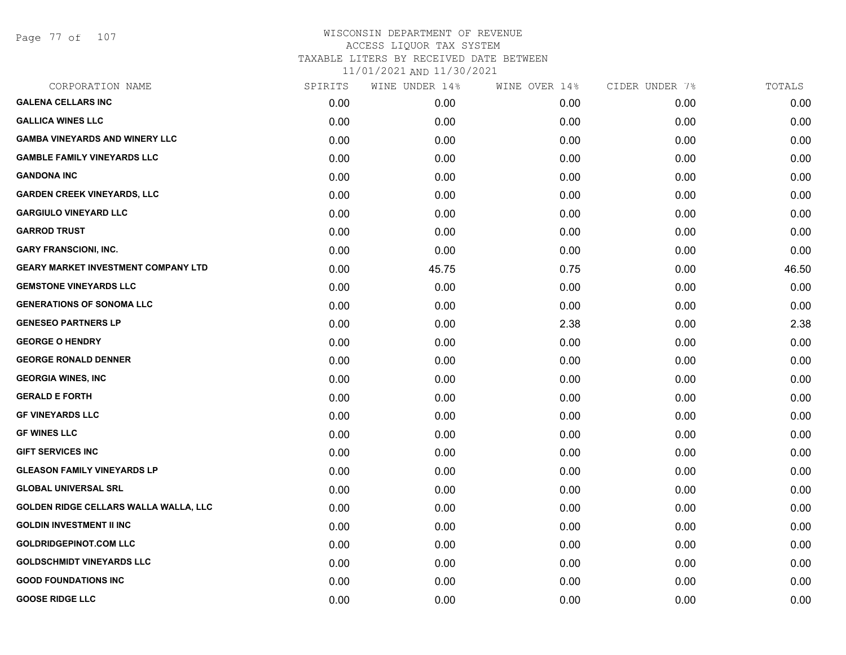Page 77 of 107

| SPIRITS | WINE UNDER 14% | WINE OVER 14% | CIDER UNDER 7% | TOTALS |
|---------|----------------|---------------|----------------|--------|
| 0.00    | 0.00           | 0.00          | 0.00           | 0.00   |
| 0.00    | 0.00           | 0.00          | 0.00           | 0.00   |
| 0.00    | 0.00           | 0.00          | 0.00           | 0.00   |
| 0.00    | 0.00           | 0.00          | 0.00           | 0.00   |
| 0.00    | 0.00           | 0.00          | 0.00           | 0.00   |
| 0.00    | 0.00           | 0.00          | 0.00           | 0.00   |
| 0.00    | 0.00           | 0.00          | 0.00           | 0.00   |
| 0.00    | 0.00           | 0.00          | 0.00           | 0.00   |
| 0.00    | 0.00           | 0.00          | 0.00           | 0.00   |
| 0.00    | 45.75          | 0.75          | 0.00           | 46.50  |
| 0.00    | 0.00           | 0.00          | 0.00           | 0.00   |
| 0.00    | 0.00           | 0.00          | 0.00           | 0.00   |
| 0.00    | 0.00           | 2.38          | 0.00           | 2.38   |
| 0.00    | 0.00           | 0.00          | 0.00           | 0.00   |
| 0.00    | 0.00           | 0.00          | 0.00           | 0.00   |
| 0.00    | 0.00           | 0.00          | 0.00           | 0.00   |
| 0.00    | 0.00           | 0.00          | 0.00           | 0.00   |
| 0.00    | 0.00           | 0.00          | 0.00           | 0.00   |
| 0.00    | 0.00           | 0.00          | 0.00           | 0.00   |
| 0.00    | 0.00           | 0.00          | 0.00           | 0.00   |
| 0.00    | 0.00           | 0.00          | 0.00           | 0.00   |
| 0.00    | 0.00           | 0.00          | 0.00           | 0.00   |
| 0.00    | 0.00           | 0.00          | 0.00           | 0.00   |
| 0.00    | 0.00           | 0.00          | 0.00           | 0.00   |
| 0.00    | 0.00           | 0.00          | 0.00           | 0.00   |
| 0.00    | 0.00           | 0.00          | 0.00           | 0.00   |
| 0.00    | 0.00           | 0.00          | 0.00           | 0.00   |
| 0.00    | 0.00           | 0.00          | 0.00           | 0.00   |
|         |                |               |                |        |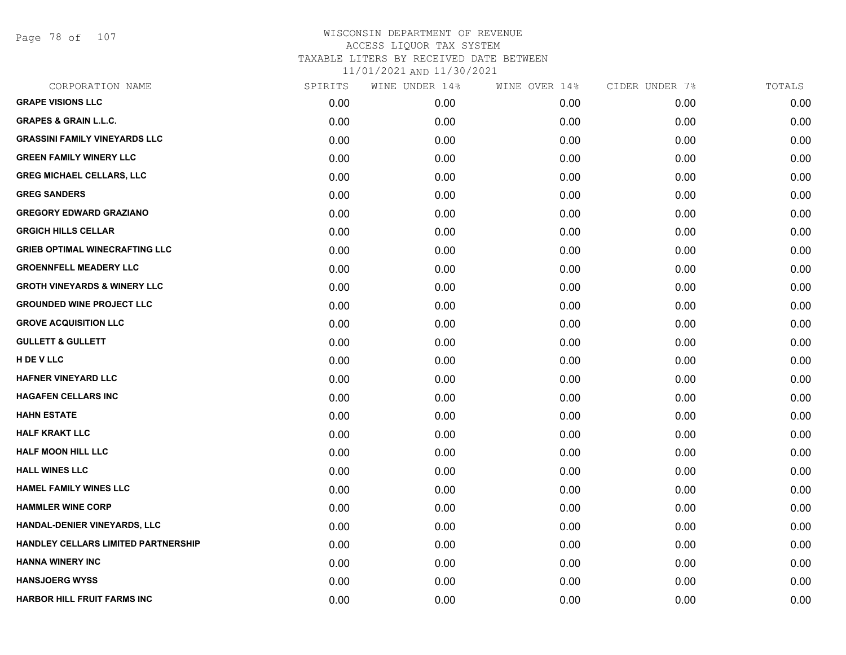Page 78 of 107

| CORPORATION NAME                        | SPIRITS | WINE UNDER 14% | WINE OVER 14% | CIDER UNDER 7% | TOTALS |
|-----------------------------------------|---------|----------------|---------------|----------------|--------|
| <b>GRAPE VISIONS LLC</b>                | 0.00    | 0.00           | 0.00          | 0.00           | 0.00   |
| <b>GRAPES &amp; GRAIN L.L.C.</b>        | 0.00    | 0.00           | 0.00          | 0.00           | 0.00   |
| <b>GRASSINI FAMILY VINEYARDS LLC</b>    | 0.00    | 0.00           | 0.00          | 0.00           | 0.00   |
| <b>GREEN FAMILY WINERY LLC</b>          | 0.00    | 0.00           | 0.00          | 0.00           | 0.00   |
| <b>GREG MICHAEL CELLARS, LLC</b>        | 0.00    | 0.00           | 0.00          | 0.00           | 0.00   |
| <b>GREG SANDERS</b>                     | 0.00    | 0.00           | 0.00          | 0.00           | 0.00   |
| <b>GREGORY EDWARD GRAZIANO</b>          | 0.00    | 0.00           | 0.00          | 0.00           | 0.00   |
| <b>GRGICH HILLS CELLAR</b>              | 0.00    | 0.00           | 0.00          | 0.00           | 0.00   |
| <b>GRIEB OPTIMAL WINECRAFTING LLC</b>   | 0.00    | 0.00           | 0.00          | 0.00           | 0.00   |
| <b>GROENNFELL MEADERY LLC</b>           | 0.00    | 0.00           | 0.00          | 0.00           | 0.00   |
| <b>GROTH VINEYARDS &amp; WINERY LLC</b> | 0.00    | 0.00           | 0.00          | 0.00           | 0.00   |
| <b>GROUNDED WINE PROJECT LLC</b>        | 0.00    | 0.00           | 0.00          | 0.00           | 0.00   |
| <b>GROVE ACQUISITION LLC</b>            | 0.00    | 0.00           | 0.00          | 0.00           | 0.00   |
| <b>GULLETT &amp; GULLETT</b>            | 0.00    | 0.00           | 0.00          | 0.00           | 0.00   |
| H DE V LLC                              | 0.00    | 0.00           | 0.00          | 0.00           | 0.00   |
| <b>HAFNER VINEYARD LLC</b>              | 0.00    | 0.00           | 0.00          | 0.00           | 0.00   |
| <b>HAGAFEN CELLARS INC</b>              | 0.00    | 0.00           | 0.00          | 0.00           | 0.00   |
| <b>HAHN ESTATE</b>                      | 0.00    | 0.00           | 0.00          | 0.00           | 0.00   |
| <b>HALF KRAKT LLC</b>                   | 0.00    | 0.00           | 0.00          | 0.00           | 0.00   |
| <b>HALF MOON HILL LLC</b>               | 0.00    | 0.00           | 0.00          | 0.00           | 0.00   |
| <b>HALL WINES LLC</b>                   | 0.00    | 0.00           | 0.00          | 0.00           | 0.00   |
| <b>HAMEL FAMILY WINES LLC</b>           | 0.00    | 0.00           | 0.00          | 0.00           | 0.00   |
| <b>HAMMLER WINE CORP</b>                | 0.00    | 0.00           | 0.00          | 0.00           | 0.00   |
| HANDAL-DENIER VINEYARDS, LLC            | 0.00    | 0.00           | 0.00          | 0.00           | 0.00   |
| HANDLEY CELLARS LIMITED PARTNERSHIP     | 0.00    | 0.00           | 0.00          | 0.00           | 0.00   |
| <b>HANNA WINERY INC</b>                 | 0.00    | 0.00           | 0.00          | 0.00           | 0.00   |
| <b>HANSJOERG WYSS</b>                   | 0.00    | 0.00           | 0.00          | 0.00           | 0.00   |
| <b>HARBOR HILL FRUIT FARMS INC</b>      | 0.00    | 0.00           | 0.00          | 0.00           | 0.00   |
|                                         |         |                |               |                |        |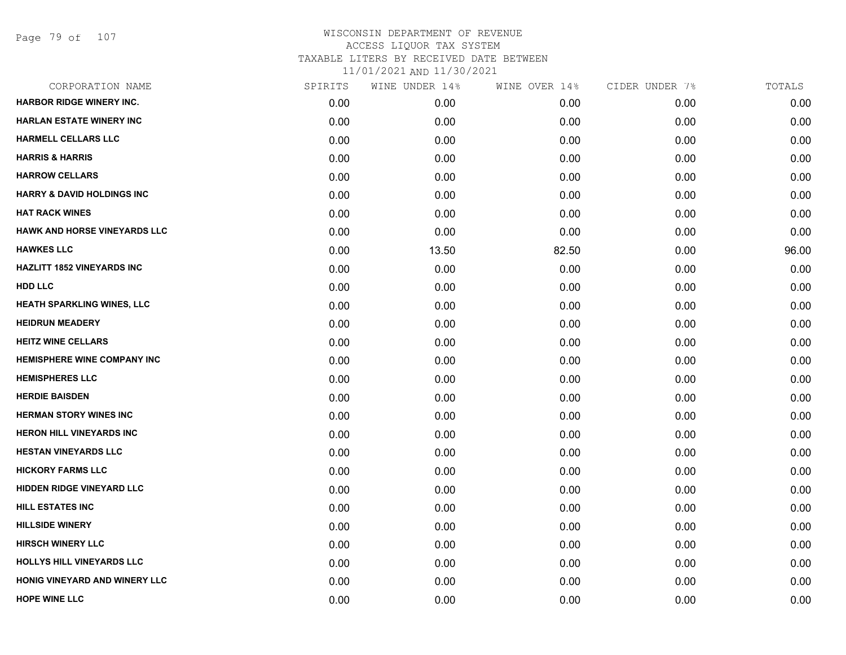Page 79 of 107

| CORPORATION NAME                      | SPIRITS | WINE UNDER 14% | WINE OVER 14% | CIDER UNDER 7% | TOTALS |
|---------------------------------------|---------|----------------|---------------|----------------|--------|
| <b>HARBOR RIDGE WINERY INC.</b>       | 0.00    | 0.00           | 0.00          | 0.00           | 0.00   |
| <b>HARLAN ESTATE WINERY INC</b>       | 0.00    | 0.00           | 0.00          | 0.00           | 0.00   |
| <b>HARMELL CELLARS LLC</b>            | 0.00    | 0.00           | 0.00          | 0.00           | 0.00   |
| <b>HARRIS &amp; HARRIS</b>            | 0.00    | 0.00           | 0.00          | 0.00           | 0.00   |
| <b>HARROW CELLARS</b>                 | 0.00    | 0.00           | 0.00          | 0.00           | 0.00   |
| <b>HARRY &amp; DAVID HOLDINGS INC</b> | 0.00    | 0.00           | 0.00          | 0.00           | 0.00   |
| <b>HAT RACK WINES</b>                 | 0.00    | 0.00           | 0.00          | 0.00           | 0.00   |
| <b>HAWK AND HORSE VINEYARDS LLC</b>   | 0.00    | 0.00           | 0.00          | 0.00           | 0.00   |
| <b>HAWKES LLC</b>                     | 0.00    | 13.50          | 82.50         | 0.00           | 96.00  |
| <b>HAZLITT 1852 VINEYARDS INC</b>     | 0.00    | 0.00           | 0.00          | 0.00           | 0.00   |
| <b>HDD LLC</b>                        | 0.00    | 0.00           | 0.00          | 0.00           | 0.00   |
| HEATH SPARKLING WINES, LLC            | 0.00    | 0.00           | 0.00          | 0.00           | 0.00   |
| <b>HEIDRUN MEADERY</b>                | 0.00    | 0.00           | 0.00          | 0.00           | 0.00   |
| <b>HEITZ WINE CELLARS</b>             | 0.00    | 0.00           | 0.00          | 0.00           | 0.00   |
| <b>HEMISPHERE WINE COMPANY INC</b>    | 0.00    | 0.00           | 0.00          | 0.00           | 0.00   |
| <b>HEMISPHERES LLC</b>                | 0.00    | 0.00           | 0.00          | 0.00           | 0.00   |
| <b>HERDIE BAISDEN</b>                 | 0.00    | 0.00           | 0.00          | 0.00           | 0.00   |
| <b>HERMAN STORY WINES INC</b>         | 0.00    | 0.00           | 0.00          | 0.00           | 0.00   |
| <b>HERON HILL VINEYARDS INC</b>       | 0.00    | 0.00           | 0.00          | 0.00           | 0.00   |
| <b>HESTAN VINEYARDS LLC</b>           | 0.00    | 0.00           | 0.00          | 0.00           | 0.00   |
| <b>HICKORY FARMS LLC</b>              | 0.00    | 0.00           | 0.00          | 0.00           | 0.00   |
| HIDDEN RIDGE VINEYARD LLC             | 0.00    | 0.00           | 0.00          | 0.00           | 0.00   |
| <b>HILL ESTATES INC</b>               | 0.00    | 0.00           | 0.00          | 0.00           | 0.00   |
| <b>HILLSIDE WINERY</b>                | 0.00    | 0.00           | 0.00          | 0.00           | 0.00   |
| <b>HIRSCH WINERY LLC</b>              | 0.00    | 0.00           | 0.00          | 0.00           | 0.00   |
| HOLLYS HILL VINEYARDS LLC             | 0.00    | 0.00           | 0.00          | 0.00           | 0.00   |
| HONIG VINEYARD AND WINERY LLC         | 0.00    | 0.00           | 0.00          | 0.00           | 0.00   |
| <b>HOPE WINE LLC</b>                  | 0.00    | 0.00           | 0.00          | 0.00           | 0.00   |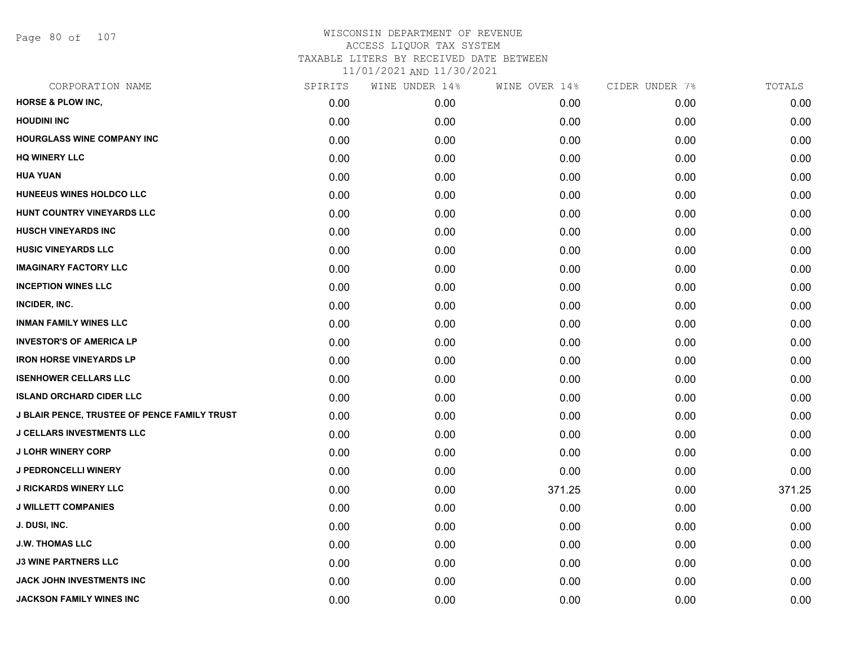Page 80 of 107

| CORPORATION NAME                                    | SPIRITS | WINE UNDER 14% | WINE OVER 14% | CIDER UNDER 7% | TOTALS |
|-----------------------------------------------------|---------|----------------|---------------|----------------|--------|
| <b>HORSE &amp; PLOW INC,</b>                        | 0.00    | 0.00           | 0.00          | 0.00           | 0.00   |
| <b>HOUDINI INC</b>                                  | 0.00    | 0.00           | 0.00          | 0.00           | 0.00   |
| HOURGLASS WINE COMPANY INC                          | 0.00    | 0.00           | 0.00          | 0.00           | 0.00   |
| <b>HQ WINERY LLC</b>                                | 0.00    | 0.00           | 0.00          | 0.00           | 0.00   |
| <b>HUA YUAN</b>                                     | 0.00    | 0.00           | 0.00          | 0.00           | 0.00   |
| HUNEEUS WINES HOLDCO LLC                            | 0.00    | 0.00           | 0.00          | 0.00           | 0.00   |
| HUNT COUNTRY VINEYARDS LLC                          | 0.00    | 0.00           | 0.00          | 0.00           | 0.00   |
| <b>HUSCH VINEYARDS INC</b>                          | 0.00    | 0.00           | 0.00          | 0.00           | 0.00   |
| <b>HUSIC VINEYARDS LLC</b>                          | 0.00    | 0.00           | 0.00          | 0.00           | 0.00   |
| <b>IMAGINARY FACTORY LLC</b>                        | 0.00    | 0.00           | 0.00          | 0.00           | 0.00   |
| <b>INCEPTION WINES LLC</b>                          | 0.00    | 0.00           | 0.00          | 0.00           | 0.00   |
| INCIDER, INC.                                       | 0.00    | 0.00           | 0.00          | 0.00           | 0.00   |
| <b>INMAN FAMILY WINES LLC</b>                       | 0.00    | 0.00           | 0.00          | 0.00           | 0.00   |
| <b>INVESTOR'S OF AMERICA LP</b>                     | 0.00    | 0.00           | 0.00          | 0.00           | 0.00   |
| <b>IRON HORSE VINEYARDS LP</b>                      | 0.00    | 0.00           | 0.00          | 0.00           | 0.00   |
| <b>ISENHOWER CELLARS LLC</b>                        | 0.00    | 0.00           | 0.00          | 0.00           | 0.00   |
| <b>ISLAND ORCHARD CIDER LLC</b>                     | 0.00    | 0.00           | 0.00          | 0.00           | 0.00   |
| <b>J BLAIR PENCE, TRUSTEE OF PENCE FAMILY TRUST</b> | 0.00    | 0.00           | 0.00          | 0.00           | 0.00   |
| <b>J CELLARS INVESTMENTS LLC</b>                    | 0.00    | 0.00           | 0.00          | 0.00           | 0.00   |
| <b>J LOHR WINERY CORP</b>                           | 0.00    | 0.00           | 0.00          | 0.00           | 0.00   |
| <b>J PEDRONCELLI WINERY</b>                         | 0.00    | 0.00           | 0.00          | 0.00           | 0.00   |
| <b>J RICKARDS WINERY LLC</b>                        | 0.00    | 0.00           | 371.25        | 0.00           | 371.25 |
| <b>J WILLETT COMPANIES</b>                          | 0.00    | 0.00           | 0.00          | 0.00           | 0.00   |
| J. DUSI, INC.                                       | 0.00    | 0.00           | 0.00          | 0.00           | 0.00   |
| <b>J.W. THOMAS LLC</b>                              | 0.00    | 0.00           | 0.00          | 0.00           | 0.00   |
| <b>J3 WINE PARTNERS LLC</b>                         | 0.00    | 0.00           | 0.00          | 0.00           | 0.00   |
| JACK JOHN INVESTMENTS INC                           | 0.00    | 0.00           | 0.00          | 0.00           | 0.00   |
| JACKSON FAMILY WINES INC                            | 0.00    | 0.00           | 0.00          | 0.00           | 0.00   |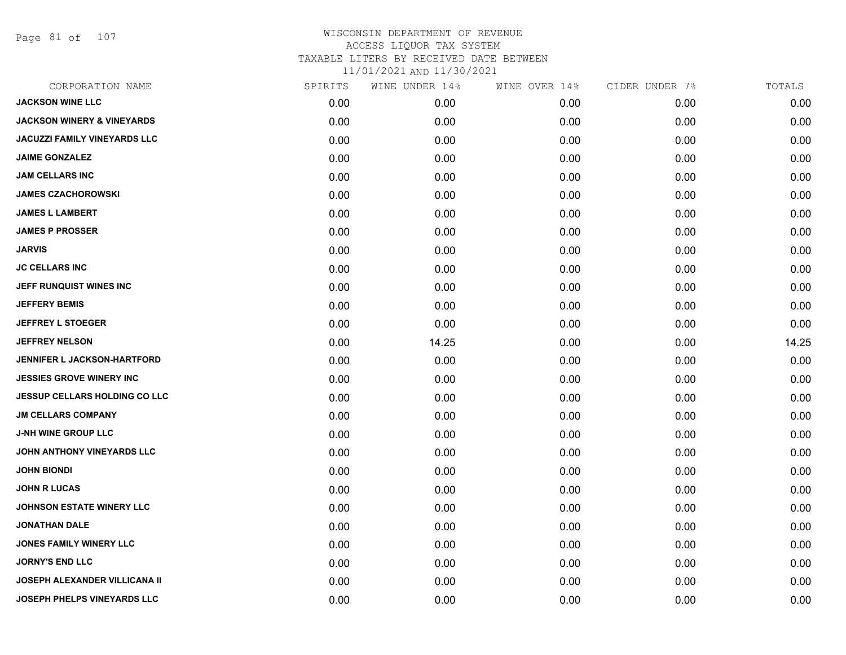Page 81 of 107

| CORPORATION NAME                      | SPIRITS | WINE UNDER 14% | WINE OVER 14% | CIDER UNDER 7% | TOTALS |
|---------------------------------------|---------|----------------|---------------|----------------|--------|
| <b>JACKSON WINE LLC</b>               | 0.00    | 0.00           | 0.00          | 0.00           | 0.00   |
| <b>JACKSON WINERY &amp; VINEYARDS</b> | 0.00    | 0.00           | 0.00          | 0.00           | 0.00   |
| JACUZZI FAMILY VINEYARDS LLC          | 0.00    | 0.00           | 0.00          | 0.00           | 0.00   |
| <b>JAIME GONZALEZ</b>                 | 0.00    | 0.00           | 0.00          | 0.00           | 0.00   |
| <b>JAM CELLARS INC</b>                | 0.00    | 0.00           | 0.00          | 0.00           | 0.00   |
| <b>JAMES CZACHOROWSKI</b>             | 0.00    | 0.00           | 0.00          | 0.00           | 0.00   |
| <b>JAMES L LAMBERT</b>                | 0.00    | 0.00           | 0.00          | 0.00           | 0.00   |
| <b>JAMES P PROSSER</b>                | 0.00    | 0.00           | 0.00          | 0.00           | 0.00   |
| <b>JARVIS</b>                         | 0.00    | 0.00           | 0.00          | 0.00           | 0.00   |
| <b>JC CELLARS INC</b>                 | 0.00    | 0.00           | 0.00          | 0.00           | 0.00   |
| JEFF RUNQUIST WINES INC               | 0.00    | 0.00           | 0.00          | 0.00           | 0.00   |
| <b>JEFFERY BEMIS</b>                  | 0.00    | 0.00           | 0.00          | 0.00           | 0.00   |
| <b>JEFFREY L STOEGER</b>              | 0.00    | 0.00           | 0.00          | 0.00           | 0.00   |
| <b>JEFFREY NELSON</b>                 | 0.00    | 14.25          | 0.00          | 0.00           | 14.25  |
| <b>JENNIFER L JACKSON-HARTFORD</b>    | 0.00    | 0.00           | 0.00          | 0.00           | 0.00   |
| <b>JESSIES GROVE WINERY INC</b>       | 0.00    | 0.00           | 0.00          | 0.00           | 0.00   |
| <b>JESSUP CELLARS HOLDING CO LLC</b>  | 0.00    | 0.00           | 0.00          | 0.00           | 0.00   |
| <b>JM CELLARS COMPANY</b>             | 0.00    | 0.00           | 0.00          | 0.00           | 0.00   |
| <b>J-NH WINE GROUP LLC</b>            | 0.00    | 0.00           | 0.00          | 0.00           | 0.00   |
| JOHN ANTHONY VINEYARDS LLC            | 0.00    | 0.00           | 0.00          | 0.00           | 0.00   |
| <b>JOHN BIONDI</b>                    | 0.00    | 0.00           | 0.00          | 0.00           | 0.00   |
| <b>JOHN R LUCAS</b>                   | 0.00    | 0.00           | 0.00          | 0.00           | 0.00   |
| <b>JOHNSON ESTATE WINERY LLC</b>      | 0.00    | 0.00           | 0.00          | 0.00           | 0.00   |
| <b>JONATHAN DALE</b>                  | 0.00    | 0.00           | 0.00          | 0.00           | 0.00   |
| <b>JONES FAMILY WINERY LLC</b>        | 0.00    | 0.00           | 0.00          | 0.00           | 0.00   |
| <b>JORNY'S END LLC</b>                | 0.00    | 0.00           | 0.00          | 0.00           | 0.00   |
| <b>JOSEPH ALEXANDER VILLICANA II</b>  | 0.00    | 0.00           | 0.00          | 0.00           | 0.00   |
| <b>JOSEPH PHELPS VINEYARDS LLC</b>    | 0.00    | 0.00           | 0.00          | 0.00           | 0.00   |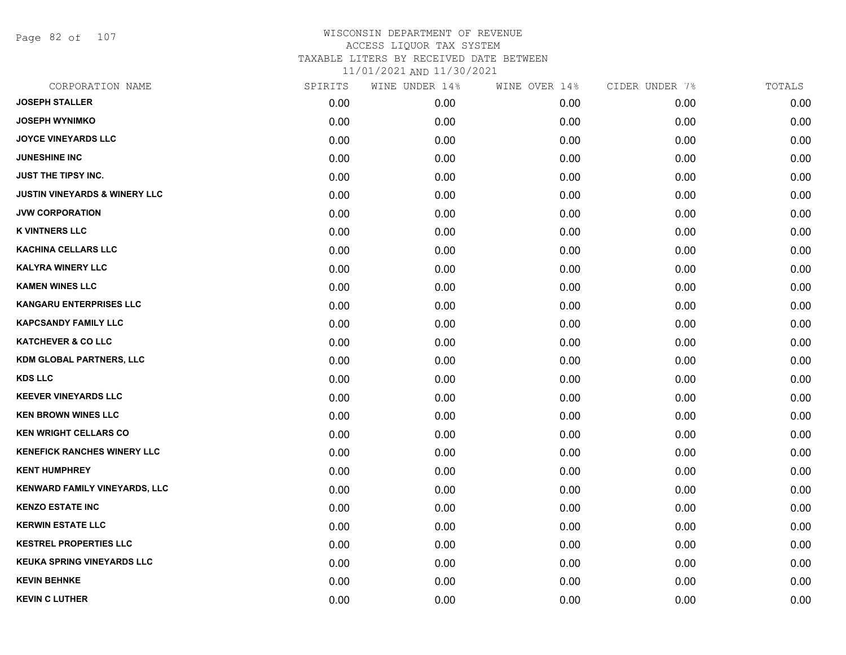Page 82 of 107

| CORPORATION NAME                         | SPIRITS | WINE UNDER 14% | WINE OVER 14% | CIDER UNDER 7% | TOTALS |
|------------------------------------------|---------|----------------|---------------|----------------|--------|
| <b>JOSEPH STALLER</b>                    | 0.00    | 0.00           | 0.00          | 0.00           | 0.00   |
| <b>JOSEPH WYNIMKO</b>                    | 0.00    | 0.00           | 0.00          | 0.00           | 0.00   |
| <b>JOYCE VINEYARDS LLC</b>               | 0.00    | 0.00           | 0.00          | 0.00           | 0.00   |
| <b>JUNESHINE INC</b>                     | 0.00    | 0.00           | 0.00          | 0.00           | 0.00   |
| JUST THE TIPSY INC.                      | 0.00    | 0.00           | 0.00          | 0.00           | 0.00   |
| <b>JUSTIN VINEYARDS &amp; WINERY LLC</b> | 0.00    | 0.00           | 0.00          | 0.00           | 0.00   |
| <b>JVW CORPORATION</b>                   | 0.00    | 0.00           | 0.00          | 0.00           | 0.00   |
| <b>K VINTNERS LLC</b>                    | 0.00    | 0.00           | 0.00          | 0.00           | 0.00   |
| KACHINA CELLARS LLC                      | 0.00    | 0.00           | 0.00          | 0.00           | 0.00   |
| <b>KALYRA WINERY LLC</b>                 | 0.00    | 0.00           | 0.00          | 0.00           | 0.00   |
| <b>KAMEN WINES LLC</b>                   | 0.00    | 0.00           | 0.00          | 0.00           | 0.00   |
| <b>KANGARU ENTERPRISES LLC</b>           | 0.00    | 0.00           | 0.00          | 0.00           | 0.00   |
| <b>KAPCSANDY FAMILY LLC</b>              | 0.00    | 0.00           | 0.00          | 0.00           | 0.00   |
| <b>KATCHEVER &amp; CO LLC</b>            | 0.00    | 0.00           | 0.00          | 0.00           | 0.00   |
| <b>KDM GLOBAL PARTNERS, LLC</b>          | 0.00    | 0.00           | 0.00          | 0.00           | 0.00   |
| <b>KDS LLC</b>                           | 0.00    | 0.00           | 0.00          | 0.00           | 0.00   |
| <b>KEEVER VINEYARDS LLC</b>              | 0.00    | 0.00           | 0.00          | 0.00           | 0.00   |
| <b>KEN BROWN WINES LLC</b>               | 0.00    | 0.00           | 0.00          | 0.00           | 0.00   |
| <b>KEN WRIGHT CELLARS CO</b>             | 0.00    | 0.00           | 0.00          | 0.00           | 0.00   |
| <b>KENEFICK RANCHES WINERY LLC</b>       | 0.00    | 0.00           | 0.00          | 0.00           | 0.00   |
| <b>KENT HUMPHREY</b>                     | 0.00    | 0.00           | 0.00          | 0.00           | 0.00   |
| KENWARD FAMILY VINEYARDS, LLC            | 0.00    | 0.00           | 0.00          | 0.00           | 0.00   |
| <b>KENZO ESTATE INC</b>                  | 0.00    | 0.00           | 0.00          | 0.00           | 0.00   |
| <b>KERWIN ESTATE LLC</b>                 | 0.00    | 0.00           | 0.00          | 0.00           | 0.00   |
| <b>KESTREL PROPERTIES LLC</b>            | 0.00    | 0.00           | 0.00          | 0.00           | 0.00   |
| <b>KEUKA SPRING VINEYARDS LLC</b>        | 0.00    | 0.00           | 0.00          | 0.00           | 0.00   |
| <b>KEVIN BEHNKE</b>                      | 0.00    | 0.00           | 0.00          | 0.00           | 0.00   |
| <b>KEVIN C LUTHER</b>                    | 0.00    | 0.00           | 0.00          | 0.00           | 0.00   |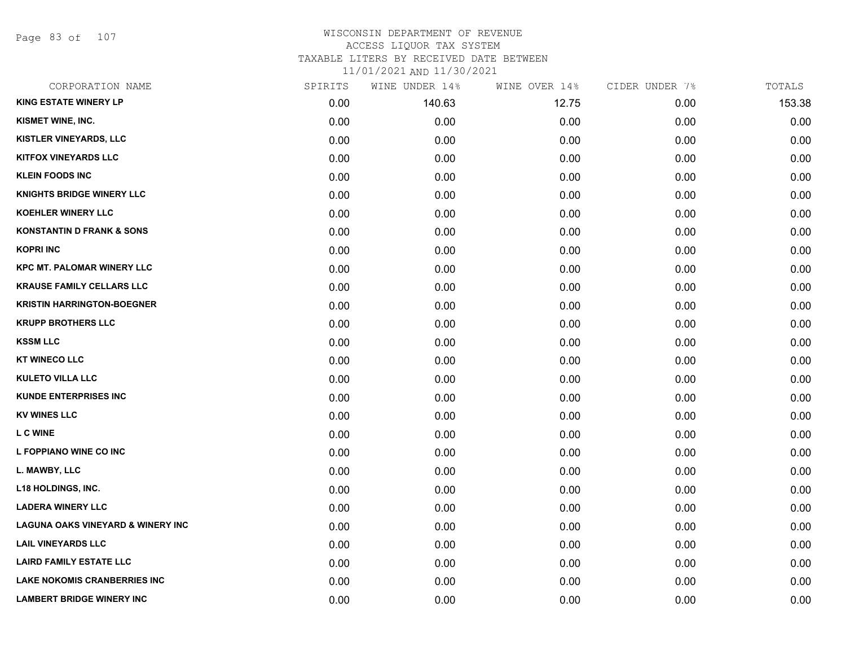Page 83 of 107

### WISCONSIN DEPARTMENT OF REVENUE ACCESS LIQUOR TAX SYSTEM TAXABLE LITERS BY RECEIVED DATE BETWEEN

11/01/2021 AND 11/30/2021

| CORPORATION NAME                             | SPIRITS | WINE UNDER 14% | WINE OVER 14% | CIDER UNDER 7% | TOTALS |
|----------------------------------------------|---------|----------------|---------------|----------------|--------|
| <b>KING ESTATE WINERY LP</b>                 | 0.00    | 140.63         | 12.75         | 0.00           | 153.38 |
| KISMET WINE, INC.                            | 0.00    | 0.00           | 0.00          | 0.00           | 0.00   |
| KISTLER VINEYARDS, LLC                       | 0.00    | 0.00           | 0.00          | 0.00           | 0.00   |
| <b>KITFOX VINEYARDS LLC</b>                  | 0.00    | 0.00           | 0.00          | 0.00           | 0.00   |
| <b>KLEIN FOODS INC</b>                       | 0.00    | 0.00           | 0.00          | 0.00           | 0.00   |
| <b>KNIGHTS BRIDGE WINERY LLC</b>             | 0.00    | 0.00           | 0.00          | 0.00           | 0.00   |
| KOEHLER WINERY LLC                           | 0.00    | 0.00           | 0.00          | 0.00           | 0.00   |
| <b>KONSTANTIN D FRANK &amp; SONS</b>         | 0.00    | 0.00           | 0.00          | 0.00           | 0.00   |
| <b>KOPRI INC</b>                             | 0.00    | 0.00           | 0.00          | 0.00           | 0.00   |
| <b>KPC MT. PALOMAR WINERY LLC</b>            | 0.00    | 0.00           | 0.00          | 0.00           | 0.00   |
| <b>KRAUSE FAMILY CELLARS LLC</b>             | 0.00    | 0.00           | 0.00          | 0.00           | 0.00   |
| <b>KRISTIN HARRINGTON-BOEGNER</b>            | 0.00    | 0.00           | 0.00          | 0.00           | 0.00   |
| <b>KRUPP BROTHERS LLC</b>                    | 0.00    | 0.00           | 0.00          | 0.00           | 0.00   |
| <b>KSSM LLC</b>                              | 0.00    | 0.00           | 0.00          | 0.00           | 0.00   |
| <b>KT WINECO LLC</b>                         | 0.00    | 0.00           | 0.00          | 0.00           | 0.00   |
| <b>KULETO VILLA LLC</b>                      | 0.00    | 0.00           | 0.00          | 0.00           | 0.00   |
| <b>KUNDE ENTERPRISES INC</b>                 | 0.00    | 0.00           | 0.00          | 0.00           | 0.00   |
| <b>KV WINES LLC</b>                          | 0.00    | 0.00           | 0.00          | 0.00           | 0.00   |
| <b>L C WINE</b>                              | 0.00    | 0.00           | 0.00          | 0.00           | 0.00   |
| L FOPPIANO WINE CO INC                       | 0.00    | 0.00           | 0.00          | 0.00           | 0.00   |
| L. MAWBY, LLC                                | 0.00    | 0.00           | 0.00          | 0.00           | 0.00   |
| <b>L18 HOLDINGS, INC.</b>                    | 0.00    | 0.00           | 0.00          | 0.00           | 0.00   |
| <b>LADERA WINERY LLC</b>                     | 0.00    | 0.00           | 0.00          | 0.00           | 0.00   |
| <b>LAGUNA OAKS VINEYARD &amp; WINERY INC</b> | 0.00    | 0.00           | 0.00          | 0.00           | 0.00   |
| <b>LAIL VINEYARDS LLC</b>                    | 0.00    | 0.00           | 0.00          | 0.00           | 0.00   |
| <b>LAIRD FAMILY ESTATE LLC</b>               | 0.00    | 0.00           | 0.00          | 0.00           | 0.00   |
| <b>LAKE NOKOMIS CRANBERRIES INC</b>          | 0.00    | 0.00           | 0.00          | 0.00           | 0.00   |
| <b>LAMBERT BRIDGE WINERY INC</b>             | 0.00    | 0.00           | 0.00          | 0.00           | 0.00   |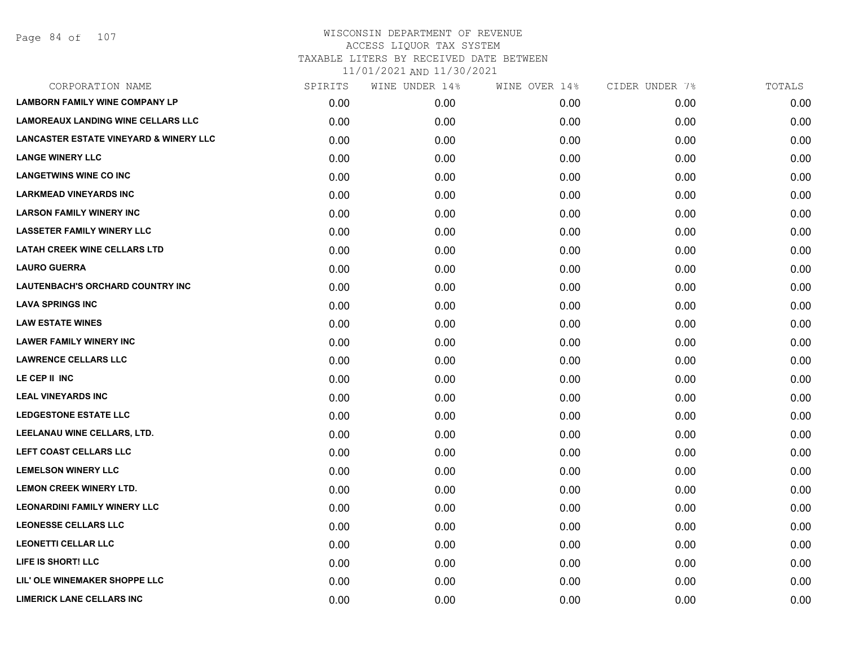| CORPORATION NAME                                  | SPIRITS | WINE UNDER 14% | WINE OVER 14% | CIDER UNDER 7% | TOTALS |
|---------------------------------------------------|---------|----------------|---------------|----------------|--------|
| <b>LAMBORN FAMILY WINE COMPANY LP</b>             | 0.00    | 0.00           | 0.00          | 0.00           | 0.00   |
| <b>LAMOREAUX LANDING WINE CELLARS LLC</b>         | 0.00    | 0.00           | 0.00          | 0.00           | 0.00   |
| <b>LANCASTER ESTATE VINEYARD &amp; WINERY LLC</b> | 0.00    | 0.00           | 0.00          | 0.00           | 0.00   |
| <b>LANGE WINERY LLC</b>                           | 0.00    | 0.00           | 0.00          | 0.00           | 0.00   |
| <b>LANGETWINS WINE CO INC</b>                     | 0.00    | 0.00           | 0.00          | 0.00           | 0.00   |
| <b>LARKMEAD VINEYARDS INC</b>                     | 0.00    | 0.00           | 0.00          | 0.00           | 0.00   |
| <b>LARSON FAMILY WINERY INC</b>                   | 0.00    | 0.00           | 0.00          | 0.00           | 0.00   |
| <b>LASSETER FAMILY WINERY LLC</b>                 | 0.00    | 0.00           | 0.00          | 0.00           | 0.00   |
| <b>LATAH CREEK WINE CELLARS LTD</b>               | 0.00    | 0.00           | 0.00          | 0.00           | 0.00   |
| <b>LAURO GUERRA</b>                               | 0.00    | 0.00           | 0.00          | 0.00           | 0.00   |
| LAUTENBACH'S ORCHARD COUNTRY INC                  | 0.00    | 0.00           | 0.00          | 0.00           | 0.00   |
| <b>LAVA SPRINGS INC</b>                           | 0.00    | 0.00           | 0.00          | 0.00           | 0.00   |
| <b>LAW ESTATE WINES</b>                           | 0.00    | 0.00           | 0.00          | 0.00           | 0.00   |
| <b>LAWER FAMILY WINERY INC</b>                    | 0.00    | 0.00           | 0.00          | 0.00           | 0.00   |
| <b>LAWRENCE CELLARS LLC</b>                       | 0.00    | 0.00           | 0.00          | 0.00           | 0.00   |
| LE CEP II INC                                     | 0.00    | 0.00           | 0.00          | 0.00           | 0.00   |
| <b>LEAL VINEYARDS INC</b>                         | 0.00    | 0.00           | 0.00          | 0.00           | 0.00   |
| <b>LEDGESTONE ESTATE LLC</b>                      | 0.00    | 0.00           | 0.00          | 0.00           | 0.00   |
| LEELANAU WINE CELLARS, LTD.                       | 0.00    | 0.00           | 0.00          | 0.00           | 0.00   |
| LEFT COAST CELLARS LLC                            | 0.00    | 0.00           | 0.00          | 0.00           | 0.00   |
| <b>LEMELSON WINERY LLC</b>                        | 0.00    | 0.00           | 0.00          | 0.00           | 0.00   |
| <b>LEMON CREEK WINERY LTD.</b>                    | 0.00    | 0.00           | 0.00          | 0.00           | 0.00   |
| <b>LEONARDINI FAMILY WINERY LLC</b>               | 0.00    | 0.00           | 0.00          | 0.00           | 0.00   |
| <b>LEONESSE CELLARS LLC</b>                       | 0.00    | 0.00           | 0.00          | 0.00           | 0.00   |
| <b>LEONETTI CELLAR LLC</b>                        | 0.00    | 0.00           | 0.00          | 0.00           | 0.00   |
| LIFE IS SHORT! LLC                                | 0.00    | 0.00           | 0.00          | 0.00           | 0.00   |
| LIL' OLE WINEMAKER SHOPPE LLC                     | 0.00    | 0.00           | 0.00          | 0.00           | 0.00   |
| <b>LIMERICK LANE CELLARS INC</b>                  | 0.00    | 0.00           | 0.00          | 0.00           | 0.00   |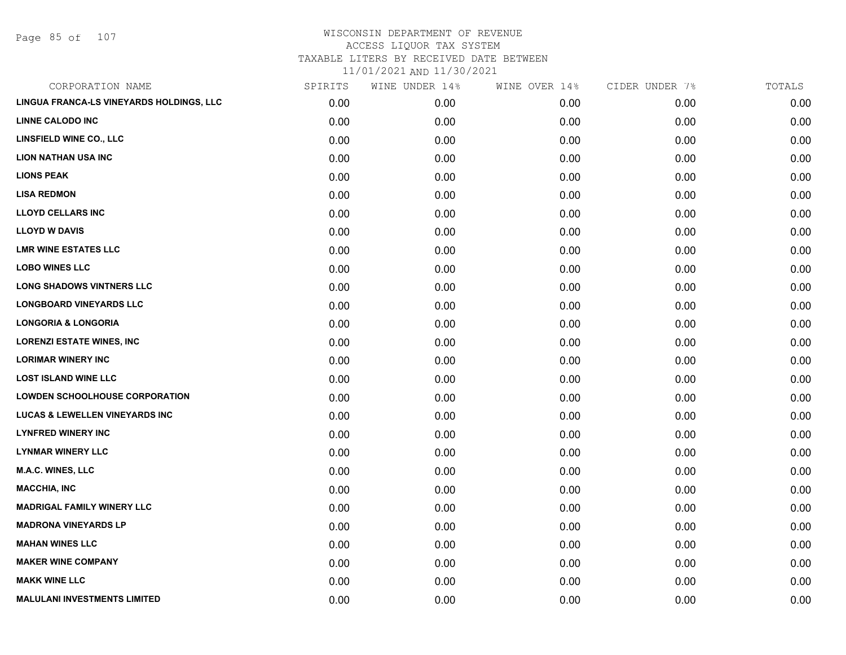Page 85 of 107

| CORPORATION NAME                          | SPIRITS | WINE UNDER 14% | WINE OVER 14% | CIDER UNDER 7% | TOTALS |
|-------------------------------------------|---------|----------------|---------------|----------------|--------|
| LINGUA FRANCA-LS VINEYARDS HOLDINGS, LLC  | 0.00    | 0.00           | 0.00          | 0.00           | 0.00   |
| <b>LINNE CALODO INC</b>                   | 0.00    | 0.00           | 0.00          | 0.00           | 0.00   |
| LINSFIELD WINE CO., LLC                   | 0.00    | 0.00           | 0.00          | 0.00           | 0.00   |
| <b>LION NATHAN USA INC</b>                | 0.00    | 0.00           | 0.00          | 0.00           | 0.00   |
| <b>LIONS PEAK</b>                         | 0.00    | 0.00           | 0.00          | 0.00           | 0.00   |
| <b>LISA REDMON</b>                        | 0.00    | 0.00           | 0.00          | 0.00           | 0.00   |
| <b>LLOYD CELLARS INC</b>                  | 0.00    | 0.00           | 0.00          | 0.00           | 0.00   |
| <b>LLOYD W DAVIS</b>                      | 0.00    | 0.00           | 0.00          | 0.00           | 0.00   |
| <b>LMR WINE ESTATES LLC</b>               | 0.00    | 0.00           | 0.00          | 0.00           | 0.00   |
| <b>LOBO WINES LLC</b>                     | 0.00    | 0.00           | 0.00          | 0.00           | 0.00   |
| <b>LONG SHADOWS VINTNERS LLC</b>          | 0.00    | 0.00           | 0.00          | 0.00           | 0.00   |
| <b>LONGBOARD VINEYARDS LLC</b>            | 0.00    | 0.00           | 0.00          | 0.00           | 0.00   |
| <b>LONGORIA &amp; LONGORIA</b>            | 0.00    | 0.00           | 0.00          | 0.00           | 0.00   |
| <b>LORENZI ESTATE WINES, INC</b>          | 0.00    | 0.00           | 0.00          | 0.00           | 0.00   |
| <b>LORIMAR WINERY INC</b>                 | 0.00    | 0.00           | 0.00          | 0.00           | 0.00   |
| <b>LOST ISLAND WINE LLC</b>               | 0.00    | 0.00           | 0.00          | 0.00           | 0.00   |
| <b>LOWDEN SCHOOLHOUSE CORPORATION</b>     | 0.00    | 0.00           | 0.00          | 0.00           | 0.00   |
| <b>LUCAS &amp; LEWELLEN VINEYARDS INC</b> | 0.00    | 0.00           | 0.00          | 0.00           | 0.00   |
| <b>LYNFRED WINERY INC</b>                 | 0.00    | 0.00           | 0.00          | 0.00           | 0.00   |
| <b>LYNMAR WINERY LLC</b>                  | 0.00    | 0.00           | 0.00          | 0.00           | 0.00   |
| <b>M.A.C. WINES, LLC</b>                  | 0.00    | 0.00           | 0.00          | 0.00           | 0.00   |
| <b>MACCHIA, INC</b>                       | 0.00    | 0.00           | 0.00          | 0.00           | 0.00   |
| <b>MADRIGAL FAMILY WINERY LLC</b>         | 0.00    | 0.00           | 0.00          | 0.00           | 0.00   |
| <b>MADRONA VINEYARDS LP</b>               | 0.00    | 0.00           | 0.00          | 0.00           | 0.00   |
| <b>MAHAN WINES LLC</b>                    | 0.00    | 0.00           | 0.00          | 0.00           | 0.00   |
| <b>MAKER WINE COMPANY</b>                 | 0.00    | 0.00           | 0.00          | 0.00           | 0.00   |
| <b>MAKK WINE LLC</b>                      | 0.00    | 0.00           | 0.00          | 0.00           | 0.00   |
| <b>MALULANI INVESTMENTS LIMITED</b>       | 0.00    | 0.00           | 0.00          | 0.00           | 0.00   |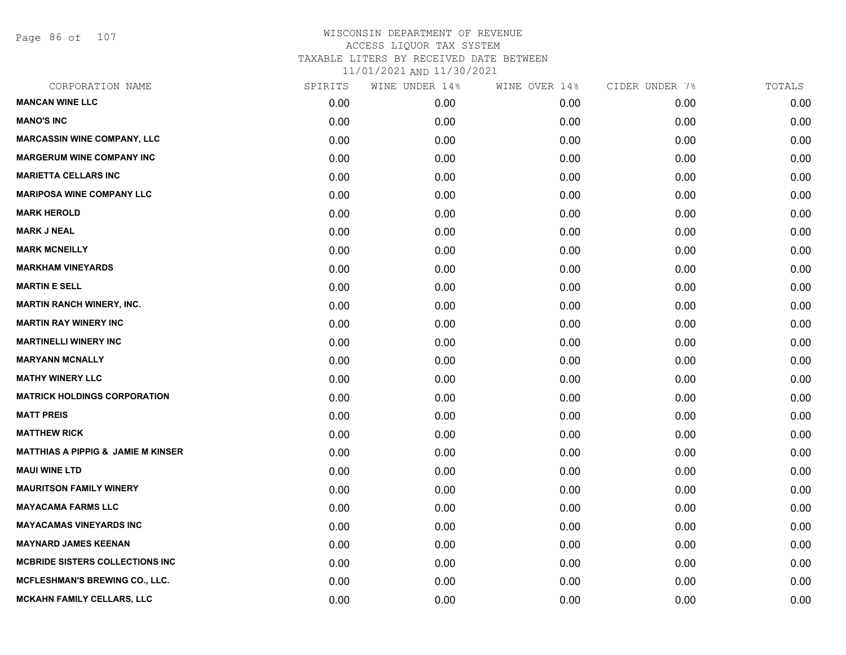Page 86 of 107

| CORPORATION NAME                              | SPIRITS | WINE UNDER 14% | WINE OVER 14% | CIDER UNDER 7% | TOTALS |
|-----------------------------------------------|---------|----------------|---------------|----------------|--------|
| <b>MANCAN WINE LLC</b>                        | 0.00    | 0.00           | 0.00          | 0.00           | 0.00   |
| <b>MANO'S INC</b>                             | 0.00    | 0.00           | 0.00          | 0.00           | 0.00   |
| <b>MARCASSIN WINE COMPANY, LLC</b>            | 0.00    | 0.00           | 0.00          | 0.00           | 0.00   |
| <b>MARGERUM WINE COMPANY INC</b>              | 0.00    | 0.00           | 0.00          | 0.00           | 0.00   |
| <b>MARIETTA CELLARS INC</b>                   | 0.00    | 0.00           | 0.00          | 0.00           | 0.00   |
| <b>MARIPOSA WINE COMPANY LLC</b>              | 0.00    | 0.00           | 0.00          | 0.00           | 0.00   |
| <b>MARK HEROLD</b>                            | 0.00    | 0.00           | 0.00          | 0.00           | 0.00   |
| <b>MARK J NEAL</b>                            | 0.00    | 0.00           | 0.00          | 0.00           | 0.00   |
| <b>MARK MCNEILLY</b>                          | 0.00    | 0.00           | 0.00          | 0.00           | 0.00   |
| <b>MARKHAM VINEYARDS</b>                      | 0.00    | 0.00           | 0.00          | 0.00           | 0.00   |
| <b>MARTIN E SELL</b>                          | 0.00    | 0.00           | 0.00          | 0.00           | 0.00   |
| <b>MARTIN RANCH WINERY, INC.</b>              | 0.00    | 0.00           | 0.00          | 0.00           | 0.00   |
| <b>MARTIN RAY WINERY INC</b>                  | 0.00    | 0.00           | 0.00          | 0.00           | 0.00   |
| <b>MARTINELLI WINERY INC</b>                  | 0.00    | 0.00           | 0.00          | 0.00           | 0.00   |
| <b>MARYANN MCNALLY</b>                        | 0.00    | 0.00           | 0.00          | 0.00           | 0.00   |
| <b>MATHY WINERY LLC</b>                       | 0.00    | 0.00           | 0.00          | 0.00           | 0.00   |
| <b>MATRICK HOLDINGS CORPORATION</b>           | 0.00    | 0.00           | 0.00          | 0.00           | 0.00   |
| <b>MATT PREIS</b>                             | 0.00    | 0.00           | 0.00          | 0.00           | 0.00   |
| <b>MATTHEW RICK</b>                           | 0.00    | 0.00           | 0.00          | 0.00           | 0.00   |
| <b>MATTHIAS A PIPPIG &amp; JAMIE M KINSER</b> | 0.00    | 0.00           | 0.00          | 0.00           | 0.00   |
| <b>MAUI WINE LTD</b>                          | 0.00    | 0.00           | 0.00          | 0.00           | 0.00   |
| <b>MAURITSON FAMILY WINERY</b>                | 0.00    | 0.00           | 0.00          | 0.00           | 0.00   |
| <b>MAYACAMA FARMS LLC</b>                     | 0.00    | 0.00           | 0.00          | 0.00           | 0.00   |
| <b>MAYACAMAS VINEYARDS INC</b>                | 0.00    | 0.00           | 0.00          | 0.00           | 0.00   |
| <b>MAYNARD JAMES KEENAN</b>                   | 0.00    | 0.00           | 0.00          | 0.00           | 0.00   |
| MCBRIDE SISTERS COLLECTIONS INC               | 0.00    | 0.00           | 0.00          | 0.00           | 0.00   |
| <b>MCFLESHMAN'S BREWING CO., LLC.</b>         | 0.00    | 0.00           | 0.00          | 0.00           | 0.00   |
| <b>MCKAHN FAMILY CELLARS, LLC</b>             | 0.00    | 0.00           | 0.00          | 0.00           | 0.00   |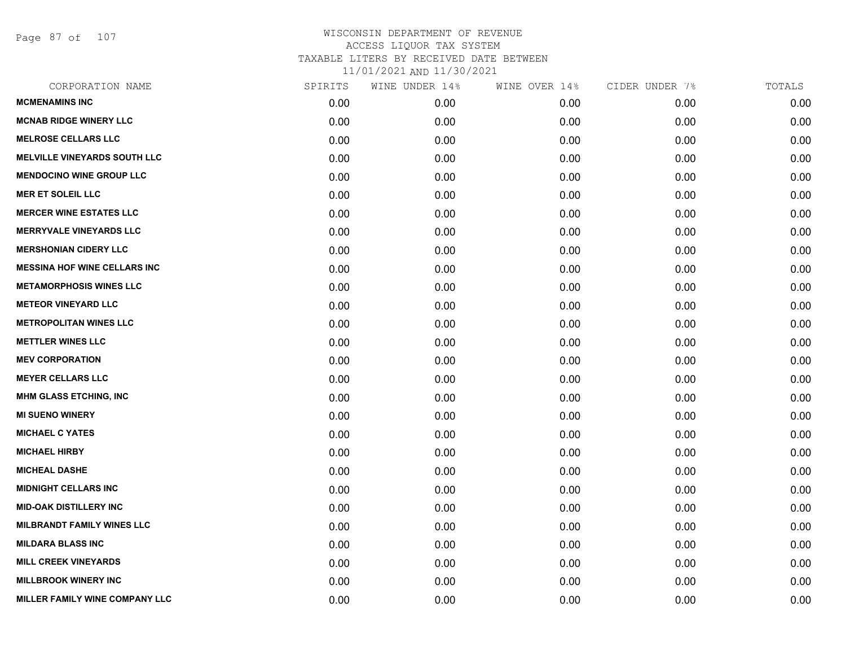Page 87 of 107

| CORPORATION NAME                    | SPIRITS | WINE UNDER 14% | WINE OVER 14% | CIDER UNDER 7% | TOTALS |
|-------------------------------------|---------|----------------|---------------|----------------|--------|
| <b>MCMENAMINS INC</b>               | 0.00    | 0.00           | 0.00          | 0.00           | 0.00   |
| <b>MCNAB RIDGE WINERY LLC</b>       | 0.00    | 0.00           | 0.00          | 0.00           | 0.00   |
| <b>MELROSE CELLARS LLC</b>          | 0.00    | 0.00           | 0.00          | 0.00           | 0.00   |
| <b>MELVILLE VINEYARDS SOUTH LLC</b> | 0.00    | 0.00           | 0.00          | 0.00           | 0.00   |
| <b>MENDOCINO WINE GROUP LLC</b>     | 0.00    | 0.00           | 0.00          | 0.00           | 0.00   |
| <b>MER ET SOLEIL LLC</b>            | 0.00    | 0.00           | 0.00          | 0.00           | 0.00   |
| <b>MERCER WINE ESTATES LLC</b>      | 0.00    | 0.00           | 0.00          | 0.00           | 0.00   |
| <b>MERRYVALE VINEYARDS LLC</b>      | 0.00    | 0.00           | 0.00          | 0.00           | 0.00   |
| <b>MERSHONIAN CIDERY LLC</b>        | 0.00    | 0.00           | 0.00          | 0.00           | 0.00   |
| <b>MESSINA HOF WINE CELLARS INC</b> | 0.00    | 0.00           | 0.00          | 0.00           | 0.00   |
| <b>METAMORPHOSIS WINES LLC</b>      | 0.00    | 0.00           | 0.00          | 0.00           | 0.00   |
| <b>METEOR VINEYARD LLC</b>          | 0.00    | 0.00           | 0.00          | 0.00           | 0.00   |
| <b>METROPOLITAN WINES LLC</b>       | 0.00    | 0.00           | 0.00          | 0.00           | 0.00   |
| <b>METTLER WINES LLC</b>            | 0.00    | 0.00           | 0.00          | 0.00           | 0.00   |
| <b>MEV CORPORATION</b>              | 0.00    | 0.00           | 0.00          | 0.00           | 0.00   |
| <b>MEYER CELLARS LLC</b>            | 0.00    | 0.00           | 0.00          | 0.00           | 0.00   |
| <b>MHM GLASS ETCHING, INC</b>       | 0.00    | 0.00           | 0.00          | 0.00           | 0.00   |
| <b>MI SUENO WINERY</b>              | 0.00    | 0.00           | 0.00          | 0.00           | 0.00   |
| <b>MICHAEL C YATES</b>              | 0.00    | 0.00           | 0.00          | 0.00           | 0.00   |
| <b>MICHAEL HIRBY</b>                | 0.00    | 0.00           | 0.00          | 0.00           | 0.00   |
| <b>MICHEAL DASHE</b>                | 0.00    | 0.00           | 0.00          | 0.00           | 0.00   |
| <b>MIDNIGHT CELLARS INC</b>         | 0.00    | 0.00           | 0.00          | 0.00           | 0.00   |
| <b>MID-OAK DISTILLERY INC</b>       | 0.00    | 0.00           | 0.00          | 0.00           | 0.00   |
| <b>MILBRANDT FAMILY WINES LLC</b>   | 0.00    | 0.00           | 0.00          | 0.00           | 0.00   |
| <b>MILDARA BLASS INC</b>            | 0.00    | 0.00           | 0.00          | 0.00           | 0.00   |
| <b>MILL CREEK VINEYARDS</b>         | 0.00    | 0.00           | 0.00          | 0.00           | 0.00   |
| <b>MILLBROOK WINERY INC</b>         | 0.00    | 0.00           | 0.00          | 0.00           | 0.00   |
| MILLER FAMILY WINE COMPANY LLC      | 0.00    | 0.00           | 0.00          | 0.00           | 0.00   |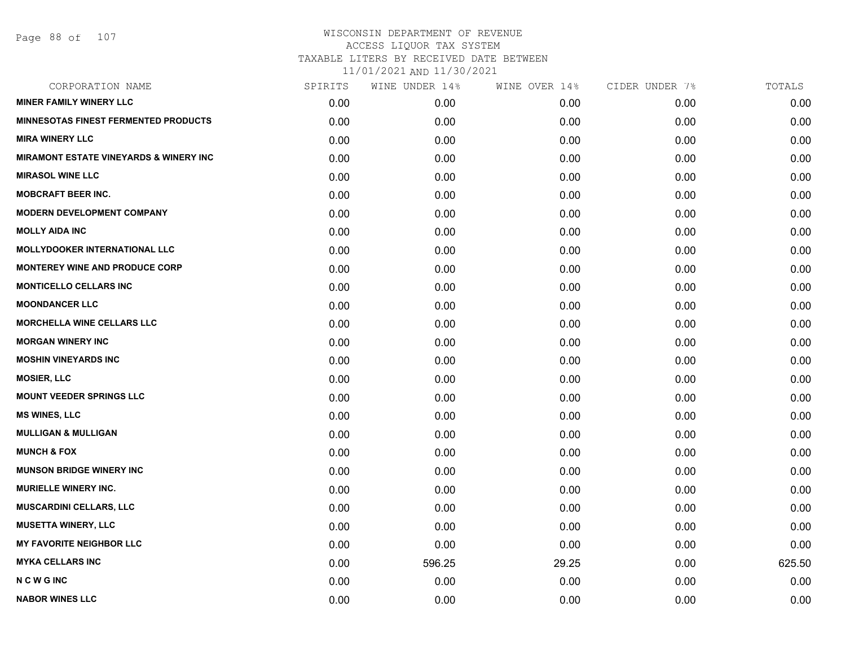| CORPORATION NAME                            | SPIRITS | WINE UNDER 14% | WINE OVER 14% | CIDER UNDER 7% | TOTALS |
|---------------------------------------------|---------|----------------|---------------|----------------|--------|
| <b>MINER FAMILY WINERY LLC</b>              | 0.00    | 0.00           | 0.00          | 0.00           | 0.00   |
| <b>MINNESOTAS FINEST FERMENTED PRODUCTS</b> | 0.00    | 0.00           | 0.00          | 0.00           | 0.00   |
| <b>MIRA WINERY LLC</b>                      | 0.00    | 0.00           | 0.00          | 0.00           | 0.00   |
| MIRAMONT ESTATE VINEYARDS & WINERY INC      | 0.00    | 0.00           | 0.00          | 0.00           | 0.00   |
| <b>MIRASOL WINE LLC</b>                     | 0.00    | 0.00           | 0.00          | 0.00           | 0.00   |
| <b>MOBCRAFT BEER INC.</b>                   | 0.00    | 0.00           | 0.00          | 0.00           | 0.00   |
| <b>MODERN DEVELOPMENT COMPANY</b>           | 0.00    | 0.00           | 0.00          | 0.00           | 0.00   |
| <b>MOLLY AIDA INC</b>                       | 0.00    | 0.00           | 0.00          | 0.00           | 0.00   |
| <b>MOLLYDOOKER INTERNATIONAL LLC</b>        | 0.00    | 0.00           | 0.00          | 0.00           | 0.00   |
| <b>MONTEREY WINE AND PRODUCE CORP</b>       | 0.00    | 0.00           | 0.00          | 0.00           | 0.00   |
| <b>MONTICELLO CELLARS INC</b>               | 0.00    | 0.00           | 0.00          | 0.00           | 0.00   |
| <b>MOONDANCER LLC</b>                       | 0.00    | 0.00           | 0.00          | 0.00           | 0.00   |
| <b>MORCHELLA WINE CELLARS LLC</b>           | 0.00    | 0.00           | 0.00          | 0.00           | 0.00   |
| <b>MORGAN WINERY INC</b>                    | 0.00    | 0.00           | 0.00          | 0.00           | 0.00   |
| <b>MOSHIN VINEYARDS INC</b>                 | 0.00    | 0.00           | 0.00          | 0.00           | 0.00   |
| <b>MOSIER, LLC</b>                          | 0.00    | 0.00           | 0.00          | 0.00           | 0.00   |
| <b>MOUNT VEEDER SPRINGS LLC</b>             | 0.00    | 0.00           | 0.00          | 0.00           | 0.00   |
| <b>MS WINES, LLC</b>                        | 0.00    | 0.00           | 0.00          | 0.00           | 0.00   |
| <b>MULLIGAN &amp; MULLIGAN</b>              | 0.00    | 0.00           | 0.00          | 0.00           | 0.00   |
| <b>MUNCH &amp; FOX</b>                      | 0.00    | 0.00           | 0.00          | 0.00           | 0.00   |
| <b>MUNSON BRIDGE WINERY INC</b>             | 0.00    | 0.00           | 0.00          | 0.00           | 0.00   |
| <b>MURIELLE WINERY INC.</b>                 | 0.00    | 0.00           | 0.00          | 0.00           | 0.00   |
| <b>MUSCARDINI CELLARS, LLC</b>              | 0.00    | 0.00           | 0.00          | 0.00           | 0.00   |
| <b>MUSETTA WINERY, LLC</b>                  | 0.00    | 0.00           | 0.00          | 0.00           | 0.00   |
| <b>MY FAVORITE NEIGHBOR LLC</b>             | 0.00    | 0.00           | 0.00          | 0.00           | 0.00   |
| <b>MYKA CELLARS INC</b>                     | 0.00    | 596.25         | 29.25         | 0.00           | 625.50 |
| <b>NCWGINC</b>                              | 0.00    | 0.00           | 0.00          | 0.00           | 0.00   |
| <b>NABOR WINES LLC</b>                      | 0.00    | 0.00           | 0.00          | 0.00           | 0.00   |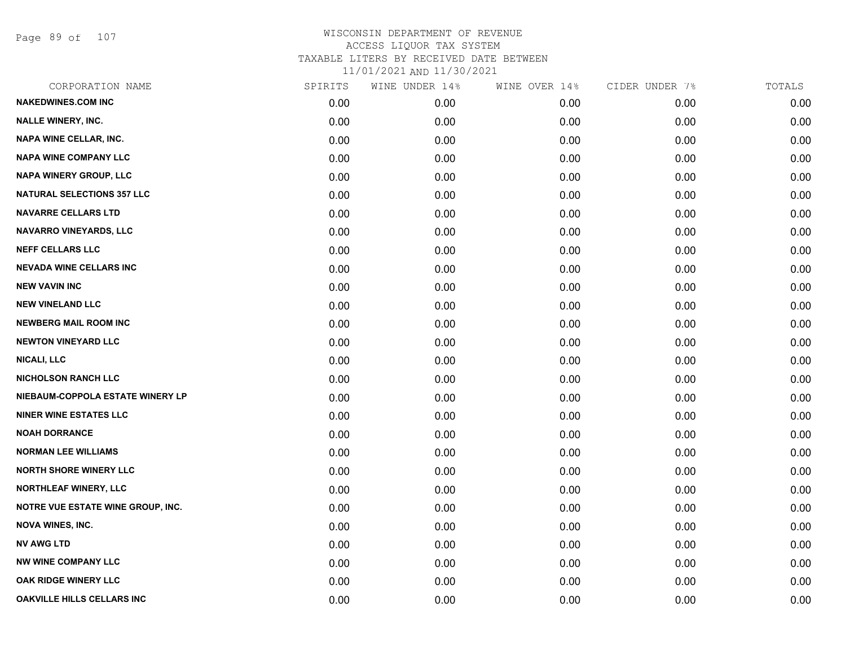Page 89 of 107

| CORPORATION NAME                  | SPIRITS | WINE UNDER 14% | WINE OVER 14% | CIDER UNDER 7% | TOTALS |
|-----------------------------------|---------|----------------|---------------|----------------|--------|
| <b>NAKEDWINES.COM INC</b>         | 0.00    | 0.00           | 0.00          | 0.00           | 0.00   |
| <b>NALLE WINERY, INC.</b>         | 0.00    | 0.00           | 0.00          | 0.00           | 0.00   |
| <b>NAPA WINE CELLAR, INC.</b>     | 0.00    | 0.00           | 0.00          | 0.00           | 0.00   |
| <b>NAPA WINE COMPANY LLC</b>      | 0.00    | 0.00           | 0.00          | 0.00           | 0.00   |
| <b>NAPA WINERY GROUP, LLC</b>     | 0.00    | 0.00           | 0.00          | 0.00           | 0.00   |
| <b>NATURAL SELECTIONS 357 LLC</b> | 0.00    | 0.00           | 0.00          | 0.00           | 0.00   |
| <b>NAVARRE CELLARS LTD</b>        | 0.00    | 0.00           | 0.00          | 0.00           | 0.00   |
| NAVARRO VINEYARDS, LLC            | 0.00    | 0.00           | 0.00          | 0.00           | 0.00   |
| <b>NEFF CELLARS LLC</b>           | 0.00    | 0.00           | 0.00          | 0.00           | 0.00   |
| <b>NEVADA WINE CELLARS INC</b>    | 0.00    | 0.00           | 0.00          | 0.00           | 0.00   |
| <b>NEW VAVIN INC</b>              | 0.00    | 0.00           | 0.00          | 0.00           | 0.00   |
| <b>NEW VINELAND LLC</b>           | 0.00    | 0.00           | 0.00          | 0.00           | 0.00   |
| <b>NEWBERG MAIL ROOM INC</b>      | 0.00    | 0.00           | 0.00          | 0.00           | 0.00   |
| <b>NEWTON VINEYARD LLC</b>        | 0.00    | 0.00           | 0.00          | 0.00           | 0.00   |
| <b>NICALI, LLC</b>                | 0.00    | 0.00           | 0.00          | 0.00           | 0.00   |
| <b>NICHOLSON RANCH LLC</b>        | 0.00    | 0.00           | 0.00          | 0.00           | 0.00   |
| NIEBAUM-COPPOLA ESTATE WINERY LP  | 0.00    | 0.00           | 0.00          | 0.00           | 0.00   |
| <b>NINER WINE ESTATES LLC</b>     | 0.00    | 0.00           | 0.00          | 0.00           | 0.00   |
| <b>NOAH DORRANCE</b>              | 0.00    | 0.00           | 0.00          | 0.00           | 0.00   |
| <b>NORMAN LEE WILLIAMS</b>        | 0.00    | 0.00           | 0.00          | 0.00           | 0.00   |
| <b>NORTH SHORE WINERY LLC</b>     | 0.00    | 0.00           | 0.00          | 0.00           | 0.00   |
| NORTHLEAF WINERY, LLC             | 0.00    | 0.00           | 0.00          | 0.00           | 0.00   |
| NOTRE VUE ESTATE WINE GROUP, INC. | 0.00    | 0.00           | 0.00          | 0.00           | 0.00   |
| <b>NOVA WINES, INC.</b>           | 0.00    | 0.00           | 0.00          | 0.00           | 0.00   |
| <b>NV AWG LTD</b>                 | 0.00    | 0.00           | 0.00          | 0.00           | 0.00   |
| <b>NW WINE COMPANY LLC</b>        | 0.00    | 0.00           | 0.00          | 0.00           | 0.00   |
| <b>OAK RIDGE WINERY LLC</b>       | 0.00    | 0.00           | 0.00          | 0.00           | 0.00   |
| OAKVILLE HILLS CELLARS INC        | 0.00    | 0.00           | 0.00          | 0.00           | 0.00   |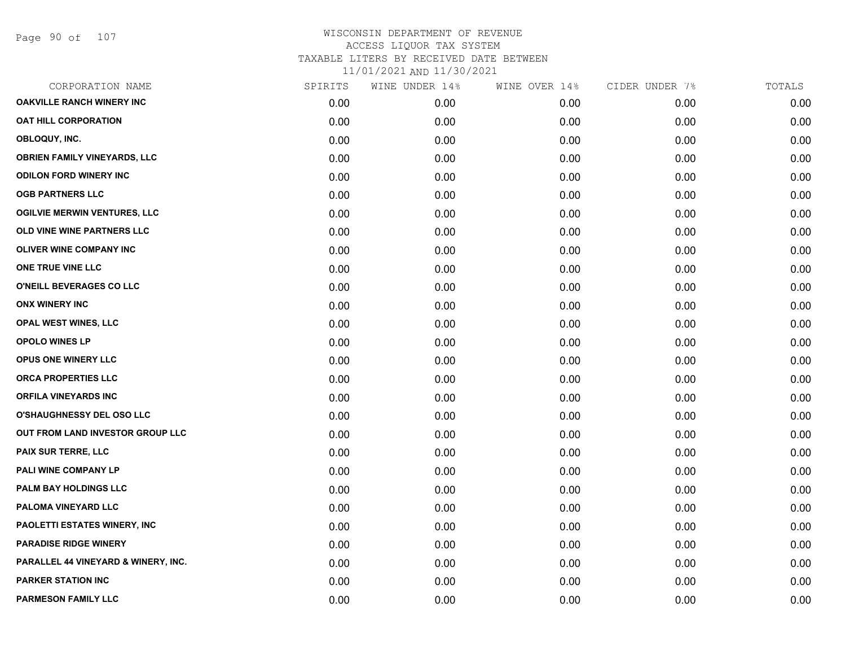| CORPORATION NAME                               | SPIRITS | WINE UNDER 14% | WINE OVER 14% | CIDER UNDER 7% | TOTALS |
|------------------------------------------------|---------|----------------|---------------|----------------|--------|
| <b>OAKVILLE RANCH WINERY INC</b>               | 0.00    | 0.00           | 0.00          | 0.00           | 0.00   |
| <b>OAT HILL CORPORATION</b>                    | 0.00    | 0.00           | 0.00          | 0.00           | 0.00   |
| OBLOQUY, INC.                                  | 0.00    | 0.00           | 0.00          | 0.00           | 0.00   |
| <b>OBRIEN FAMILY VINEYARDS, LLC</b>            | 0.00    | 0.00           | 0.00          | 0.00           | 0.00   |
| <b>ODILON FORD WINERY INC</b>                  | 0.00    | 0.00           | 0.00          | 0.00           | 0.00   |
| <b>OGB PARTNERS LLC</b>                        | 0.00    | 0.00           | 0.00          | 0.00           | 0.00   |
| <b>OGILVIE MERWIN VENTURES, LLC</b>            | 0.00    | 0.00           | 0.00          | 0.00           | 0.00   |
| OLD VINE WINE PARTNERS LLC                     | 0.00    | 0.00           | 0.00          | 0.00           | 0.00   |
| <b>OLIVER WINE COMPANY INC</b>                 | 0.00    | 0.00           | 0.00          | 0.00           | 0.00   |
| ONE TRUE VINE LLC                              | 0.00    | 0.00           | 0.00          | 0.00           | 0.00   |
| O'NEILL BEVERAGES CO LLC                       | 0.00    | 0.00           | 0.00          | 0.00           | 0.00   |
| <b>ONX WINERY INC</b>                          | 0.00    | 0.00           | 0.00          | 0.00           | 0.00   |
| OPAL WEST WINES, LLC                           | 0.00    | 0.00           | 0.00          | 0.00           | 0.00   |
| <b>OPOLO WINES LP</b>                          | 0.00    | 0.00           | 0.00          | 0.00           | 0.00   |
| OPUS ONE WINERY LLC                            | 0.00    | 0.00           | 0.00          | 0.00           | 0.00   |
| ORCA PROPERTIES LLC                            | 0.00    | 0.00           | 0.00          | 0.00           | 0.00   |
| <b>ORFILA VINEYARDS INC</b>                    | 0.00    | 0.00           | 0.00          | 0.00           | 0.00   |
| <b>O'SHAUGHNESSY DEL OSO LLC</b>               | 0.00    | 0.00           | 0.00          | 0.00           | 0.00   |
| OUT FROM LAND INVESTOR GROUP LLC               | 0.00    | 0.00           | 0.00          | 0.00           | 0.00   |
| PAIX SUR TERRE, LLC                            | 0.00    | 0.00           | 0.00          | 0.00           | 0.00   |
| PALI WINE COMPANY LP                           | 0.00    | 0.00           | 0.00          | 0.00           | 0.00   |
| PALM BAY HOLDINGS LLC                          | 0.00    | 0.00           | 0.00          | 0.00           | 0.00   |
| PALOMA VINEYARD LLC                            | 0.00    | 0.00           | 0.00          | 0.00           | 0.00   |
| PAOLETTI ESTATES WINERY, INC                   | 0.00    | 0.00           | 0.00          | 0.00           | 0.00   |
| <b>PARADISE RIDGE WINERY</b>                   | 0.00    | 0.00           | 0.00          | 0.00           | 0.00   |
| <b>PARALLEL 44 VINEYARD &amp; WINERY, INC.</b> | 0.00    | 0.00           | 0.00          | 0.00           | 0.00   |
| <b>PARKER STATION INC</b>                      | 0.00    | 0.00           | 0.00          | 0.00           | 0.00   |
| <b>PARMESON FAMILY LLC</b>                     | 0.00    | 0.00           | 0.00          | 0.00           | 0.00   |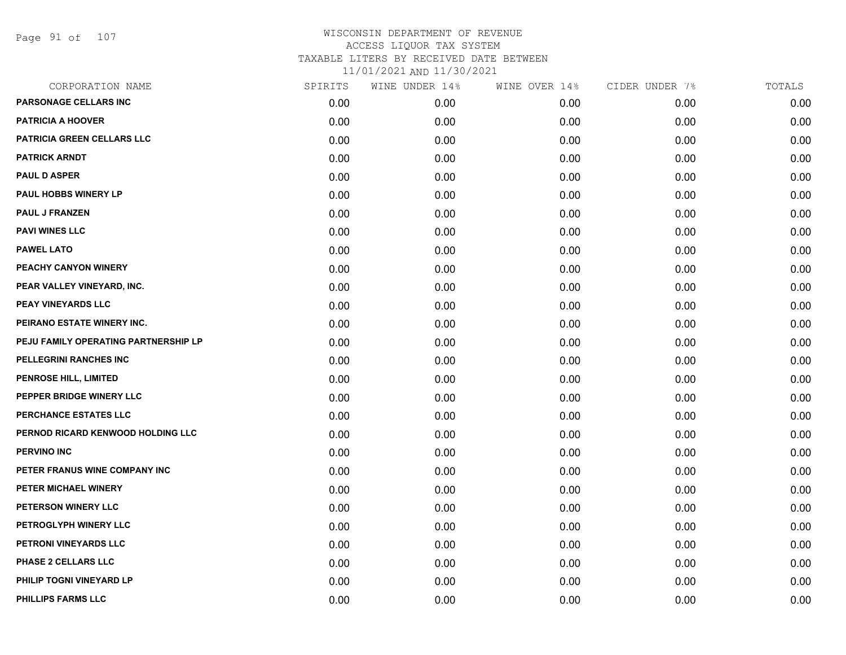Page 91 of 107

| CORPORATION NAME                     | SPIRITS | WINE UNDER 14% | WINE OVER 14% | CIDER UNDER 7% | TOTALS |
|--------------------------------------|---------|----------------|---------------|----------------|--------|
| PARSONAGE CELLARS INC                | 0.00    | 0.00           | 0.00          | 0.00           | 0.00   |
| <b>PATRICIA A HOOVER</b>             | 0.00    | 0.00           | 0.00          | 0.00           | 0.00   |
| PATRICIA GREEN CELLARS LLC           | 0.00    | 0.00           | 0.00          | 0.00           | 0.00   |
| <b>PATRICK ARNDT</b>                 | 0.00    | 0.00           | 0.00          | 0.00           | 0.00   |
| <b>PAUL D ASPER</b>                  | 0.00    | 0.00           | 0.00          | 0.00           | 0.00   |
| PAUL HOBBS WINERY LP                 | 0.00    | 0.00           | 0.00          | 0.00           | 0.00   |
| <b>PAUL J FRANZEN</b>                | 0.00    | 0.00           | 0.00          | 0.00           | 0.00   |
| <b>PAVI WINES LLC</b>                | 0.00    | 0.00           | 0.00          | 0.00           | 0.00   |
| <b>PAWEL LATO</b>                    | 0.00    | 0.00           | 0.00          | 0.00           | 0.00   |
| PEACHY CANYON WINERY                 | 0.00    | 0.00           | 0.00          | 0.00           | 0.00   |
| PEAR VALLEY VINEYARD, INC.           | 0.00    | 0.00           | 0.00          | 0.00           | 0.00   |
| PEAY VINEYARDS LLC                   | 0.00    | 0.00           | 0.00          | 0.00           | 0.00   |
| PEIRANO ESTATE WINERY INC.           | 0.00    | 0.00           | 0.00          | 0.00           | 0.00   |
| PEJU FAMILY OPERATING PARTNERSHIP LP | 0.00    | 0.00           | 0.00          | 0.00           | 0.00   |
| PELLEGRINI RANCHES INC               | 0.00    | 0.00           | 0.00          | 0.00           | 0.00   |
| PENROSE HILL, LIMITED                | 0.00    | 0.00           | 0.00          | 0.00           | 0.00   |
| PEPPER BRIDGE WINERY LLC             | 0.00    | 0.00           | 0.00          | 0.00           | 0.00   |
| PERCHANCE ESTATES LLC                | 0.00    | 0.00           | 0.00          | 0.00           | 0.00   |
| PERNOD RICARD KENWOOD HOLDING LLC    | 0.00    | 0.00           | 0.00          | 0.00           | 0.00   |
| PERVINO INC                          | 0.00    | 0.00           | 0.00          | 0.00           | 0.00   |
| PETER FRANUS WINE COMPANY INC        | 0.00    | 0.00           | 0.00          | 0.00           | 0.00   |
| PETER MICHAEL WINERY                 | 0.00    | 0.00           | 0.00          | 0.00           | 0.00   |
| PETERSON WINERY LLC                  | 0.00    | 0.00           | 0.00          | 0.00           | 0.00   |
| PETROGLYPH WINERY LLC                | 0.00    | 0.00           | 0.00          | 0.00           | 0.00   |
| PETRONI VINEYARDS LLC                | 0.00    | 0.00           | 0.00          | 0.00           | 0.00   |
| PHASE 2 CELLARS LLC                  | 0.00    | 0.00           | 0.00          | 0.00           | 0.00   |
| PHILIP TOGNI VINEYARD LP             | 0.00    | 0.00           | 0.00          | 0.00           | 0.00   |
| PHILLIPS FARMS LLC                   | 0.00    | 0.00           | 0.00          | 0.00           | 0.00   |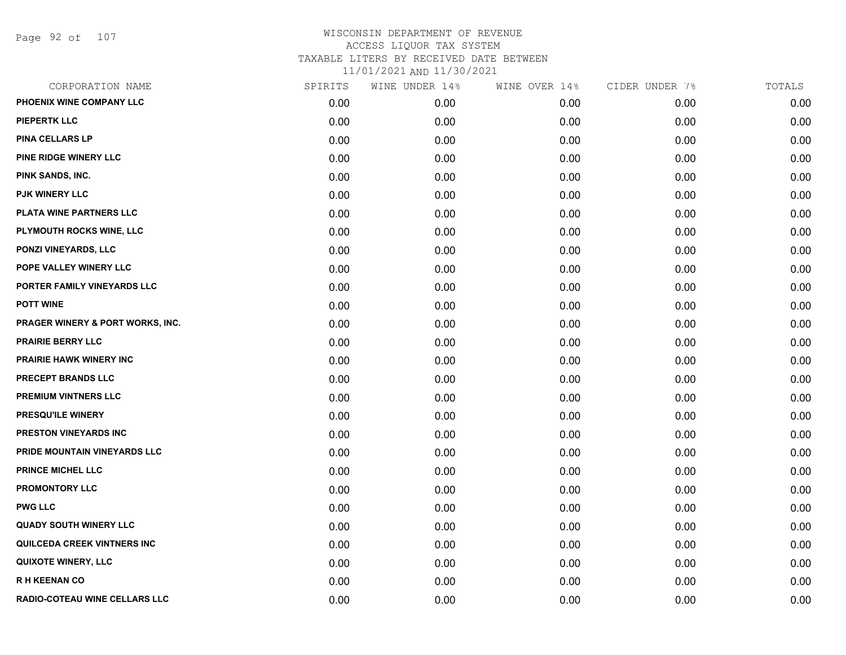Page 92 of 107

| CORPORATION NAME                     | SPIRITS | WINE UNDER 14% | WINE OVER 14% | CIDER UNDER 7% | TOTALS |
|--------------------------------------|---------|----------------|---------------|----------------|--------|
| PHOENIX WINE COMPANY LLC             | 0.00    | 0.00           | 0.00          | 0.00           | 0.00   |
| <b>PIEPERTK LLC</b>                  | 0.00    | 0.00           | 0.00          | 0.00           | 0.00   |
| <b>PINA CELLARS LP</b>               | 0.00    | 0.00           | 0.00          | 0.00           | 0.00   |
| PINE RIDGE WINERY LLC                | 0.00    | 0.00           | 0.00          | 0.00           | 0.00   |
| PINK SANDS, INC.                     | 0.00    | 0.00           | 0.00          | 0.00           | 0.00   |
| PJK WINERY LLC                       | 0.00    | 0.00           | 0.00          | 0.00           | 0.00   |
| <b>PLATA WINE PARTNERS LLC</b>       | 0.00    | 0.00           | 0.00          | 0.00           | 0.00   |
| PLYMOUTH ROCKS WINE, LLC             | 0.00    | 0.00           | 0.00          | 0.00           | 0.00   |
| PONZI VINEYARDS, LLC                 | 0.00    | 0.00           | 0.00          | 0.00           | 0.00   |
| POPE VALLEY WINERY LLC               | 0.00    | 0.00           | 0.00          | 0.00           | 0.00   |
| PORTER FAMILY VINEYARDS LLC          | 0.00    | 0.00           | 0.00          | 0.00           | 0.00   |
| <b>POTT WINE</b>                     | 0.00    | 0.00           | 0.00          | 0.00           | 0.00   |
| PRAGER WINERY & PORT WORKS, INC.     | 0.00    | 0.00           | 0.00          | 0.00           | 0.00   |
| <b>PRAIRIE BERRY LLC</b>             | 0.00    | 0.00           | 0.00          | 0.00           | 0.00   |
| PRAIRIE HAWK WINERY INC              | 0.00    | 0.00           | 0.00          | 0.00           | 0.00   |
| PRECEPT BRANDS LLC                   | 0.00    | 0.00           | 0.00          | 0.00           | 0.00   |
| PREMIUM VINTNERS LLC                 | 0.00    | 0.00           | 0.00          | 0.00           | 0.00   |
| PRESQU'ILE WINERY                    | 0.00    | 0.00           | 0.00          | 0.00           | 0.00   |
| PRESTON VINEYARDS INC                | 0.00    | 0.00           | 0.00          | 0.00           | 0.00   |
| PRIDE MOUNTAIN VINEYARDS LLC         | 0.00    | 0.00           | 0.00          | 0.00           | 0.00   |
| <b>PRINCE MICHEL LLC</b>             | 0.00    | 0.00           | 0.00          | 0.00           | 0.00   |
| PROMONTORY LLC                       | 0.00    | 0.00           | 0.00          | 0.00           | 0.00   |
| <b>PWG LLC</b>                       | 0.00    | 0.00           | 0.00          | 0.00           | 0.00   |
| <b>QUADY SOUTH WINERY LLC</b>        | 0.00    | 0.00           | 0.00          | 0.00           | 0.00   |
| QUILCEDA CREEK VINTNERS INC          | 0.00    | 0.00           | 0.00          | 0.00           | 0.00   |
| <b>QUIXOTE WINERY, LLC</b>           | 0.00    | 0.00           | 0.00          | 0.00           | 0.00   |
| <b>RH KEENAN CO</b>                  | 0.00    | 0.00           | 0.00          | 0.00           | 0.00   |
| <b>RADIO-COTEAU WINE CELLARS LLC</b> | 0.00    | 0.00           | 0.00          | 0.00           | 0.00   |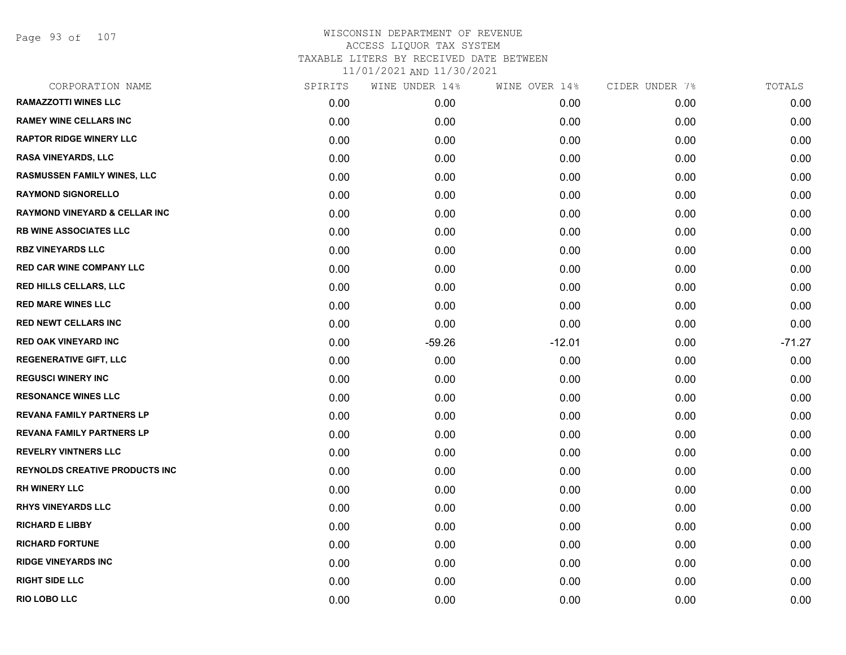Page 93 of 107

| CORPORATION NAME                         | SPIRITS | WINE UNDER 14% | WINE OVER 14% | CIDER UNDER 7% | TOTALS   |
|------------------------------------------|---------|----------------|---------------|----------------|----------|
| <b>RAMAZZOTTI WINES LLC</b>              | 0.00    | 0.00           | 0.00          | 0.00           | 0.00     |
| <b>RAMEY WINE CELLARS INC</b>            | 0.00    | 0.00           | 0.00          | 0.00           | 0.00     |
| <b>RAPTOR RIDGE WINERY LLC</b>           | 0.00    | 0.00           | 0.00          | 0.00           | 0.00     |
| <b>RASA VINEYARDS, LLC</b>               | 0.00    | 0.00           | 0.00          | 0.00           | 0.00     |
| <b>RASMUSSEN FAMILY WINES, LLC</b>       | 0.00    | 0.00           | 0.00          | 0.00           | 0.00     |
| <b>RAYMOND SIGNORELLO</b>                | 0.00    | 0.00           | 0.00          | 0.00           | 0.00     |
| <b>RAYMOND VINEYARD &amp; CELLAR INC</b> | 0.00    | 0.00           | 0.00          | 0.00           | 0.00     |
| <b>RB WINE ASSOCIATES LLC</b>            | 0.00    | 0.00           | 0.00          | 0.00           | 0.00     |
| <b>RBZ VINEYARDS LLC</b>                 | 0.00    | 0.00           | 0.00          | 0.00           | 0.00     |
| <b>RED CAR WINE COMPANY LLC</b>          | 0.00    | 0.00           | 0.00          | 0.00           | 0.00     |
| <b>RED HILLS CELLARS, LLC</b>            | 0.00    | 0.00           | 0.00          | 0.00           | 0.00     |
| <b>RED MARE WINES LLC</b>                | 0.00    | 0.00           | 0.00          | 0.00           | 0.00     |
| <b>RED NEWT CELLARS INC</b>              | 0.00    | 0.00           | 0.00          | 0.00           | 0.00     |
| <b>RED OAK VINEYARD INC</b>              | 0.00    | $-59.26$       | $-12.01$      | 0.00           | $-71.27$ |
| <b>REGENERATIVE GIFT, LLC</b>            | 0.00    | 0.00           | 0.00          | 0.00           | 0.00     |
| <b>REGUSCI WINERY INC</b>                | 0.00    | 0.00           | 0.00          | 0.00           | 0.00     |
| <b>RESONANCE WINES LLC</b>               | 0.00    | 0.00           | 0.00          | 0.00           | 0.00     |
| <b>REVANA FAMILY PARTNERS LP</b>         | 0.00    | 0.00           | 0.00          | 0.00           | 0.00     |
| <b>REVANA FAMILY PARTNERS LP</b>         | 0.00    | 0.00           | 0.00          | 0.00           | 0.00     |
| <b>REVELRY VINTNERS LLC</b>              | 0.00    | 0.00           | 0.00          | 0.00           | 0.00     |
| <b>REYNOLDS CREATIVE PRODUCTS INC</b>    | 0.00    | 0.00           | 0.00          | 0.00           | 0.00     |
| <b>RH WINERY LLC</b>                     | 0.00    | 0.00           | 0.00          | 0.00           | 0.00     |
| <b>RHYS VINEYARDS LLC</b>                | 0.00    | 0.00           | 0.00          | 0.00           | 0.00     |
| <b>RICHARD E LIBBY</b>                   | 0.00    | 0.00           | 0.00          | 0.00           | 0.00     |
| <b>RICHARD FORTUNE</b>                   | 0.00    | 0.00           | 0.00          | 0.00           | 0.00     |
| <b>RIDGE VINEYARDS INC</b>               | 0.00    | 0.00           | 0.00          | 0.00           | 0.00     |
| <b>RIGHT SIDE LLC</b>                    | 0.00    | 0.00           | 0.00          | 0.00           | 0.00     |
| RIO LOBO LLC                             | 0.00    | 0.00           | 0.00          | 0.00           | 0.00     |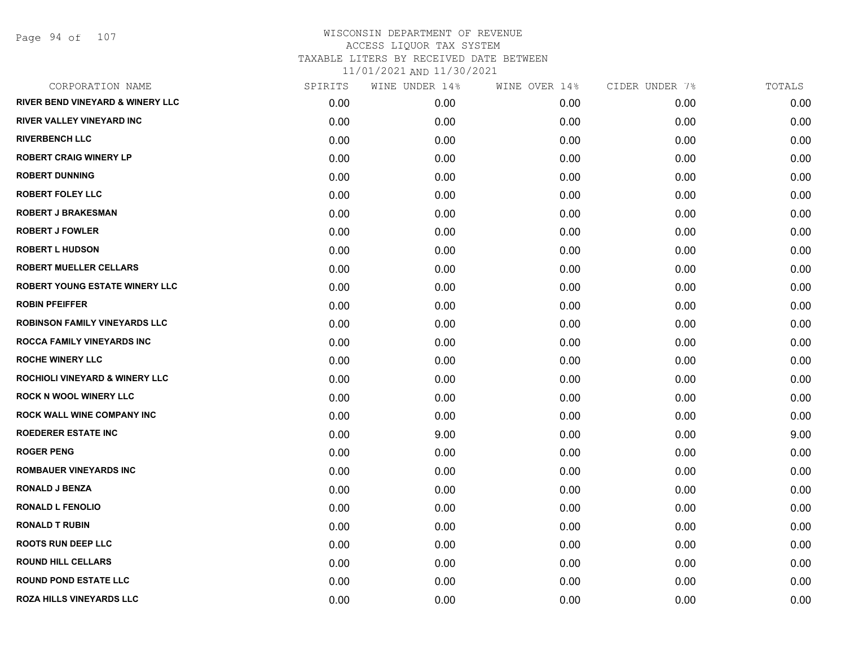Page 94 of 107

| CORPORATION NAME                            | SPIRITS | WINE UNDER 14% | WINE OVER 14% | CIDER UNDER 7% | TOTALS |
|---------------------------------------------|---------|----------------|---------------|----------------|--------|
| <b>RIVER BEND VINEYARD &amp; WINERY LLC</b> | 0.00    | 0.00           | 0.00          | 0.00           | 0.00   |
| <b>RIVER VALLEY VINEYARD INC</b>            | 0.00    | 0.00           | 0.00          | 0.00           | 0.00   |
| <b>RIVERBENCH LLC</b>                       | 0.00    | 0.00           | 0.00          | 0.00           | 0.00   |
| <b>ROBERT CRAIG WINERY LP</b>               | 0.00    | 0.00           | 0.00          | 0.00           | 0.00   |
| <b>ROBERT DUNNING</b>                       | 0.00    | 0.00           | 0.00          | 0.00           | 0.00   |
| <b>ROBERT FOLEY LLC</b>                     | 0.00    | 0.00           | 0.00          | 0.00           | 0.00   |
| <b>ROBERT J BRAKESMAN</b>                   | 0.00    | 0.00           | 0.00          | 0.00           | 0.00   |
| <b>ROBERT J FOWLER</b>                      | 0.00    | 0.00           | 0.00          | 0.00           | 0.00   |
| <b>ROBERT L HUDSON</b>                      | 0.00    | 0.00           | 0.00          | 0.00           | 0.00   |
| <b>ROBERT MUELLER CELLARS</b>               | 0.00    | 0.00           | 0.00          | 0.00           | 0.00   |
| <b>ROBERT YOUNG ESTATE WINERY LLC</b>       | 0.00    | 0.00           | 0.00          | 0.00           | 0.00   |
| <b>ROBIN PFEIFFER</b>                       | 0.00    | 0.00           | 0.00          | 0.00           | 0.00   |
| <b>ROBINSON FAMILY VINEYARDS LLC</b>        | 0.00    | 0.00           | 0.00          | 0.00           | 0.00   |
| <b>ROCCA FAMILY VINEYARDS INC</b>           | 0.00    | 0.00           | 0.00          | 0.00           | 0.00   |
| <b>ROCHE WINERY LLC</b>                     | 0.00    | 0.00           | 0.00          | 0.00           | 0.00   |
| ROCHIOLI VINEYARD & WINERY LLC              | 0.00    | 0.00           | 0.00          | 0.00           | 0.00   |
| <b>ROCK N WOOL WINERY LLC</b>               | 0.00    | 0.00           | 0.00          | 0.00           | 0.00   |
| ROCK WALL WINE COMPANY INC                  | 0.00    | 0.00           | 0.00          | 0.00           | 0.00   |
| <b>ROEDERER ESTATE INC</b>                  | 0.00    | 9.00           | 0.00          | 0.00           | 9.00   |
| <b>ROGER PENG</b>                           | 0.00    | 0.00           | 0.00          | 0.00           | 0.00   |
| <b>ROMBAUER VINEYARDS INC</b>               | 0.00    | 0.00           | 0.00          | 0.00           | 0.00   |
| <b>RONALD J BENZA</b>                       | 0.00    | 0.00           | 0.00          | 0.00           | 0.00   |
| <b>RONALD L FENOLIO</b>                     | 0.00    | 0.00           | 0.00          | 0.00           | 0.00   |
| <b>RONALD T RUBIN</b>                       | 0.00    | 0.00           | 0.00          | 0.00           | 0.00   |
| <b>ROOTS RUN DEEP LLC</b>                   | 0.00    | 0.00           | 0.00          | 0.00           | 0.00   |
| <b>ROUND HILL CELLARS</b>                   | 0.00    | 0.00           | 0.00          | 0.00           | 0.00   |
| <b>ROUND POND ESTATE LLC</b>                | 0.00    | 0.00           | 0.00          | 0.00           | 0.00   |
| <b>ROZA HILLS VINEYARDS LLC</b>             | 0.00    | 0.00           | 0.00          | 0.00           | 0.00   |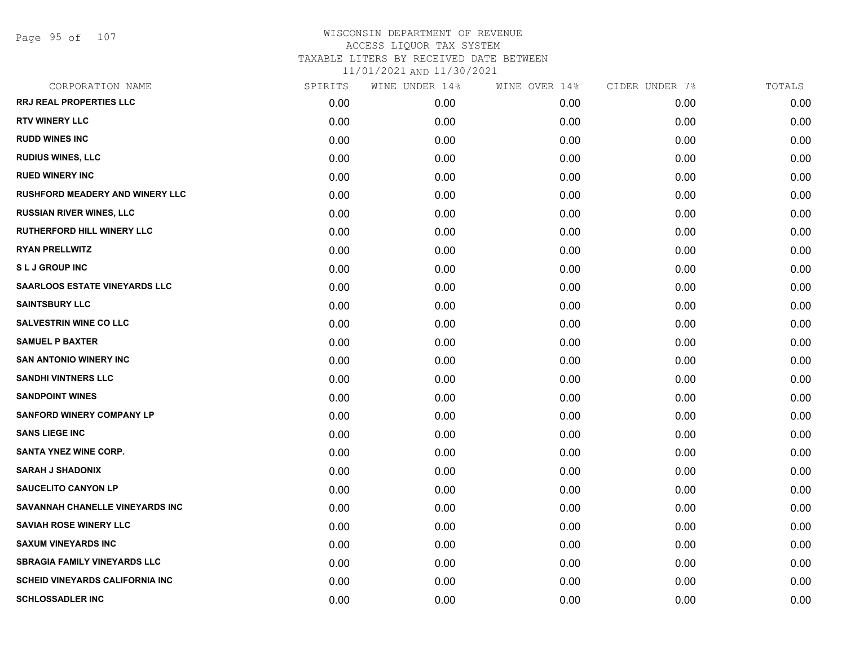| CORPORATION NAME                       | SPIRITS | WINE UNDER 14% | WINE OVER 14% | CIDER UNDER 7% | TOTALS |
|----------------------------------------|---------|----------------|---------------|----------------|--------|
| <b>RRJ REAL PROPERTIES LLC</b>         | 0.00    | 0.00           | 0.00          | 0.00           | 0.00   |
| <b>RTV WINERY LLC</b>                  | 0.00    | 0.00           | 0.00          | 0.00           | 0.00   |
| <b>RUDD WINES INC</b>                  | 0.00    | 0.00           | 0.00          | 0.00           | 0.00   |
| <b>RUDIUS WINES, LLC</b>               | 0.00    | 0.00           | 0.00          | 0.00           | 0.00   |
| <b>RUED WINERY INC</b>                 | 0.00    | 0.00           | 0.00          | 0.00           | 0.00   |
| <b>RUSHFORD MEADERY AND WINERY LLC</b> | 0.00    | 0.00           | 0.00          | 0.00           | 0.00   |
| <b>RUSSIAN RIVER WINES, LLC</b>        | 0.00    | 0.00           | 0.00          | 0.00           | 0.00   |
| <b>RUTHERFORD HILL WINERY LLC</b>      | 0.00    | 0.00           | 0.00          | 0.00           | 0.00   |
| <b>RYAN PRELLWITZ</b>                  | 0.00    | 0.00           | 0.00          | 0.00           | 0.00   |
| <b>SLJ GROUP INC</b>                   | 0.00    | 0.00           | 0.00          | 0.00           | 0.00   |
| <b>SAARLOOS ESTATE VINEYARDS LLC</b>   | 0.00    | 0.00           | 0.00          | 0.00           | 0.00   |
| <b>SAINTSBURY LLC</b>                  | 0.00    | 0.00           | 0.00          | 0.00           | 0.00   |
| <b>SALVESTRIN WINE CO LLC</b>          | 0.00    | 0.00           | 0.00          | 0.00           | 0.00   |
| <b>SAMUEL P BAXTER</b>                 | 0.00    | 0.00           | 0.00          | 0.00           | 0.00   |
| <b>SAN ANTONIO WINERY INC</b>          | 0.00    | 0.00           | 0.00          | 0.00           | 0.00   |
| <b>SANDHI VINTNERS LLC</b>             | 0.00    | 0.00           | 0.00          | 0.00           | 0.00   |
| <b>SANDPOINT WINES</b>                 | 0.00    | 0.00           | 0.00          | 0.00           | 0.00   |
| <b>SANFORD WINERY COMPANY LP</b>       | 0.00    | 0.00           | 0.00          | 0.00           | 0.00   |
| <b>SANS LIEGE INC</b>                  | 0.00    | 0.00           | 0.00          | 0.00           | 0.00   |
| <b>SANTA YNEZ WINE CORP.</b>           | 0.00    | 0.00           | 0.00          | 0.00           | 0.00   |
| <b>SARAH J SHADONIX</b>                | 0.00    | 0.00           | 0.00          | 0.00           | 0.00   |
| <b>SAUCELITO CANYON LP</b>             | 0.00    | 0.00           | 0.00          | 0.00           | 0.00   |
| SAVANNAH CHANELLE VINEYARDS INC        | 0.00    | 0.00           | 0.00          | 0.00           | 0.00   |
| <b>SAVIAH ROSE WINERY LLC</b>          | 0.00    | 0.00           | 0.00          | 0.00           | 0.00   |
| <b>SAXUM VINEYARDS INC</b>             | 0.00    | 0.00           | 0.00          | 0.00           | 0.00   |
| <b>SBRAGIA FAMILY VINEYARDS LLC</b>    | 0.00    | 0.00           | 0.00          | 0.00           | 0.00   |
| <b>SCHEID VINEYARDS CALIFORNIA INC</b> | 0.00    | 0.00           | 0.00          | 0.00           | 0.00   |
| <b>SCHLOSSADLER INC</b>                | 0.00    | 0.00           | 0.00          | 0.00           | 0.00   |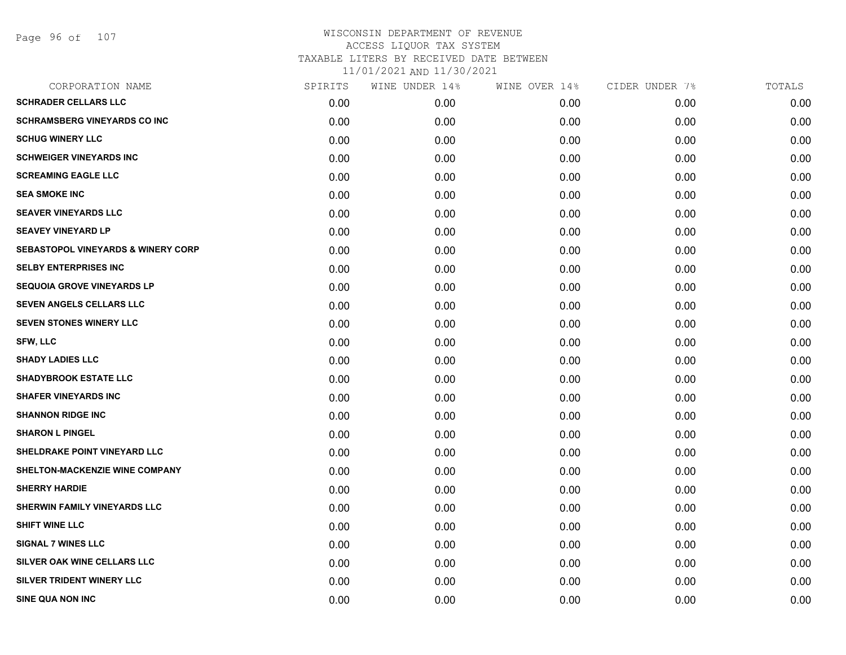Page 96 of 107

| CORPORATION NAME                              | SPIRITS | WINE UNDER 14% | WINE OVER 14% | CIDER UNDER 7% | TOTALS |
|-----------------------------------------------|---------|----------------|---------------|----------------|--------|
| <b>SCHRADER CELLARS LLC</b>                   | 0.00    | 0.00           | 0.00          | 0.00           | 0.00   |
| <b>SCHRAMSBERG VINEYARDS CO INC</b>           | 0.00    | 0.00           | 0.00          | 0.00           | 0.00   |
| <b>SCHUG WINERY LLC</b>                       | 0.00    | 0.00           | 0.00          | 0.00           | 0.00   |
| <b>SCHWEIGER VINEYARDS INC</b>                | 0.00    | 0.00           | 0.00          | 0.00           | 0.00   |
| <b>SCREAMING EAGLE LLC</b>                    | 0.00    | 0.00           | 0.00          | 0.00           | 0.00   |
| <b>SEA SMOKE INC</b>                          | 0.00    | 0.00           | 0.00          | 0.00           | 0.00   |
| <b>SEAVER VINEYARDS LLC</b>                   | 0.00    | 0.00           | 0.00          | 0.00           | 0.00   |
| <b>SEAVEY VINEYARD LP</b>                     | 0.00    | 0.00           | 0.00          | 0.00           | 0.00   |
| <b>SEBASTOPOL VINEYARDS &amp; WINERY CORP</b> | 0.00    | 0.00           | 0.00          | 0.00           | 0.00   |
| <b>SELBY ENTERPRISES INC</b>                  | 0.00    | 0.00           | 0.00          | 0.00           | 0.00   |
| <b>SEQUOIA GROVE VINEYARDS LP</b>             | 0.00    | 0.00           | 0.00          | 0.00           | 0.00   |
| SEVEN ANGELS CELLARS LLC                      | 0.00    | 0.00           | 0.00          | 0.00           | 0.00   |
| <b>SEVEN STONES WINERY LLC</b>                | 0.00    | 0.00           | 0.00          | 0.00           | 0.00   |
| <b>SFW, LLC</b>                               | 0.00    | 0.00           | 0.00          | 0.00           | 0.00   |
| <b>SHADY LADIES LLC</b>                       | 0.00    | 0.00           | 0.00          | 0.00           | 0.00   |
| <b>SHADYBROOK ESTATE LLC</b>                  | 0.00    | 0.00           | 0.00          | 0.00           | 0.00   |
| <b>SHAFER VINEYARDS INC</b>                   | 0.00    | 0.00           | 0.00          | 0.00           | 0.00   |
| <b>SHANNON RIDGE INC</b>                      | 0.00    | 0.00           | 0.00          | 0.00           | 0.00   |
| <b>SHARON L PINGEL</b>                        | 0.00    | 0.00           | 0.00          | 0.00           | 0.00   |
| SHELDRAKE POINT VINEYARD LLC                  | 0.00    | 0.00           | 0.00          | 0.00           | 0.00   |
| SHELTON-MACKENZIE WINE COMPANY                | 0.00    | 0.00           | 0.00          | 0.00           | 0.00   |
| <b>SHERRY HARDIE</b>                          | 0.00    | 0.00           | 0.00          | 0.00           | 0.00   |
| SHERWIN FAMILY VINEYARDS LLC                  | 0.00    | 0.00           | 0.00          | 0.00           | 0.00   |
| <b>SHIFT WINE LLC</b>                         | 0.00    | 0.00           | 0.00          | 0.00           | 0.00   |
| <b>SIGNAL 7 WINES LLC</b>                     | 0.00    | 0.00           | 0.00          | 0.00           | 0.00   |
| SILVER OAK WINE CELLARS LLC                   | 0.00    | 0.00           | 0.00          | 0.00           | 0.00   |
| SILVER TRIDENT WINERY LLC                     | 0.00    | 0.00           | 0.00          | 0.00           | 0.00   |
| SINE QUA NON INC                              | 0.00    | 0.00           | 0.00          | 0.00           | 0.00   |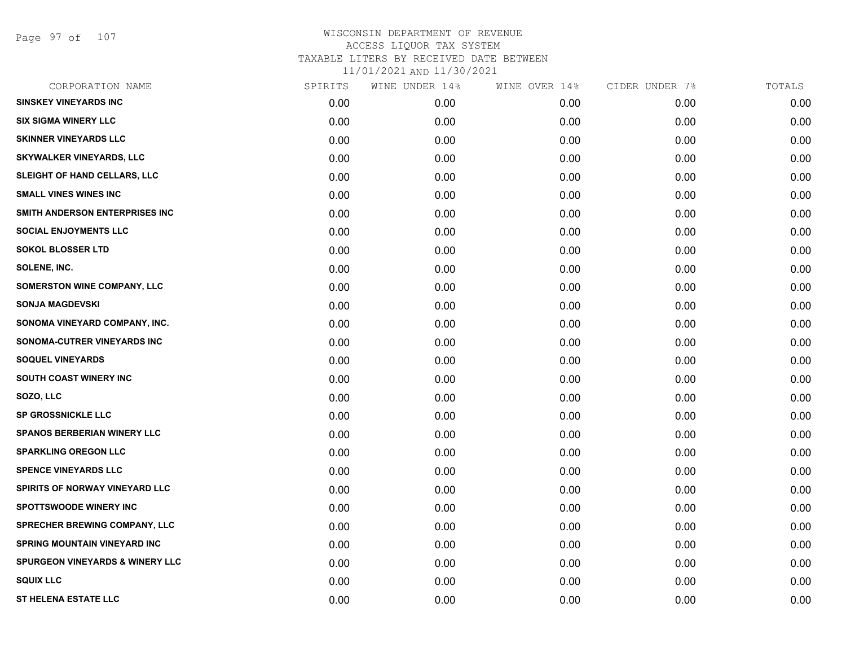Page 97 of 107

| CORPORATION NAME                           | SPIRITS | WINE UNDER 14% | WINE OVER 14% | CIDER UNDER 7% | TOTALS |
|--------------------------------------------|---------|----------------|---------------|----------------|--------|
| <b>SINSKEY VINEYARDS INC</b>               | 0.00    | 0.00           | 0.00          | 0.00           | 0.00   |
| <b>SIX SIGMA WINERY LLC</b>                | 0.00    | 0.00           | 0.00          | 0.00           | 0.00   |
| <b>SKINNER VINEYARDS LLC</b>               | 0.00    | 0.00           | 0.00          | 0.00           | 0.00   |
| <b>SKYWALKER VINEYARDS, LLC</b>            | 0.00    | 0.00           | 0.00          | 0.00           | 0.00   |
| SLEIGHT OF HAND CELLARS, LLC               | 0.00    | 0.00           | 0.00          | 0.00           | 0.00   |
| <b>SMALL VINES WINES INC</b>               | 0.00    | 0.00           | 0.00          | 0.00           | 0.00   |
| SMITH ANDERSON ENTERPRISES INC             | 0.00    | 0.00           | 0.00          | 0.00           | 0.00   |
| <b>SOCIAL ENJOYMENTS LLC</b>               | 0.00    | 0.00           | 0.00          | 0.00           | 0.00   |
| <b>SOKOL BLOSSER LTD</b>                   | 0.00    | 0.00           | 0.00          | 0.00           | 0.00   |
| SOLENE, INC.                               | 0.00    | 0.00           | 0.00          | 0.00           | 0.00   |
| SOMERSTON WINE COMPANY, LLC                | 0.00    | 0.00           | 0.00          | 0.00           | 0.00   |
| <b>SONJA MAGDEVSKI</b>                     | 0.00    | 0.00           | 0.00          | 0.00           | 0.00   |
| SONOMA VINEYARD COMPANY, INC.              | 0.00    | 0.00           | 0.00          | 0.00           | 0.00   |
| SONOMA-CUTRER VINEYARDS INC                | 0.00    | 0.00           | 0.00          | 0.00           | 0.00   |
| <b>SOQUEL VINEYARDS</b>                    | 0.00    | 0.00           | 0.00          | 0.00           | 0.00   |
| SOUTH COAST WINERY INC                     | 0.00    | 0.00           | 0.00          | 0.00           | 0.00   |
| SOZO, LLC                                  | 0.00    | 0.00           | 0.00          | 0.00           | 0.00   |
| <b>SP GROSSNICKLE LLC</b>                  | 0.00    | 0.00           | 0.00          | 0.00           | 0.00   |
| <b>SPANOS BERBERIAN WINERY LLC</b>         | 0.00    | 0.00           | 0.00          | 0.00           | 0.00   |
| <b>SPARKLING OREGON LLC</b>                | 0.00    | 0.00           | 0.00          | 0.00           | 0.00   |
| <b>SPENCE VINEYARDS LLC</b>                | 0.00    | 0.00           | 0.00          | 0.00           | 0.00   |
| <b>SPIRITS OF NORWAY VINEYARD LLC</b>      | 0.00    | 0.00           | 0.00          | 0.00           | 0.00   |
| <b>SPOTTSWOODE WINERY INC</b>              | 0.00    | 0.00           | 0.00          | 0.00           | 0.00   |
| SPRECHER BREWING COMPANY, LLC              | 0.00    | 0.00           | 0.00          | 0.00           | 0.00   |
| <b>SPRING MOUNTAIN VINEYARD INC</b>        | 0.00    | 0.00           | 0.00          | 0.00           | 0.00   |
| <b>SPURGEON VINEYARDS &amp; WINERY LLC</b> | 0.00    | 0.00           | 0.00          | 0.00           | 0.00   |
| <b>SQUIX LLC</b>                           | 0.00    | 0.00           | 0.00          | 0.00           | 0.00   |
| <b>ST HELENA ESTATE LLC</b>                | 0.00    | 0.00           | 0.00          | 0.00           | 0.00   |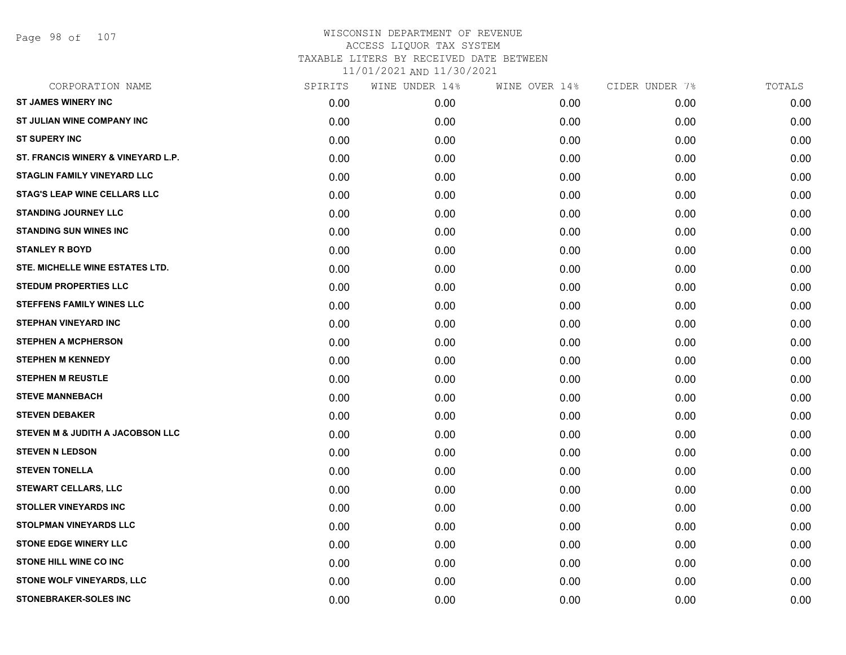Page 98 of 107

| CORPORATION NAME                       | SPIRITS | WINE UNDER 14% | WINE OVER 14% | CIDER UNDER 7% | TOTALS |
|----------------------------------------|---------|----------------|---------------|----------------|--------|
| <b>ST JAMES WINERY INC</b>             | 0.00    | 0.00           | 0.00          | 0.00           | 0.00   |
| <b>ST JULIAN WINE COMPANY INC</b>      | 0.00    | 0.00           | 0.00          | 0.00           | 0.00   |
| <b>ST SUPERY INC</b>                   | 0.00    | 0.00           | 0.00          | 0.00           | 0.00   |
| ST. FRANCIS WINERY & VINEYARD L.P.     | 0.00    | 0.00           | 0.00          | 0.00           | 0.00   |
| <b>STAGLIN FAMILY VINEYARD LLC</b>     | 0.00    | 0.00           | 0.00          | 0.00           | 0.00   |
| <b>STAG'S LEAP WINE CELLARS LLC</b>    | 0.00    | 0.00           | 0.00          | 0.00           | 0.00   |
| <b>STANDING JOURNEY LLC</b>            | 0.00    | 0.00           | 0.00          | 0.00           | 0.00   |
| <b>STANDING SUN WINES INC</b>          | 0.00    | 0.00           | 0.00          | 0.00           | 0.00   |
| <b>STANLEY R BOYD</b>                  | 0.00    | 0.00           | 0.00          | 0.00           | 0.00   |
| <b>STE. MICHELLE WINE ESTATES LTD.</b> | 0.00    | 0.00           | 0.00          | 0.00           | 0.00   |
| <b>STEDUM PROPERTIES LLC</b>           | 0.00    | 0.00           | 0.00          | 0.00           | 0.00   |
| <b>STEFFENS FAMILY WINES LLC</b>       | 0.00    | 0.00           | 0.00          | 0.00           | 0.00   |
| <b>STEPHAN VINEYARD INC</b>            | 0.00    | 0.00           | 0.00          | 0.00           | 0.00   |
| <b>STEPHEN A MCPHERSON</b>             | 0.00    | 0.00           | 0.00          | 0.00           | 0.00   |
| <b>STEPHEN M KENNEDY</b>               | 0.00    | 0.00           | 0.00          | 0.00           | 0.00   |
| <b>STEPHEN M REUSTLE</b>               | 0.00    | 0.00           | 0.00          | 0.00           | 0.00   |
| <b>STEVE MANNEBACH</b>                 | 0.00    | 0.00           | 0.00          | 0.00           | 0.00   |
| <b>STEVEN DEBAKER</b>                  | 0.00    | 0.00           | 0.00          | 0.00           | 0.00   |
| STEVEN M & JUDITH A JACOBSON LLC       | 0.00    | 0.00           | 0.00          | 0.00           | 0.00   |
| <b>STEVEN N LEDSON</b>                 | 0.00    | 0.00           | 0.00          | 0.00           | 0.00   |
| <b>STEVEN TONELLA</b>                  | 0.00    | 0.00           | 0.00          | 0.00           | 0.00   |
| <b>STEWART CELLARS, LLC</b>            | 0.00    | 0.00           | 0.00          | 0.00           | 0.00   |
| <b>STOLLER VINEYARDS INC</b>           | 0.00    | 0.00           | 0.00          | 0.00           | 0.00   |
| <b>STOLPMAN VINEYARDS LLC</b>          | 0.00    | 0.00           | 0.00          | 0.00           | 0.00   |
| <b>STONE EDGE WINERY LLC</b>           | 0.00    | 0.00           | 0.00          | 0.00           | 0.00   |
| <b>STONE HILL WINE CO INC</b>          | 0.00    | 0.00           | 0.00          | 0.00           | 0.00   |
| <b>STONE WOLF VINEYARDS, LLC</b>       | 0.00    | 0.00           | 0.00          | 0.00           | 0.00   |
| <b>STONEBRAKER-SOLES INC</b>           | 0.00    | 0.00           | 0.00          | 0.00           | 0.00   |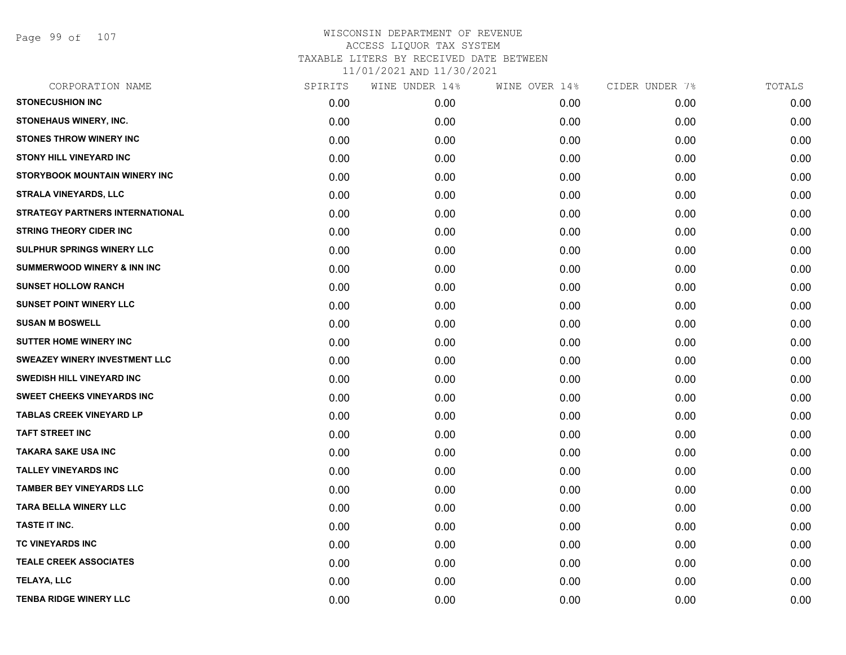Page 99 of 107

| CORPORATION NAME                       | SPIRITS | WINE UNDER 14% | WINE OVER 14% | CIDER UNDER 7% | TOTALS |
|----------------------------------------|---------|----------------|---------------|----------------|--------|
| <b>STONECUSHION INC</b>                | 0.00    | 0.00           | 0.00          | 0.00           | 0.00   |
| <b>STONEHAUS WINERY, INC.</b>          | 0.00    | 0.00           | 0.00          | 0.00           | 0.00   |
| <b>STONES THROW WINERY INC</b>         | 0.00    | 0.00           | 0.00          | 0.00           | 0.00   |
| <b>STONY HILL VINEYARD INC</b>         | 0.00    | 0.00           | 0.00          | 0.00           | 0.00   |
| STORYBOOK MOUNTAIN WINERY INC          | 0.00    | 0.00           | 0.00          | 0.00           | 0.00   |
| <b>STRALA VINEYARDS, LLC</b>           | 0.00    | 0.00           | 0.00          | 0.00           | 0.00   |
| <b>STRATEGY PARTNERS INTERNATIONAL</b> | 0.00    | 0.00           | 0.00          | 0.00           | 0.00   |
| <b>STRING THEORY CIDER INC</b>         | 0.00    | 0.00           | 0.00          | 0.00           | 0.00   |
| SULPHUR SPRINGS WINERY LLC             | 0.00    | 0.00           | 0.00          | 0.00           | 0.00   |
| <b>SUMMERWOOD WINERY &amp; INN INC</b> | 0.00    | 0.00           | 0.00          | 0.00           | 0.00   |
| <b>SUNSET HOLLOW RANCH</b>             | 0.00    | 0.00           | 0.00          | 0.00           | 0.00   |
| <b>SUNSET POINT WINERY LLC</b>         | 0.00    | 0.00           | 0.00          | 0.00           | 0.00   |
| <b>SUSAN M BOSWELL</b>                 | 0.00    | 0.00           | 0.00          | 0.00           | 0.00   |
| SUTTER HOME WINERY INC                 | 0.00    | 0.00           | 0.00          | 0.00           | 0.00   |
| <b>SWEAZEY WINERY INVESTMENT LLC</b>   | 0.00    | 0.00           | 0.00          | 0.00           | 0.00   |
| SWEDISH HILL VINEYARD INC              | 0.00    | 0.00           | 0.00          | 0.00           | 0.00   |
| <b>SWEET CHEEKS VINEYARDS INC</b>      | 0.00    | 0.00           | 0.00          | 0.00           | 0.00   |
| <b>TABLAS CREEK VINEYARD LP</b>        | 0.00    | 0.00           | 0.00          | 0.00           | 0.00   |
| <b>TAFT STREET INC</b>                 | 0.00    | 0.00           | 0.00          | 0.00           | 0.00   |
| <b>TAKARA SAKE USA INC</b>             | 0.00    | 0.00           | 0.00          | 0.00           | 0.00   |
| <b>TALLEY VINEYARDS INC</b>            | 0.00    | 0.00           | 0.00          | 0.00           | 0.00   |
| <b>TAMBER BEY VINEYARDS LLC</b>        | 0.00    | 0.00           | 0.00          | 0.00           | 0.00   |
| <b>TARA BELLA WINERY LLC</b>           | 0.00    | 0.00           | 0.00          | 0.00           | 0.00   |
| TASTE IT INC.                          | 0.00    | 0.00           | 0.00          | 0.00           | 0.00   |
| <b>TC VINEYARDS INC</b>                | 0.00    | 0.00           | 0.00          | 0.00           | 0.00   |
| <b>TEALE CREEK ASSOCIATES</b>          | 0.00    | 0.00           | 0.00          | 0.00           | 0.00   |
| <b>TELAYA, LLC</b>                     | 0.00    | 0.00           | 0.00          | 0.00           | 0.00   |
| <b>TENBA RIDGE WINERY LLC</b>          | 0.00    | 0.00           | 0.00          | 0.00           | 0.00   |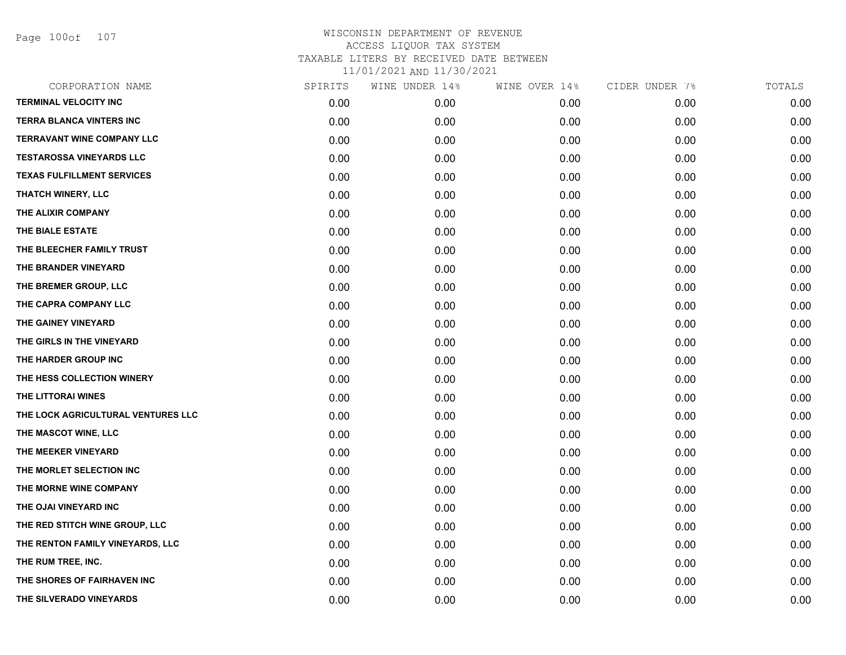Page 100of 107

| CORPORATION NAME                   | SPIRITS | WINE UNDER 14% | WINE OVER 14% | CIDER UNDER 7% | TOTALS |
|------------------------------------|---------|----------------|---------------|----------------|--------|
| <b>TERMINAL VELOCITY INC</b>       | 0.00    | 0.00           | 0.00          | 0.00           | 0.00   |
| <b>TERRA BLANCA VINTERS INC</b>    | 0.00    | 0.00           | 0.00          | 0.00           | 0.00   |
| <b>TERRAVANT WINE COMPANY LLC</b>  | 0.00    | 0.00           | 0.00          | 0.00           | 0.00   |
| <b>TESTAROSSA VINEYARDS LLC</b>    | 0.00    | 0.00           | 0.00          | 0.00           | 0.00   |
| <b>TEXAS FULFILLMENT SERVICES</b>  | 0.00    | 0.00           | 0.00          | 0.00           | 0.00   |
| <b>THATCH WINERY, LLC</b>          | 0.00    | 0.00           | 0.00          | 0.00           | 0.00   |
| THE ALIXIR COMPANY                 | 0.00    | 0.00           | 0.00          | 0.00           | 0.00   |
| THE BIALE ESTATE                   | 0.00    | 0.00           | 0.00          | 0.00           | 0.00   |
| THE BLEECHER FAMILY TRUST          | 0.00    | 0.00           | 0.00          | 0.00           | 0.00   |
| THE BRANDER VINEYARD               | 0.00    | 0.00           | 0.00          | 0.00           | 0.00   |
| THE BREMER GROUP, LLC              | 0.00    | 0.00           | 0.00          | 0.00           | 0.00   |
| THE CAPRA COMPANY LLC              | 0.00    | 0.00           | 0.00          | 0.00           | 0.00   |
| THE GAINEY VINEYARD                | 0.00    | 0.00           | 0.00          | 0.00           | 0.00   |
| THE GIRLS IN THE VINEYARD          | 0.00    | 0.00           | 0.00          | 0.00           | 0.00   |
| THE HARDER GROUP INC               | 0.00    | 0.00           | 0.00          | 0.00           | 0.00   |
| THE HESS COLLECTION WINERY         | 0.00    | 0.00           | 0.00          | 0.00           | 0.00   |
| THE LITTORAI WINES                 | 0.00    | 0.00           | 0.00          | 0.00           | 0.00   |
| THE LOCK AGRICULTURAL VENTURES LLC | 0.00    | 0.00           | 0.00          | 0.00           | 0.00   |
| THE MASCOT WINE, LLC               | 0.00    | 0.00           | 0.00          | 0.00           | 0.00   |
| THE MEEKER VINEYARD                | 0.00    | 0.00           | 0.00          | 0.00           | 0.00   |
| THE MORLET SELECTION INC           | 0.00    | 0.00           | 0.00          | 0.00           | 0.00   |
| THE MORNE WINE COMPANY             | 0.00    | 0.00           | 0.00          | 0.00           | 0.00   |
| THE OJAI VINEYARD INC              | 0.00    | 0.00           | 0.00          | 0.00           | 0.00   |
| THE RED STITCH WINE GROUP, LLC     | 0.00    | 0.00           | 0.00          | 0.00           | 0.00   |
| THE RENTON FAMILY VINEYARDS, LLC   | 0.00    | 0.00           | 0.00          | 0.00           | 0.00   |
| THE RUM TREE, INC.                 | 0.00    | 0.00           | 0.00          | 0.00           | 0.00   |
| THE SHORES OF FAIRHAVEN INC        | 0.00    | 0.00           | 0.00          | 0.00           | 0.00   |
| THE SILVERADO VINEYARDS            | 0.00    | 0.00           | 0.00          | 0.00           | 0.00   |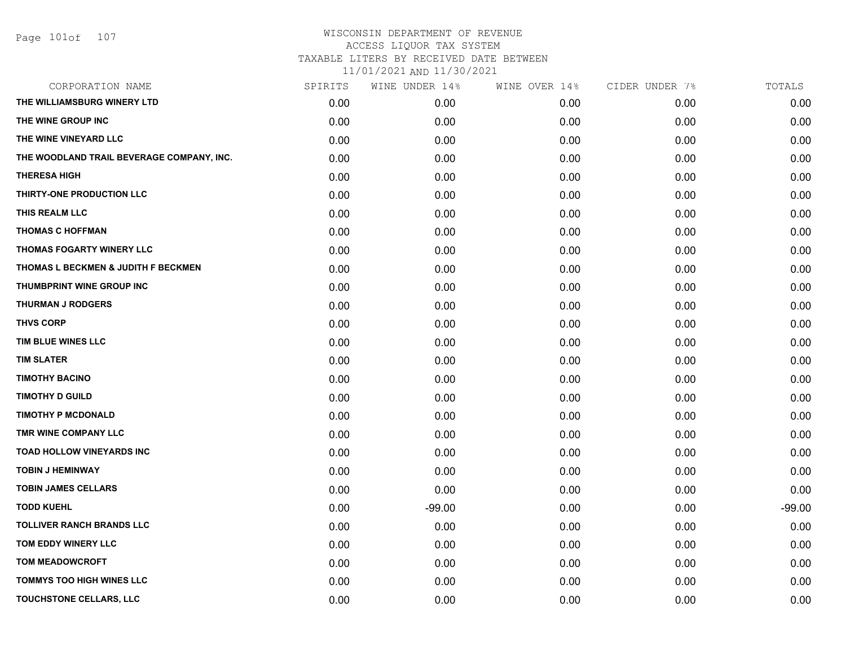### WISCONSIN DEPARTMENT OF REVENUE ACCESS LIQUOR TAX SYSTEM TAXABLE LITERS BY RECEIVED DATE BETWEEN

11/01/2021 AND 11/30/2021

| CORPORATION NAME                          | SPIRITS | WINE UNDER 14% | WINE OVER 14% | CIDER UNDER 7% | TOTALS   |
|-------------------------------------------|---------|----------------|---------------|----------------|----------|
| THE WILLIAMSBURG WINERY LTD               | 0.00    | 0.00           | 0.00          | 0.00           | 0.00     |
| THE WINE GROUP INC                        | 0.00    | 0.00           | 0.00          | 0.00           | 0.00     |
| THE WINE VINEYARD LLC                     | 0.00    | 0.00           | 0.00          | 0.00           | 0.00     |
| THE WOODLAND TRAIL BEVERAGE COMPANY, INC. | 0.00    | 0.00           | 0.00          | 0.00           | 0.00     |
| <b>THERESA HIGH</b>                       | 0.00    | 0.00           | 0.00          | 0.00           | 0.00     |
| THIRTY-ONE PRODUCTION LLC                 | 0.00    | 0.00           | 0.00          | 0.00           | 0.00     |
| THIS REALM LLC                            | 0.00    | 0.00           | 0.00          | 0.00           | 0.00     |
| THOMAS C HOFFMAN                          | 0.00    | 0.00           | 0.00          | 0.00           | 0.00     |
| THOMAS FOGARTY WINERY LLC                 | 0.00    | 0.00           | 0.00          | 0.00           | 0.00     |
| THOMAS L BECKMEN & JUDITH F BECKMEN       | 0.00    | 0.00           | 0.00          | 0.00           | 0.00     |
| THUMBPRINT WINE GROUP INC                 | 0.00    | 0.00           | 0.00          | 0.00           | 0.00     |
| <b>THURMAN J RODGERS</b>                  | 0.00    | 0.00           | 0.00          | 0.00           | 0.00     |
| <b>THVS CORP</b>                          | 0.00    | 0.00           | 0.00          | 0.00           | 0.00     |
| TIM BLUE WINES LLC                        | 0.00    | 0.00           | 0.00          | 0.00           | 0.00     |
| <b>TIM SLATER</b>                         | 0.00    | 0.00           | 0.00          | 0.00           | 0.00     |
| <b>TIMOTHY BACINO</b>                     | 0.00    | 0.00           | 0.00          | 0.00           | 0.00     |
| <b>TIMOTHY D GUILD</b>                    | 0.00    | 0.00           | 0.00          | 0.00           | 0.00     |
| <b>TIMOTHY P MCDONALD</b>                 | 0.00    | 0.00           | 0.00          | 0.00           | 0.00     |
| TMR WINE COMPANY LLC                      | 0.00    | 0.00           | 0.00          | 0.00           | 0.00     |
| <b>TOAD HOLLOW VINEYARDS INC</b>          | 0.00    | 0.00           | 0.00          | 0.00           | 0.00     |
| <b>TOBIN J HEMINWAY</b>                   | 0.00    | 0.00           | 0.00          | 0.00           | 0.00     |
| <b>TOBIN JAMES CELLARS</b>                | 0.00    | 0.00           | 0.00          | 0.00           | 0.00     |
| <b>TODD KUEHL</b>                         | 0.00    | $-99.00$       | 0.00          | 0.00           | $-99.00$ |
| <b>TOLLIVER RANCH BRANDS LLC</b>          | 0.00    | 0.00           | 0.00          | 0.00           | 0.00     |
| TOM EDDY WINERY LLC                       | 0.00    | 0.00           | 0.00          | 0.00           | 0.00     |
| <b>TOM MEADOWCROFT</b>                    | 0.00    | 0.00           | 0.00          | 0.00           | 0.00     |
| <b>TOMMYS TOO HIGH WINES LLC</b>          | 0.00    | 0.00           | 0.00          | 0.00           | 0.00     |
| TOUCHSTONE CELLARS, LLC                   | 0.00    | 0.00           | 0.00          | 0.00           | 0.00     |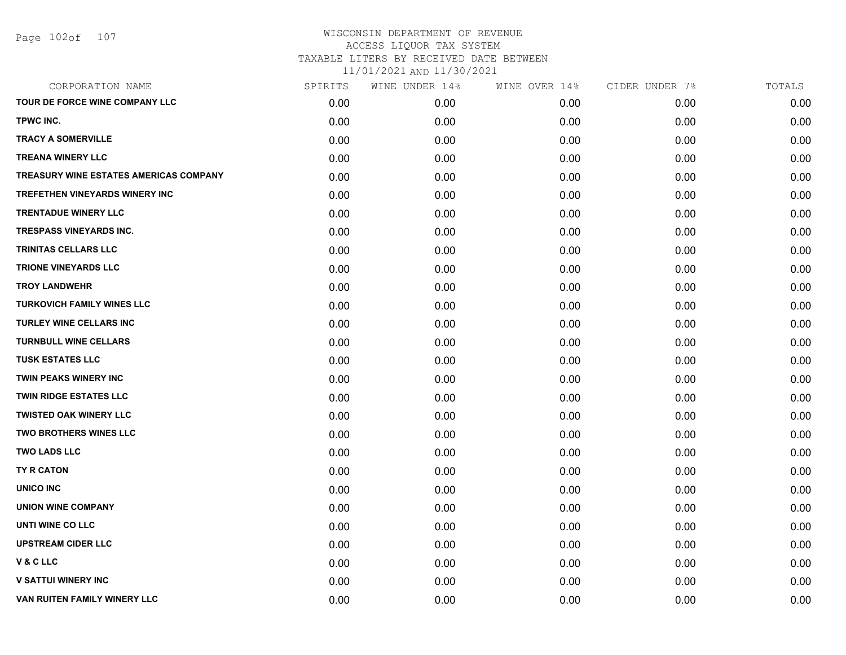| CORPORATION NAME                       | SPIRITS | WINE UNDER 14% | WINE OVER 14% | CIDER UNDER 7% | TOTALS |
|----------------------------------------|---------|----------------|---------------|----------------|--------|
| TOUR DE FORCE WINE COMPANY LLC         | 0.00    | 0.00           | 0.00          | 0.00           | 0.00   |
| TPWC INC.                              | 0.00    | 0.00           | 0.00          | 0.00           | 0.00   |
| <b>TRACY A SOMERVILLE</b>              | 0.00    | 0.00           | 0.00          | 0.00           | 0.00   |
| <b>TREANA WINERY LLC</b>               | 0.00    | 0.00           | 0.00          | 0.00           | 0.00   |
| TREASURY WINE ESTATES AMERICAS COMPANY | 0.00    | 0.00           | 0.00          | 0.00           | 0.00   |
| <b>TREFETHEN VINEYARDS WINERY INC</b>  | 0.00    | 0.00           | 0.00          | 0.00           | 0.00   |
| <b>TRENTADUE WINERY LLC</b>            | 0.00    | 0.00           | 0.00          | 0.00           | 0.00   |
| <b>TRESPASS VINEYARDS INC.</b>         | 0.00    | 0.00           | 0.00          | 0.00           | 0.00   |
| TRINITAS CELLARS LLC                   | 0.00    | 0.00           | 0.00          | 0.00           | 0.00   |
| <b>TRIONE VINEYARDS LLC</b>            | 0.00    | 0.00           | 0.00          | 0.00           | 0.00   |
| <b>TROY LANDWEHR</b>                   | 0.00    | 0.00           | 0.00          | 0.00           | 0.00   |
| <b>TURKOVICH FAMILY WINES LLC</b>      | 0.00    | 0.00           | 0.00          | 0.00           | 0.00   |
| <b>TURLEY WINE CELLARS INC</b>         | 0.00    | 0.00           | 0.00          | 0.00           | 0.00   |
| <b>TURNBULL WINE CELLARS</b>           | 0.00    | 0.00           | 0.00          | 0.00           | 0.00   |
| <b>TUSK ESTATES LLC</b>                | 0.00    | 0.00           | 0.00          | 0.00           | 0.00   |
| TWIN PEAKS WINERY INC                  | 0.00    | 0.00           | 0.00          | 0.00           | 0.00   |
| <b>TWIN RIDGE ESTATES LLC</b>          | 0.00    | 0.00           | 0.00          | 0.00           | 0.00   |
| <b>TWISTED OAK WINERY LLC</b>          | 0.00    | 0.00           | 0.00          | 0.00           | 0.00   |
| <b>TWO BROTHERS WINES LLC</b>          | 0.00    | 0.00           | 0.00          | 0.00           | 0.00   |
| <b>TWO LADS LLC</b>                    | 0.00    | 0.00           | 0.00          | 0.00           | 0.00   |
| TY R CATON                             | 0.00    | 0.00           | 0.00          | 0.00           | 0.00   |
| UNICO INC                              | 0.00    | 0.00           | 0.00          | 0.00           | 0.00   |
| <b>UNION WINE COMPANY</b>              | 0.00    | 0.00           | 0.00          | 0.00           | 0.00   |
| UNTI WINE CO LLC                       | 0.00    | 0.00           | 0.00          | 0.00           | 0.00   |
| <b>UPSTREAM CIDER LLC</b>              | 0.00    | 0.00           | 0.00          | 0.00           | 0.00   |
| V&CLLC                                 | 0.00    | 0.00           | 0.00          | 0.00           | 0.00   |
| <b>V SATTUI WINERY INC</b>             | 0.00    | 0.00           | 0.00          | 0.00           | 0.00   |
| VAN RUITEN FAMILY WINERY LLC           | 0.00    | 0.00           | 0.00          | 0.00           | 0.00   |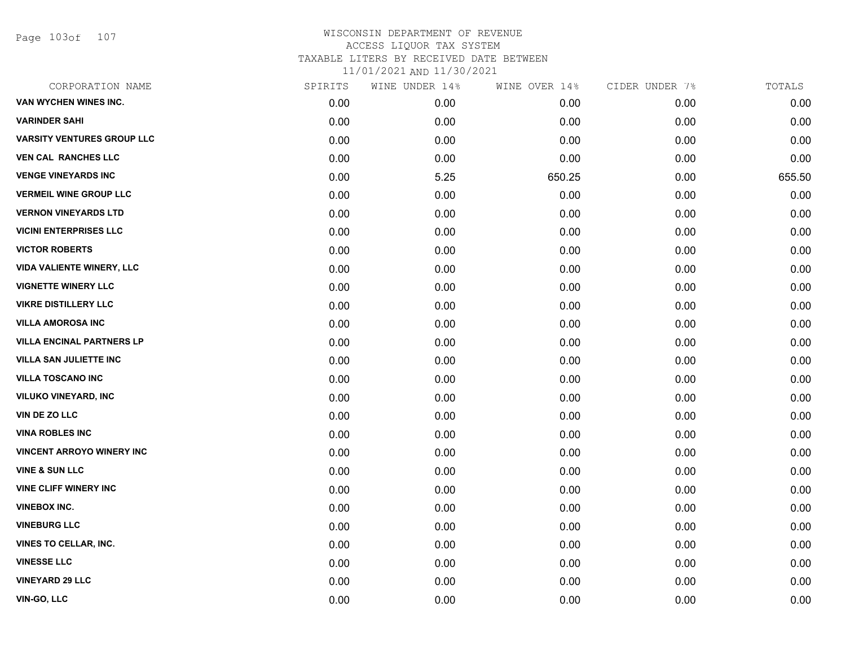Page 103of 107

| CORPORATION NAME                  | SPIRITS | WINE UNDER 14% | WINE OVER 14% | CIDER UNDER 7% | TOTALS |
|-----------------------------------|---------|----------------|---------------|----------------|--------|
| VAN WYCHEN WINES INC.             | 0.00    | 0.00           | 0.00          | 0.00           | 0.00   |
| <b>VARINDER SAHI</b>              | 0.00    | 0.00           | 0.00          | 0.00           | 0.00   |
| <b>VARSITY VENTURES GROUP LLC</b> | 0.00    | 0.00           | 0.00          | 0.00           | 0.00   |
| <b>VEN CAL RANCHES LLC</b>        | 0.00    | 0.00           | 0.00          | 0.00           | 0.00   |
| <b>VENGE VINEYARDS INC</b>        | 0.00    | 5.25           | 650.25        | 0.00           | 655.50 |
| <b>VERMEIL WINE GROUP LLC</b>     | 0.00    | 0.00           | 0.00          | 0.00           | 0.00   |
| <b>VERNON VINEYARDS LTD</b>       | 0.00    | 0.00           | 0.00          | 0.00           | 0.00   |
| <b>VICINI ENTERPRISES LLC</b>     | 0.00    | 0.00           | 0.00          | 0.00           | 0.00   |
| <b>VICTOR ROBERTS</b>             | 0.00    | 0.00           | 0.00          | 0.00           | 0.00   |
| <b>VIDA VALIENTE WINERY, LLC</b>  | 0.00    | 0.00           | 0.00          | 0.00           | 0.00   |
| <b>VIGNETTE WINERY LLC</b>        | 0.00    | 0.00           | 0.00          | 0.00           | 0.00   |
| <b>VIKRE DISTILLERY LLC</b>       | 0.00    | 0.00           | 0.00          | 0.00           | 0.00   |
| <b>VILLA AMOROSA INC</b>          | 0.00    | 0.00           | 0.00          | 0.00           | 0.00   |
| <b>VILLA ENCINAL PARTNERS LP</b>  | 0.00    | 0.00           | 0.00          | 0.00           | 0.00   |
| <b>VILLA SAN JULIETTE INC</b>     | 0.00    | 0.00           | 0.00          | 0.00           | 0.00   |
| <b>VILLA TOSCANO INC</b>          | 0.00    | 0.00           | 0.00          | 0.00           | 0.00   |
| <b>VILUKO VINEYARD, INC</b>       | 0.00    | 0.00           | 0.00          | 0.00           | 0.00   |
| <b>VIN DE ZO LLC</b>              | 0.00    | 0.00           | 0.00          | 0.00           | 0.00   |
| <b>VINA ROBLES INC</b>            | 0.00    | 0.00           | 0.00          | 0.00           | 0.00   |
| <b>VINCENT ARROYO WINERY INC</b>  | 0.00    | 0.00           | 0.00          | 0.00           | 0.00   |
| <b>VINE &amp; SUN LLC</b>         | 0.00    | 0.00           | 0.00          | 0.00           | 0.00   |
| <b>VINE CLIFF WINERY INC</b>      | 0.00    | 0.00           | 0.00          | 0.00           | 0.00   |
| <b>VINEBOX INC.</b>               | 0.00    | 0.00           | 0.00          | 0.00           | 0.00   |
| <b>VINEBURG LLC</b>               | 0.00    | 0.00           | 0.00          | 0.00           | 0.00   |
| <b>VINES TO CELLAR, INC.</b>      | 0.00    | 0.00           | 0.00          | 0.00           | 0.00   |
| <b>VINESSE LLC</b>                | 0.00    | 0.00           | 0.00          | 0.00           | 0.00   |
| <b>VINEYARD 29 LLC</b>            | 0.00    | 0.00           | 0.00          | 0.00           | 0.00   |
| VIN-GO, LLC                       | 0.00    | 0.00           | 0.00          | 0.00           | 0.00   |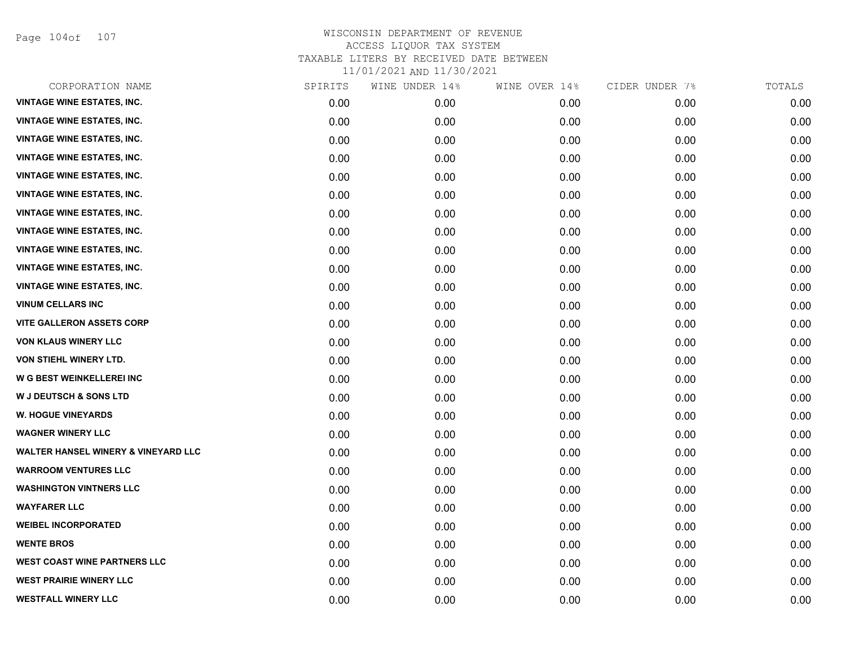Page 104of 107

| CORPORATION NAME                               | SPIRITS | WINE UNDER 14% | WINE OVER 14% | CIDER UNDER 7% | TOTALS |
|------------------------------------------------|---------|----------------|---------------|----------------|--------|
| <b>VINTAGE WINE ESTATES, INC.</b>              | 0.00    | 0.00           | 0.00          | 0.00           | 0.00   |
| <b>VINTAGE WINE ESTATES, INC.</b>              | 0.00    | 0.00           | 0.00          | 0.00           | 0.00   |
| <b>VINTAGE WINE ESTATES, INC.</b>              | 0.00    | 0.00           | 0.00          | 0.00           | 0.00   |
| <b>VINTAGE WINE ESTATES, INC.</b>              | 0.00    | 0.00           | 0.00          | 0.00           | 0.00   |
| <b>VINTAGE WINE ESTATES, INC.</b>              | 0.00    | 0.00           | 0.00          | 0.00           | 0.00   |
| <b>VINTAGE WINE ESTATES, INC.</b>              | 0.00    | 0.00           | 0.00          | 0.00           | 0.00   |
| <b>VINTAGE WINE ESTATES, INC.</b>              | 0.00    | 0.00           | 0.00          | 0.00           | 0.00   |
| <b>VINTAGE WINE ESTATES, INC.</b>              | 0.00    | 0.00           | 0.00          | 0.00           | 0.00   |
| <b>VINTAGE WINE ESTATES, INC.</b>              | 0.00    | 0.00           | 0.00          | 0.00           | 0.00   |
| <b>VINTAGE WINE ESTATES, INC.</b>              | 0.00    | 0.00           | 0.00          | 0.00           | 0.00   |
| <b>VINTAGE WINE ESTATES, INC.</b>              | 0.00    | 0.00           | 0.00          | 0.00           | 0.00   |
| <b>VINUM CELLARS INC</b>                       | 0.00    | 0.00           | 0.00          | 0.00           | 0.00   |
| <b>VITE GALLERON ASSETS CORP</b>               | 0.00    | 0.00           | 0.00          | 0.00           | 0.00   |
| <b>VON KLAUS WINERY LLC</b>                    | 0.00    | 0.00           | 0.00          | 0.00           | 0.00   |
| VON STIEHL WINERY LTD.                         | 0.00    | 0.00           | 0.00          | 0.00           | 0.00   |
| W G BEST WEINKELLEREI INC                      | 0.00    | 0.00           | 0.00          | 0.00           | 0.00   |
| <b>W J DEUTSCH &amp; SONS LTD</b>              | 0.00    | 0.00           | 0.00          | 0.00           | 0.00   |
| <b>W. HOGUE VINEYARDS</b>                      | 0.00    | 0.00           | 0.00          | 0.00           | 0.00   |
| <b>WAGNER WINERY LLC</b>                       | 0.00    | 0.00           | 0.00          | 0.00           | 0.00   |
| <b>WALTER HANSEL WINERY &amp; VINEYARD LLC</b> | 0.00    | 0.00           | 0.00          | 0.00           | 0.00   |
| <b>WARROOM VENTURES LLC</b>                    | 0.00    | 0.00           | 0.00          | 0.00           | 0.00   |
| <b>WASHINGTON VINTNERS LLC</b>                 | 0.00    | 0.00           | 0.00          | 0.00           | 0.00   |
| <b>WAYFARER LLC</b>                            | 0.00    | 0.00           | 0.00          | 0.00           | 0.00   |
| <b>WEIBEL INCORPORATED</b>                     | 0.00    | 0.00           | 0.00          | 0.00           | 0.00   |
| <b>WENTE BROS</b>                              | 0.00    | 0.00           | 0.00          | 0.00           | 0.00   |
| WEST COAST WINE PARTNERS LLC                   | 0.00    | 0.00           | 0.00          | 0.00           | 0.00   |
| <b>WEST PRAIRIE WINERY LLC</b>                 | 0.00    | 0.00           | 0.00          | 0.00           | 0.00   |
| <b>WESTFALL WINERY LLC</b>                     | 0.00    | 0.00           | 0.00          | 0.00           | 0.00   |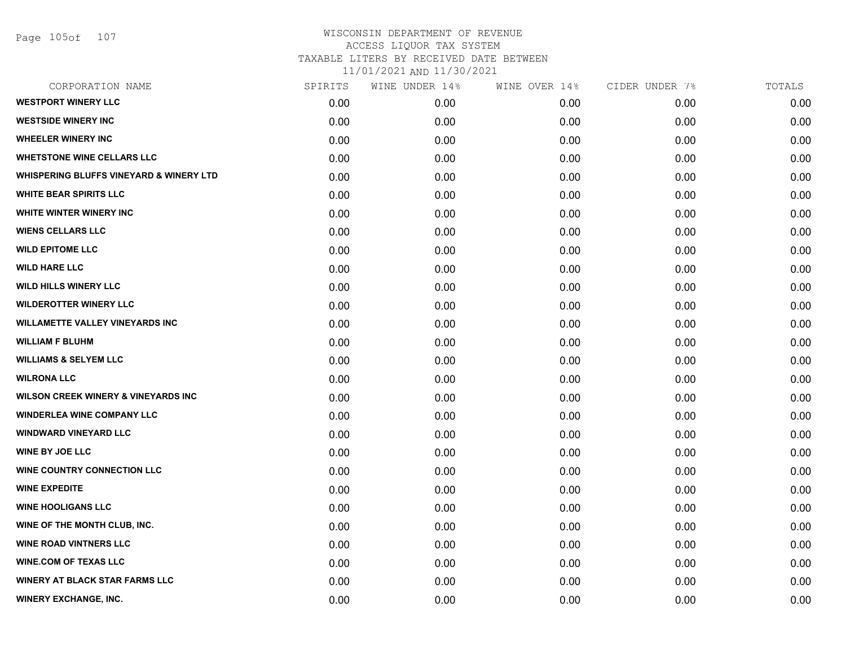Page 105of 107

| CORPORATION NAME                                   | SPIRITS | WINE UNDER 14% | WINE OVER 14% | CIDER UNDER 7% | TOTALS |
|----------------------------------------------------|---------|----------------|---------------|----------------|--------|
| <b>WESTPORT WINERY LLC</b>                         | 0.00    | 0.00           | 0.00          | 0.00           | 0.00   |
| <b>WESTSIDE WINERY INC</b>                         | 0.00    | 0.00           | 0.00          | 0.00           | 0.00   |
| <b>WHEELER WINERY INC</b>                          | 0.00    | 0.00           | 0.00          | 0.00           | 0.00   |
| <b>WHETSTONE WINE CELLARS LLC</b>                  | 0.00    | 0.00           | 0.00          | 0.00           | 0.00   |
| <b>WHISPERING BLUFFS VINEYARD &amp; WINERY LTD</b> | 0.00    | 0.00           | 0.00          | 0.00           | 0.00   |
| <b>WHITE BEAR SPIRITS LLC</b>                      | 0.00    | 0.00           | 0.00          | 0.00           | 0.00   |
| WHITE WINTER WINERY INC                            | 0.00    | 0.00           | 0.00          | 0.00           | 0.00   |
| <b>WIENS CELLARS LLC</b>                           | 0.00    | 0.00           | 0.00          | 0.00           | 0.00   |
| <b>WILD EPITOME LLC</b>                            | 0.00    | 0.00           | 0.00          | 0.00           | 0.00   |
| <b>WILD HARE LLC</b>                               | 0.00    | 0.00           | 0.00          | 0.00           | 0.00   |
| <b>WILD HILLS WINERY LLC</b>                       | 0.00    | 0.00           | 0.00          | 0.00           | 0.00   |
| <b>WILDEROTTER WINERY LLC</b>                      | 0.00    | 0.00           | 0.00          | 0.00           | 0.00   |
| <b>WILLAMETTE VALLEY VINEYARDS INC</b>             | 0.00    | 0.00           | 0.00          | 0.00           | 0.00   |
| <b>WILLIAM F BLUHM</b>                             | 0.00    | 0.00           | 0.00          | 0.00           | 0.00   |
| <b>WILLIAMS &amp; SELYEM LLC</b>                   | 0.00    | 0.00           | 0.00          | 0.00           | 0.00   |
| <b>WILRONA LLC</b>                                 | 0.00    | 0.00           | 0.00          | 0.00           | 0.00   |
| <b>WILSON CREEK WINERY &amp; VINEYARDS INC</b>     | 0.00    | 0.00           | 0.00          | 0.00           | 0.00   |
| <b>WINDERLEA WINE COMPANY LLC</b>                  | 0.00    | 0.00           | 0.00          | 0.00           | 0.00   |
| <b>WINDWARD VINEYARD LLC</b>                       | 0.00    | 0.00           | 0.00          | 0.00           | 0.00   |
| <b>WINE BY JOE LLC</b>                             | 0.00    | 0.00           | 0.00          | 0.00           | 0.00   |
| <b>WINE COUNTRY CONNECTION LLC</b>                 | 0.00    | 0.00           | 0.00          | 0.00           | 0.00   |
| <b>WINE EXPEDITE</b>                               | 0.00    | 0.00           | 0.00          | 0.00           | 0.00   |
| <b>WINE HOOLIGANS LLC</b>                          | 0.00    | 0.00           | 0.00          | 0.00           | 0.00   |
| WINE OF THE MONTH CLUB, INC.                       | 0.00    | 0.00           | 0.00          | 0.00           | 0.00   |
| <b>WINE ROAD VINTNERS LLC</b>                      | 0.00    | 0.00           | 0.00          | 0.00           | 0.00   |
| <b>WINE.COM OF TEXAS LLC</b>                       | 0.00    | 0.00           | 0.00          | 0.00           | 0.00   |
| <b>WINERY AT BLACK STAR FARMS LLC</b>              | 0.00    | 0.00           | 0.00          | 0.00           | 0.00   |
| <b>WINERY EXCHANGE, INC.</b>                       | 0.00    | 0.00           | 0.00          | 0.00           | 0.00   |
|                                                    |         |                |               |                |        |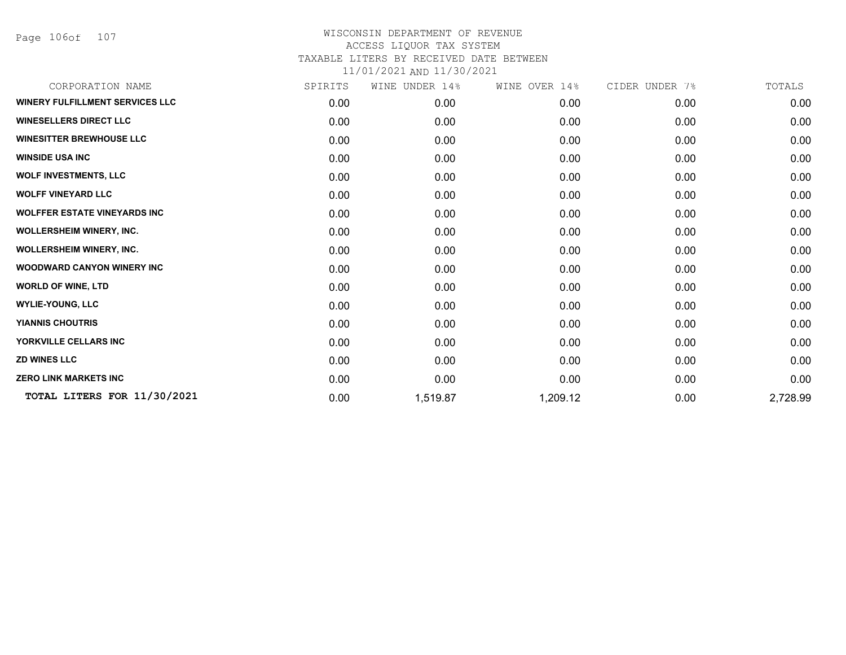Page 106of 107

| CORPORATION NAME                       | SPIRITS | WINE UNDER 14% | WINE OVER 14% | CIDER UNDER 7% | TOTALS   |
|----------------------------------------|---------|----------------|---------------|----------------|----------|
| <b>WINERY FULFILLMENT SERVICES LLC</b> | 0.00    | 0.00           | 0.00          | 0.00           | 0.00     |
| <b>WINESELLERS DIRECT LLC</b>          | 0.00    | 0.00           | 0.00          | 0.00           | 0.00     |
| <b>WINESITTER BREWHOUSE LLC</b>        | 0.00    | 0.00           | 0.00          | 0.00           | 0.00     |
| <b>WINSIDE USA INC</b>                 | 0.00    | 0.00           | 0.00          | 0.00           | 0.00     |
| <b>WOLF INVESTMENTS, LLC</b>           | 0.00    | 0.00           | 0.00          | 0.00           | 0.00     |
| <b>WOLFF VINEYARD LLC</b>              | 0.00    | 0.00           | 0.00          | 0.00           | 0.00     |
| <b>WOLFFER ESTATE VINEYARDS INC</b>    | 0.00    | 0.00           | 0.00          | 0.00           | 0.00     |
| <b>WOLLERSHEIM WINERY, INC.</b>        | 0.00    | 0.00           | 0.00          | 0.00           | 0.00     |
| <b>WOLLERSHEIM WINERY, INC.</b>        | 0.00    | 0.00           | 0.00          | 0.00           | 0.00     |
| <b>WOODWARD CANYON WINERY INC</b>      | 0.00    | 0.00           | 0.00          | 0.00           | 0.00     |
| <b>WORLD OF WINE, LTD</b>              | 0.00    | 0.00           | 0.00          | 0.00           | 0.00     |
| <b>WYLIE-YOUNG, LLC</b>                | 0.00    | 0.00           | 0.00          | 0.00           | 0.00     |
| <b>YIANNIS CHOUTRIS</b>                | 0.00    | 0.00           | 0.00          | 0.00           | 0.00     |
| YORKVILLE CELLARS INC                  | 0.00    | 0.00           | 0.00          | 0.00           | 0.00     |
| <b>ZD WINES LLC</b>                    | 0.00    | 0.00           | 0.00          | 0.00           | 0.00     |
| <b>ZERO LINK MARKETS INC</b>           | 0.00    | 0.00           | 0.00          | 0.00           | 0.00     |
| TOTAL LITERS FOR 11/30/2021            | 0.00    | 1,519.87       | 1,209.12      | 0.00           | 2,728.99 |